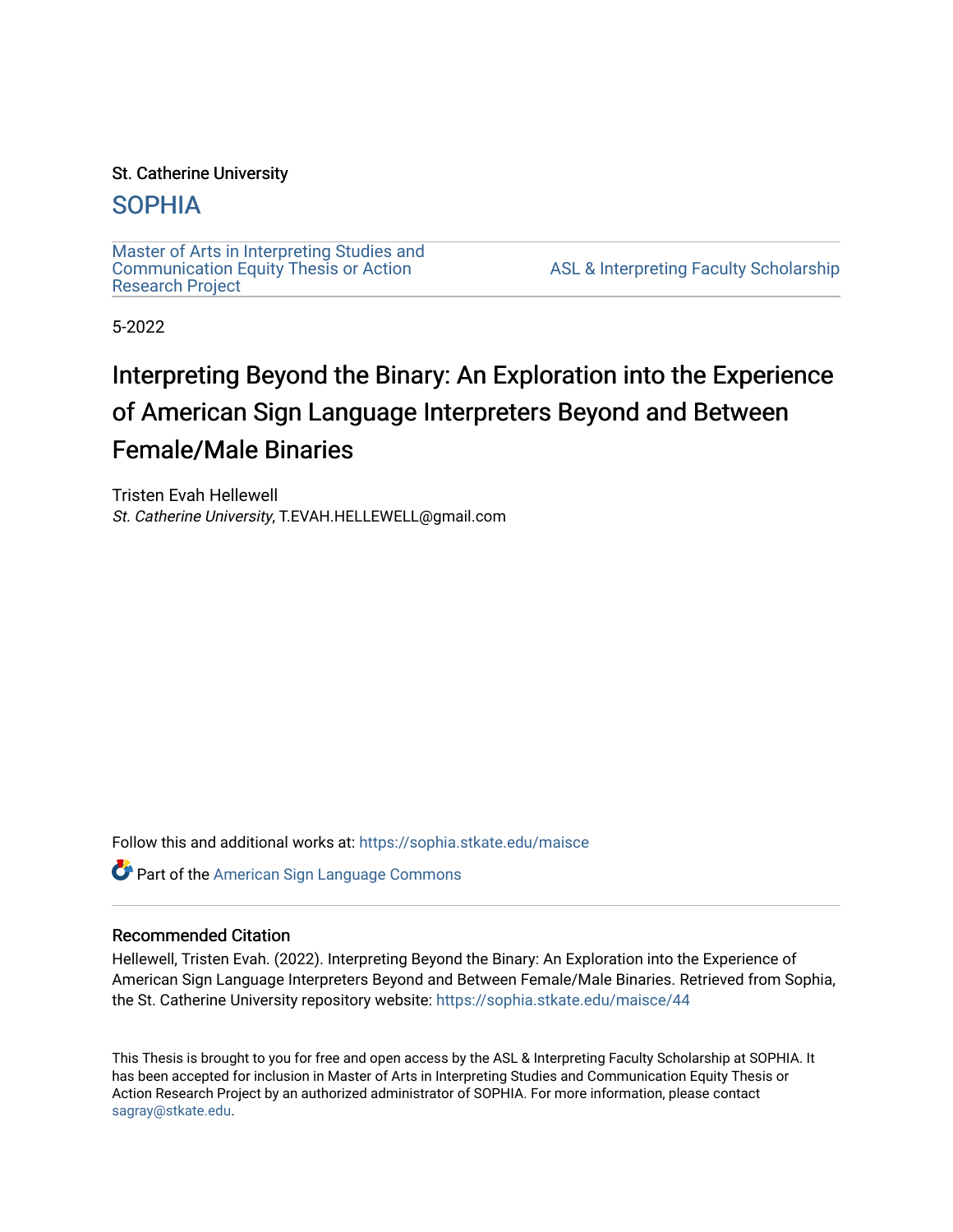# St. Catherine University

# [SOPHIA](https://sophia.stkate.edu/)

[Master of Arts in Interpreting Studies and](https://sophia.stkate.edu/maisce) [Communication Equity Thesis or Action](https://sophia.stkate.edu/maisce)  [Research Project](https://sophia.stkate.edu/maisce) 

[ASL & Interpreting Faculty Scholarship](https://sophia.stkate.edu/asl_fac) 

5-2022

# Interpreting Beyond the Binary: An Exploration into the Experience of American Sign Language Interpreters Beyond and Between Female/Male Binaries

Tristen Evah Hellewell St. Catherine University, T.EVAH.HELLEWELL@gmail.com

Follow this and additional works at: [https://sophia.stkate.edu/maisce](https://sophia.stkate.edu/maisce?utm_source=sophia.stkate.edu%2Fmaisce%2F44&utm_medium=PDF&utm_campaign=PDFCoverPages) 

Part of the [American Sign Language Commons](https://network.bepress.com/hgg/discipline/1402?utm_source=sophia.stkate.edu%2Fmaisce%2F44&utm_medium=PDF&utm_campaign=PDFCoverPages) 

## Recommended Citation

Hellewell, Tristen Evah. (2022). Interpreting Beyond the Binary: An Exploration into the Experience of American Sign Language Interpreters Beyond and Between Female/Male Binaries. Retrieved from Sophia, the St. Catherine University repository website: [https://sophia.stkate.edu/maisce/44](https://sophia.stkate.edu/maisce/44?utm_source=sophia.stkate.edu%2Fmaisce%2F44&utm_medium=PDF&utm_campaign=PDFCoverPages) 

This Thesis is brought to you for free and open access by the ASL & Interpreting Faculty Scholarship at SOPHIA. It has been accepted for inclusion in Master of Arts in Interpreting Studies and Communication Equity Thesis or Action Research Project by an authorized administrator of SOPHIA. For more information, please contact [sagray@stkate.edu.](mailto:sagray@stkate.edu)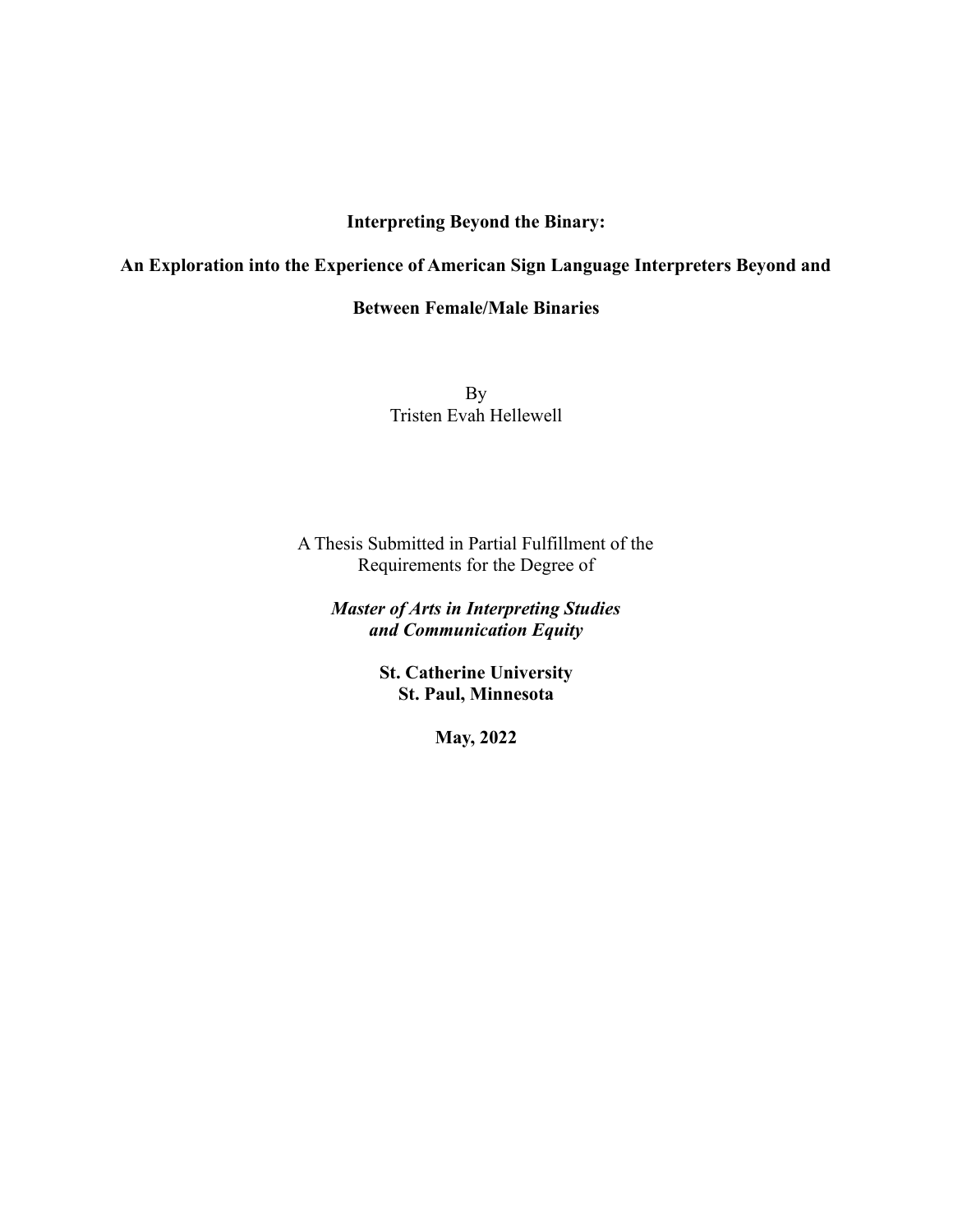# **Interpreting Beyond the Binary:**

# **An Exploration into the Experience of American Sign Language Interpreters Beyond and**

# **Between Female/Male Binaries**

By Tristen Evah Hellewell

A Thesis Submitted in Partial Fulfillment of the Requirements for the Degree of

*Master of Arts in Interpreting Studies and Communication Equity*

> **St. Catherine University St. Paul, Minnesota**

> > **May, 2022**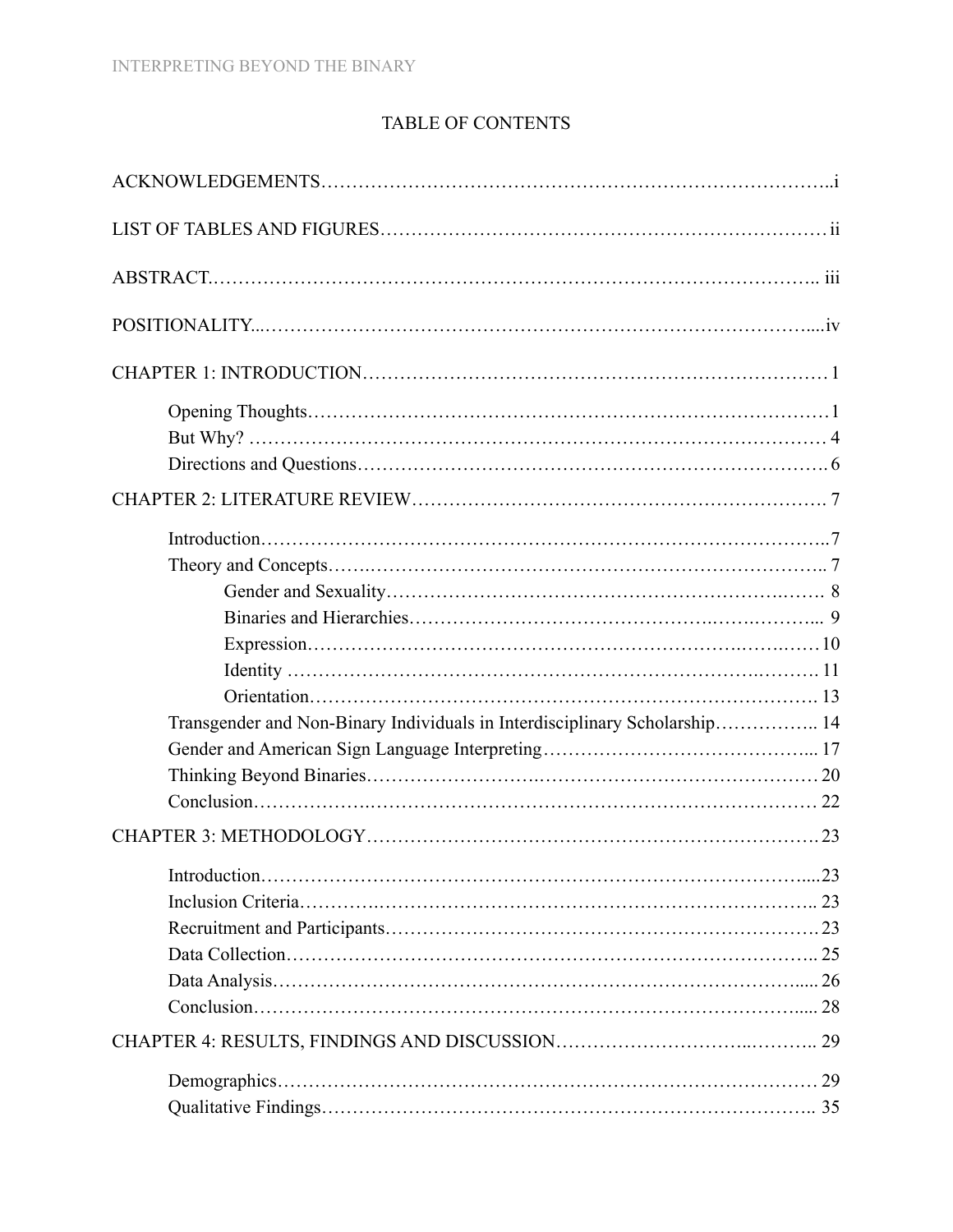# TABLE OF CONTENTS

| Transgender and Non-Binary Individuals in Interdisciplinary Scholarship 14 |  |
|----------------------------------------------------------------------------|--|
|                                                                            |  |
|                                                                            |  |
|                                                                            |  |
|                                                                            |  |
|                                                                            |  |
|                                                                            |  |
|                                                                            |  |
|                                                                            |  |
|                                                                            |  |
|                                                                            |  |
|                                                                            |  |
|                                                                            |  |
|                                                                            |  |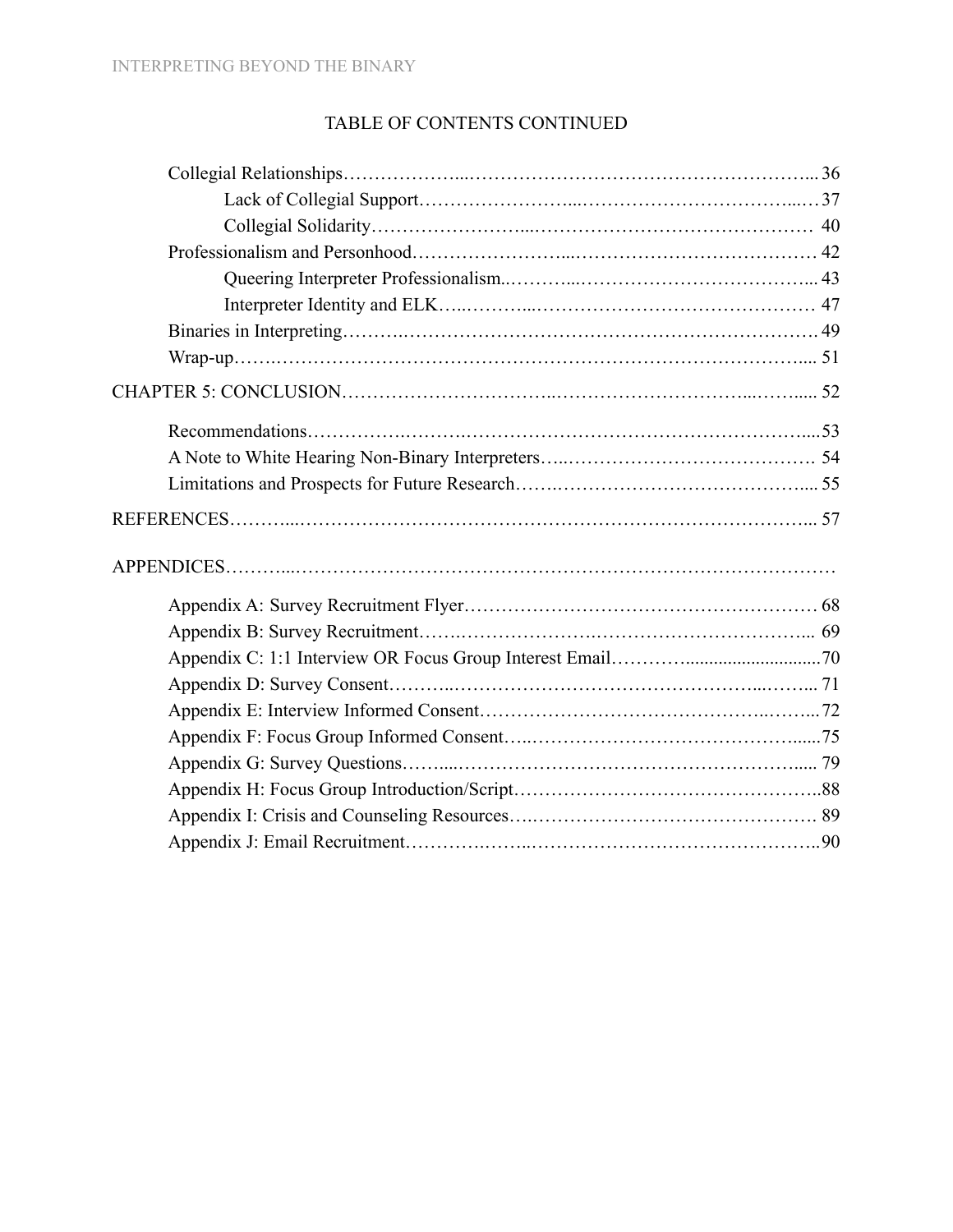# TABLE OF CONTENTS CONTINUED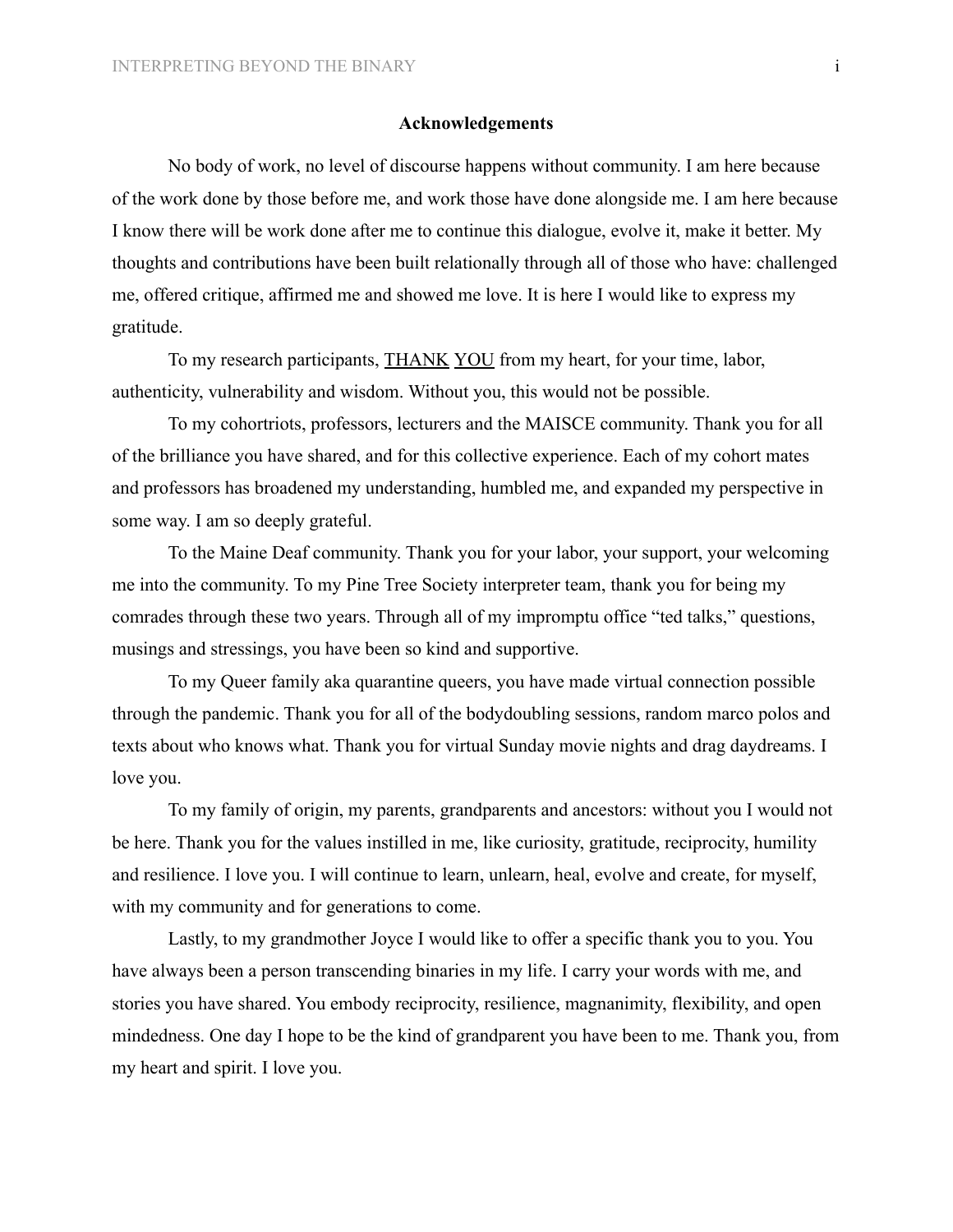#### **Acknowledgements**

No body of work, no level of discourse happens without community. I am here because of the work done by those before me, and work those have done alongside me. I am here because I know there will be work done after me to continue this dialogue, evolve it, make it better. My thoughts and contributions have been built relationally through all of those who have: challenged me, offered critique, affirmed me and showed me love. It is here I would like to express my gratitude.

To my research participants, THANK YOU from my heart, for your time, labor, authenticity, vulnerability and wisdom. Without you, this would not be possible.

To my cohortriots, professors, lecturers and the MAISCE community. Thank you for all of the brilliance you have shared, and for this collective experience. Each of my cohort mates and professors has broadened my understanding, humbled me, and expanded my perspective in some way. I am so deeply grateful.

To the Maine Deaf community. Thank you for your labor, your support, your welcoming me into the community. To my Pine Tree Society interpreter team, thank you for being my comrades through these two years. Through all of my impromptu office "ted talks," questions, musings and stressings, you have been so kind and supportive.

To my Queer family aka quarantine queers, you have made virtual connection possible through the pandemic. Thank you for all of the bodydoubling sessions, random marco polos and texts about who knows what. Thank you for virtual Sunday movie nights and drag daydreams. I love you.

To my family of origin, my parents, grandparents and ancestors: without you I would not be here. Thank you for the values instilled in me, like curiosity, gratitude, reciprocity, humility and resilience. I love you. I will continue to learn, unlearn, heal, evolve and create, for myself, with my community and for generations to come.

Lastly, to my grandmother Joyce I would like to offer a specific thank you to you. You have always been a person transcending binaries in my life. I carry your words with me, and stories you have shared. You embody reciprocity, resilience, magnanimity, flexibility, and open mindedness. One day I hope to be the kind of grandparent you have been to me. Thank you, from my heart and spirit. I love you.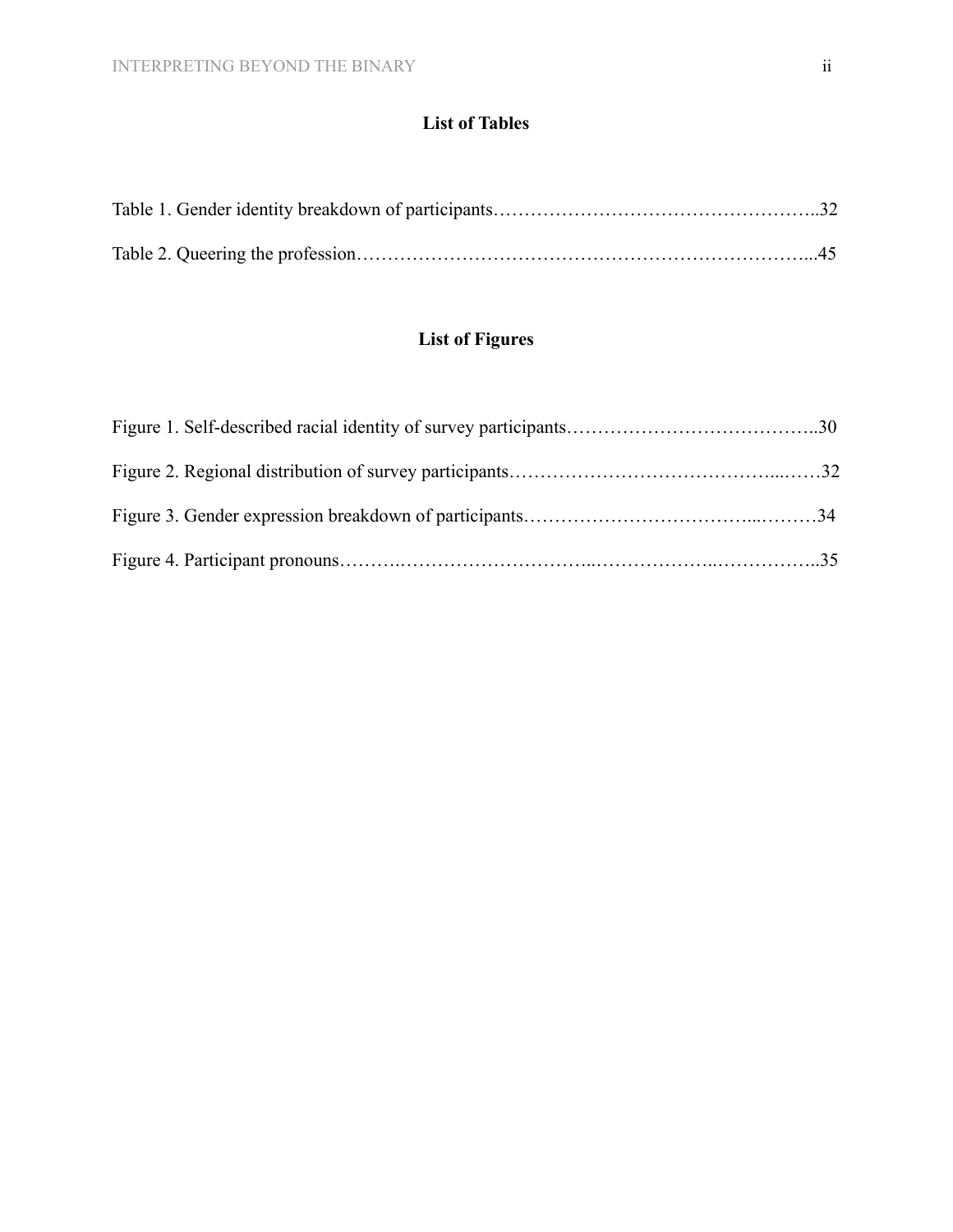# **List of Tables**

# **List of Figures**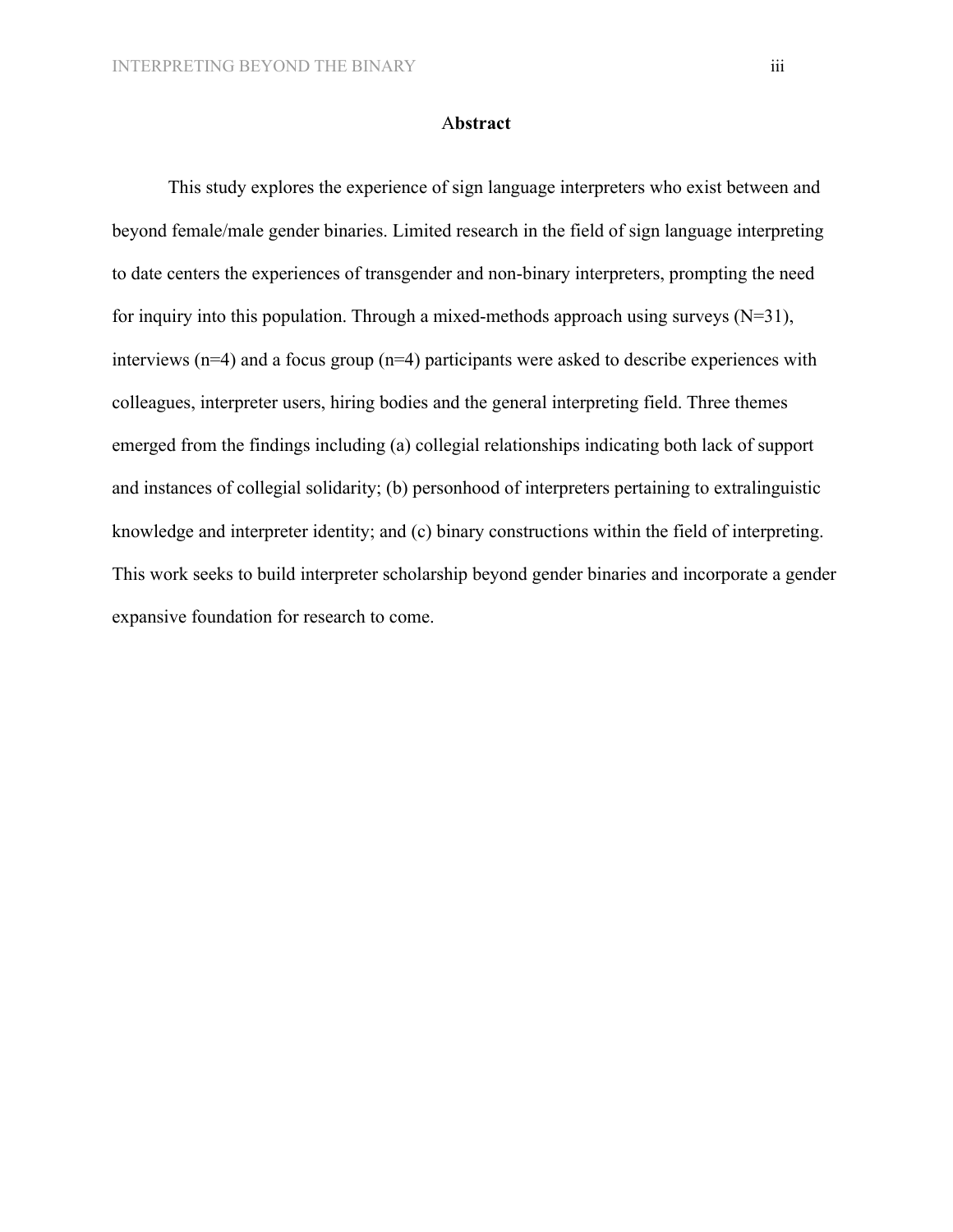## A**bstract**

This study explores the experience of sign language interpreters who exist between and beyond female/male gender binaries. Limited research in the field of sign language interpreting to date centers the experiences of transgender and non-binary interpreters, prompting the need for inquiry into this population. Through a mixed-methods approach using surveys  $(N=31)$ , interviews (n=4) and a focus group (n=4) participants were asked to describe experiences with colleagues, interpreter users, hiring bodies and the general interpreting field. Three themes emerged from the findings including (a) collegial relationships indicating both lack of support and instances of collegial solidarity; (b) personhood of interpreters pertaining to extralinguistic knowledge and interpreter identity; and (c) binary constructions within the field of interpreting. This work seeks to build interpreter scholarship beyond gender binaries and incorporate a gender expansive foundation for research to come.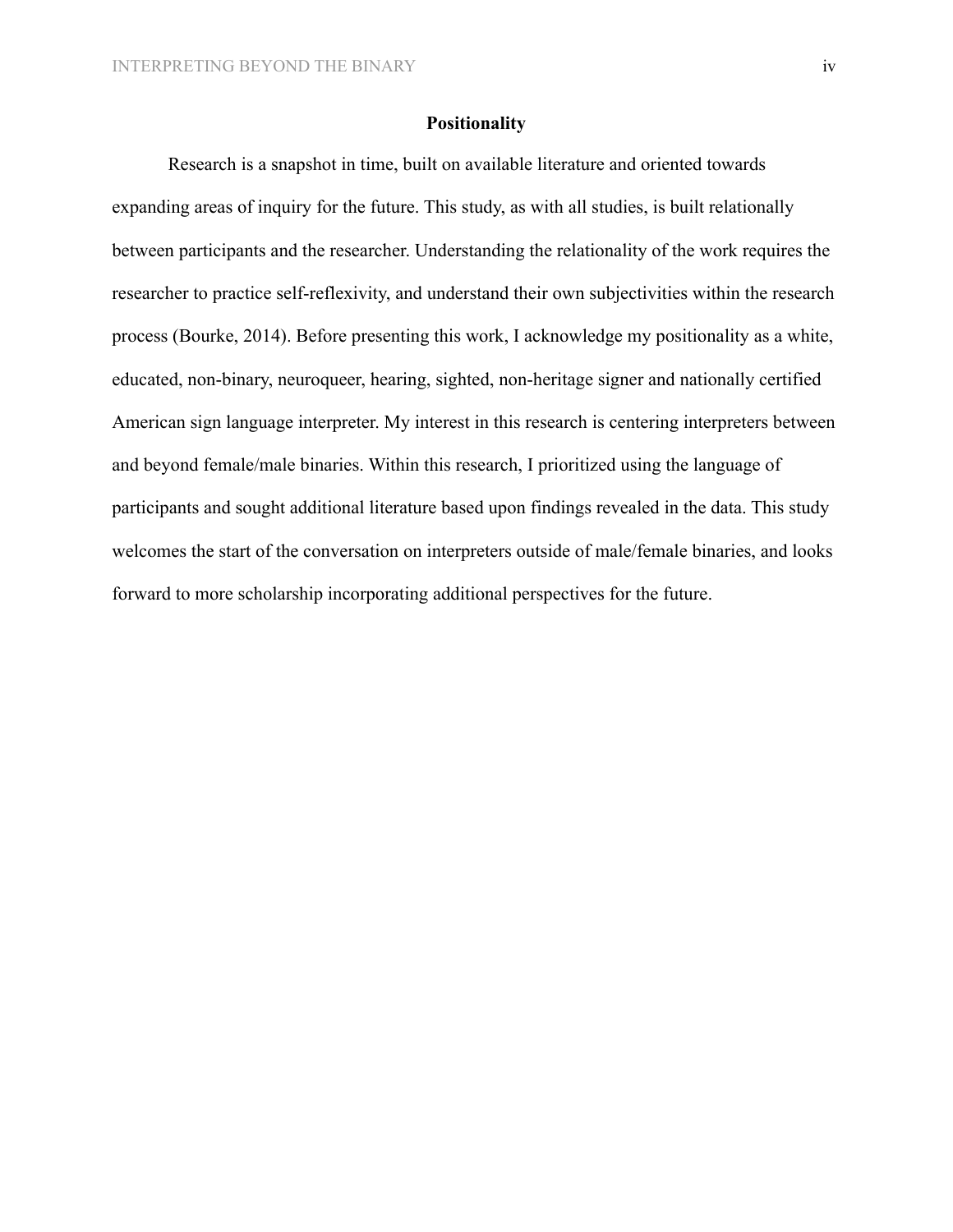# **Positionality**

Research is a snapshot in time, built on available literature and oriented towards expanding areas of inquiry for the future. This study, as with all studies, is built relationally between participants and the researcher. Understanding the relationality of the work requires the researcher to practice self-reflexivity, and understand their own subjectivities within the research process (Bourke, 2014). Before presenting this work, I acknowledge my positionality as a white, educated, non-binary, neuroqueer, hearing, sighted, non-heritage signer and nationally certified American sign language interpreter. My interest in this research is centering interpreters between and beyond female/male binaries. Within this research, I prioritized using the language of participants and sought additional literature based upon findings revealed in the data. This study welcomes the start of the conversation on interpreters outside of male/female binaries, and looks forward to more scholarship incorporating additional perspectives for the future.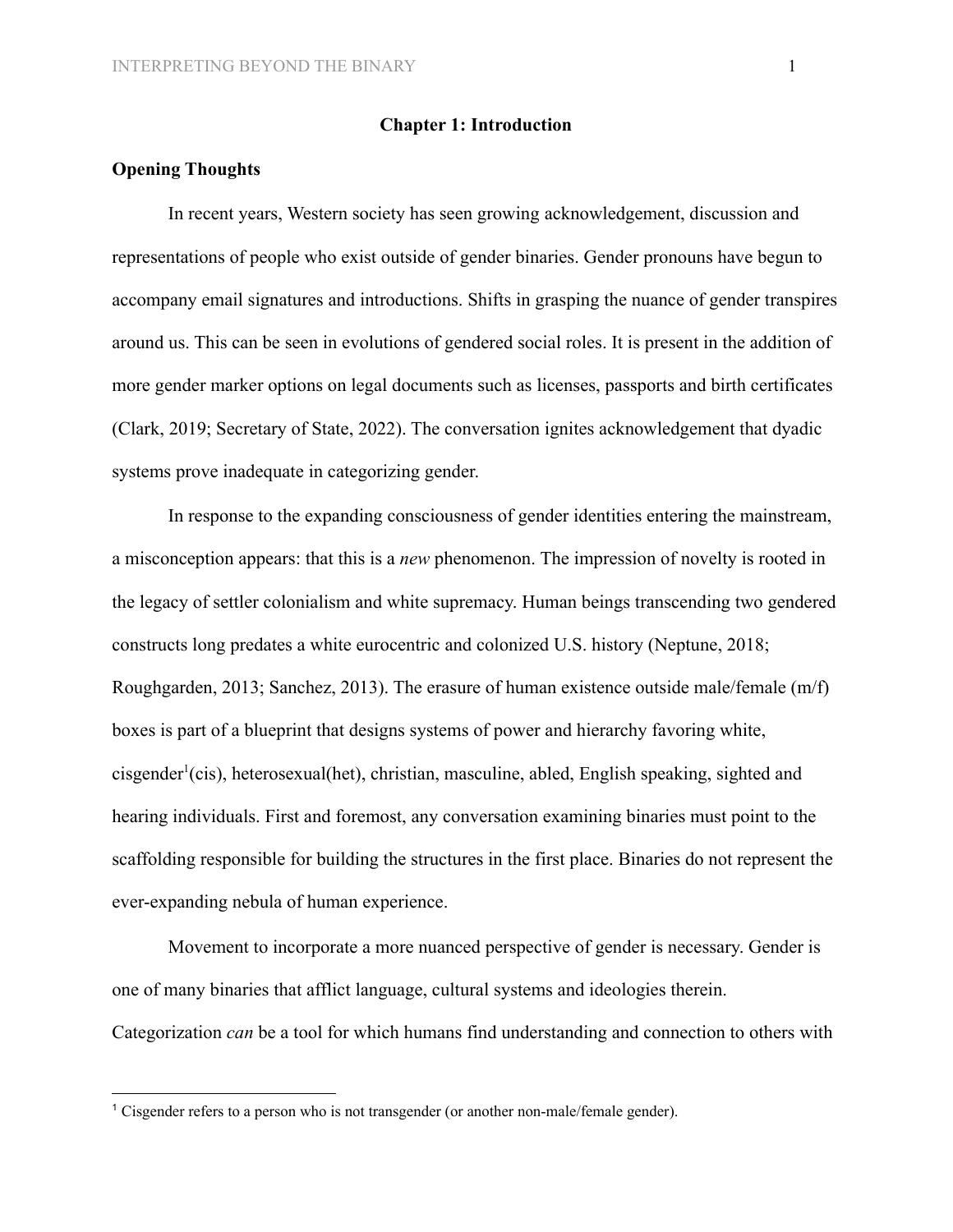#### **Chapter 1: Introduction**

## **Opening Thoughts**

In recent years, Western society has seen growing acknowledgement, discussion and representations of people who exist outside of gender binaries. Gender pronouns have begun to accompany email signatures and introductions. Shifts in grasping the nuance of gender transpires around us. This can be seen in evolutions of gendered social roles. It is present in the addition of more gender marker options on legal documents such as licenses, passports and birth certificates (Clark, 2019; Secretary of State, 2022). The conversation ignites acknowledgement that dyadic systems prove inadequate in categorizing gender.

In response to the expanding consciousness of gender identities entering the mainstream, a misconception appears: that this is a *new* phenomenon. The impression of novelty is rooted in the legacy of settler colonialism and white supremacy. Human beings transcending two gendered constructs long predates a white eurocentric and colonized U.S. history (Neptune, 2018; Roughgarden, 2013; Sanchez, 2013). The erasure of human existence outside male/female (m/f) boxes is part of a blueprint that designs systems of power and hierarchy favoring white, cisgender<sup>1</sup>(cis), heterosexual(het), christian, masculine, abled, English speaking, sighted and hearing individuals. First and foremost, any conversation examining binaries must point to the scaffolding responsible for building the structures in the first place. Binaries do not represent the ever-expanding nebula of human experience.

Movement to incorporate a more nuanced perspective of gender is necessary. Gender is one of many binaries that afflict language, cultural systems and ideologies therein. Categorization *can* be a tool for which humans find understanding and connection to others with

<sup>&</sup>lt;sup>1</sup> Cisgender refers to a person who is not transgender (or another non-male/female gender).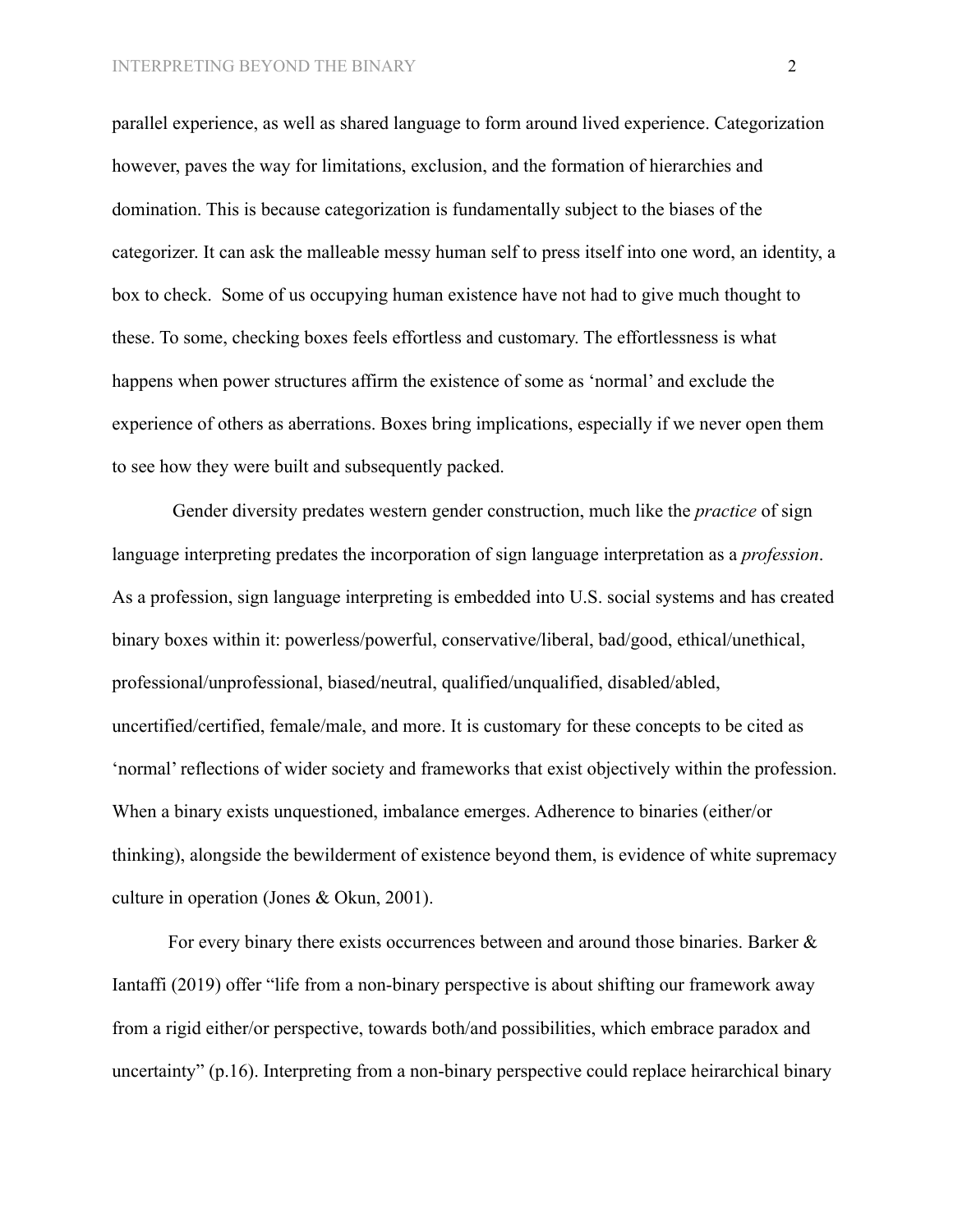parallel experience, as well as shared language to form around lived experience. Categorization however, paves the way for limitations, exclusion, and the formation of hierarchies and domination. This is because categorization is fundamentally subject to the biases of the categorizer. It can ask the malleable messy human self to press itself into one word, an identity, a box to check. Some of us occupying human existence have not had to give much thought to these. To some, checking boxes feels effortless and customary. The effortlessness is what happens when power structures affirm the existence of some as 'normal' and exclude the experience of others as aberrations. Boxes bring implications, especially if we never open them to see how they were built and subsequently packed.

Gender diversity predates western gender construction, much like the *practice* of sign language interpreting predates the incorporation of sign language interpretation as a *profession*. As a profession, sign language interpreting is embedded into U.S. social systems and has created binary boxes within it: powerless/powerful, conservative/liberal, bad/good, ethical/unethical, professional/unprofessional, biased/neutral, qualified/unqualified, disabled/abled, uncertified/certified, female/male, and more. It is customary for these concepts to be cited as 'normal' reflections of wider society and frameworks that exist objectively within the profession. When a binary exists unquestioned, imbalance emerges. Adherence to binaries (either/or thinking), alongside the bewilderment of existence beyond them, is evidence of white supremacy culture in operation (Jones & Okun, 2001).

For every binary there exists occurrences between and around those binaries. Barker & Iantaffi (2019) offer "life from a non-binary perspective is about shifting our framework away from a rigid either/or perspective, towards both/and possibilities, which embrace paradox and uncertainty" (p.16). Interpreting from a non-binary perspective could replace heirarchical binary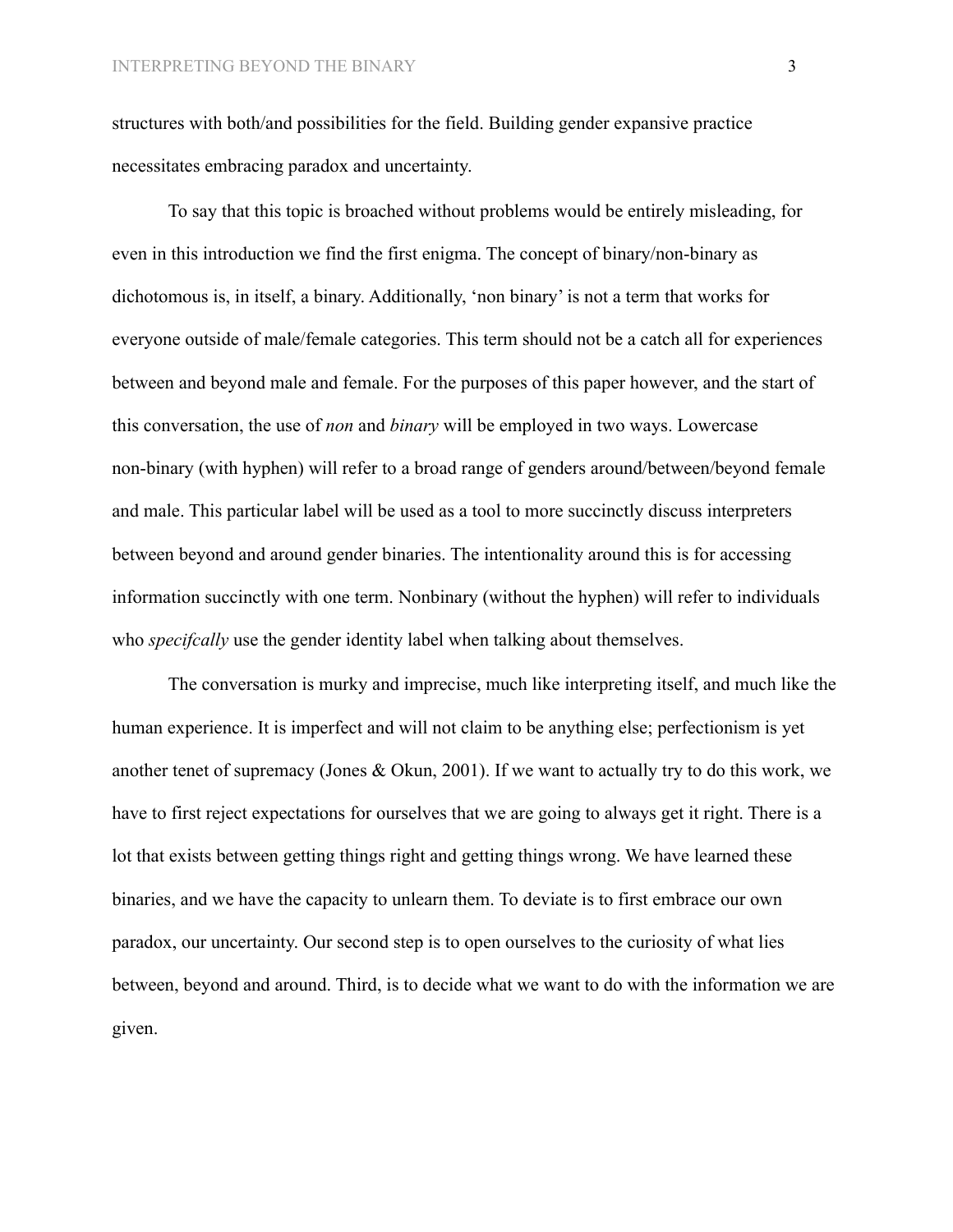structures with both/and possibilities for the field. Building gender expansive practice necessitates embracing paradox and uncertainty.

To say that this topic is broached without problems would be entirely misleading, for even in this introduction we find the first enigma. The concept of binary/non-binary as dichotomous is, in itself, a binary. Additionally, 'non binary' is not a term that works for everyone outside of male/female categories. This term should not be a catch all for experiences between and beyond male and female. For the purposes of this paper however, and the start of this conversation, the use of *non* and *binary* will be employed in two ways. Lowercase non-binary (with hyphen) will refer to a broad range of genders around/between/beyond female and male. This particular label will be used as a tool to more succinctly discuss interpreters between beyond and around gender binaries. The intentionality around this is for accessing information succinctly with one term. Nonbinary (without the hyphen) will refer to individuals who *specifically* use the gender identity label when talking about themselves.

The conversation is murky and imprecise, much like interpreting itself, and much like the human experience. It is imperfect and will not claim to be anything else; perfectionism is yet another tenet of supremacy (Jones & Okun, 2001). If we want to actually try to do this work, we have to first reject expectations for ourselves that we are going to always get it right. There is a lot that exists between getting things right and getting things wrong. We have learned these binaries, and we have the capacity to unlearn them. To deviate is to first embrace our own paradox, our uncertainty. Our second step is to open ourselves to the curiosity of what lies between, beyond and around. Third, is to decide what we want to do with the information we are given.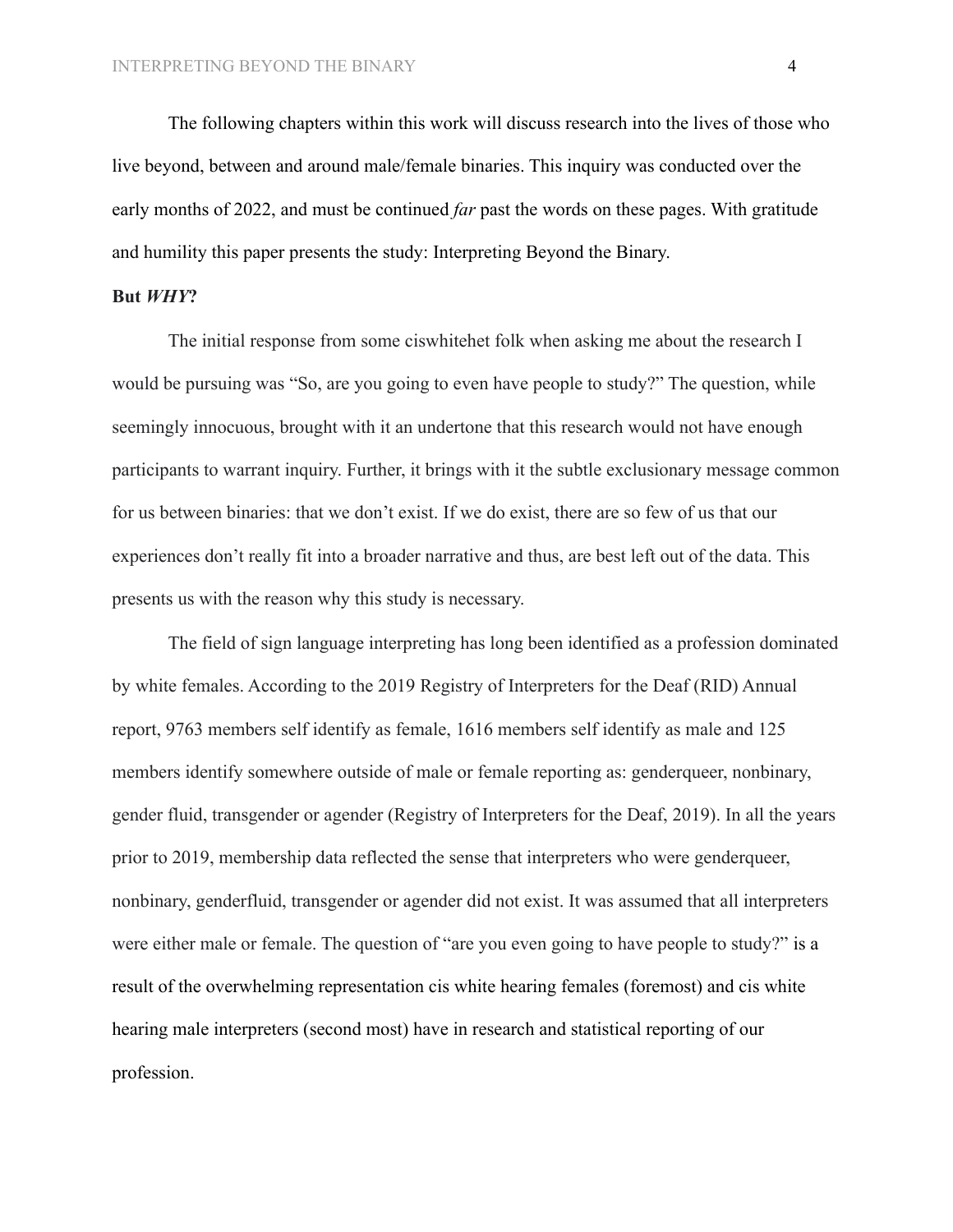The following chapters within this work will discuss research into the lives of those who live beyond, between and around male/female binaries. This inquiry was conducted over the early months of 2022, and must be continued *far* past the words on these pages. With gratitude and humility this paper presents the study: Interpreting Beyond the Binary.

#### **But** *WHY***?**

The initial response from some ciswhitehet folk when asking me about the research I would be pursuing was "So, are you going to even have people to study?" The question, while seemingly innocuous, brought with it an undertone that this research would not have enough participants to warrant inquiry. Further, it brings with it the subtle exclusionary message common for us between binaries: that we don't exist. If we do exist, there are so few of us that our experiences don't really fit into a broader narrative and thus, are best left out of the data. This presents us with the reason why this study is necessary.

The field of sign language interpreting has long been identified as a profession dominated by white females. According to the 2019 Registry of Interpreters for the Deaf (RID) Annual report, 9763 members self identify as female, 1616 members self identify as male and 125 members identify somewhere outside of male or female reporting as: genderqueer, nonbinary, gender fluid, transgender or agender (Registry of Interpreters for the Deaf, 2019). In all the years prior to 2019, membership data reflected the sense that interpreters who were genderqueer, nonbinary, genderfluid, transgender or agender did not exist. It was assumed that all interpreters were either male or female. The question of "are you even going to have people to study?" is a result of the overwhelming representation cis white hearing females (foremost) and cis white hearing male interpreters (second most) have in research and statistical reporting of our profession.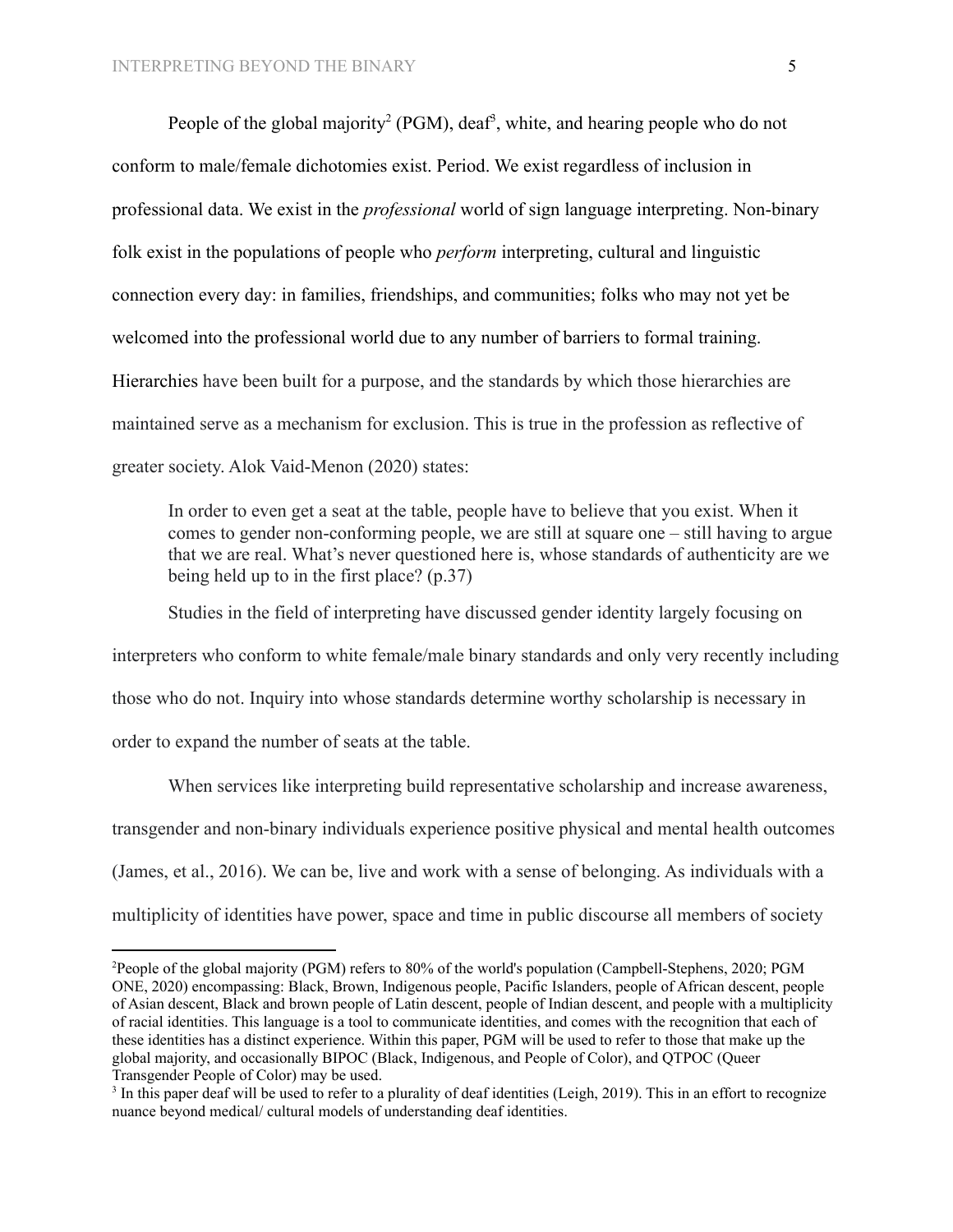People of the global majority<sup>2</sup> (PGM), deaf<sup>3</sup>, white, and hearing people who do not conform to male/female dichotomies exist. Period. We exist regardless of inclusion in professional data. We exist in the *professional* world of sign language interpreting. Non-binary folk exist in the populations of people who *perform* interpreting, cultural and linguistic connection every day: in families, friendships, and communities; folks who may not yet be welcomed into the professional world due to any number of barriers to formal training. Hierarchies have been built for a purpose, and the standards by which those hierarchies are maintained serve as a mechanism for exclusion. This is true in the profession as reflective of greater society. Alok Vaid-Menon (2020) states:

In order to even get a seat at the table, people have to believe that you exist. When it comes to gender non-conforming people, we are still at square one – still having to argue that we are real. What's never questioned here is, whose standards of authenticity are we being held up to in the first place? (p.37)

Studies in the field of interpreting have discussed gender identity largely focusing on interpreters who conform to white female/male binary standards and only very recently including those who do not. Inquiry into whose standards determine worthy scholarship is necessary in order to expand the number of seats at the table.

When services like interpreting build representative scholarship and increase awareness, transgender and non-binary individuals experience positive physical and mental health outcomes (James, et al., 2016). We can be, live and work with a sense of belonging. As individuals with a multiplicity of identities have power, space and time in public discourse all members of society

<sup>2</sup>People of the global majority (PGM) refers to 80% of the world's population (Campbell-Stephens, 2020; PGM ONE, 2020) encompassing: Black, Brown, Indigenous people, Pacific Islanders, people of African descent, people of Asian descent, Black and brown people of Latin descent, people of Indian descent, and people with a multiplicity of racial identities. This language is a tool to communicate identities, and comes with the recognition that each of these identities has a distinct experience. Within this paper, PGM will be used to refer to those that make up the global majority, and occasionally BIPOC (Black, Indigenous, and People of Color), and QTPOC (Queer Transgender People of Color) may be used.

<sup>&</sup>lt;sup>3</sup> In this paper deaf will be used to refer to a plurality of deaf identities (Leigh, 2019). This in an effort to recognize nuance beyond medical/ cultural models of understanding deaf identities.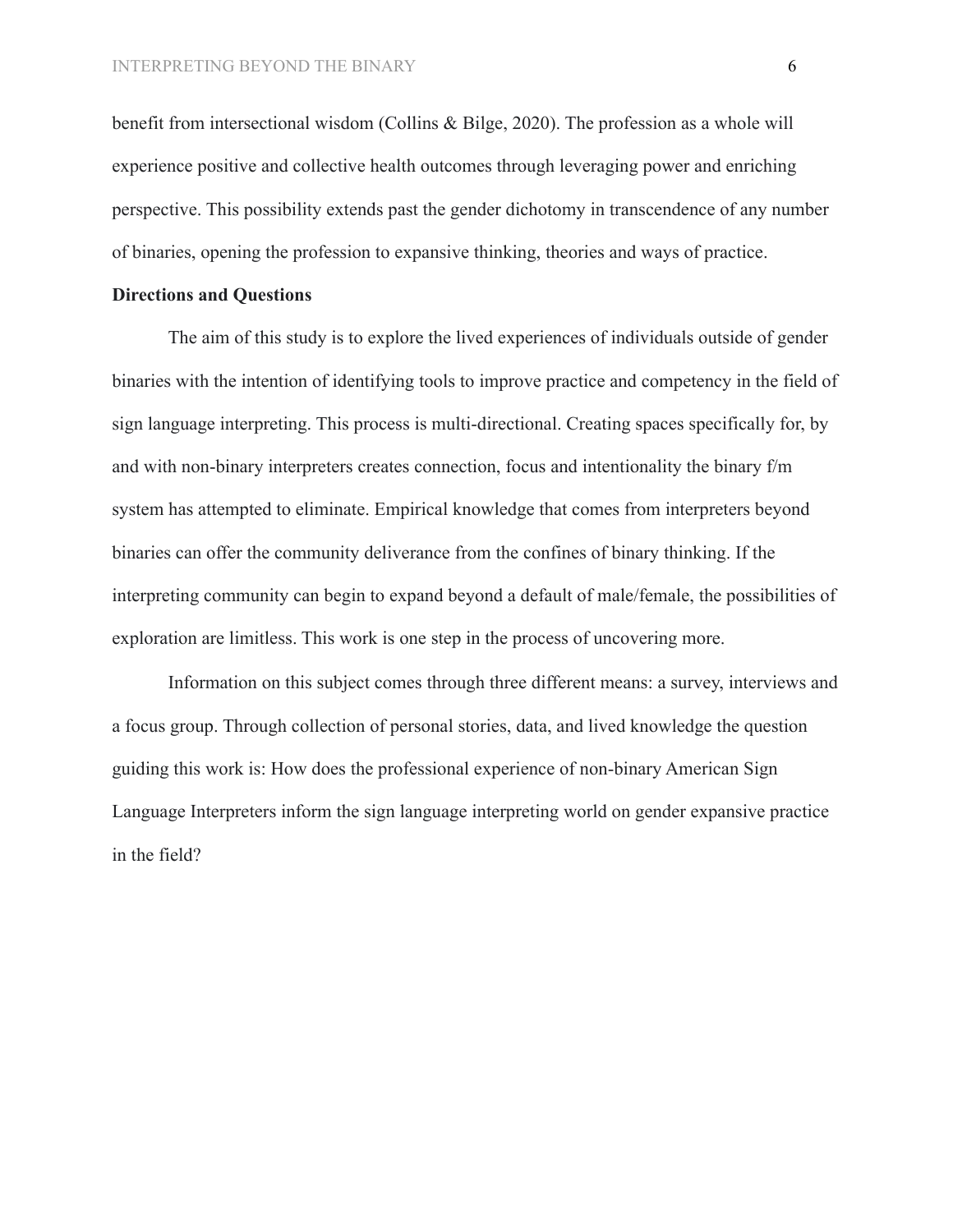benefit from intersectional wisdom (Collins & Bilge, 2020). The profession as a whole will experience positive and collective health outcomes through leveraging power and enriching perspective. This possibility extends past the gender dichotomy in transcendence of any number of binaries, opening the profession to expansive thinking, theories and ways of practice.

## **Directions and Questions**

The aim of this study is to explore the lived experiences of individuals outside of gender binaries with the intention of identifying tools to improve practice and competency in the field of sign language interpreting. This process is multi-directional. Creating spaces specifically for, by and with non-binary interpreters creates connection, focus and intentionality the binary f/m system has attempted to eliminate. Empirical knowledge that comes from interpreters beyond binaries can offer the community deliverance from the confines of binary thinking. If the interpreting community can begin to expand beyond a default of male/female, the possibilities of exploration are limitless. This work is one step in the process of uncovering more.

Information on this subject comes through three different means: a survey, interviews and a focus group. Through collection of personal stories, data, and lived knowledge the question guiding this work is: How does the professional experience of non-binary American Sign Language Interpreters inform the sign language interpreting world on gender expansive practice in the field?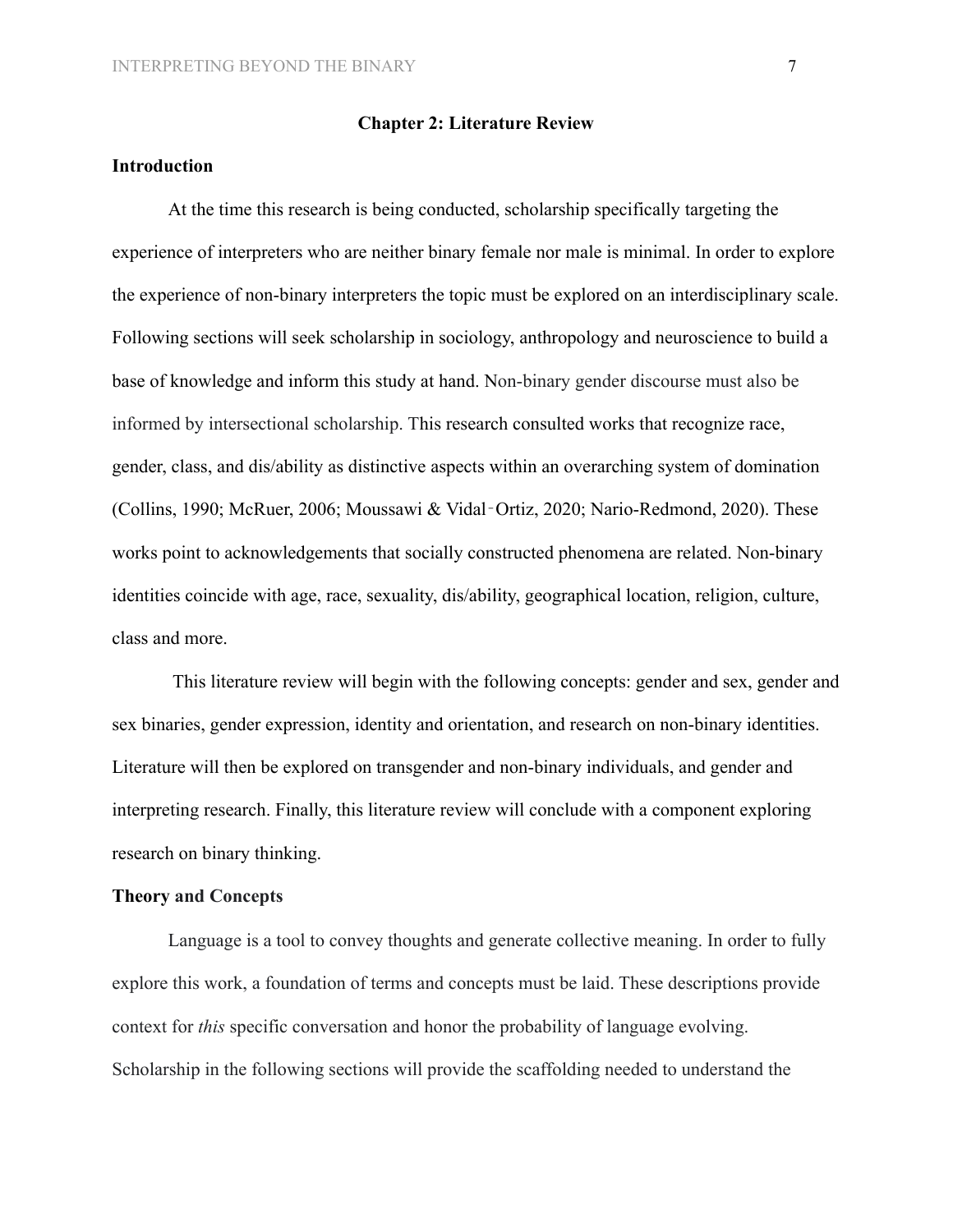#### **Chapter 2: Literature Review**

# **Introduction**

At the time this research is being conducted, scholarship specifically targeting the experience of interpreters who are neither binary female nor male is minimal. In order to explore the experience of non-binary interpreters the topic must be explored on an interdisciplinary scale. Following sections will seek scholarship in sociology, anthropology and neuroscience to build a base of knowledge and inform this study at hand. Non-binary gender discourse must also be informed by intersectional scholarship. This research consulted works that recognize race, gender, class, and dis/ability as distinctive aspects within an overarching system of domination (Collins, 1990; McRuer, 2006; Moussawi & Vidal‐Ortiz, 2020; Nario-Redmond, 2020). These works point to acknowledgements that socially constructed phenomena are related. Non-binary identities coincide with age, race, sexuality, dis/ability, geographical location, religion, culture, class and more.

This literature review will begin with the following concepts: gender and sex, gender and sex binaries, gender expression, identity and orientation, and research on non-binary identities. Literature will then be explored on transgender and non-binary individuals, and gender and interpreting research. Finally, this literature review will conclude with a component exploring research on binary thinking.

## **Theory and Concepts**

Language is a tool to convey thoughts and generate collective meaning. In order to fully explore this work, a foundation of terms and concepts must be laid. These descriptions provide context for *this* specific conversation and honor the probability of language evolving. Scholarship in the following sections will provide the scaffolding needed to understand the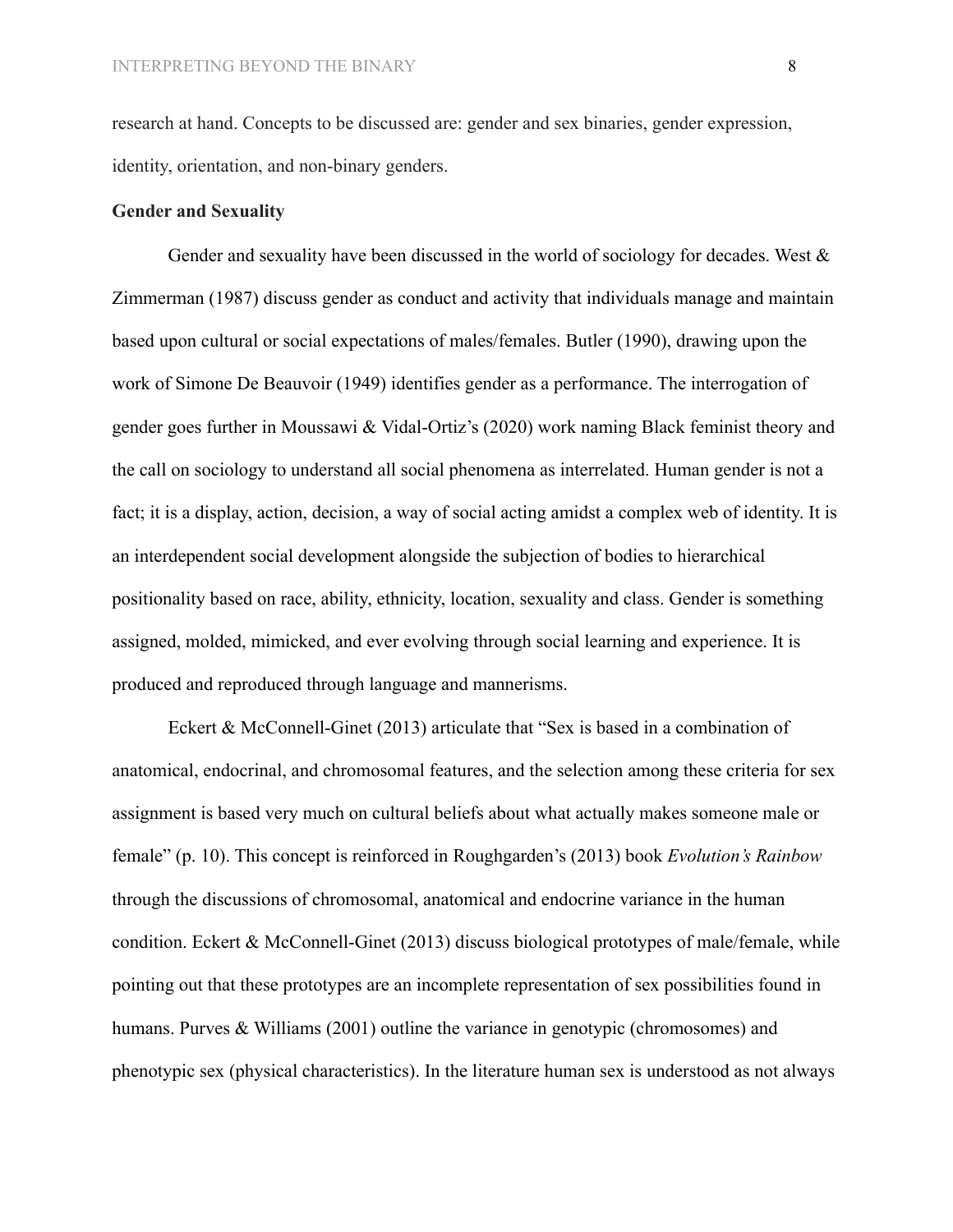research at hand. Concepts to be discussed are: gender and sex binaries, gender expression, identity, orientation, and non-binary genders.

# **Gender and Sexuality**

Gender and sexuality have been discussed in the world of sociology for decades. West  $\&$ Zimmerman (1987) discuss gender as conduct and activity that individuals manage and maintain based upon cultural or social expectations of males/females. Butler (1990), drawing upon the work of Simone De Beauvoir (1949) identifies gender as a performance. The interrogation of gender goes further in Moussawi & Vidal-Ortiz's (2020) work naming Black feminist theory and the call on sociology to understand all social phenomena as interrelated. Human gender is not a fact; it is a display, action, decision, a way of social acting amidst a complex web of identity. It is an interdependent social development alongside the subjection of bodies to hierarchical positionality based on race, ability, ethnicity, location, sexuality and class. Gender is something assigned, molded, mimicked, and ever evolving through social learning and experience. It is produced and reproduced through language and mannerisms.

Eckert & McConnell-Ginet (2013) articulate that "Sex is based in a combination of anatomical, endocrinal, and chromosomal features, and the selection among these criteria for sex assignment is based very much on cultural beliefs about what actually makes someone male or female" (p. 10). This concept is reinforced in Roughgarden's (2013) book *Evolution's Rainbow* through the discussions of chromosomal, anatomical and endocrine variance in the human condition. Eckert & McConnell-Ginet (2013) discuss biological prototypes of male/female, while pointing out that these prototypes are an incomplete representation of sex possibilities found in humans. Purves & Williams (2001) outline the variance in genotypic (chromosomes) and phenotypic sex (physical characteristics). In the literature human sex is understood as not always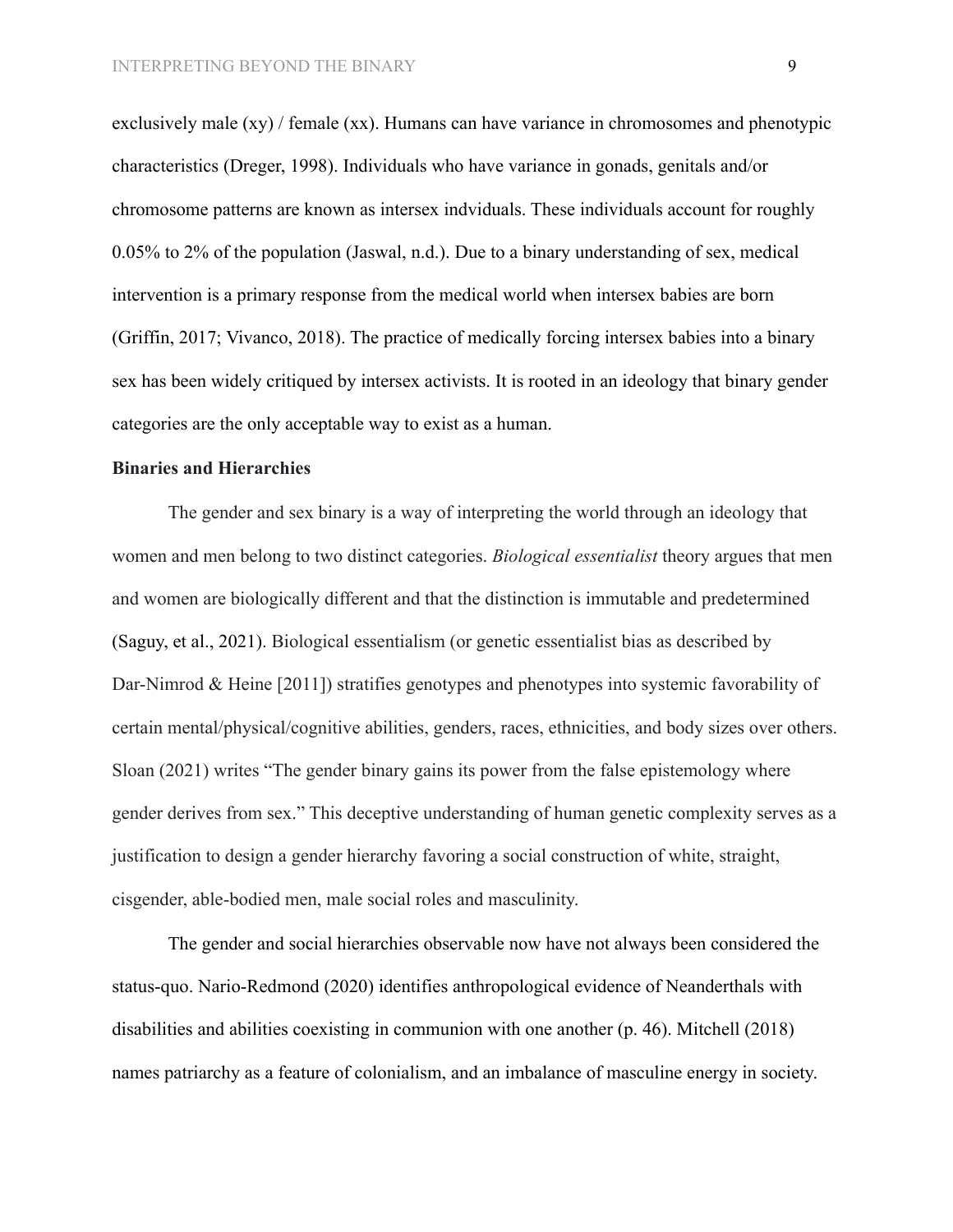exclusively male (xy) / female (xx). Humans can have variance in chromosomes and phenotypic characteristics (Dreger, 1998). Individuals who have variance in gonads, genitals and/or chromosome patterns are known as intersex indviduals. These individuals account for roughly 0.05% to 2% of the population (Jaswal, n.d.). Due to a binary understanding of sex, medical intervention is a primary response from the medical world when intersex babies are born (Griffin, 2017; Vivanco, 2018). The practice of medically forcing intersex babies into a binary sex has been widely critiqued by intersex activists. It is rooted in an ideology that binary gender categories are the only acceptable way to exist as a human.

# **Binaries and Hierarchies**

The gender and sex binary is a way of interpreting the world through an ideology that women and men belong to two distinct categories. *Biological essentialist* theory argues that men and women are biologically different and that the distinction is immutable and predetermined (Saguy, et al., 2021). Biological essentialism (or genetic essentialist bias as described by Dar-Nimrod & Heine [2011]) stratifies genotypes and phenotypes into systemic favorability of certain mental/physical/cognitive abilities, genders, races, ethnicities, and body sizes over others. Sloan (2021) writes "The gender binary gains its power from the false epistemology where gender derives from sex." This deceptive understanding of human genetic complexity serves as a justification to design a gender hierarchy favoring a social construction of white, straight, cisgender, able-bodied men, male social roles and masculinity.

The gender and social hierarchies observable now have not always been considered the status-quo. Nario-Redmond (2020) identifies anthropological evidence of Neanderthals with disabilities and abilities coexisting in communion with one another (p. 46). Mitchell (2018) names patriarchy as a feature of colonialism, and an imbalance of masculine energy in society.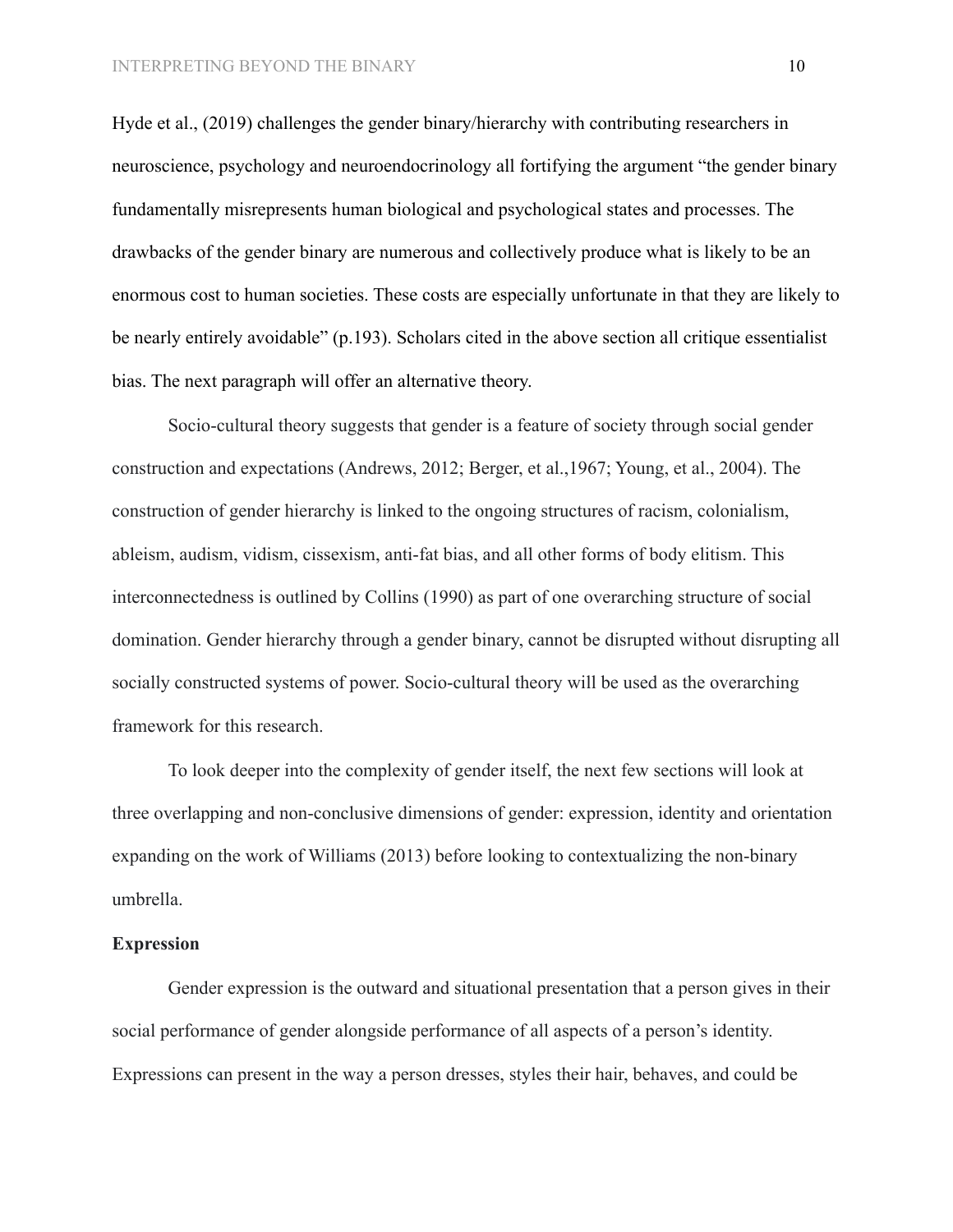Hyde et al., (2019) challenges the gender binary/hierarchy with contributing researchers in neuroscience, psychology and neuroendocrinology all fortifying the argument "the gender binary fundamentally misrepresents human biological and psychological states and processes. The drawbacks of the gender binary are numerous and collectively produce what is likely to be an enormous cost to human societies. These costs are especially unfortunate in that they are likely to be nearly entirely avoidable" (p.193). Scholars cited in the above section all critique essentialist bias. The next paragraph will offer an alternative theory.

Socio-cultural theory suggests that gender is a feature of society through social gender construction and expectations (Andrews, 2012; Berger, et al.,1967; Young, et al., 2004). The construction of gender hierarchy is linked to the ongoing structures of racism, colonialism, ableism, audism, vidism, cissexism, anti-fat bias, and all other forms of body elitism. This interconnectedness is outlined by Collins (1990) as part of one overarching structure of social domination. Gender hierarchy through a gender binary, cannot be disrupted without disrupting all socially constructed systems of power. Socio-cultural theory will be used as the overarching framework for this research.

To look deeper into the complexity of gender itself, the next few sections will look at three overlapping and non-conclusive dimensions of gender: expression, identity and orientation expanding on the work of Williams (2013) before looking to contextualizing the non-binary umbrella.

# **Expression**

Gender expression is the outward and situational presentation that a person gives in their social performance of gender alongside performance of all aspects of a person's identity. Expressions can present in the way a person dresses, styles their hair, behaves, and could be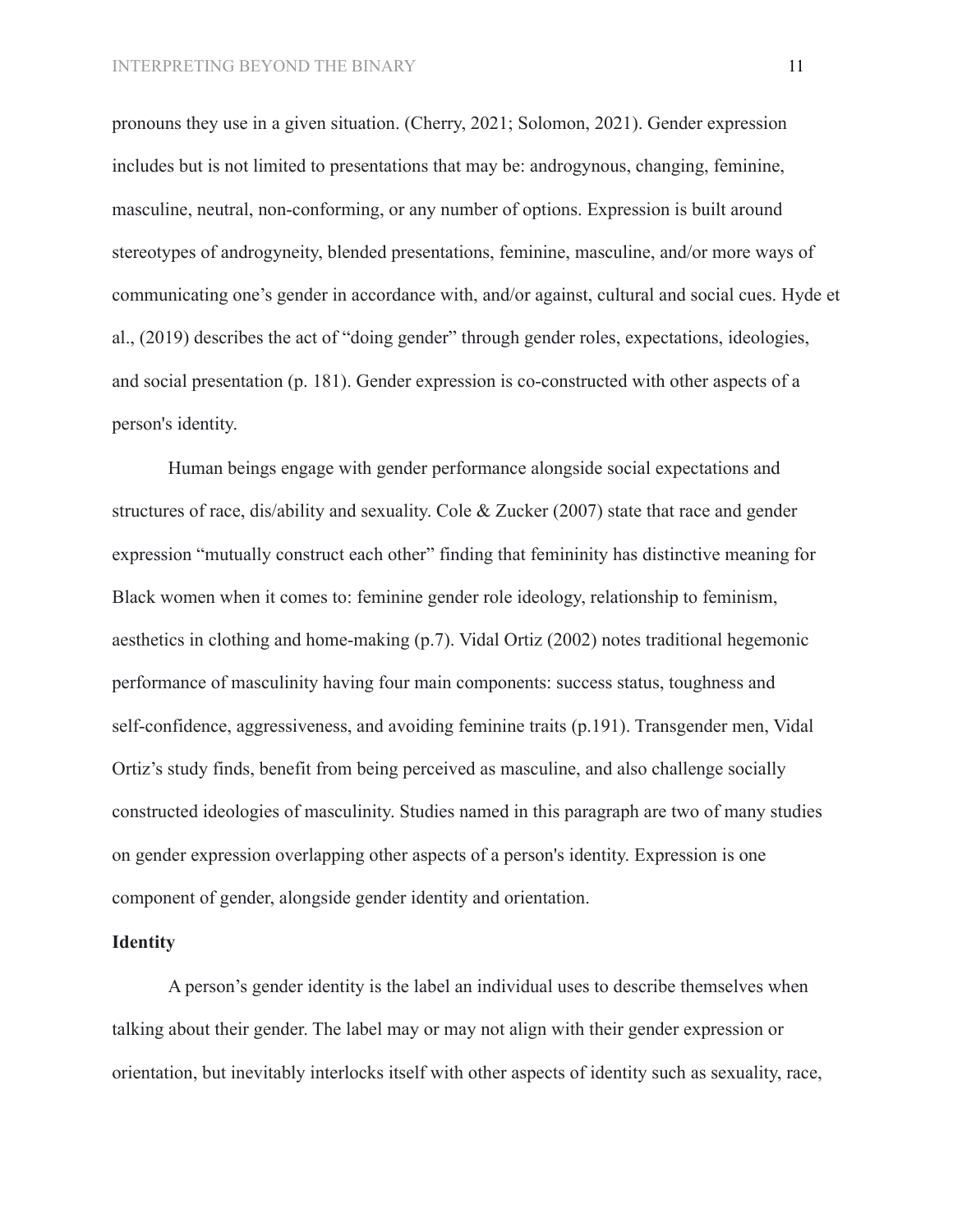pronouns they use in a given situation. (Cherry, 2021; Solomon, 2021). Gender expression includes but is not limited to presentations that may be: androgynous, changing, feminine, masculine, neutral, non-conforming, or any number of options. Expression is built around stereotypes of androgyneity, blended presentations, feminine, masculine, and/or more ways of communicating one's gender in accordance with, and/or against, cultural and social cues. Hyde et al., (2019) describes the act of "doing gender" through gender roles, expectations, ideologies, and social presentation (p. 181). Gender expression is co-constructed with other aspects of a person's identity.

Human beings engage with gender performance alongside social expectations and structures of race, dis/ability and sexuality. Cole & Zucker (2007) state that race and gender expression "mutually construct each other" finding that femininity has distinctive meaning for Black women when it comes to: feminine gender role ideology, relationship to feminism, aesthetics in clothing and home-making (p.7). Vidal Ortiz (2002) notes traditional hegemonic performance of masculinity having four main components: success status, toughness and self-confidence, aggressiveness, and avoiding feminine traits (p.191). Transgender men, Vidal Ortiz's study finds, benefit from being perceived as masculine, and also challenge socially constructed ideologies of masculinity. Studies named in this paragraph are two of many studies on gender expression overlapping other aspects of a person's identity. Expression is one component of gender, alongside gender identity and orientation.

# **Identity**

A person's gender identity is the label an individual uses to describe themselves when talking about their gender. The label may or may not align with their gender expression or orientation, but inevitably interlocks itself with other aspects of identity such as sexuality, race,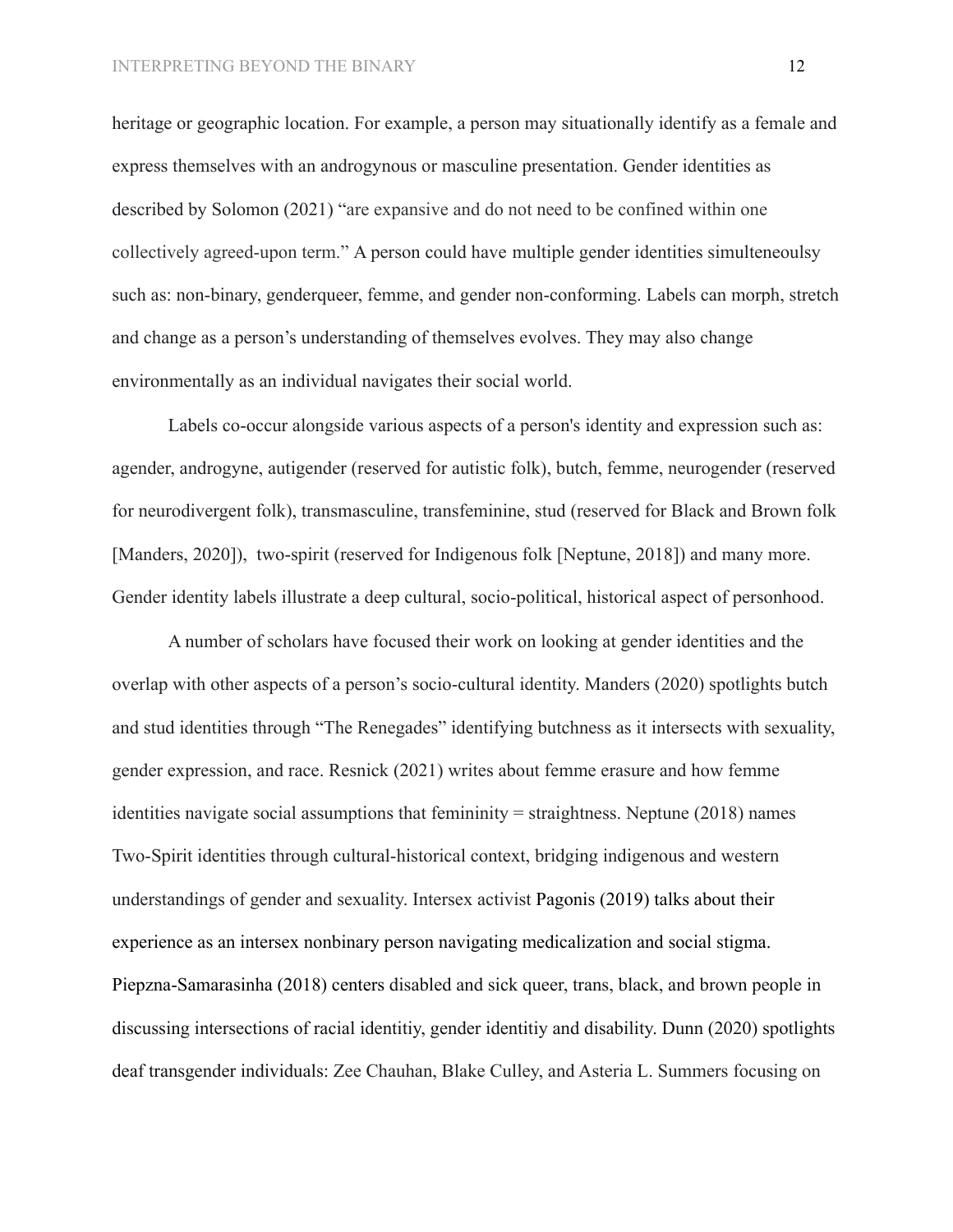heritage or geographic location. For example, a person may situationally identify as a female and express themselves with an androgynous or masculine presentation. Gender identities as described by Solomon (2021) "are expansive and do not need to be confined within one collectively agreed-upon term." A person could have multiple gender identities simulteneoulsy such as: non-binary, genderqueer, femme, and gender non-conforming. Labels can morph, stretch and change as a person's understanding of themselves evolves. They may also change environmentally as an individual navigates their social world.

Labels co-occur alongside various aspects of a person's identity and expression such as: agender, androgyne, autigender (reserved for autistic folk), butch, femme, neurogender (reserved for neurodivergent folk), transmasculine, transfeminine, stud (reserved for Black and Brown folk [Manders, 2020]), two-spirit (reserved for Indigenous folk [Neptune, 2018]) and many more. Gender identity labels illustrate a deep cultural, socio-political, historical aspect of personhood.

A number of scholars have focused their work on looking at gender identities and the overlap with other aspects of a person's socio-cultural identity. Manders (2020) spotlights butch and stud identities through "The Renegades" identifying butchness as it intersects with sexuality, gender expression, and race. Resnick (2021) writes about femme erasure and how femme identities navigate social assumptions that femininity = straightness. Neptune (2018) names Two-Spirit identities through cultural-historical context, bridging indigenous and western understandings of gender and sexuality. Intersex activist Pagonis (2019) talks about their experience as an intersex nonbinary person navigating medicalization and social stigma. Piepzna-Samarasinha (2018) centers disabled and sick queer, trans, black, and brown people in discussing intersections of racial identitiy, gender identitiy and disability. Dunn (2020) spotlights deaf transgender individuals: Zee Chauhan, Blake Culley, and Asteria L. Summers focusing on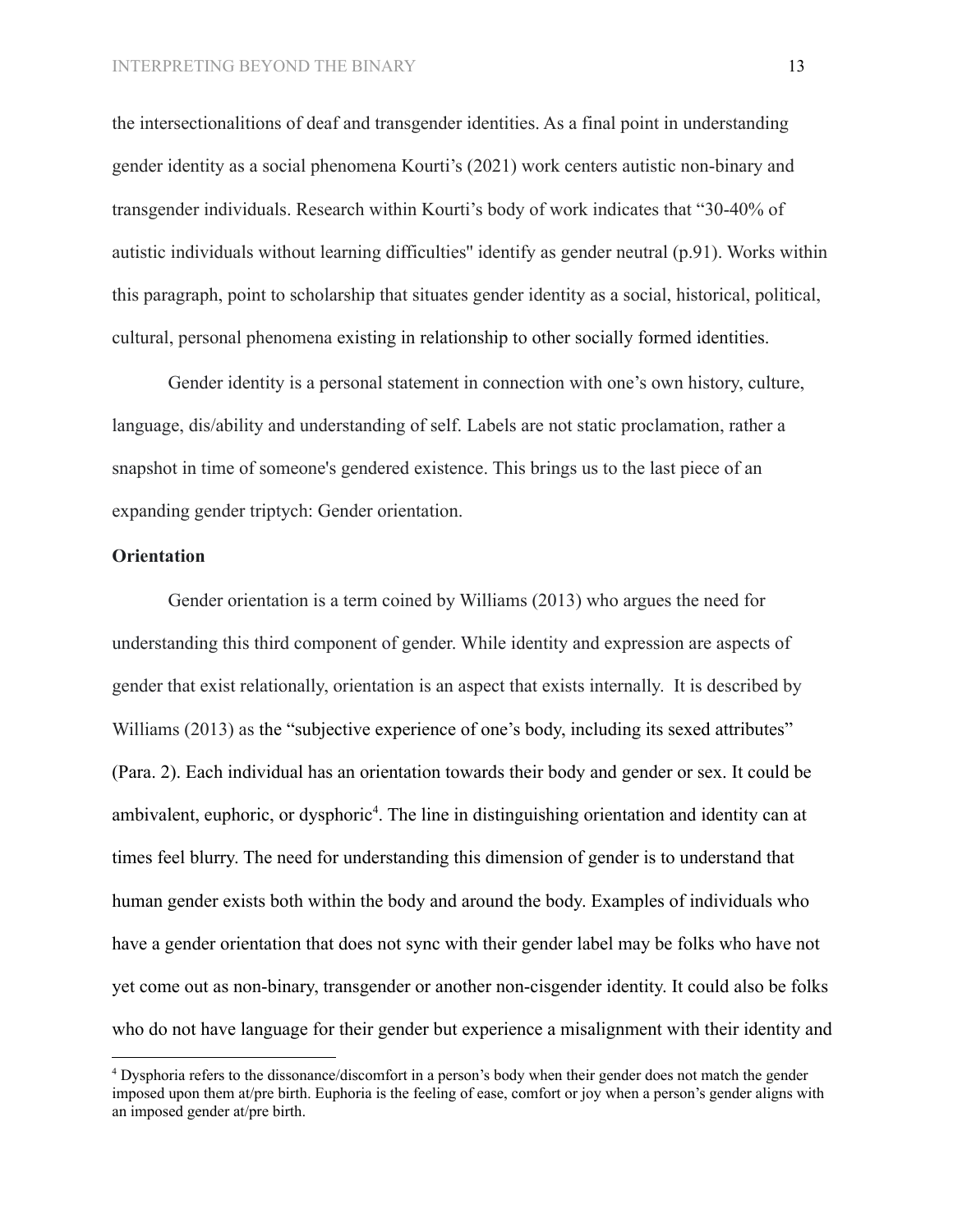the intersectionalitions of deaf and transgender identities. As a final point in understanding gender identity as a social phenomena Kourti's (2021) work centers autistic non-binary and transgender individuals. Research within Kourti's body of work indicates that "30-40% of autistic individuals without learning difficulties'' identify as gender neutral (p.91). Works within this paragraph, point to scholarship that situates gender identity as a social, historical, political, cultural, personal phenomena existing in relationship to other socially formed identities.

Gender identity is a personal statement in connection with one's own history, culture, language, dis/ability and understanding of self. Labels are not static proclamation, rather a snapshot in time of someone's gendered existence. This brings us to the last piece of an expanding gender triptych: Gender orientation.

# **Orientation**

Gender orientation is a term coined by Williams (2013) who argues the need for understanding this third component of gender. While identity and expression are aspects of gender that exist relationally, orientation is an aspect that exists internally. It is described by Williams (2013) as the "subjective experience of one's body, including its sexed attributes" (Para. 2). Each individual has an orientation towards their body and gender or sex. It could be ambivalent, euphoric, or dysphoric<sup>4</sup>. The line in distinguishing orientation and identity can at times feel blurry. The need for understanding this dimension of gender is to understand that human gender exists both within the body and around the body. Examples of individuals who have a gender orientation that does not sync with their gender label may be folks who have not yet come out as non-binary, transgender or another non-cisgender identity. It could also be folks who do not have language for their gender but experience a misalignment with their identity and

<sup>4</sup> Dysphoria refers to the dissonance/discomfort in a person's body when their gender does not match the gender imposed upon them at/pre birth. Euphoria is the feeling of ease, comfort or joy when a person's gender aligns with an imposed gender at/pre birth.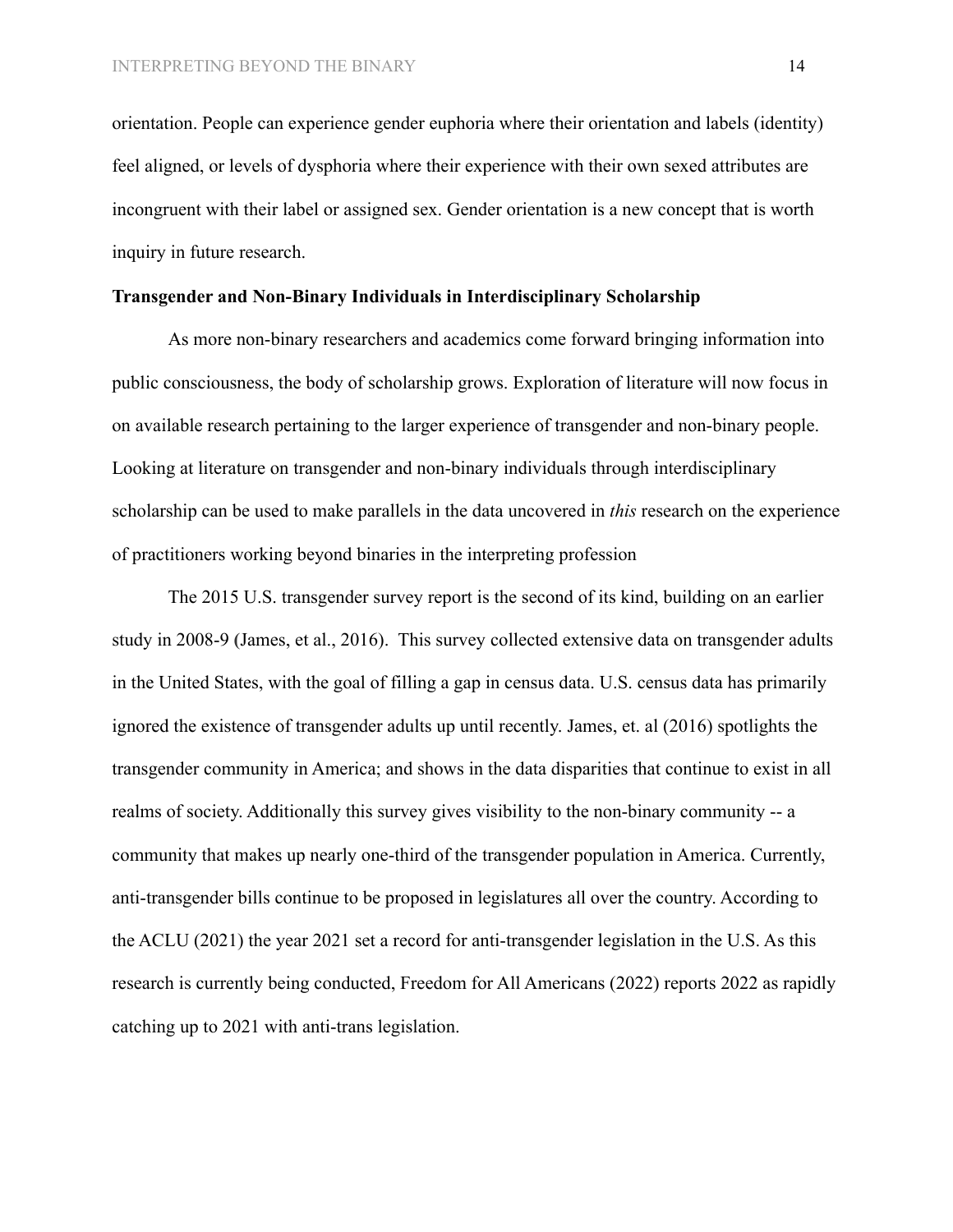orientation. People can experience gender euphoria where their orientation and labels (identity) feel aligned, or levels of dysphoria where their experience with their own sexed attributes are incongruent with their label or assigned sex. Gender orientation is a new concept that is worth inquiry in future research.

#### **Transgender and Non-Binary Individuals in Interdisciplinary Scholarship**

As more non-binary researchers and academics come forward bringing information into public consciousness, the body of scholarship grows. Exploration of literature will now focus in on available research pertaining to the larger experience of transgender and non-binary people. Looking at literature on transgender and non-binary individuals through interdisciplinary scholarship can be used to make parallels in the data uncovered in *this* research on the experience of practitioners working beyond binaries in the interpreting profession

The 2015 U.S. transgender survey report is the second of its kind, building on an earlier study in 2008-9 **(**James, et al., 2016). This survey collected extensive data on transgender adults in the United States, with the goal of filling a gap in census data. U.S. census data has primarily ignored the existence of transgender adults up until recently. James, et. al (2016) spotlights the transgender community in America; and shows in the data disparities that continue to exist in all realms of society. Additionally this survey gives visibility to the non-binary community -- a community that makes up nearly one-third of the transgender population in America. Currently, anti-transgender bills continue to be proposed in legislatures all over the country. According to the ACLU (2021) the year 2021 set a record for anti-transgender legislation in the U.S. As this research is currently being conducted, Freedom for All Americans (2022) reports 2022 as rapidly catching up to 2021 with anti-trans legislation.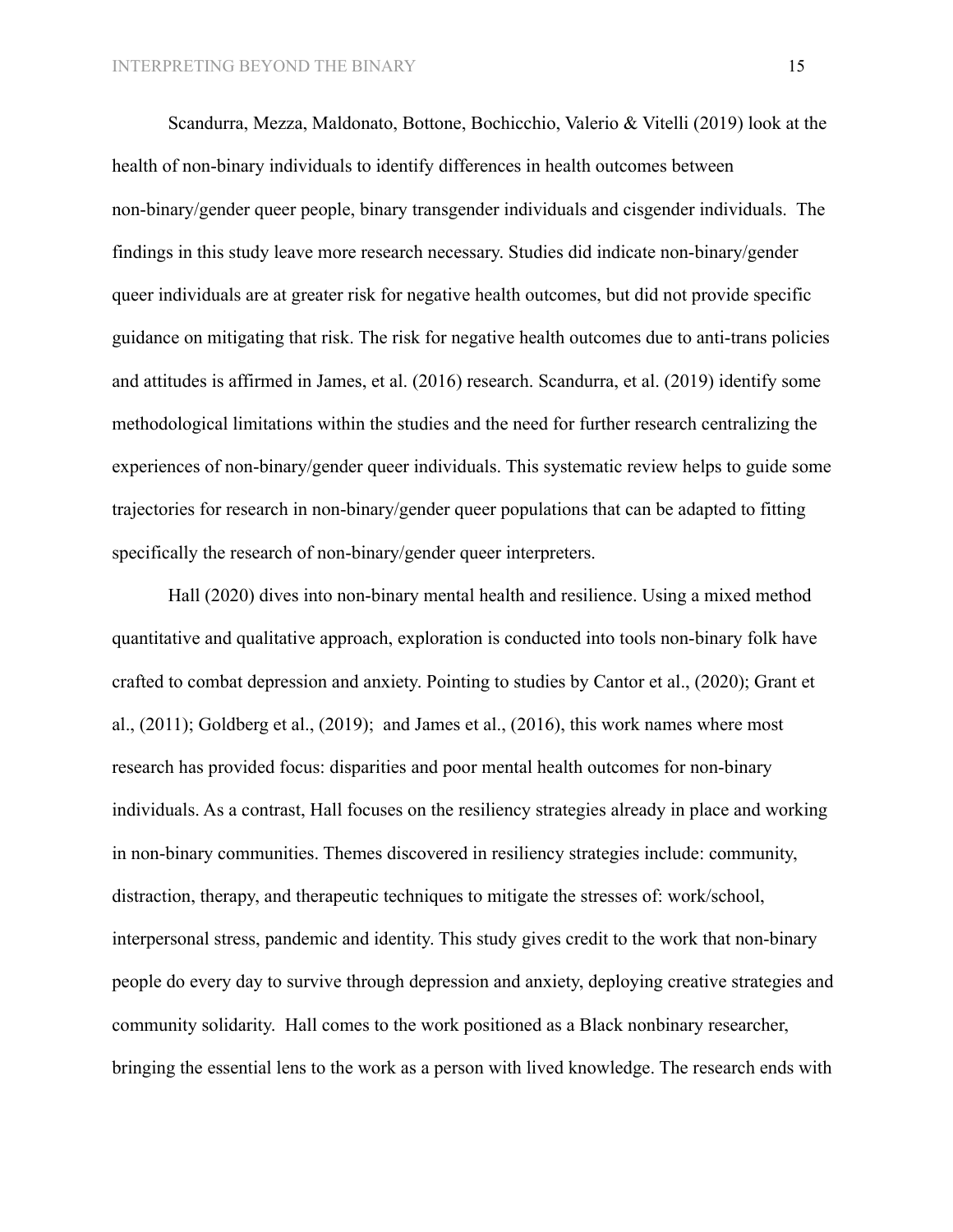Scandurra, Mezza, Maldonato, Bottone, Bochicchio, Valerio & Vitelli (2019) look at the health of non-binary individuals to identify differences in health outcomes between non-binary/gender queer people, binary transgender individuals and cisgender individuals. The findings in this study leave more research necessary. Studies did indicate non-binary/gender queer individuals are at greater risk for negative health outcomes, but did not provide specific guidance on mitigating that risk. The risk for negative health outcomes due to anti-trans policies and attitudes is affirmed in James, et al. (2016) research. Scandurra, et al. (2019) identify some methodological limitations within the studies and the need for further research centralizing the experiences of non-binary/gender queer individuals. This systematic review helps to guide some trajectories for research in non-binary/gender queer populations that can be adapted to fitting specifically the research of non-binary/gender queer interpreters.

Hall (2020) dives into non-binary mental health and resilience. Using a mixed method quantitative and qualitative approach, exploration is conducted into tools non-binary folk have crafted to combat depression and anxiety. Pointing to studies by Cantor et al., (2020); Grant et al., (2011); Goldberg et al., (2019); and James et al., (2016), this work names where most research has provided focus: disparities and poor mental health outcomes for non-binary individuals. As a contrast, Hall focuses on the resiliency strategies already in place and working in non-binary communities. Themes discovered in resiliency strategies include: community, distraction, therapy, and therapeutic techniques to mitigate the stresses of: work/school, interpersonal stress, pandemic and identity. This study gives credit to the work that non-binary people do every day to survive through depression and anxiety, deploying creative strategies and community solidarity. Hall comes to the work positioned as a Black nonbinary researcher, bringing the essential lens to the work as a person with lived knowledge. The research ends with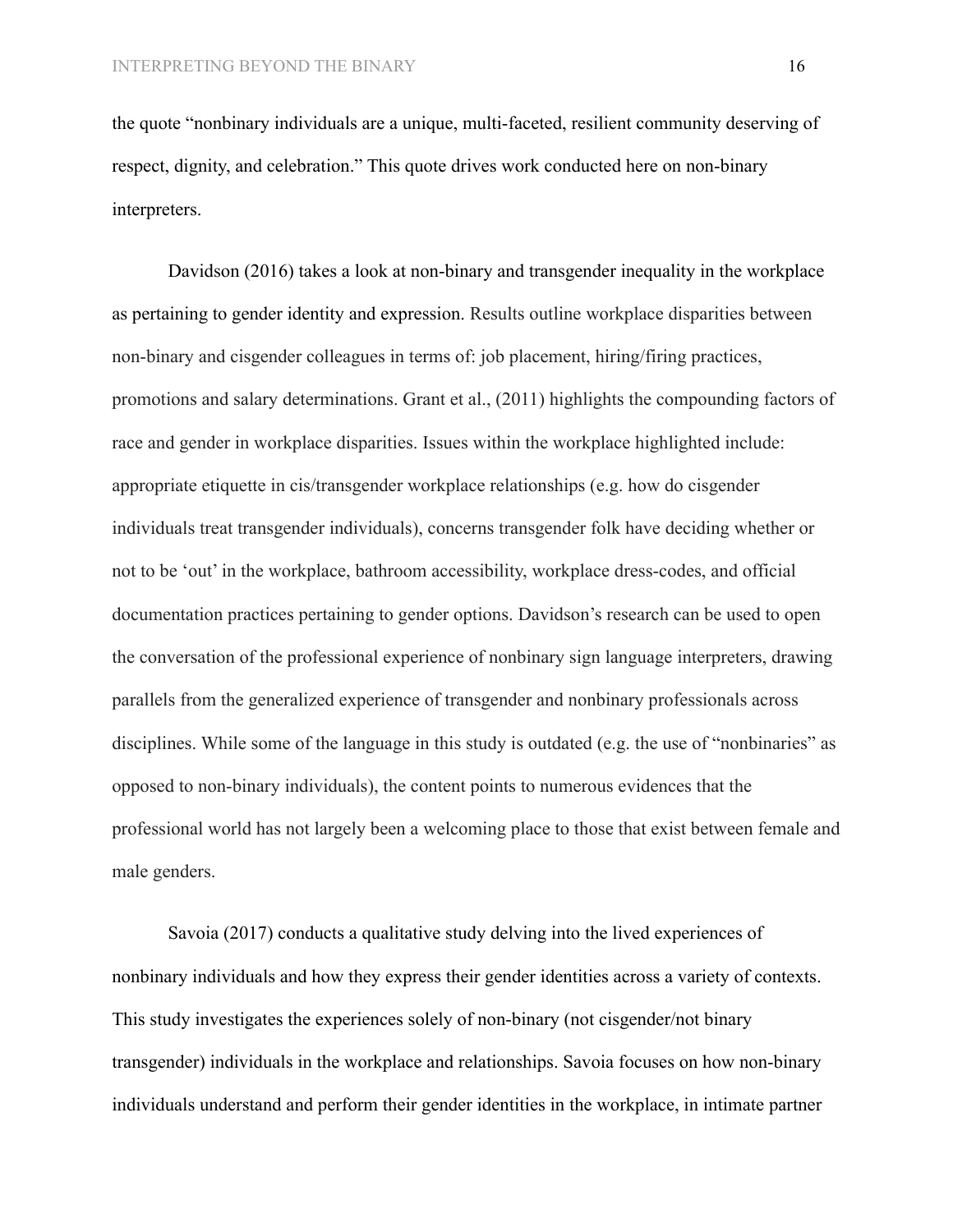the quote "nonbinary individuals are a unique, multi-faceted, resilient community deserving of respect, dignity, and celebration." This quote drives work conducted here on non-binary interpreters.

Davidson (2016) takes a look at non-binary and transgender inequality in the workplace as pertaining to gender identity and expression. Results outline workplace disparities between non-binary and cisgender colleagues in terms of: job placement, hiring/firing practices, promotions and salary determinations. Grant et al., (2011) highlights the compounding factors of race and gender in workplace disparities. Issues within the workplace highlighted include: appropriate etiquette in cis/transgender workplace relationships (e.g. how do cisgender individuals treat transgender individuals), concerns transgender folk have deciding whether or not to be 'out' in the workplace, bathroom accessibility, workplace dress-codes, and official documentation practices pertaining to gender options. Davidson's research can be used to open the conversation of the professional experience of nonbinary sign language interpreters, drawing parallels from the generalized experience of transgender and nonbinary professionals across disciplines. While some of the language in this study is outdated (e.g. the use of "nonbinaries" as opposed to non-binary individuals), the content points to numerous evidences that the professional world has not largely been a welcoming place to those that exist between female and male genders.

Savoia (2017) conducts a qualitative study delving into the lived experiences of nonbinary individuals and how they express their gender identities across a variety of contexts. This study investigates the experiences solely of non-binary (not cisgender/not binary transgender) individuals in the workplace and relationships. Savoia focuses on how non-binary individuals understand and perform their gender identities in the workplace, in intimate partner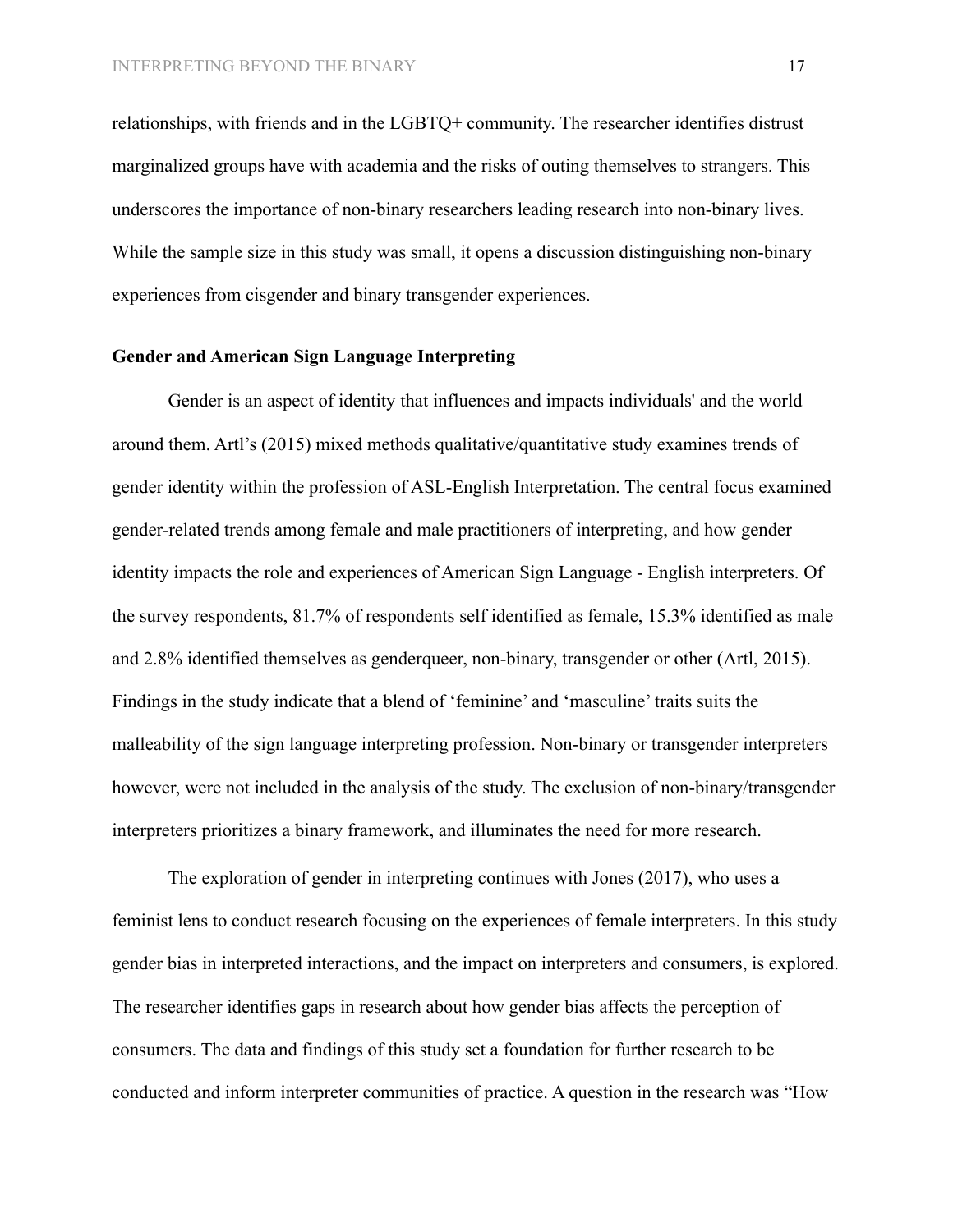relationships, with friends and in the LGBTQ+ community. The researcher identifies distrust marginalized groups have with academia and the risks of outing themselves to strangers. This underscores the importance of non-binary researchers leading research into non-binary lives. While the sample size in this study was small, it opens a discussion distinguishing non-binary experiences from cisgender and binary transgender experiences.

## **Gender and American Sign Language Interpreting**

Gender is an aspect of identity that influences and impacts individuals' and the world around them. Artl's (2015) mixed methods qualitative/quantitative study examines trends of gender identity within the profession of ASL-English Interpretation. The central focus examined gender-related trends among female and male practitioners of interpreting, and how gender identity impacts the role and experiences of American Sign Language - English interpreters. Of the survey respondents, 81.7% of respondents self identified as female, 15.3% identified as male and 2.8% identified themselves as genderqueer, non-binary, transgender or other (Artl, 2015). Findings in the study indicate that a blend of 'feminine' and 'masculine' traits suits the malleability of the sign language interpreting profession. Non-binary or transgender interpreters however, were not included in the analysis of the study. The exclusion of non-binary/transgender interpreters prioritizes a binary framework, and illuminates the need for more research.

The exploration of gender in interpreting continues with Jones (2017), who uses a feminist lens to conduct research focusing on the experiences of female interpreters. In this study gender bias in interpreted interactions, and the impact on interpreters and consumers, is explored. The researcher identifies gaps in research about how gender bias affects the perception of consumers. The data and findings of this study set a foundation for further research to be conducted and inform interpreter communities of practice. A question in the research was "How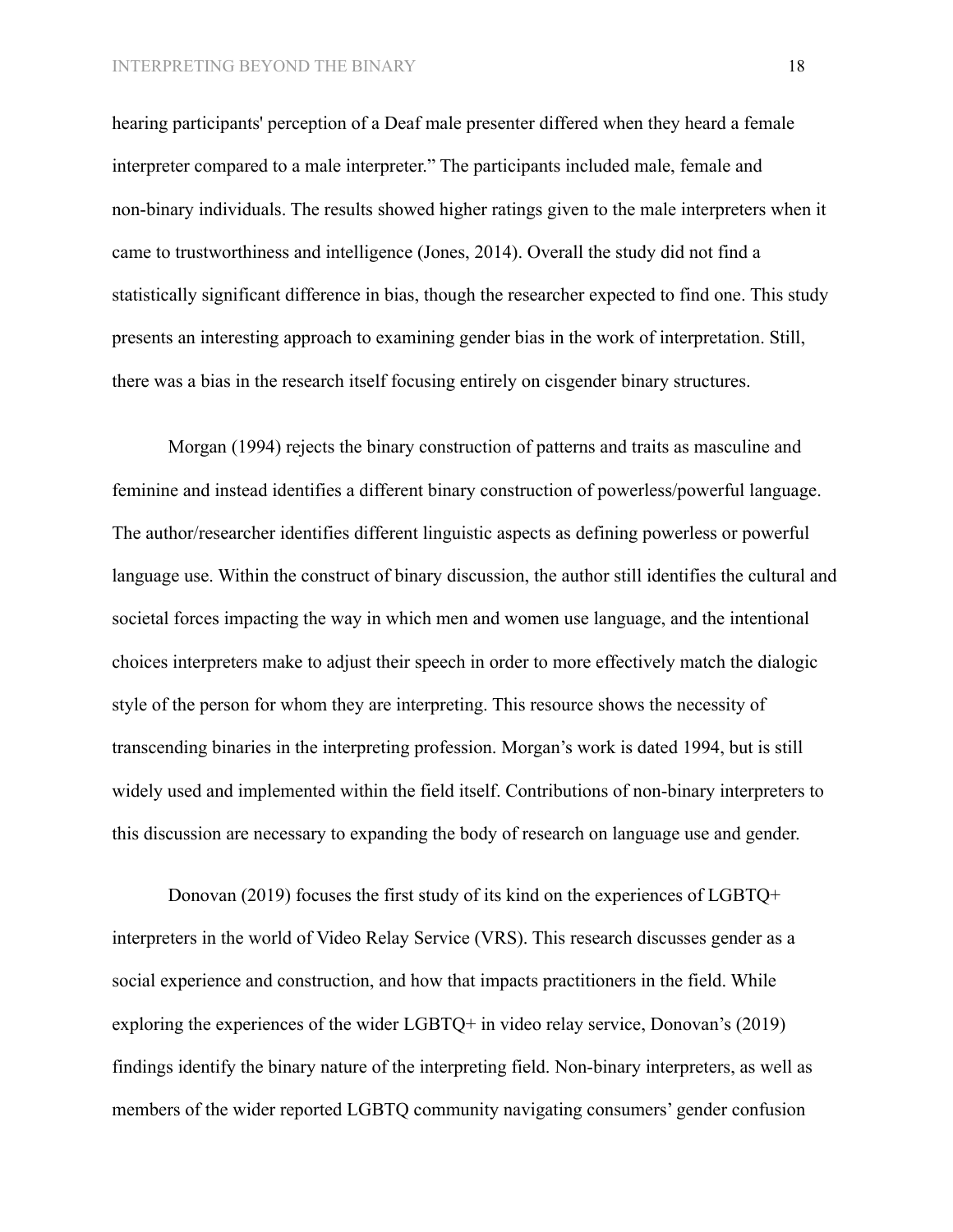hearing participants' perception of a Deaf male presenter differed when they heard a female interpreter compared to a male interpreter." The participants included male, female and non-binary individuals. The results showed higher ratings given to the male interpreters when it came to trustworthiness and intelligence (Jones, 2014). Overall the study did not find a statistically significant difference in bias, though the researcher expected to find one. This study presents an interesting approach to examining gender bias in the work of interpretation. Still, there was a bias in the research itself focusing entirely on cisgender binary structures.

Morgan (1994) rejects the binary construction of patterns and traits as masculine and feminine and instead identifies a different binary construction of powerless/powerful language. The author/researcher identifies different linguistic aspects as defining powerless or powerful language use. Within the construct of binary discussion, the author still identifies the cultural and societal forces impacting the way in which men and women use language, and the intentional choices interpreters make to adjust their speech in order to more effectively match the dialogic style of the person for whom they are interpreting. This resource shows the necessity of transcending binaries in the interpreting profession. Morgan's work is dated 1994, but is still widely used and implemented within the field itself. Contributions of non-binary interpreters to this discussion are necessary to expanding the body of research on language use and gender.

Donovan (2019) focuses the first study of its kind on the experiences of LGBTQ+ interpreters in the world of Video Relay Service (VRS). This research discusses gender as a social experience and construction, and how that impacts practitioners in the field. While exploring the experiences of the wider LGBTQ+ in video relay service, Donovan's (2019) findings identify the binary nature of the interpreting field. Non-binary interpreters, as well as members of the wider reported LGBTQ community navigating consumers' gender confusion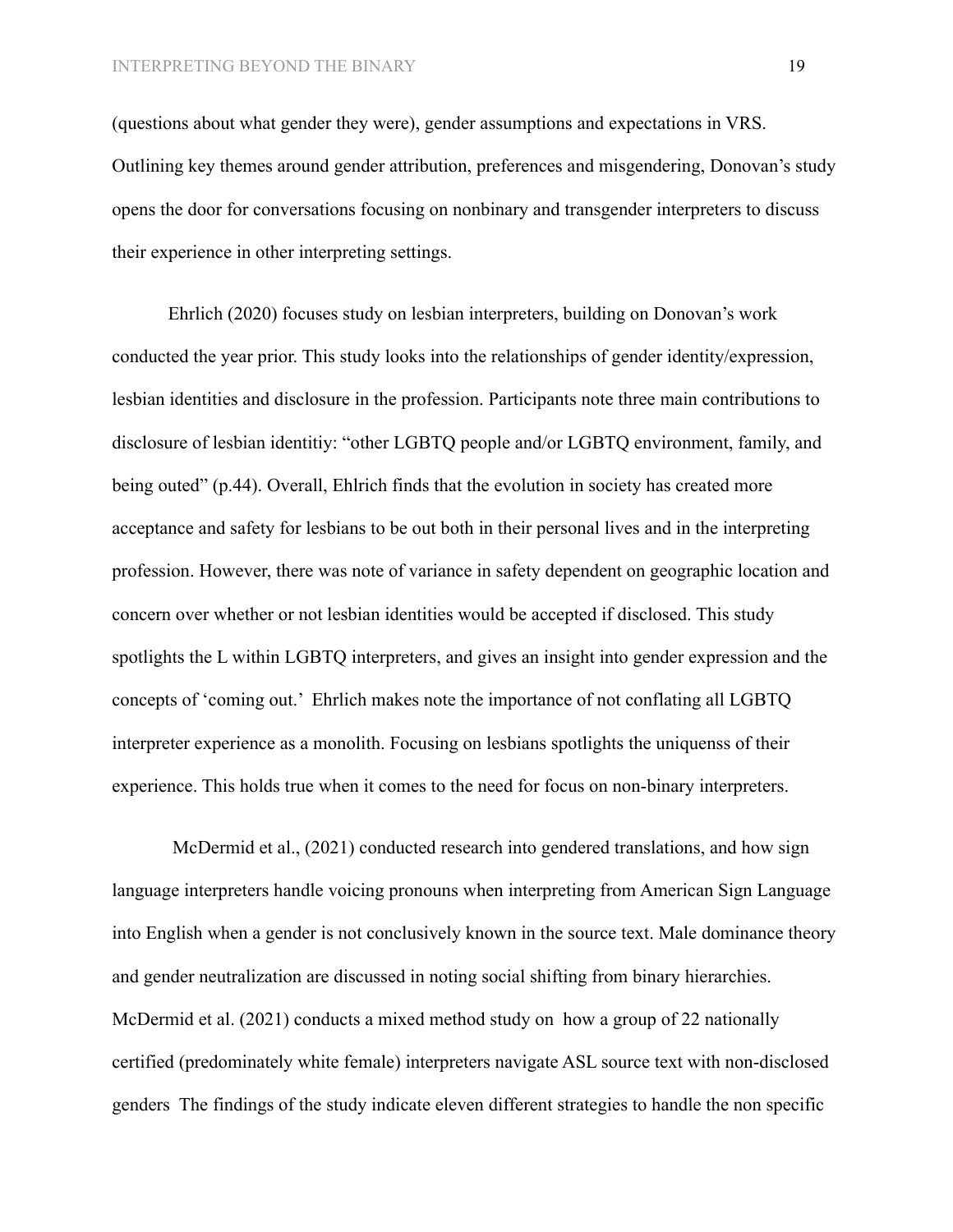(questions about what gender they were), gender assumptions and expectations in VRS. Outlining key themes around gender attribution, preferences and misgendering, Donovan's study opens the door for conversations focusing on nonbinary and transgender interpreters to discuss their experience in other interpreting settings.

Ehrlich (2020) focuses study on lesbian interpreters, building on Donovan's work conducted the year prior. This study looks into the relationships of gender identity/expression, lesbian identities and disclosure in the profession. Participants note three main contributions to disclosure of lesbian identitiy: "other LGBTQ people and/or LGBTQ environment, family, and being outed" (p.44). Overall, Ehlrich finds that the evolution in society has created more acceptance and safety for lesbians to be out both in their personal lives and in the interpreting profession. However, there was note of variance in safety dependent on geographic location and concern over whether or not lesbian identities would be accepted if disclosed. This study spotlights the L within LGBTQ interpreters, and gives an insight into gender expression and the concepts of 'coming out.' Ehrlich makes note the importance of not conflating all LGBTQ interpreter experience as a monolith. Focusing on lesbians spotlights the uniquenss of their experience. This holds true when it comes to the need for focus on non-binary interpreters.

McDermid et al., (2021) conducted research into gendered translations, and how sign language interpreters handle voicing pronouns when interpreting from American Sign Language into English when a gender is not conclusively known in the source text. Male dominance theory and gender neutralization are discussed in noting social shifting from binary hierarchies. McDermid et al. (2021) conducts a mixed method study on how a group of 22 nationally certified (predominately white female) interpreters navigate ASL source text with non-disclosed genders The findings of the study indicate eleven different strategies to handle the non specific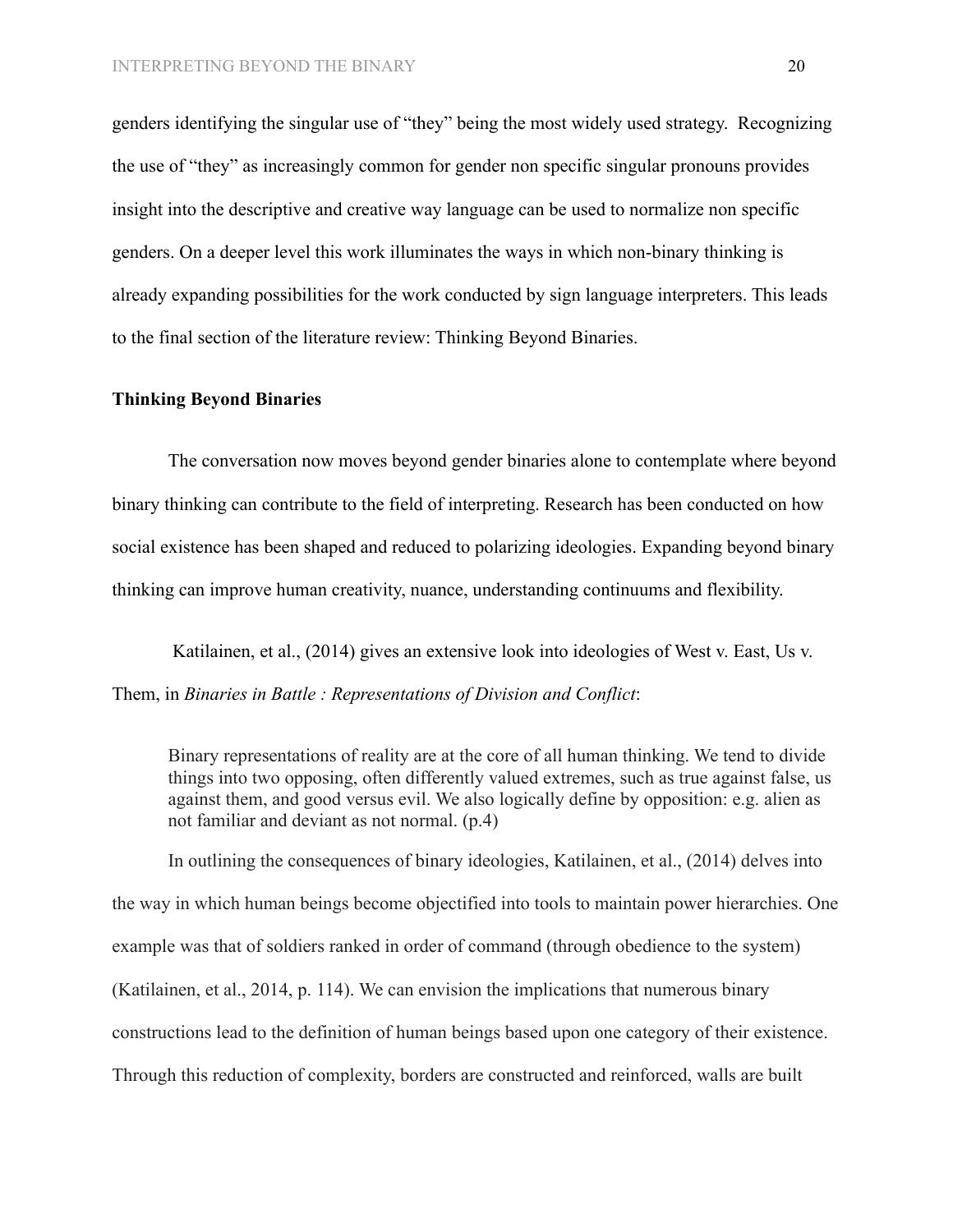genders identifying the singular use of "they" being the most widely used strategy. Recognizing the use of "they" as increasingly common for gender non specific singular pronouns provides insight into the descriptive and creative way language can be used to normalize non specific genders. On a deeper level this work illuminates the ways in which non-binary thinking is already expanding possibilities for the work conducted by sign language interpreters. This leads to the final section of the literature review: Thinking Beyond Binaries.

#### **Thinking Beyond Binaries**

The conversation now moves beyond gender binaries alone to contemplate where beyond binary thinking can contribute to the field of interpreting. Research has been conducted on how social existence has been shaped and reduced to polarizing ideologies. Expanding beyond binary thinking can improve human creativity, nuance, understanding continuums and flexibility.

Katilainen, et al., (2014) gives an extensive look into ideologies of West v. East, Us v. Them, in *Binaries in Battle : Representations of Division and Conflict*:

Binary representations of reality are at the core of all human thinking. We tend to divide things into two opposing, often differently valued extremes, such as true against false, us against them, and good versus evil. We also logically define by opposition: e.g. alien as not familiar and deviant as not normal. (p.4)

In outlining the consequences of binary ideologies, Katilainen, et al., (2014) delves into the way in which human beings become objectified into tools to maintain power hierarchies. One example was that of soldiers ranked in order of command (through obedience to the system) (Katilainen, et al., 2014, p. 114). We can envision the implications that numerous binary constructions lead to the definition of human beings based upon one category of their existence. Through this reduction of complexity, borders are constructed and reinforced, walls are built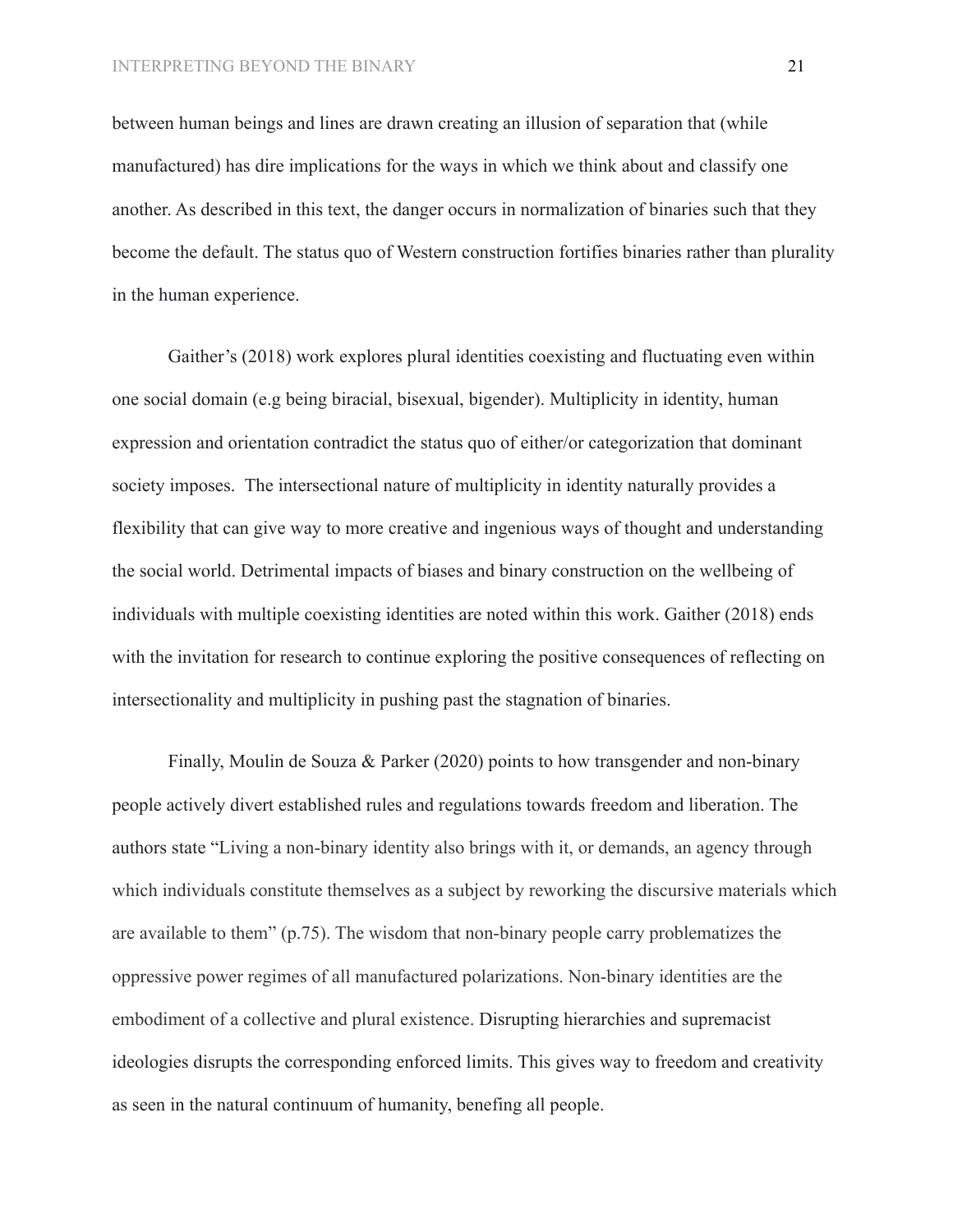between human beings and lines are drawn creating an illusion of separation that (while manufactured) has dire implications for the ways in which we think about and classify one another. As described in this text, the danger occurs in normalization of binaries such that they become the default. The status quo of Western construction fortifies binaries rather than plurality in the human experience.

Gaither's (2018) work explores plural identities coexisting and fluctuating even within one social domain (e.g being biracial, bisexual, bigender). Multiplicity in identity, human expression and orientation contradict the status quo of either/or categorization that dominant society imposes. The intersectional nature of multiplicity in identity naturally provides a flexibility that can give way to more creative and ingenious ways of thought and understanding the social world. Detrimental impacts of biases and binary construction on the wellbeing of individuals with multiple coexisting identities are noted within this work. Gaither (2018) ends with the invitation for research to continue exploring the positive consequences of reflecting on intersectionality and multiplicity in pushing past the stagnation of binaries.

Finally, Moulin de Souza & Parker (2020) points to how transgender and non-binary people actively divert established rules and regulations towards freedom and liberation. The authors state "Living a non-binary identity also brings with it, or demands, an agency through which individuals constitute themselves as a subject by reworking the discursive materials which are available to them" (p.75). The wisdom that non-binary people carry problematizes the oppressive power regimes of all manufactured polarizations. Non-binary identities are the embodiment of a collective and plural existence. Disrupting hierarchies and supremacist ideologies disrupts the corresponding enforced limits. This gives way to freedom and creativity as seen in the natural continuum of humanity, benefing all people.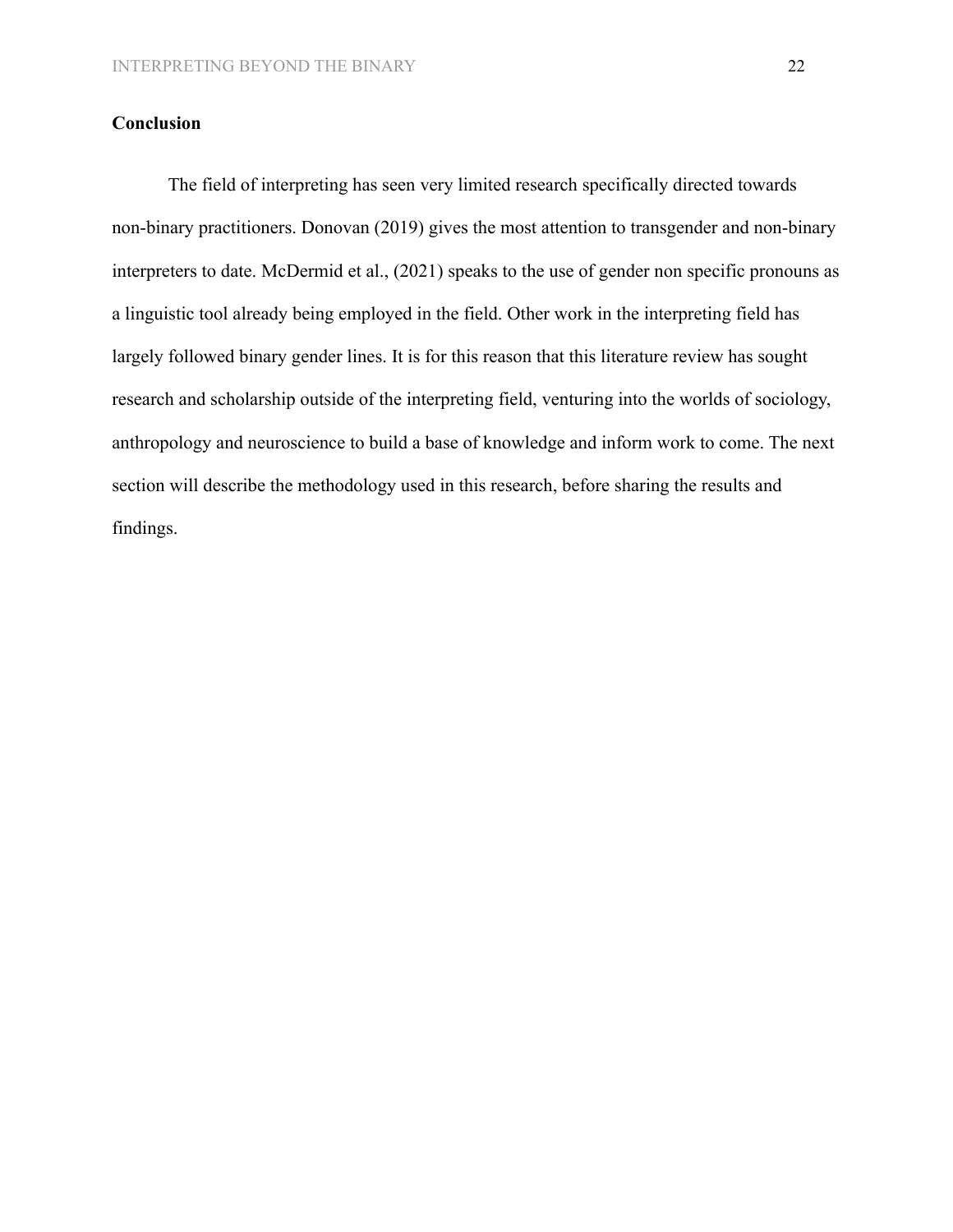# **Conclusion**

The field of interpreting has seen very limited research specifically directed towards non-binary practitioners. Donovan (2019) gives the most attention to transgender and non-binary interpreters to date. McDermid et al., (2021) speaks to the use of gender non specific pronouns as a linguistic tool already being employed in the field. Other work in the interpreting field has largely followed binary gender lines. It is for this reason that this literature review has sought research and scholarship outside of the interpreting field, venturing into the worlds of sociology, anthropology and neuroscience to build a base of knowledge and inform work to come. The next section will describe the methodology used in this research, before sharing the results and findings.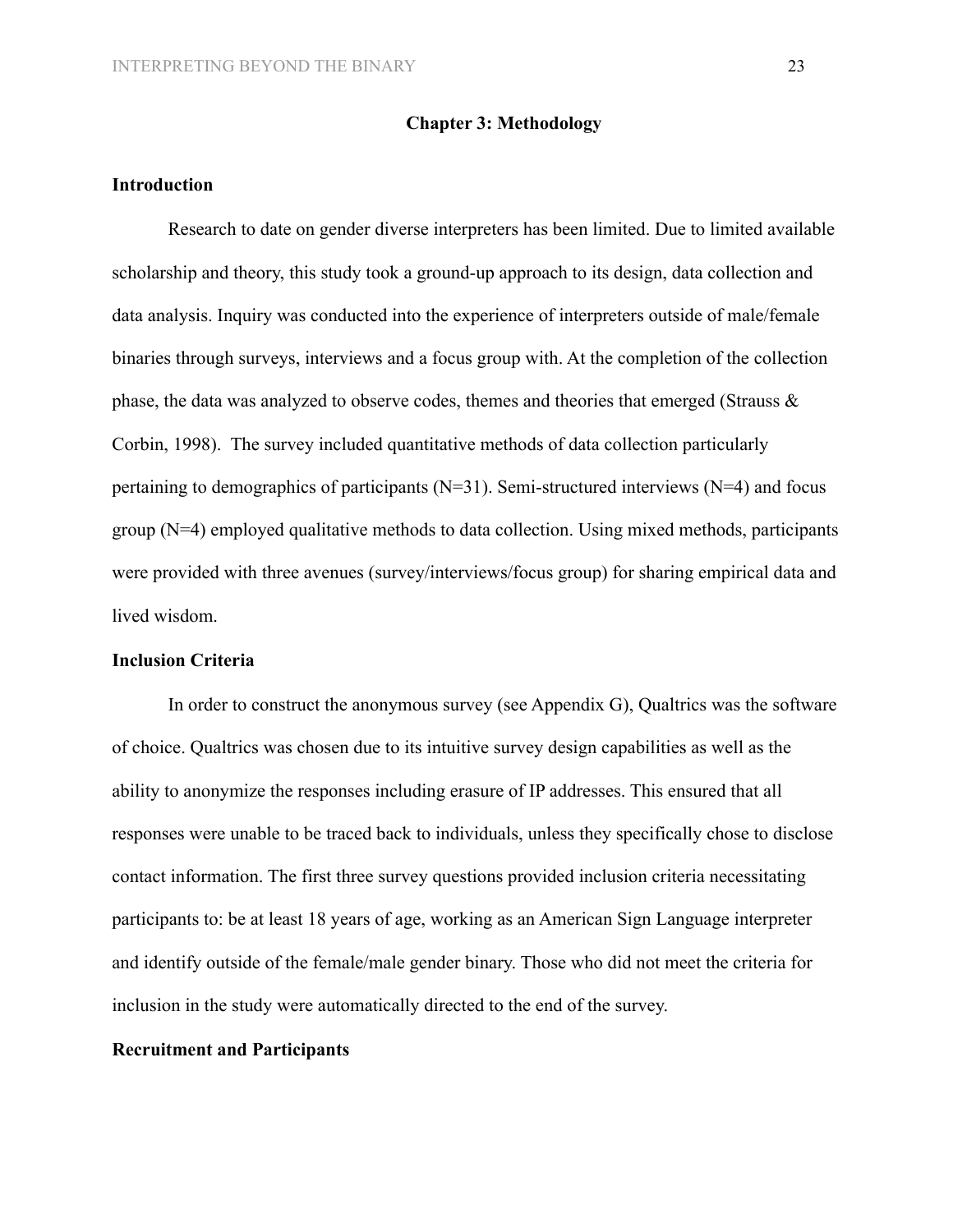#### **Introduction**

Research to date on gender diverse interpreters has been limited. Due to limited available scholarship and theory, this study took a ground-up approach to its design, data collection and data analysis. Inquiry was conducted into the experience of interpreters outside of male/female binaries through surveys, interviews and a focus group with. At the completion of the collection phase, the data was analyzed to observe codes, themes and theories that emerged (Strauss & Corbin, 1998). The survey included quantitative methods of data collection particularly pertaining to demographics of participants (N=31). Semi-structured interviews (N=4) and focus group (N=4) employed qualitative methods to data collection. Using mixed methods, participants were provided with three avenues (survey/interviews/focus group) for sharing empirical data and lived wisdom.

## **Inclusion Criteria**

In order to construct the anonymous survey (see Appendix G), Qualtrics was the software of choice. Qualtrics was chosen due to its intuitive survey design capabilities as well as the ability to anonymize the responses including erasure of IP addresses. This ensured that all responses were unable to be traced back to individuals, unless they specifically chose to disclose contact information. The first three survey questions provided inclusion criteria necessitating participants to: be at least 18 years of age, working as an American Sign Language interpreter and identify outside of the female/male gender binary. Those who did not meet the criteria for inclusion in the study were automatically directed to the end of the survey.

# **Recruitment and Participants**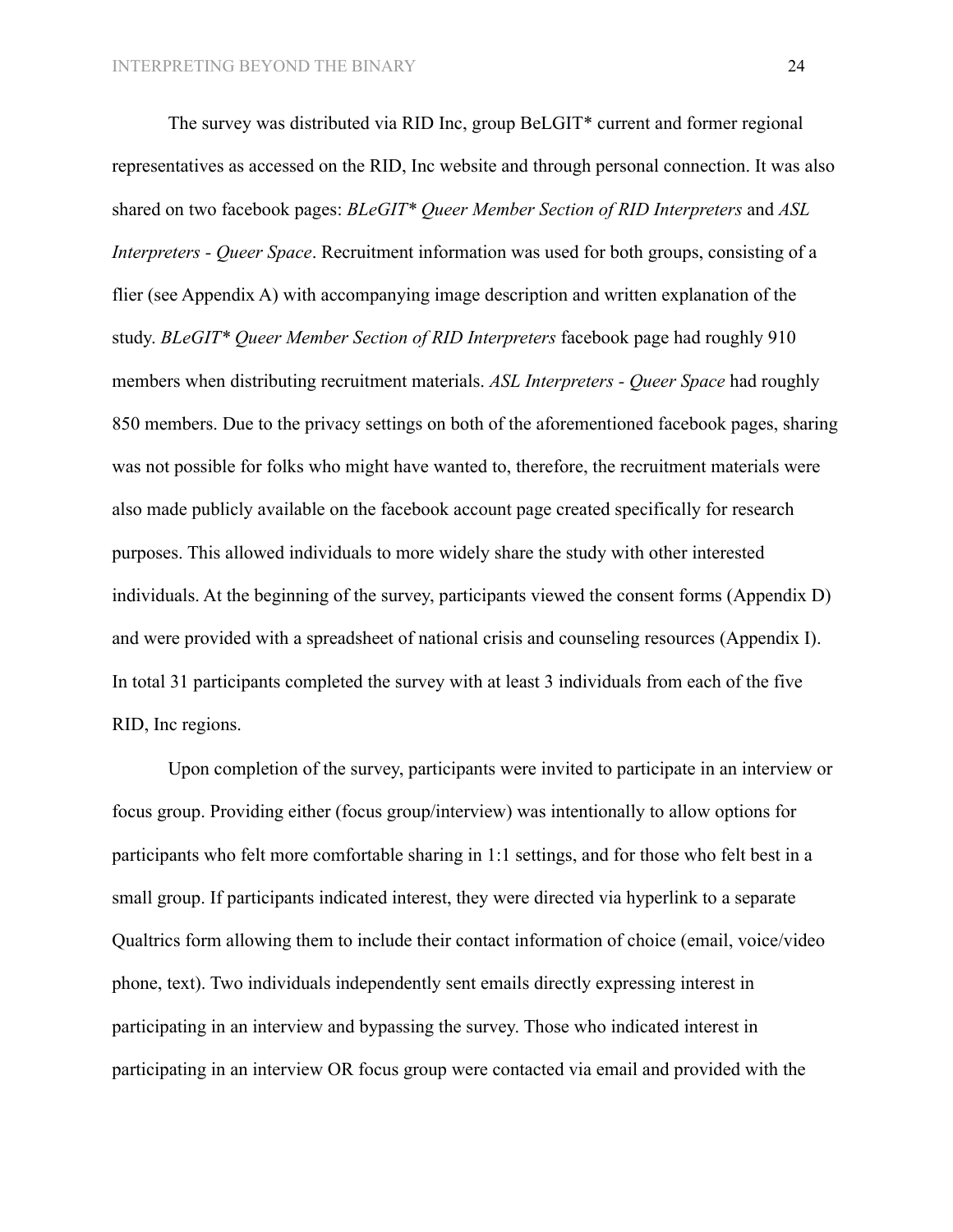The survey was distributed via RID Inc, group BeLGIT\* current and former regional representatives as accessed on the RID, Inc website and through personal connection. It was also shared on two facebook pages: *BLeGIT\* Queer Member Section of RID Interpreters* and *ASL Interpreters - Queer Space*. Recruitment information was used for both groups, consisting of a flier (see Appendix A) with accompanying image description and written explanation of the study. *BLeGIT\* Queer Member Section of RID Interpreters* facebook page had roughly 910 members when distributing recruitment materials. *ASL Interpreters - Queer Space* had roughly 850 members. Due to the privacy settings on both of the aforementioned facebook pages, sharing was not possible for folks who might have wanted to, therefore, the recruitment materials were also made publicly available on the facebook account page created specifically for research purposes. This allowed individuals to more widely share the study with other interested individuals. At the beginning of the survey, participants viewed the consent forms (Appendix D) and were provided with a spreadsheet of national crisis and counseling resources (Appendix I). In total 31 participants completed the survey with at least 3 individuals from each of the five RID, Inc regions.

Upon completion of the survey, participants were invited to participate in an interview or focus group. Providing either (focus group/interview) was intentionally to allow options for participants who felt more comfortable sharing in 1:1 settings, and for those who felt best in a small group. If participants indicated interest, they were directed via hyperlink to a separate Qualtrics form allowing them to include their contact information of choice (email, voice/video phone, text). Two individuals independently sent emails directly expressing interest in participating in an interview and bypassing the survey. Those who indicated interest in participating in an interview OR focus group were contacted via email and provided with the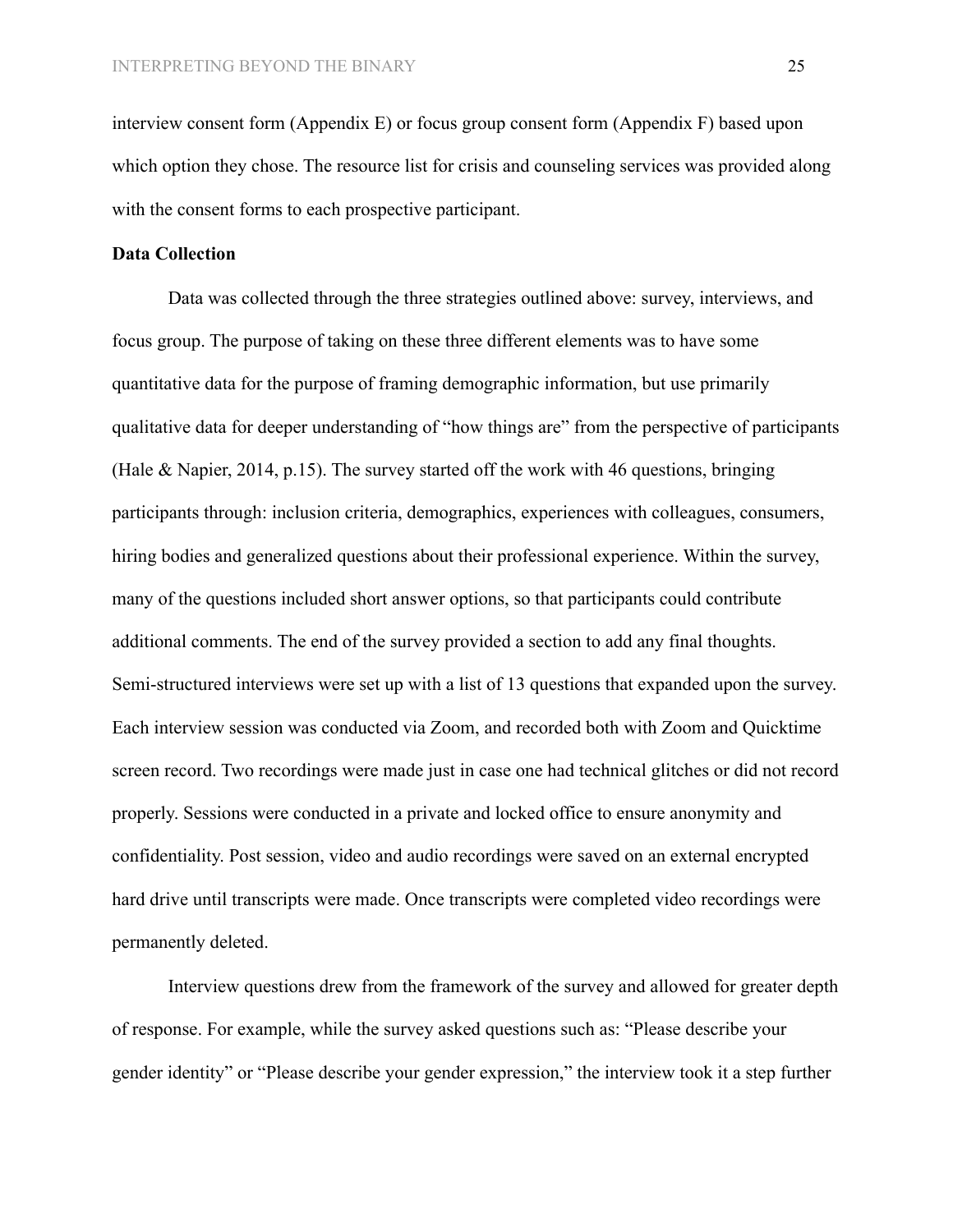interview consent form (Appendix E) or focus group consent form (Appendix F) based upon which option they chose. The resource list for crisis and counseling services was provided along with the consent forms to each prospective participant.

# **Data Collection**

Data was collected through the three strategies outlined above: survey, interviews, and focus group. The purpose of taking on these three different elements was to have some quantitative data for the purpose of framing demographic information, but use primarily qualitative data for deeper understanding of "how things are" from the perspective of participants (Hale & Napier, 2014, p.15). The survey started off the work with 46 questions, bringing participants through: inclusion criteria, demographics, experiences with colleagues, consumers, hiring bodies and generalized questions about their professional experience. Within the survey, many of the questions included short answer options, so that participants could contribute additional comments. The end of the survey provided a section to add any final thoughts. Semi-structured interviews were set up with a list of 13 questions that expanded upon the survey. Each interview session was conducted via Zoom, and recorded both with Zoom and Quicktime screen record. Two recordings were made just in case one had technical glitches or did not record properly. Sessions were conducted in a private and locked office to ensure anonymity and confidentiality. Post session, video and audio recordings were saved on an external encrypted hard drive until transcripts were made. Once transcripts were completed video recordings were permanently deleted.

Interview questions drew from the framework of the survey and allowed for greater depth of response. For example, while the survey asked questions such as: "Please describe your gender identity" or "Please describe your gender expression," the interview took it a step further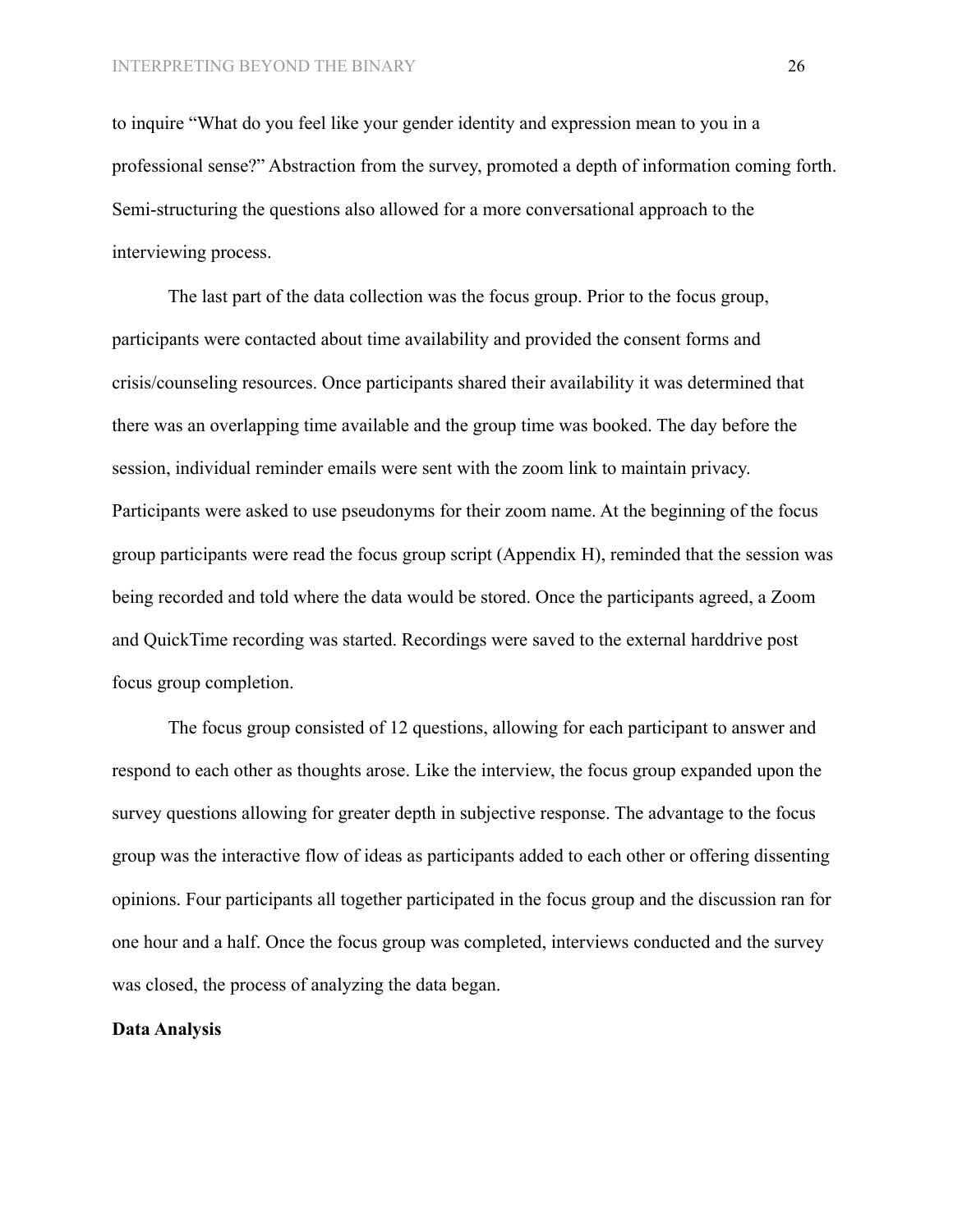to inquire "What do you feel like your gender identity and expression mean to you in a professional sense?" Abstraction from the survey, promoted a depth of information coming forth. Semi-structuring the questions also allowed for a more conversational approach to the interviewing process.

The last part of the data collection was the focus group. Prior to the focus group, participants were contacted about time availability and provided the consent forms and crisis/counseling resources. Once participants shared their availability it was determined that there was an overlapping time available and the group time was booked. The day before the session, individual reminder emails were sent with the zoom link to maintain privacy. Participants were asked to use pseudonyms for their zoom name. At the beginning of the focus group participants were read the focus group script (Appendix H), reminded that the session was being recorded and told where the data would be stored. Once the participants agreed, a Zoom and QuickTime recording was started. Recordings were saved to the external harddrive post focus group completion.

The focus group consisted of 12 questions, allowing for each participant to answer and respond to each other as thoughts arose. Like the interview, the focus group expanded upon the survey questions allowing for greater depth in subjective response. The advantage to the focus group was the interactive flow of ideas as participants added to each other or offering dissenting opinions. Four participants all together participated in the focus group and the discussion ran for one hour and a half. Once the focus group was completed, interviews conducted and the survey was closed, the process of analyzing the data began.

# **Data Analysis**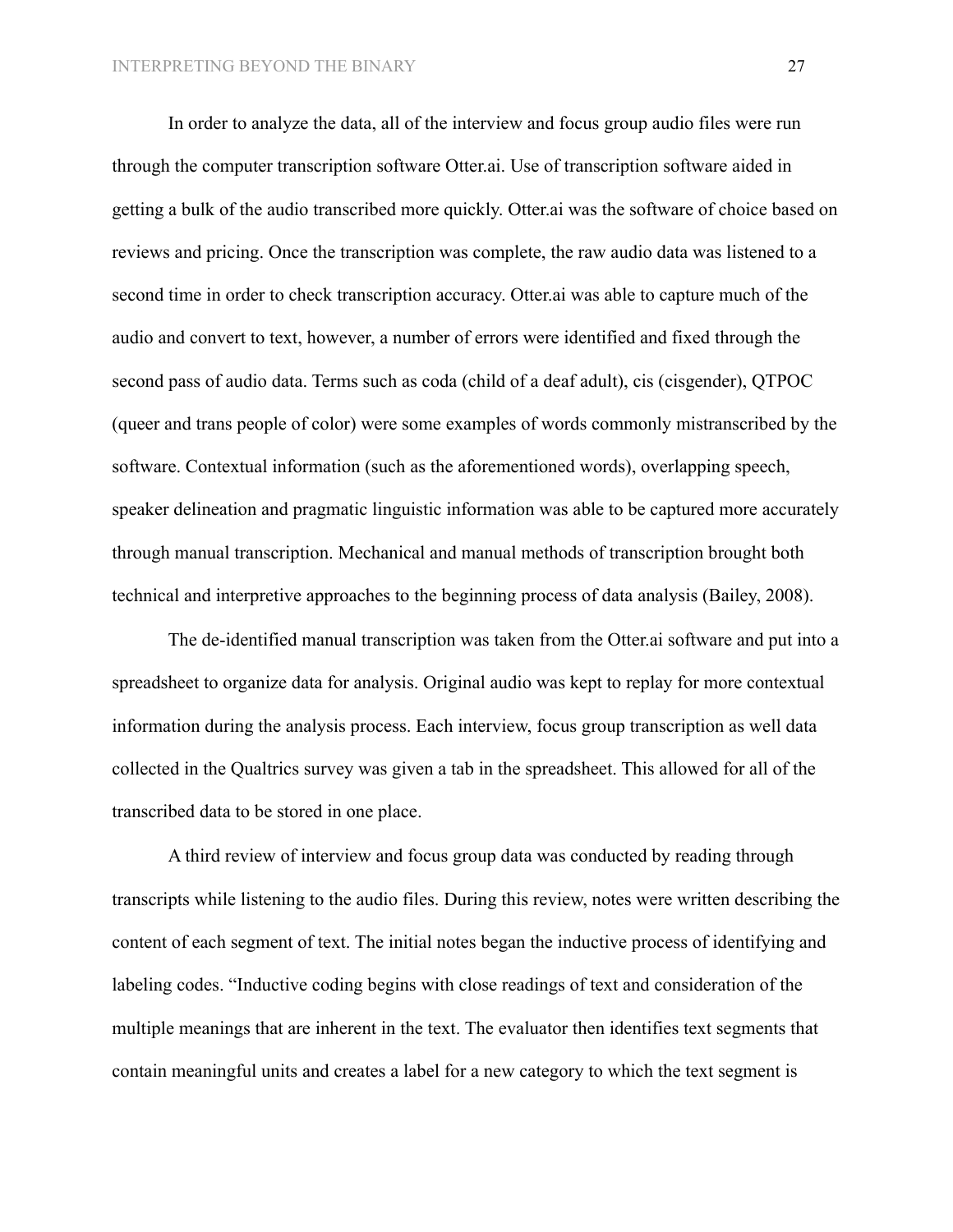In order to analyze the data, all of the interview and focus group audio files were run through the computer transcription software Otter.ai. Use of transcription software aided in getting a bulk of the audio transcribed more quickly. Otter.ai was the software of choice based on reviews and pricing. Once the transcription was complete, the raw audio data was listened to a second time in order to check transcription accuracy. Otter.ai was able to capture much of the audio and convert to text, however, a number of errors were identified and fixed through the second pass of audio data. Terms such as coda (child of a deaf adult), cis (cisgender), QTPOC (queer and trans people of color) were some examples of words commonly mistranscribed by the software. Contextual information (such as the aforementioned words), overlapping speech, speaker delineation and pragmatic linguistic information was able to be captured more accurately through manual transcription. Mechanical and manual methods of transcription brought both technical and interpretive approaches to the beginning process of data analysis (Bailey, 2008).

The de-identified manual transcription was taken from the Otter.ai software and put into a spreadsheet to organize data for analysis. Original audio was kept to replay for more contextual information during the analysis process. Each interview, focus group transcription as well data collected in the Qualtrics survey was given a tab in the spreadsheet. This allowed for all of the transcribed data to be stored in one place.

A third review of interview and focus group data was conducted by reading through transcripts while listening to the audio files. During this review, notes were written describing the content of each segment of text. The initial notes began the inductive process of identifying and labeling codes. "Inductive coding begins with close readings of text and consideration of the multiple meanings that are inherent in the text. The evaluator then identifies text segments that contain meaningful units and creates a label for a new category to which the text segment is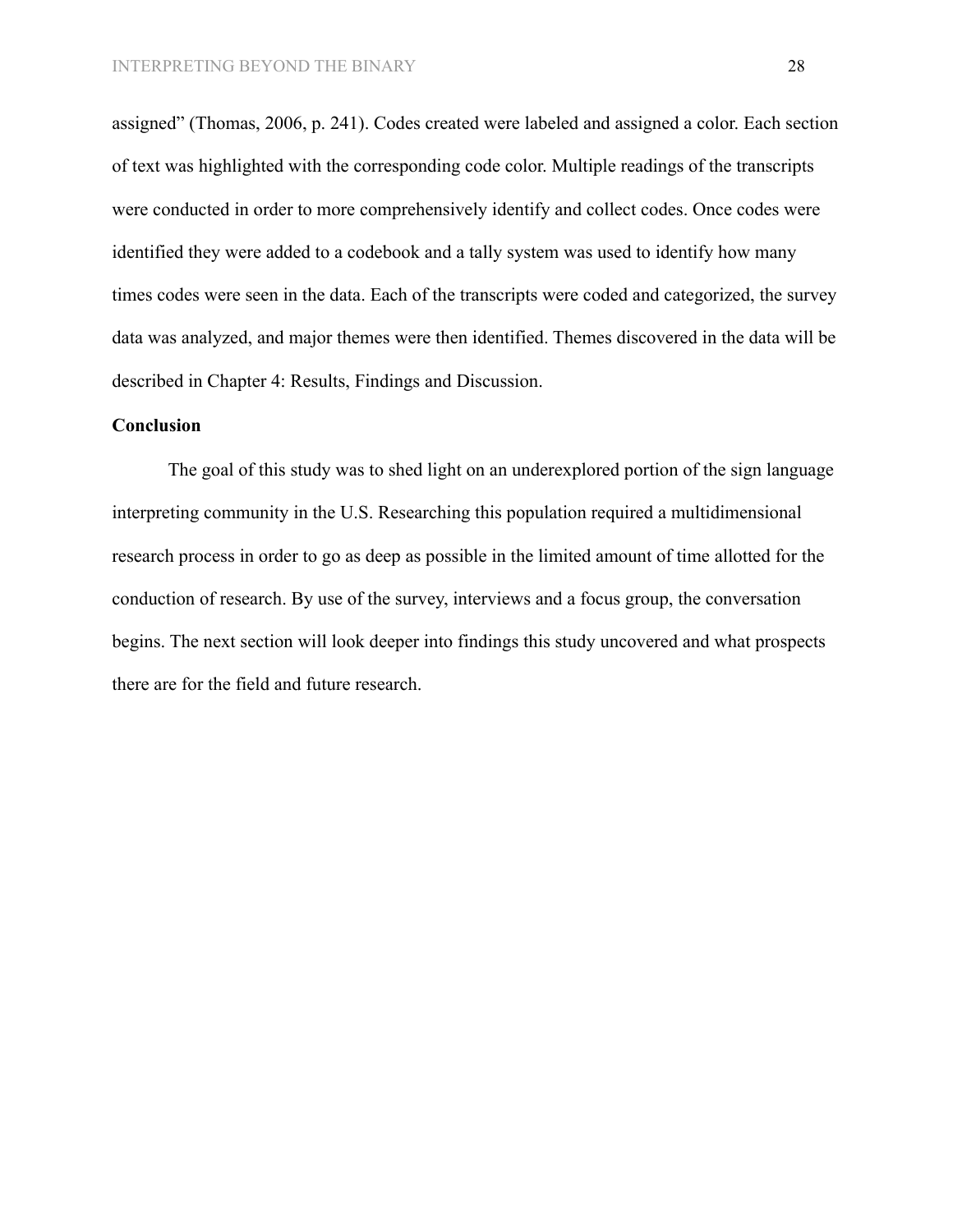assigned" (Thomas, 2006, p. 241). Codes created were labeled and assigned a color. Each section of text was highlighted with the corresponding code color. Multiple readings of the transcripts were conducted in order to more comprehensively identify and collect codes. Once codes were identified they were added to a codebook and a tally system was used to identify how many times codes were seen in the data. Each of the transcripts were coded and categorized, the survey data was analyzed, and major themes were then identified. Themes discovered in the data will be described in Chapter 4: Results, Findings and Discussion.

#### **Conclusion**

The goal of this study was to shed light on an underexplored portion of the sign language interpreting community in the U.S. Researching this population required a multidimensional research process in order to go as deep as possible in the limited amount of time allotted for the conduction of research. By use of the survey, interviews and a focus group, the conversation begins. The next section will look deeper into findings this study uncovered and what prospects there are for the field and future research.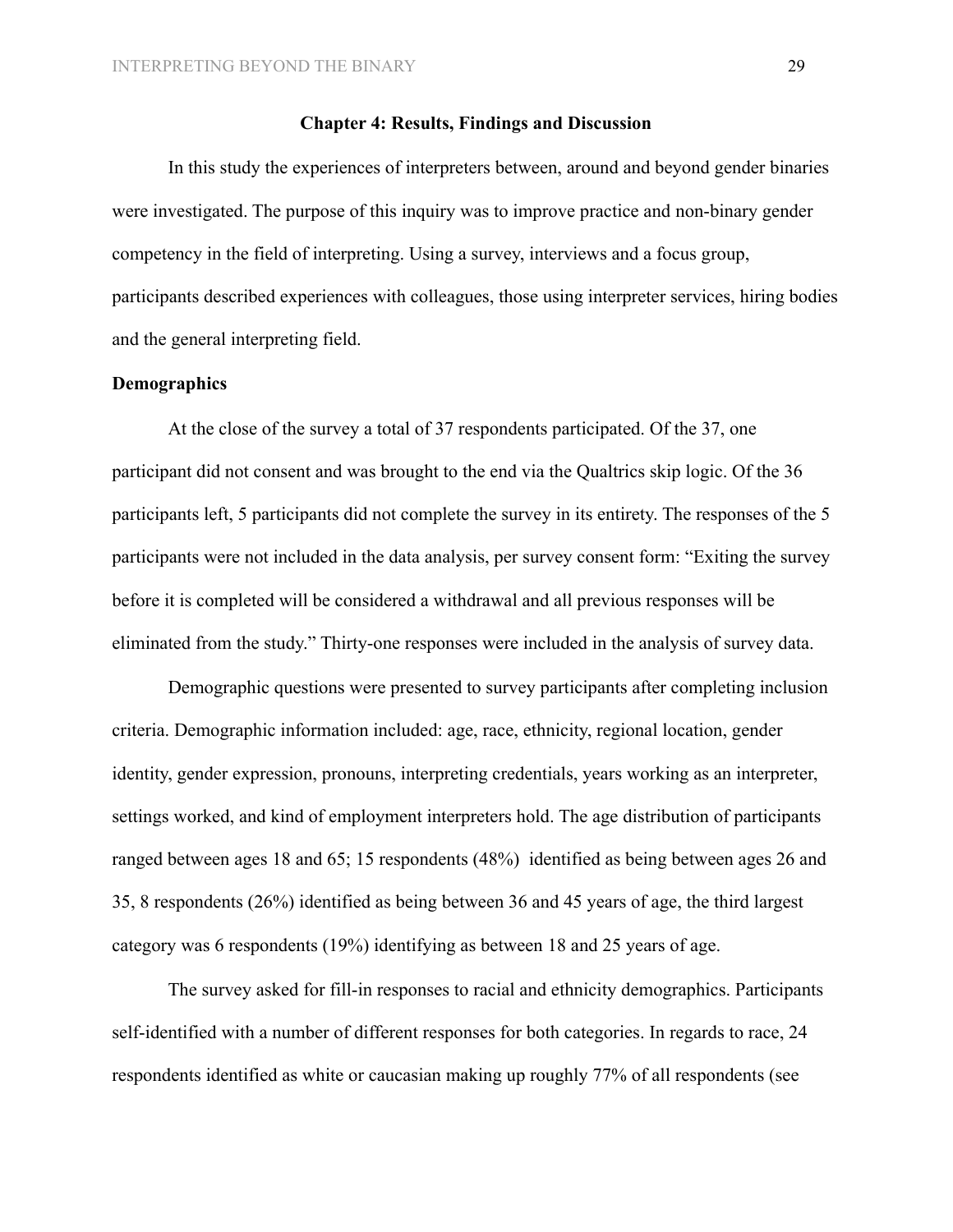### **Chapter 4: Results, Findings and Discussion**

In this study the experiences of interpreters between, around and beyond gender binaries were investigated. The purpose of this inquiry was to improve practice and non-binary gender competency in the field of interpreting. Using a survey, interviews and a focus group, participants described experiences with colleagues, those using interpreter services, hiring bodies and the general interpreting field.

### **Demographics**

At the close of the survey a total of 37 respondents participated. Of the 37, one participant did not consent and was brought to the end via the Qualtrics skip logic. Of the 36 participants left, 5 participants did not complete the survey in its entirety. The responses of the 5 participants were not included in the data analysis, per survey consent form: "Exiting the survey before it is completed will be considered a withdrawal and all previous responses will be eliminated from the study." Thirty-one responses were included in the analysis of survey data.

Demographic questions were presented to survey participants after completing inclusion criteria. Demographic information included: age, race, ethnicity, regional location, gender identity, gender expression, pronouns, interpreting credentials, years working as an interpreter, settings worked, and kind of employment interpreters hold. The age distribution of participants ranged between ages 18 and 65; 15 respondents (48%) identified as being between ages 26 and 35, 8 respondents (26%) identified as being between 36 and 45 years of age, the third largest category was 6 respondents (19%) identifying as between 18 and 25 years of age.

The survey asked for fill-in responses to racial and ethnicity demographics. Participants self-identified with a number of different responses for both categories. In regards to race, 24 respondents identified as white or caucasian making up roughly 77% of all respondents (see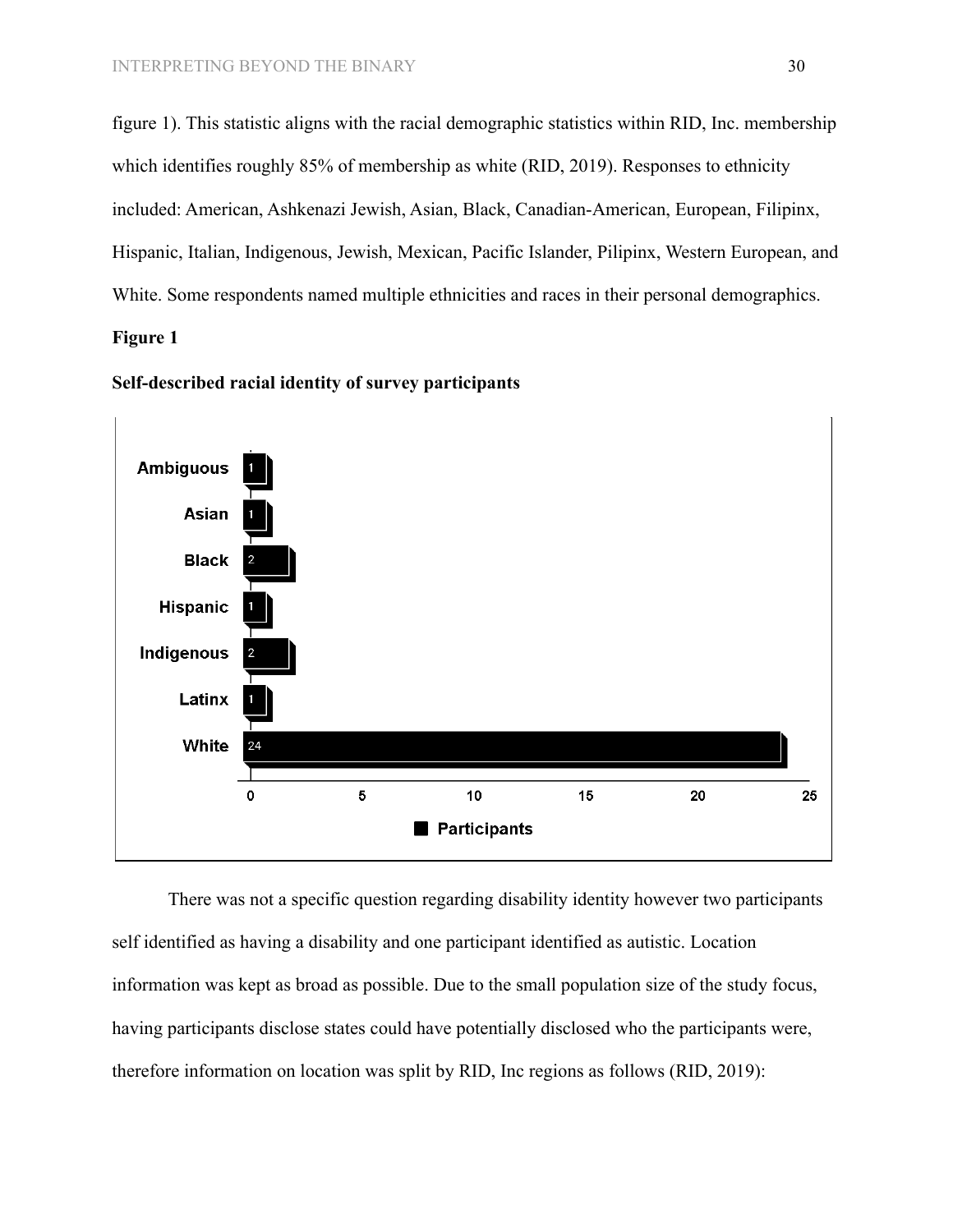figure 1). This statistic aligns with the racial demographic statistics within RID, Inc. membership which identifies roughly 85% of membership as white (RID, 2019). Responses to ethnicity included: American, Ashkenazi Jewish, Asian, Black, Canadian-American, European, Filipinx, Hispanic, Italian, Indigenous, Jewish, Mexican, Pacific Islander, Pilipinx, Western European, and White. Some respondents named multiple ethnicities and races in their personal demographics.

# **Figure 1**



**Self-described racial identity of survey participants**

There was not a specific question regarding disability identity however two participants self identified as having a disability and one participant identified as autistic. Location information was kept as broad as possible. Due to the small population size of the study focus, having participants disclose states could have potentially disclosed who the participants were, therefore information on location was split by RID, Inc regions as follows (RID, 2019):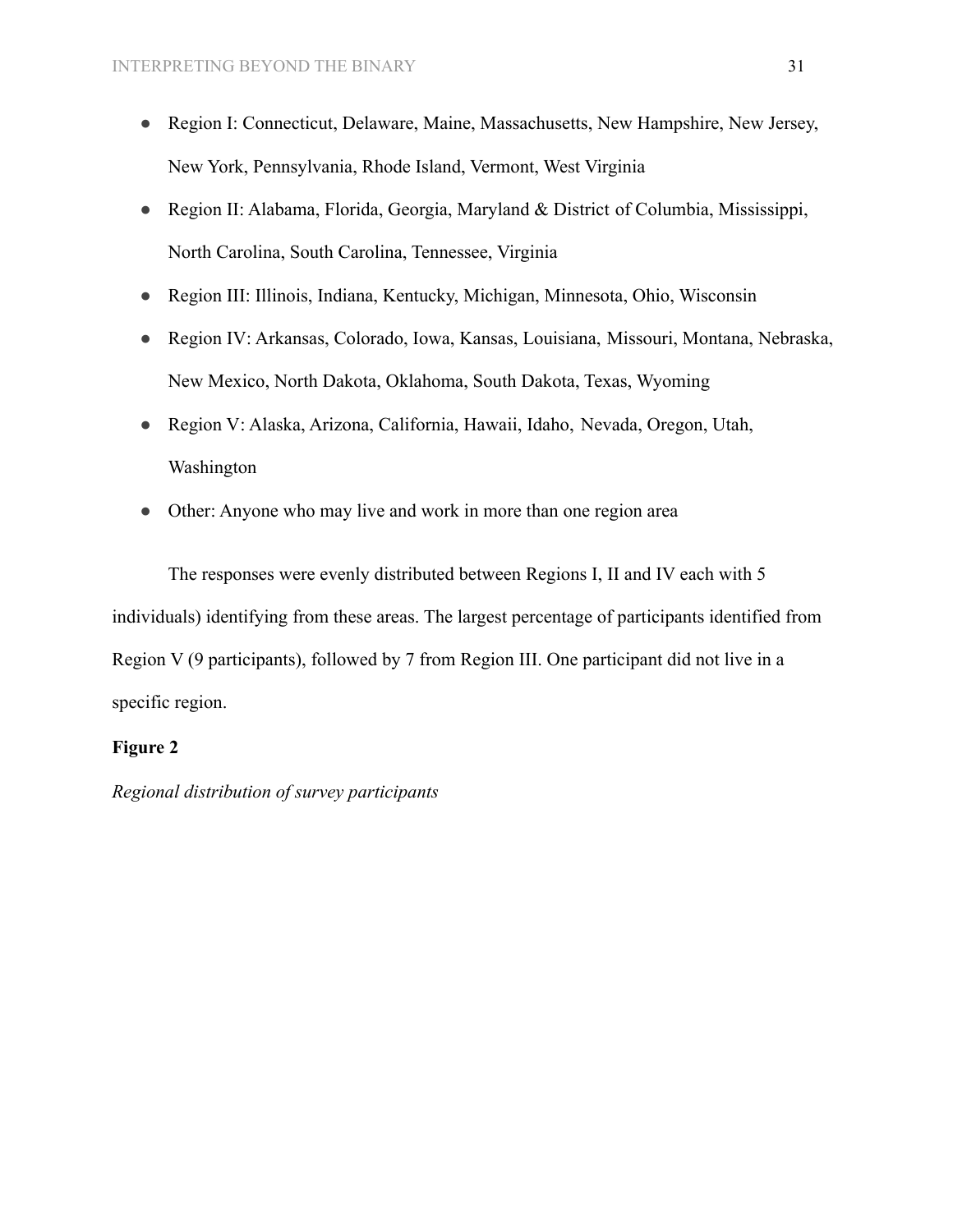- [Region I:](https://rid.org/region-i-northeast/) Connecticut, Delaware, Maine, Massachusetts, New Hampshire, New Jersey, New York, Pennsylvania, Rhode Island, Vermont, West Virginia
- [Region II:](https://rid.org/region-ii-southeast/) Alabama, Florida, Georgia, Maryland & District of Columbia, Mississippi, North Carolina, South Carolina, Tennessee, Virginia
- [Region III:](https://rid.org/region-iii-midwest/) Illinois, Indiana, Kentucky, Michigan, Minnesota, Ohio, Wisconsin
- [Region IV](https://rid.org/region-iv-central/): Arkansas, Colorado, Iowa, Kansas, Louisiana, Missouri, Montana, Nebraska, New Mexico, North Dakota, Oklahoma, South Dakota, Texas, Wyoming
- [Region V](https://rid.org/region-v-pacific/): Alaska, Arizona, California, Hawaii, Idaho, Nevada, Oregon, Utah, Washington
- Other: Anyone who may live and work in more than one region area

The responses were evenly distributed between Regions I, II and IV each with 5 individuals) identifying from these areas. The largest percentage of participants identified from Region V (9 participants), followed by 7 from Region III. One participant did not live in a specific region.

# **Figure 2**

*Regional distribution of survey participants*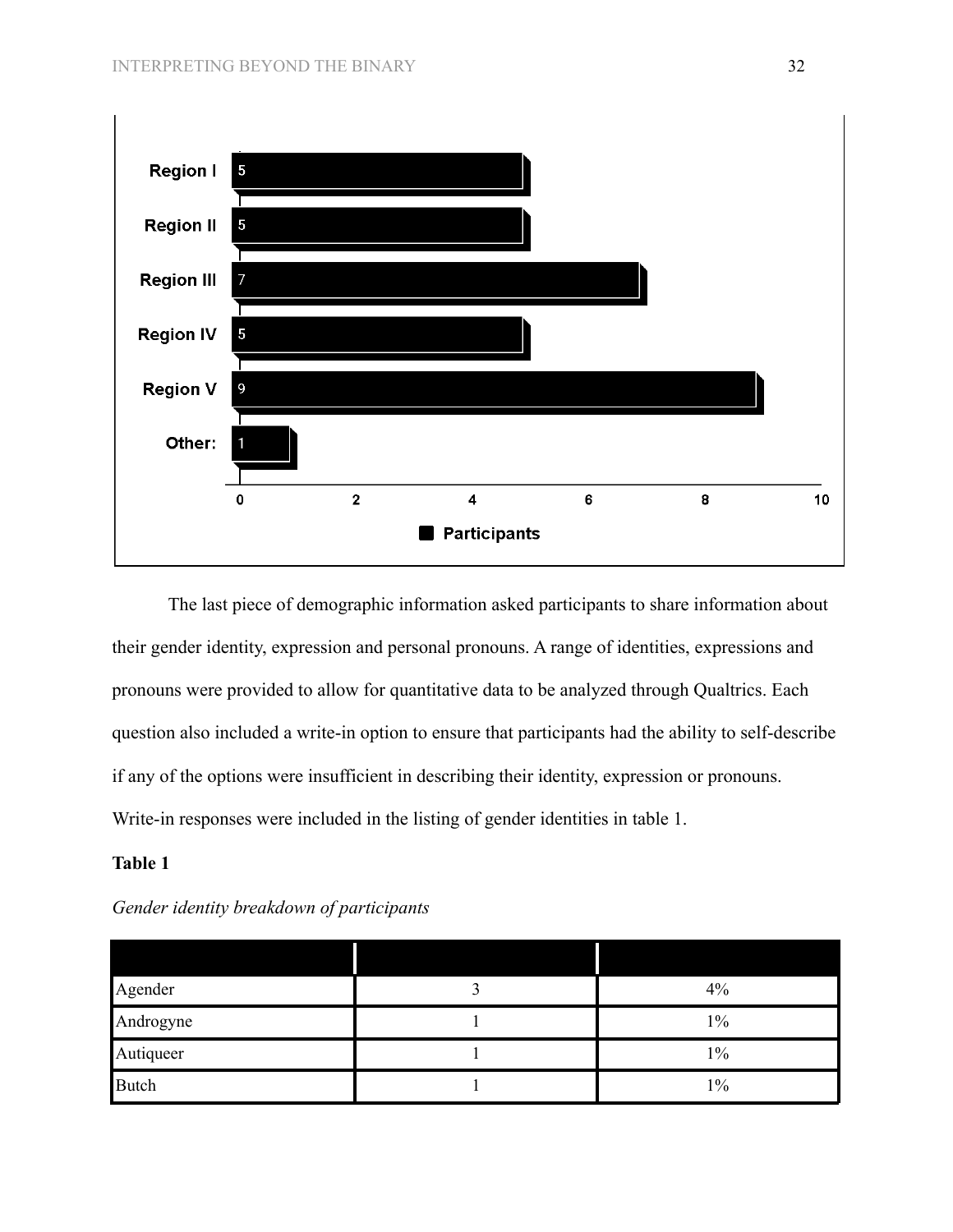

The last piece of demographic information asked participants to share information about their gender identity, expression and personal pronouns. A range of identities, expressions and pronouns were provided to allow for quantitative data to be analyzed through Qualtrics. Each question also included a write-in option to ensure that participants had the ability to self-describe if any of the options were insufficient in describing their identity, expression or pronouns. Write-in responses were included in the listing of gender identities in table 1.

# **Table 1**

| Agender   | 4%    |
|-----------|-------|
| Androgyne | $1\%$ |
| Autiqueer | $1\%$ |
| Butch     | $1\%$ |

*Gender identity breakdown of participants*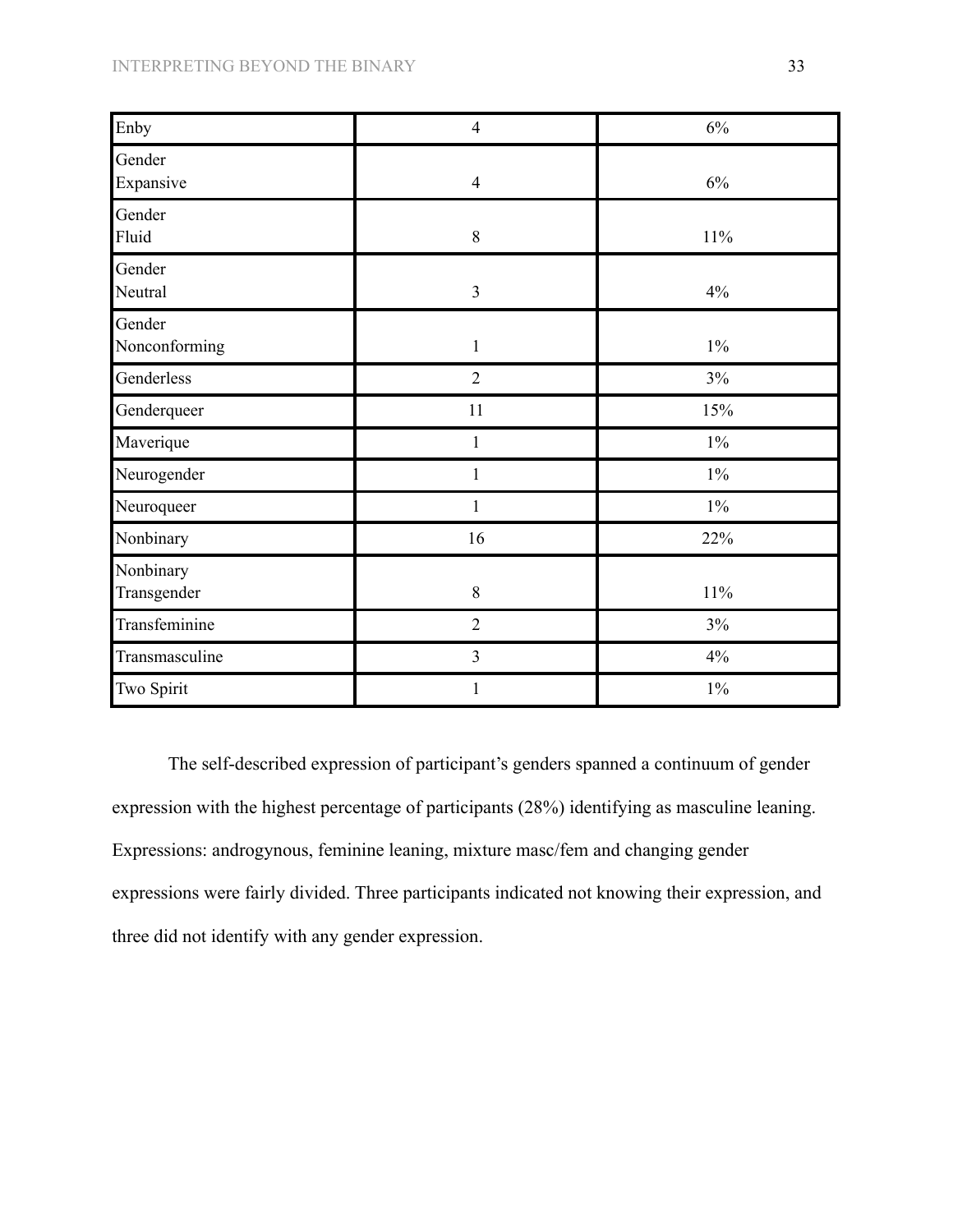| Enby                     | $\overline{4}$ | 6%     |
|--------------------------|----------------|--------|
| Gender<br>Expansive      | $\overline{4}$ | $6\%$  |
| Gender<br>Fluid          | $8\,$          | 11%    |
| Gender<br>Neutral        | $\overline{3}$ | $4\%$  |
| Gender<br>Nonconforming  | $\mathbf{1}$   | $1\%$  |
| Genderless               | $\overline{2}$ | $3\%$  |
| Genderqueer              | 11             | 15%    |
| Maverique                | $\mathbf{1}$   | $1\%$  |
| Neurogender              | 1              | $1\%$  |
| Neuroqueer               | $\mathbf 1$    | $1\%$  |
| Nonbinary                | 16             | 22%    |
| Nonbinary<br>Transgender | $8\,$          | $11\%$ |
| Transfeminine            | $\overline{2}$ | $3\%$  |
| Transmasculine           | $\overline{3}$ | 4%     |
| Two Spirit               | $\mathbf{1}$   | $1\%$  |

The self-described expression of participant's genders spanned a continuum of gender expression with the highest percentage of participants (28%) identifying as masculine leaning. Expressions: androgynous, feminine leaning, mixture masc/fem and changing gender expressions were fairly divided. Three participants indicated not knowing their expression, and three did not identify with any gender expression.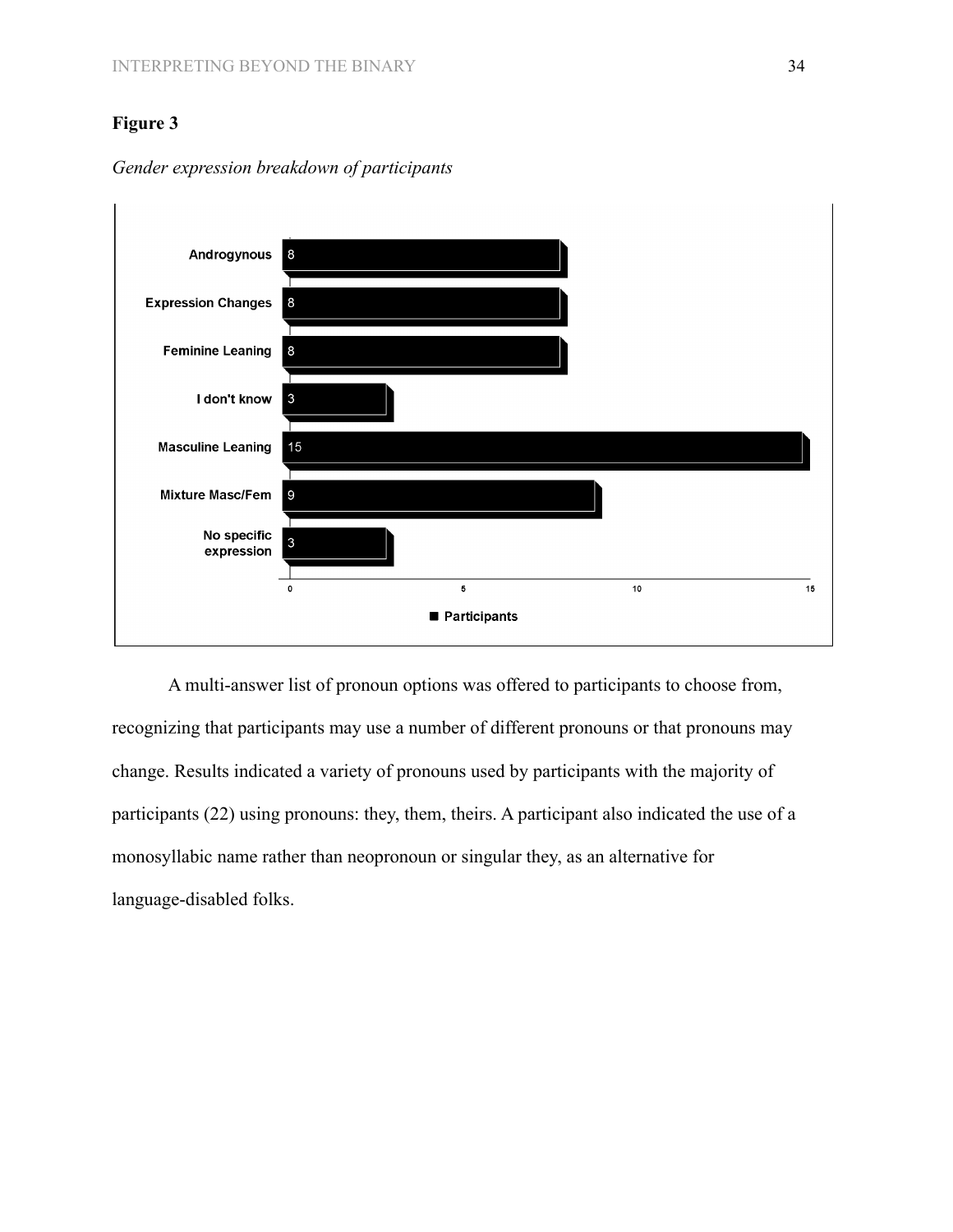# **Figure 3**



*Gender expression breakdown of participants*

A multi-answer list of pronoun options was offered to participants to choose from, recognizing that participants may use a number of different pronouns or that pronouns may change. Results indicated a variety of pronouns used by participants with the majority of participants (22) using pronouns: they, them, theirs. A participant also indicated the use of a monosyllabic name rather than neopronoun or singular they, as an alternative for language-disabled folks.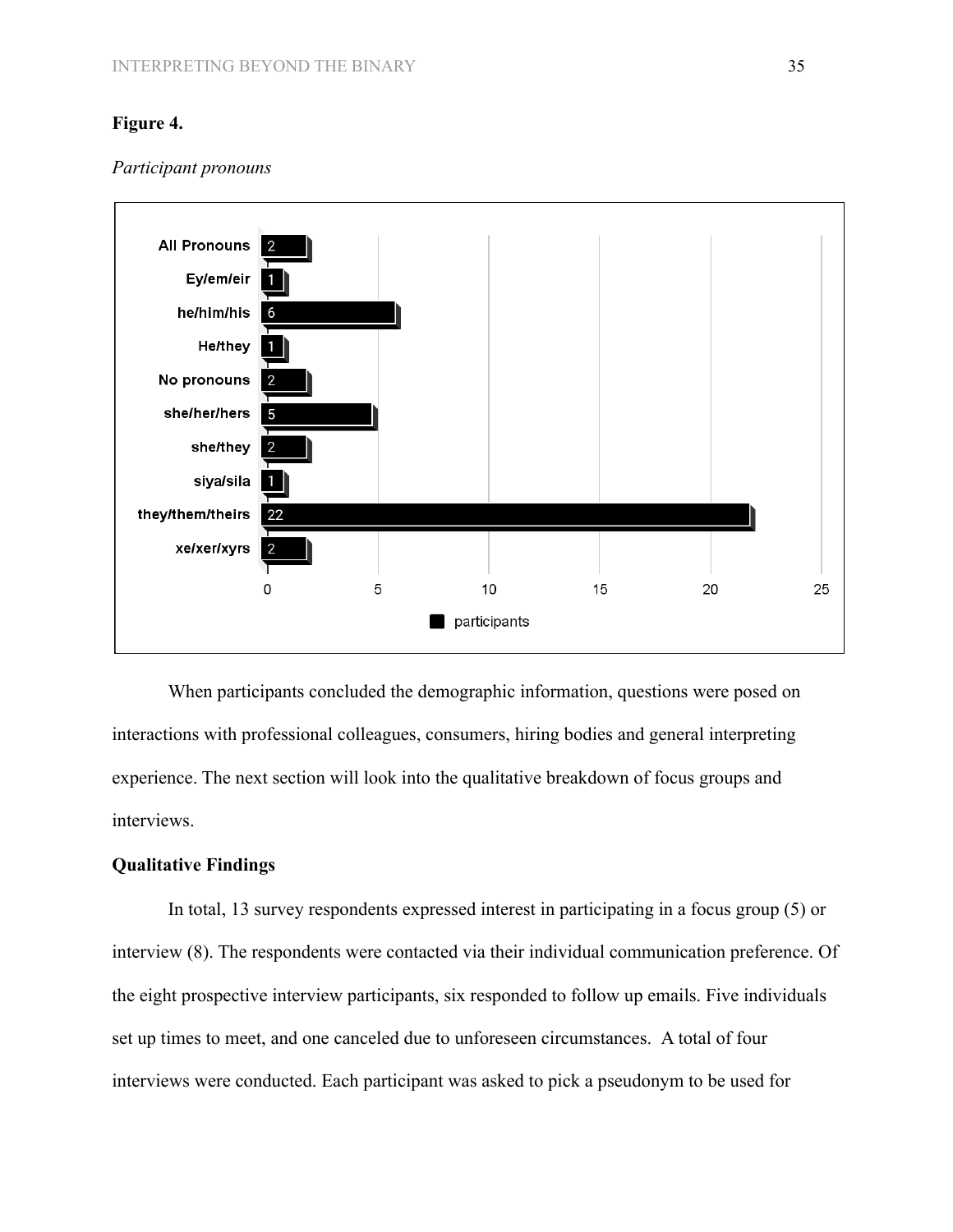## **Figure 4.**



#### *Participant pronouns*

When participants concluded the demographic information, questions were posed on interactions with professional colleagues, consumers, hiring bodies and general interpreting experience. The next section will look into the qualitative breakdown of focus groups and interviews.

# **Qualitative Findings**

In total, 13 survey respondents expressed interest in participating in a focus group (5) or interview (8). The respondents were contacted via their individual communication preference. Of the eight prospective interview participants, six responded to follow up emails. Five individuals set up times to meet, and one canceled due to unforeseen circumstances. A total of four interviews were conducted. Each participant was asked to pick a pseudonym to be used for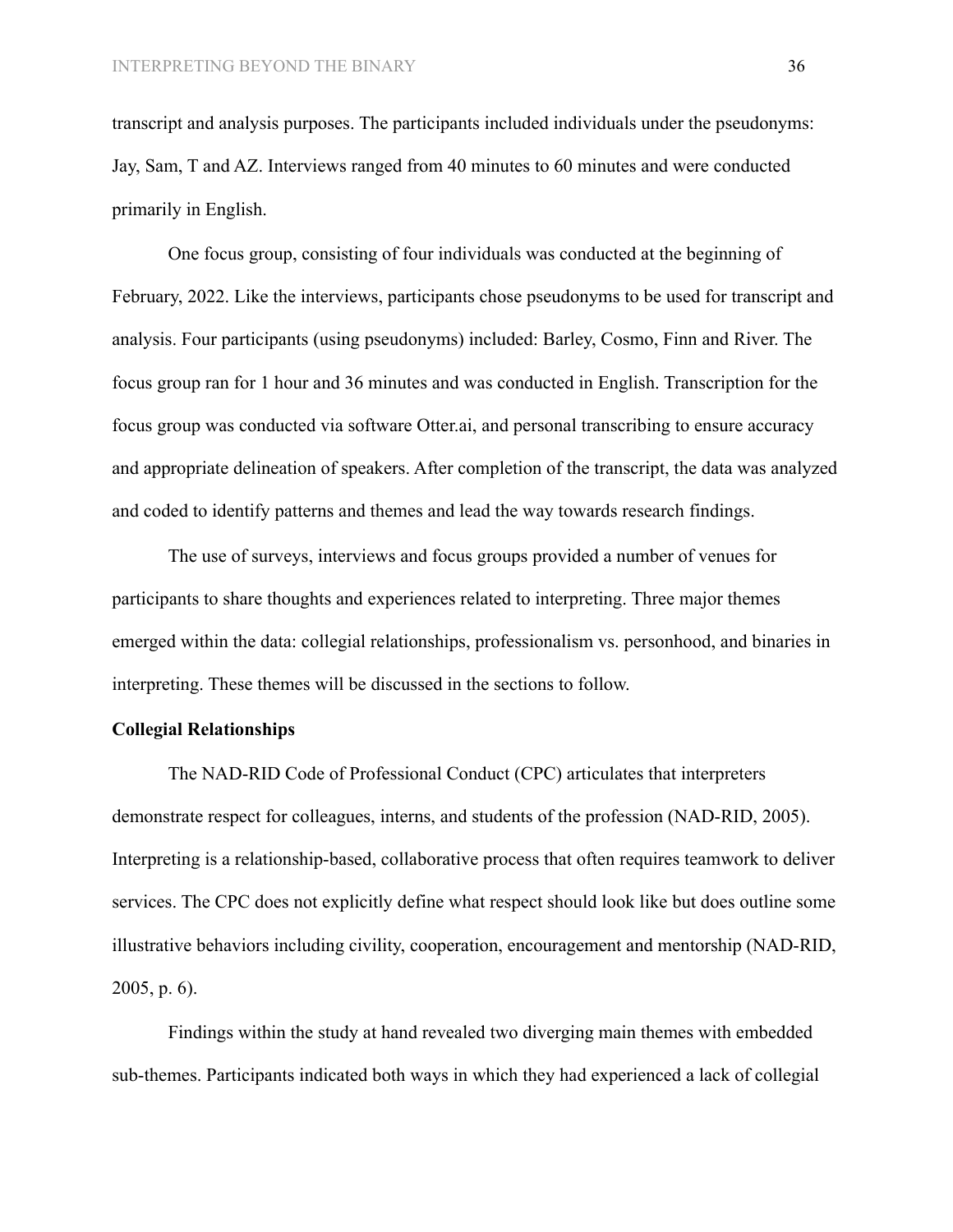transcript and analysis purposes. The participants included individuals under the pseudonyms: Jay, Sam, T and AZ. Interviews ranged from 40 minutes to 60 minutes and were conducted primarily in English.

One focus group, consisting of four individuals was conducted at the beginning of February, 2022. Like the interviews, participants chose pseudonyms to be used for transcript and analysis. Four participants (using pseudonyms) included: Barley, Cosmo, Finn and River. The focus group ran for 1 hour and 36 minutes and was conducted in English. Transcription for the focus group was conducted via software Otter.ai, and personal transcribing to ensure accuracy and appropriate delineation of speakers. After completion of the transcript, the data was analyzed and coded to identify patterns and themes and lead the way towards research findings.

The use of surveys, interviews and focus groups provided a number of venues for participants to share thoughts and experiences related to interpreting. Three major themes emerged within the data: collegial relationships, professionalism vs. personhood, and binaries in interpreting. These themes will be discussed in the sections to follow.

# **Collegial Relationships**

The NAD-RID Code of Professional Conduct (CPC) articulates that interpreters demonstrate respect for colleagues, interns, and students of the profession (NAD-RID, 2005). Interpreting is a relationship-based, collaborative process that often requires teamwork to deliver services. The CPC does not explicitly define what respect should look like but does outline some illustrative behaviors including civility, cooperation, encouragement and mentorship (NAD-RID, 2005, p. 6).

Findings within the study at hand revealed two diverging main themes with embedded sub-themes. Participants indicated both ways in which they had experienced a lack of collegial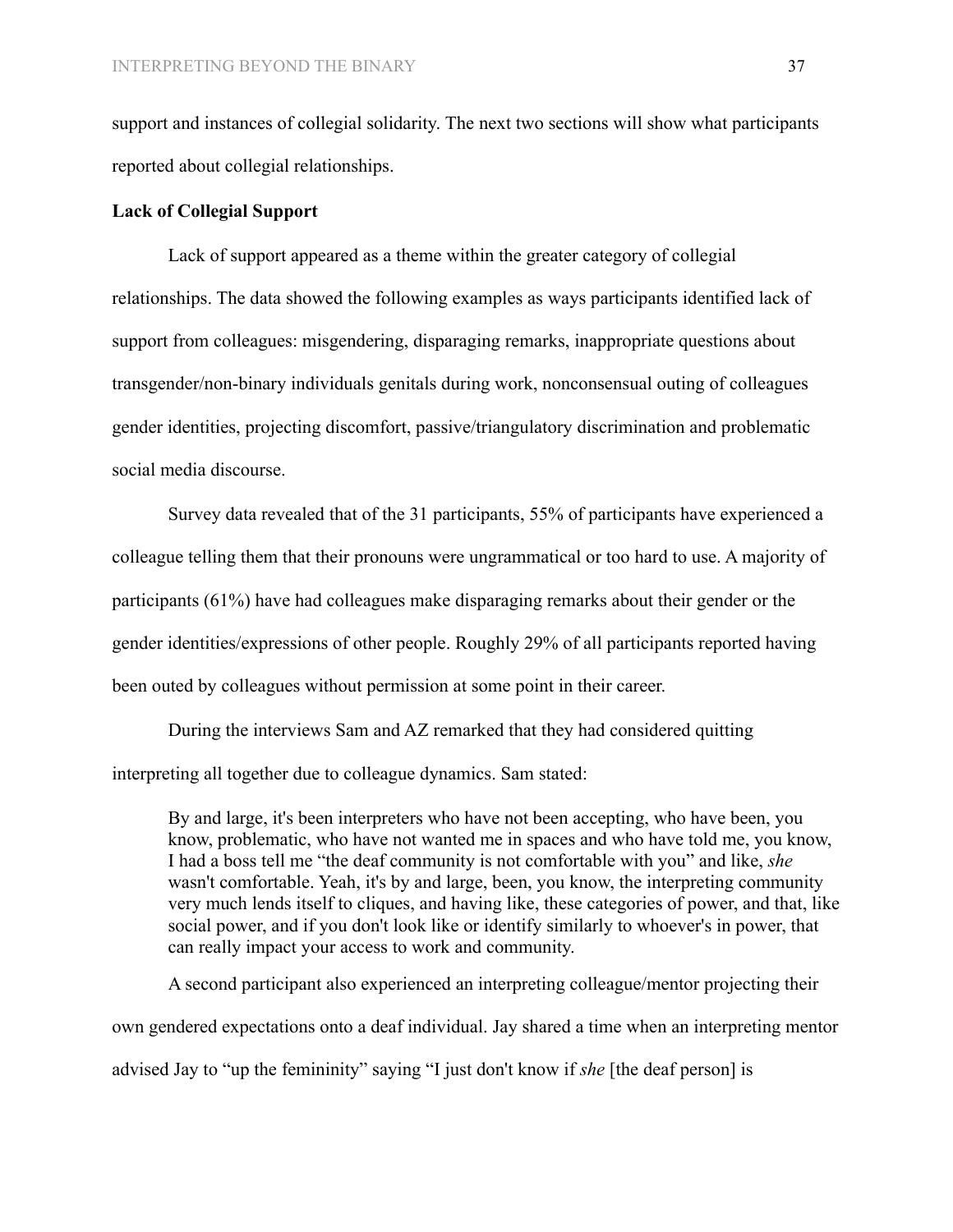support and instances of collegial solidarity. The next two sections will show what participants reported about collegial relationships.

## **Lack of Collegial Support**

Lack of support appeared as a theme within the greater category of collegial relationships. The data showed the following examples as ways participants identified lack of support from colleagues: misgendering, disparaging remarks, inappropriate questions about transgender/non-binary individuals genitals during work, nonconsensual outing of colleagues gender identities, projecting discomfort, passive/triangulatory discrimination and problematic social media discourse.

Survey data revealed that of the 31 participants, 55% of participants have experienced a colleague telling them that their pronouns were ungrammatical or too hard to use. A majority of participants (61%) have had colleagues make disparaging remarks about their gender or the gender identities/expressions of other people. Roughly 29% of all participants reported having been outed by colleagues without permission at some point in their career.

During the interviews Sam and AZ remarked that they had considered quitting interpreting all together due to colleague dynamics. Sam stated:

By and large, it's been interpreters who have not been accepting, who have been, you know, problematic, who have not wanted me in spaces and who have told me, you know, I had a boss tell me "the deaf community is not comfortable with you" and like, *she* wasn't comfortable. Yeah, it's by and large, been, you know, the interpreting community very much lends itself to cliques, and having like, these categories of power, and that, like social power, and if you don't look like or identify similarly to whoever's in power, that can really impact your access to work and community.

A second participant also experienced an interpreting colleague/mentor projecting their own gendered expectations onto a deaf individual. Jay shared a time when an interpreting mentor advised Jay to "up the femininity" saying "I just don't know if *she* [the deaf person] is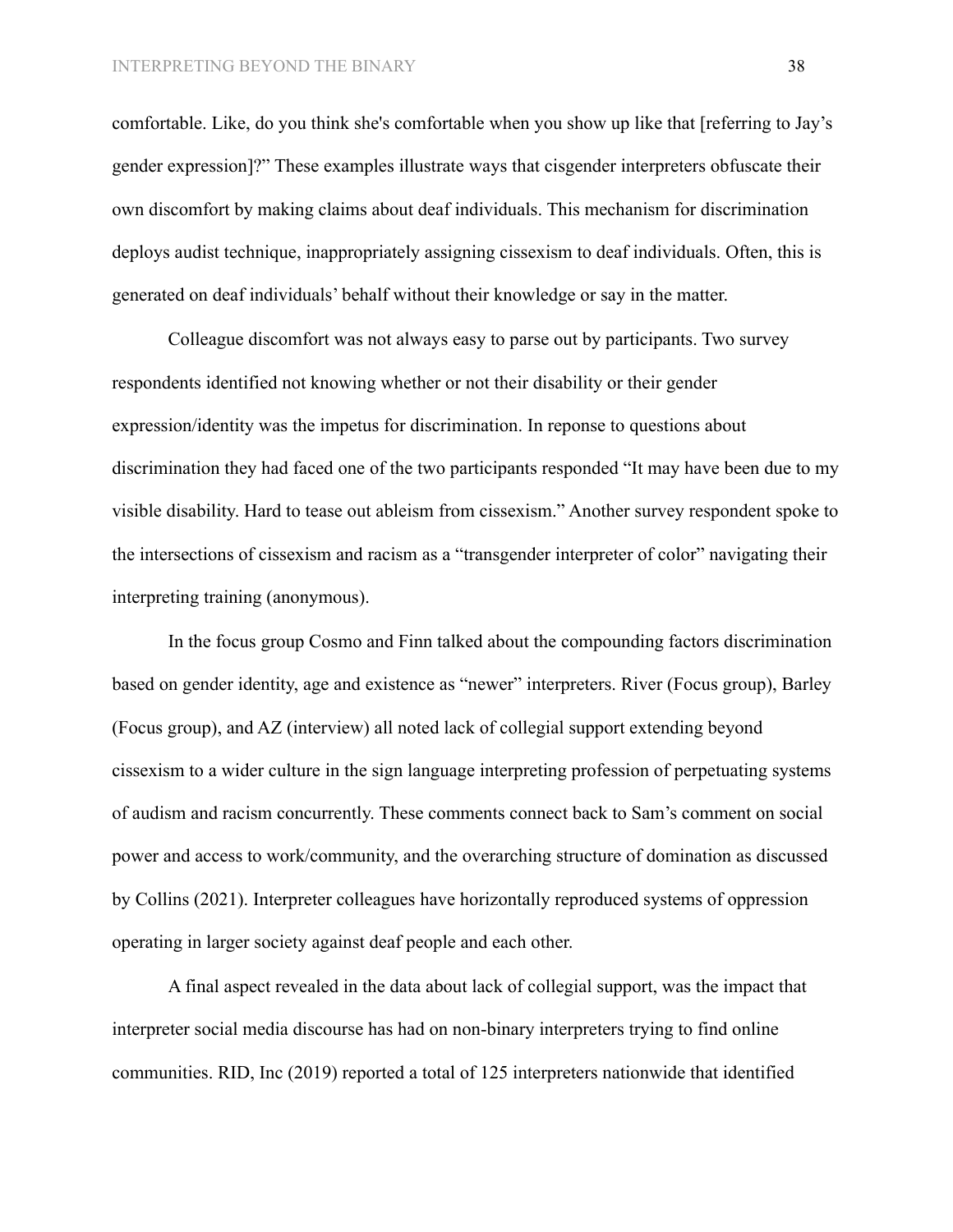comfortable. Like, do you think she's comfortable when you show up like that [referring to Jay's gender expression]?" These examples illustrate ways that cisgender interpreters obfuscate their own discomfort by making claims about deaf individuals. This mechanism for discrimination deploys audist technique, inappropriately assigning cissexism to deaf individuals. Often, this is generated on deaf individuals' behalf without their knowledge or say in the matter.

Colleague discomfort was not always easy to parse out by participants. Two survey respondents identified not knowing whether or not their disability or their gender expression/identity was the impetus for discrimination. In reponse to questions about discrimination they had faced one of the two participants responded "It may have been due to my visible disability. Hard to tease out ableism from cissexism." Another survey respondent spoke to the intersections of cissexism and racism as a "transgender interpreter of color" navigating their interpreting training (anonymous).

In the focus group Cosmo and Finn talked about the compounding factors discrimination based on gender identity, age and existence as "newer" interpreters. River (Focus group), Barley (Focus group), and AZ (interview) all noted lack of collegial support extending beyond cissexism to a wider culture in the sign language interpreting profession of perpetuating systems of audism and racism concurrently. These comments connect back to Sam's comment on social power and access to work/community, and the overarching structure of domination as discussed by Collins (2021). Interpreter colleagues have horizontally reproduced systems of oppression operating in larger society against deaf people and each other.

A final aspect revealed in the data about lack of collegial support, was the impact that interpreter social media discourse has had on non-binary interpreters trying to find online communities. RID, Inc (2019) reported a total of 125 interpreters nationwide that identified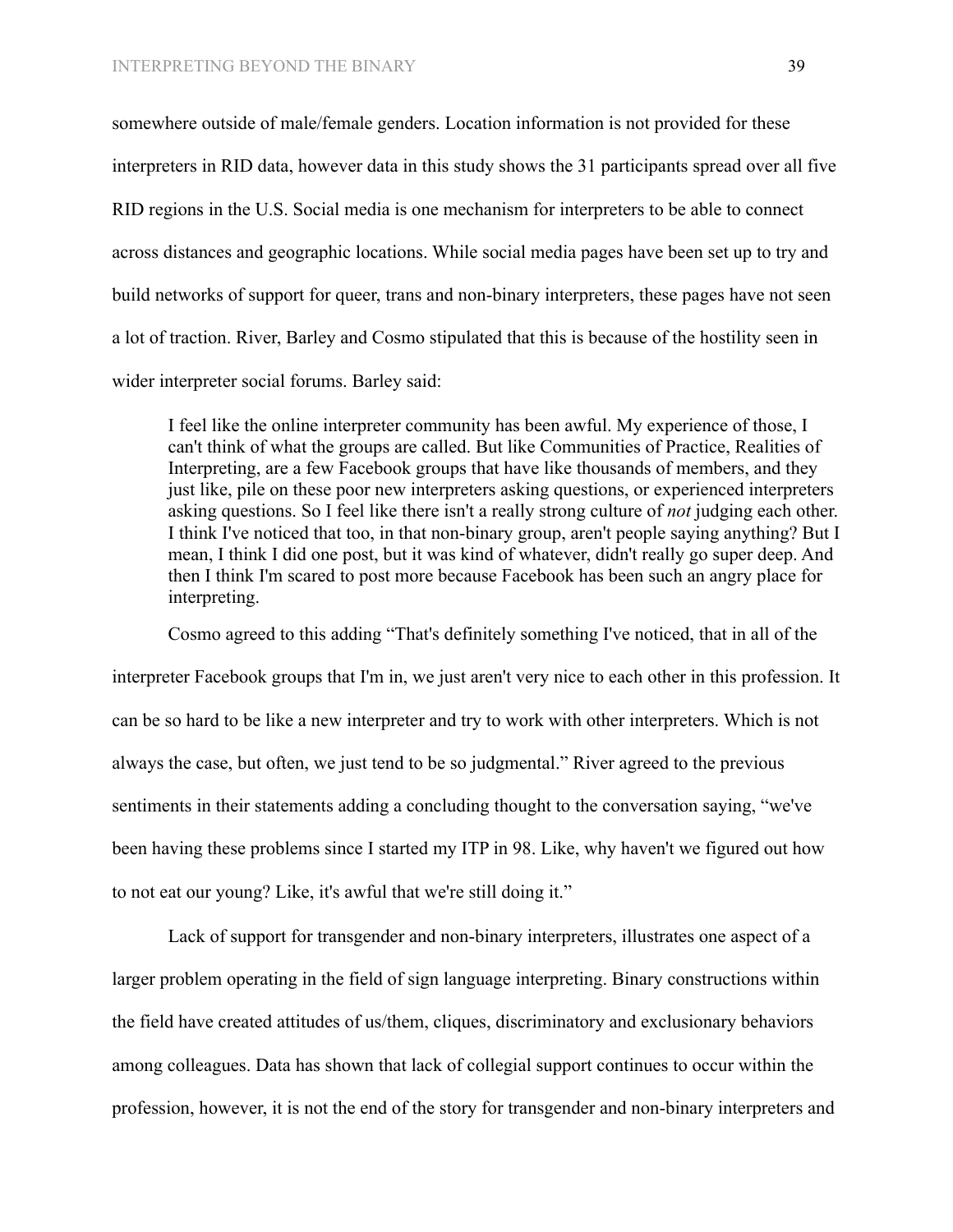somewhere outside of male/female genders. Location information is not provided for these interpreters in RID data, however data in this study shows the 31 participants spread over all five RID regions in the U.S. Social media is one mechanism for interpreters to be able to connect across distances and geographic locations. While social media pages have been set up to try and build networks of support for queer, trans and non-binary interpreters, these pages have not seen a lot of traction. River, Barley and Cosmo stipulated that this is because of the hostility seen in wider interpreter social forums. Barley said:

I feel like the online interpreter community has been awful. My experience of those, I can't think of what the groups are called. But like Communities of Practice, Realities of Interpreting, are a few Facebook groups that have like thousands of members, and they just like, pile on these poor new interpreters asking questions, or experienced interpreters asking questions. So I feel like there isn't a really strong culture of *not* judging each other. I think I've noticed that too, in that non-binary group, aren't people saying anything? But I mean, I think I did one post, but it was kind of whatever, didn't really go super deep. And then I think I'm scared to post more because Facebook has been such an angry place for interpreting.

Cosmo agreed to this adding "That's definitely something I've noticed, that in all of the interpreter Facebook groups that I'm in, we just aren't very nice to each other in this profession. It can be so hard to be like a new interpreter and try to work with other interpreters. Which is not always the case, but often, we just tend to be so judgmental." River agreed to the previous sentiments in their statements adding a concluding thought to the conversation saying, "we've been having these problems since I started my ITP in 98. Like, why haven't we figured out how to not eat our young? Like, it's awful that we're still doing it."

Lack of support for transgender and non-binary interpreters, illustrates one aspect of a larger problem operating in the field of sign language interpreting. Binary constructions within the field have created attitudes of us/them, cliques, discriminatory and exclusionary behaviors among colleagues. Data has shown that lack of collegial support continues to occur within the profession, however, it is not the end of the story for transgender and non-binary interpreters and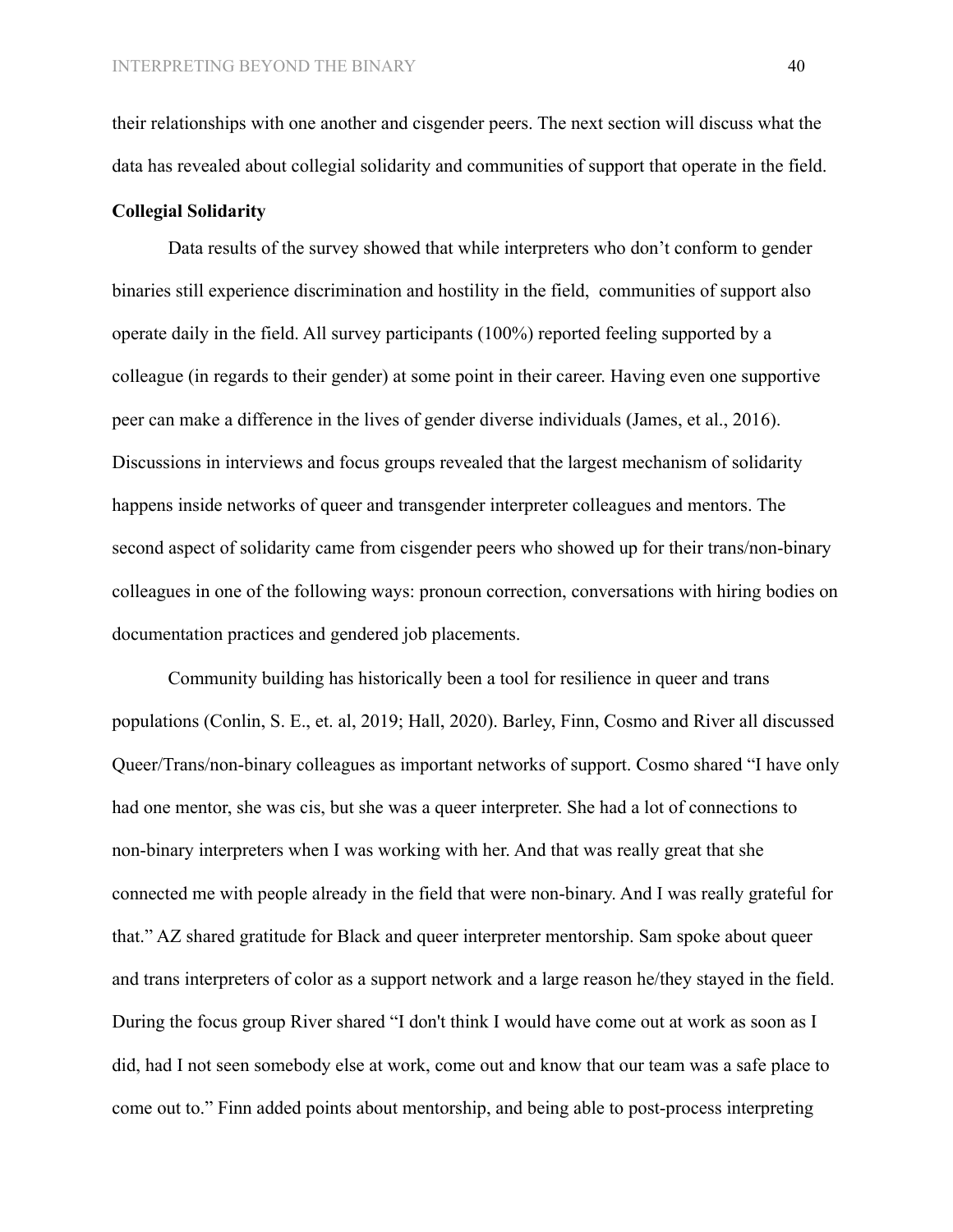their relationships with one another and cisgender peers. The next section will discuss what the data has revealed about collegial solidarity and communities of support that operate in the field.

#### **Collegial Solidarity**

Data results of the survey showed that while interpreters who don't conform to gender binaries still experience discrimination and hostility in the field, communities of support also operate daily in the field. All survey participants (100%) reported feeling supported by a colleague (in regards to their gender) at some point in their career. Having even one supportive peer can make a difference in the lives of gender diverse individuals **(**James, et al., 2016). Discussions in interviews and focus groups revealed that the largest mechanism of solidarity happens inside networks of queer and transgender interpreter colleagues and mentors. The second aspect of solidarity came from cisgender peers who showed up for their trans/non-binary colleagues in one of the following ways: pronoun correction, conversations with hiring bodies on documentation practices and gendered job placements.

Community building has historically been a tool for resilience in queer and trans populations (Conlin, S. E., et. al, 2019; Hall, 2020). Barley, Finn, Cosmo and River all discussed Queer/Trans/non-binary colleagues as important networks of support. Cosmo shared "I have only had one mentor, she was cis, but she was a queer interpreter. She had a lot of connections to non-binary interpreters when I was working with her. And that was really great that she connected me with people already in the field that were non-binary. And I was really grateful for that." AZ shared gratitude for Black and queer interpreter mentorship. Sam spoke about queer and trans interpreters of color as a support network and a large reason he/they stayed in the field. During the focus group River shared "I don't think I would have come out at work as soon as I did, had I not seen somebody else at work, come out and know that our team was a safe place to come out to." Finn added points about mentorship, and being able to post-process interpreting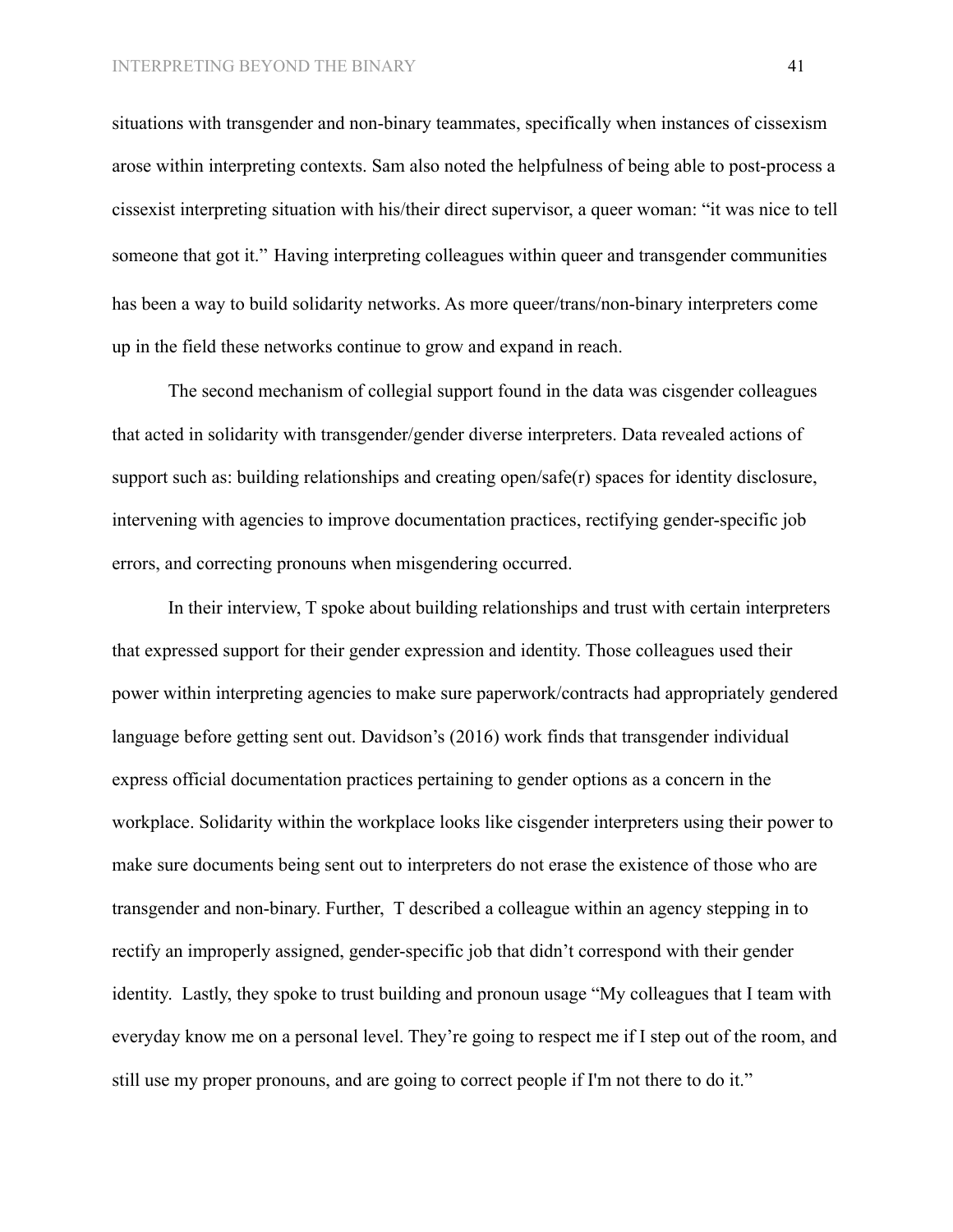situations with transgender and non-binary teammates, specifically when instances of cissexism arose within interpreting contexts. Sam also noted the helpfulness of being able to post-process a cissexist interpreting situation with his/their direct supervisor, a queer woman: "it was nice to tell someone that got it." Having interpreting colleagues within queer and transgender communities has been a way to build solidarity networks. As more queer/trans/non-binary interpreters come up in the field these networks continue to grow and expand in reach.

The second mechanism of collegial support found in the data was cisgender colleagues that acted in solidarity with transgender/gender diverse interpreters. Data revealed actions of support such as: building relationships and creating open/safe(r) spaces for identity disclosure, intervening with agencies to improve documentation practices, rectifying gender-specific job errors, and correcting pronouns when misgendering occurred.

In their interview, T spoke about building relationships and trust with certain interpreters that expressed support for their gender expression and identity. Those colleagues used their power within interpreting agencies to make sure paperwork/contracts had appropriately gendered language before getting sent out. Davidson's (2016) work finds that transgender individual express official documentation practices pertaining to gender options as a concern in the workplace. Solidarity within the workplace looks like cisgender interpreters using their power to make sure documents being sent out to interpreters do not erase the existence of those who are transgender and non-binary. Further, T described a colleague within an agency stepping in to rectify an improperly assigned, gender-specific job that didn't correspond with their gender identity. Lastly, they spoke to trust building and pronoun usage "My colleagues that I team with everyday know me on a personal level. They're going to respect me if I step out of the room, and still use my proper pronouns, and are going to correct people if I'm not there to do it."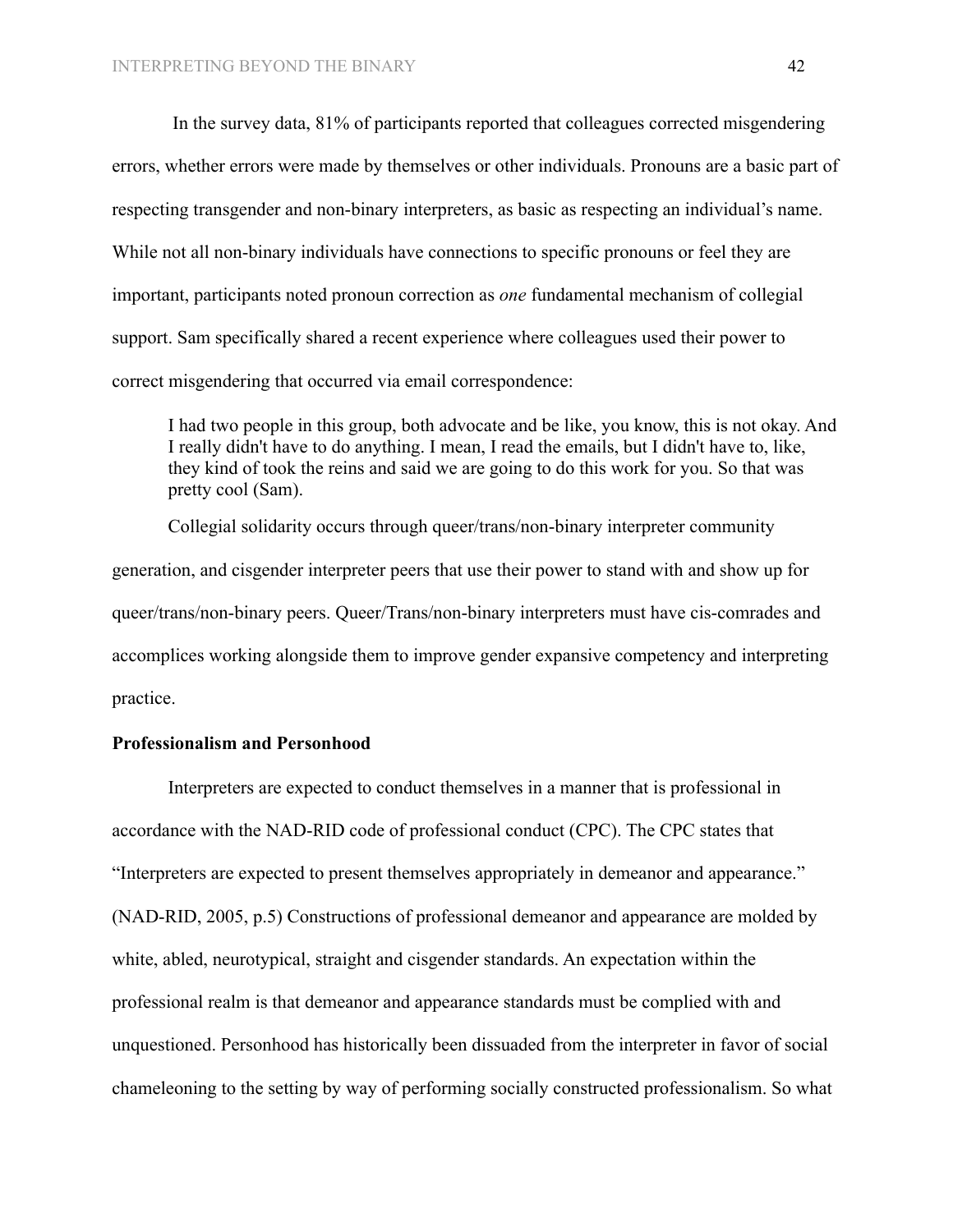In the survey data, 81% of participants reported that colleagues corrected misgendering errors, whether errors were made by themselves or other individuals. Pronouns are a basic part of respecting transgender and non-binary interpreters, as basic as respecting an individual's name. While not all non-binary individuals have connections to specific pronouns or feel they are important, participants noted pronoun correction as *one* fundamental mechanism of collegial support. Sam specifically shared a recent experience where colleagues used their power to correct misgendering that occurred via email correspondence:

I had two people in this group, both advocate and be like, you know, this is not okay. And I really didn't have to do anything. I mean, I read the emails, but I didn't have to, like, they kind of took the reins and said we are going to do this work for you. So that was pretty cool (Sam).

Collegial solidarity occurs through queer/trans/non-binary interpreter community generation, and cisgender interpreter peers that use their power to stand with and show up for queer/trans/non-binary peers. Queer/Trans/non-binary interpreters must have cis-comrades and accomplices working alongside them to improve gender expansive competency and interpreting practice.

## **Professionalism and Personhood**

Interpreters are expected to conduct themselves in a manner that is professional in accordance with the NAD-RID code of professional conduct (CPC). The CPC states that "Interpreters are expected to present themselves appropriately in demeanor and appearance." (NAD-RID, 2005, p.5) Constructions of professional demeanor and appearance are molded by white, abled, neurotypical, straight and cisgender standards. An expectation within the professional realm is that demeanor and appearance standards must be complied with and unquestioned. Personhood has historically been dissuaded from the interpreter in favor of social chameleoning to the setting by way of performing socially constructed professionalism. So what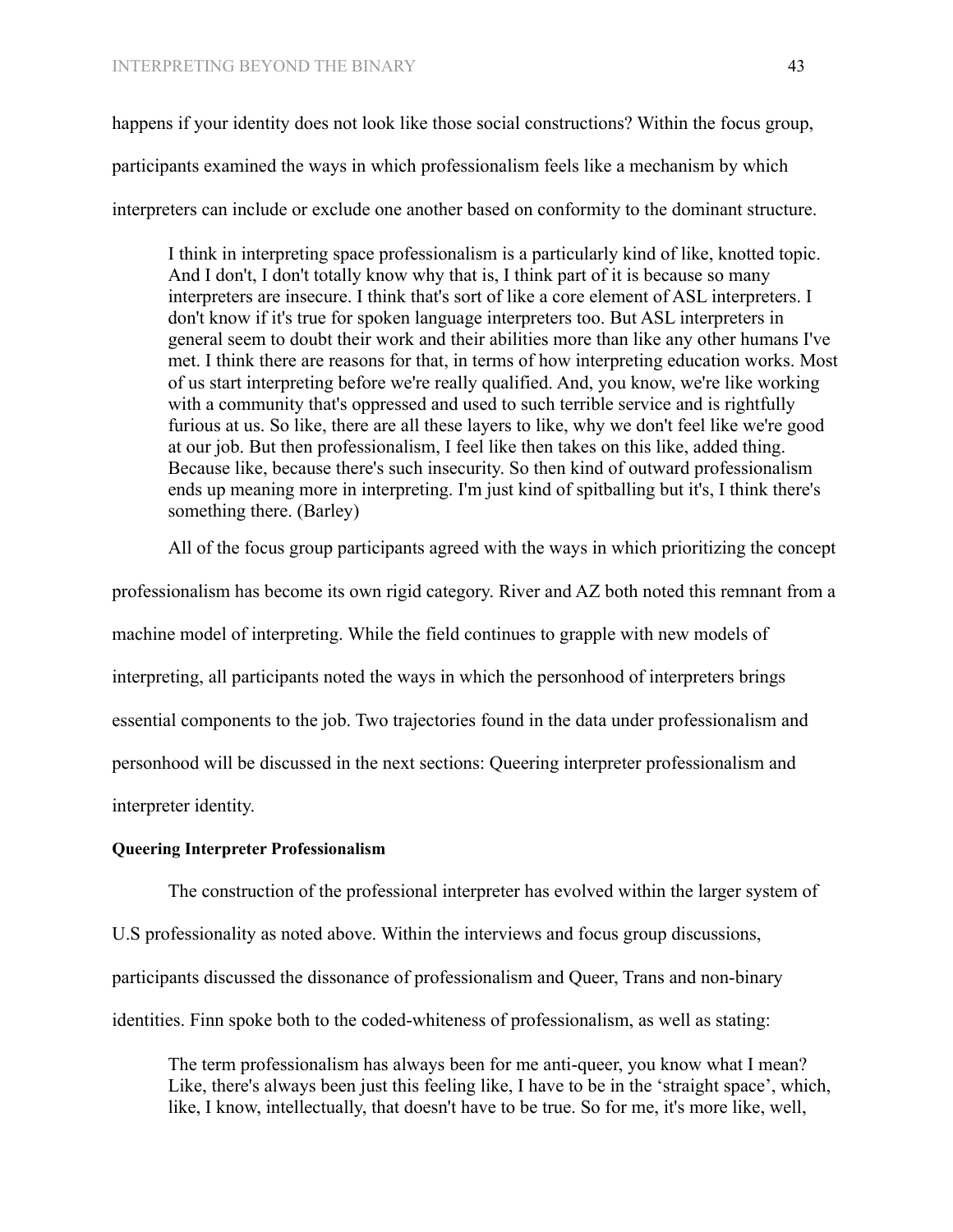happens if your identity does not look like those social constructions? Within the focus group, participants examined the ways in which professionalism feels like a mechanism by which interpreters can include or exclude one another based on conformity to the dominant structure.

I think in interpreting space professionalism is a particularly kind of like, knotted topic. And I don't, I don't totally know why that is, I think part of it is because so many interpreters are insecure. I think that's sort of like a core element of ASL interpreters. I don't know if it's true for spoken language interpreters too. But ASL interpreters in general seem to doubt their work and their abilities more than like any other humans I've met. I think there are reasons for that, in terms of how interpreting education works. Most of us start interpreting before we're really qualified. And, you know, we're like working with a community that's oppressed and used to such terrible service and is rightfully furious at us. So like, there are all these layers to like, why we don't feel like we're good at our job. But then professionalism, I feel like then takes on this like, added thing. Because like, because there's such insecurity. So then kind of outward professionalism ends up meaning more in interpreting. I'm just kind of spitballing but it's, I think there's something there. (Barley)

All of the focus group participants agreed with the ways in which prioritizing the concept

professionalism has become its own rigid category. River and AZ both noted this remnant from a machine model of interpreting. While the field continues to grapple with new models of interpreting, all participants noted the ways in which the personhood of interpreters brings essential components to the job. Two trajectories found in the data under professionalism and personhood will be discussed in the next sections: Queering interpreter professionalism and interpreter identity.

#### **Queering Interpreter Professionalism**

The construction of the professional interpreter has evolved within the larger system of

U.S professionality as noted above. Within the interviews and focus group discussions, participants discussed the dissonance of professionalism and Queer, Trans and non-binary

identities. Finn spoke both to the coded-whiteness of professionalism, as well as stating:

The term professionalism has always been for me anti-queer, you know what I mean? Like, there's always been just this feeling like, I have to be in the 'straight space', which, like, I know, intellectually, that doesn't have to be true. So for me, it's more like, well,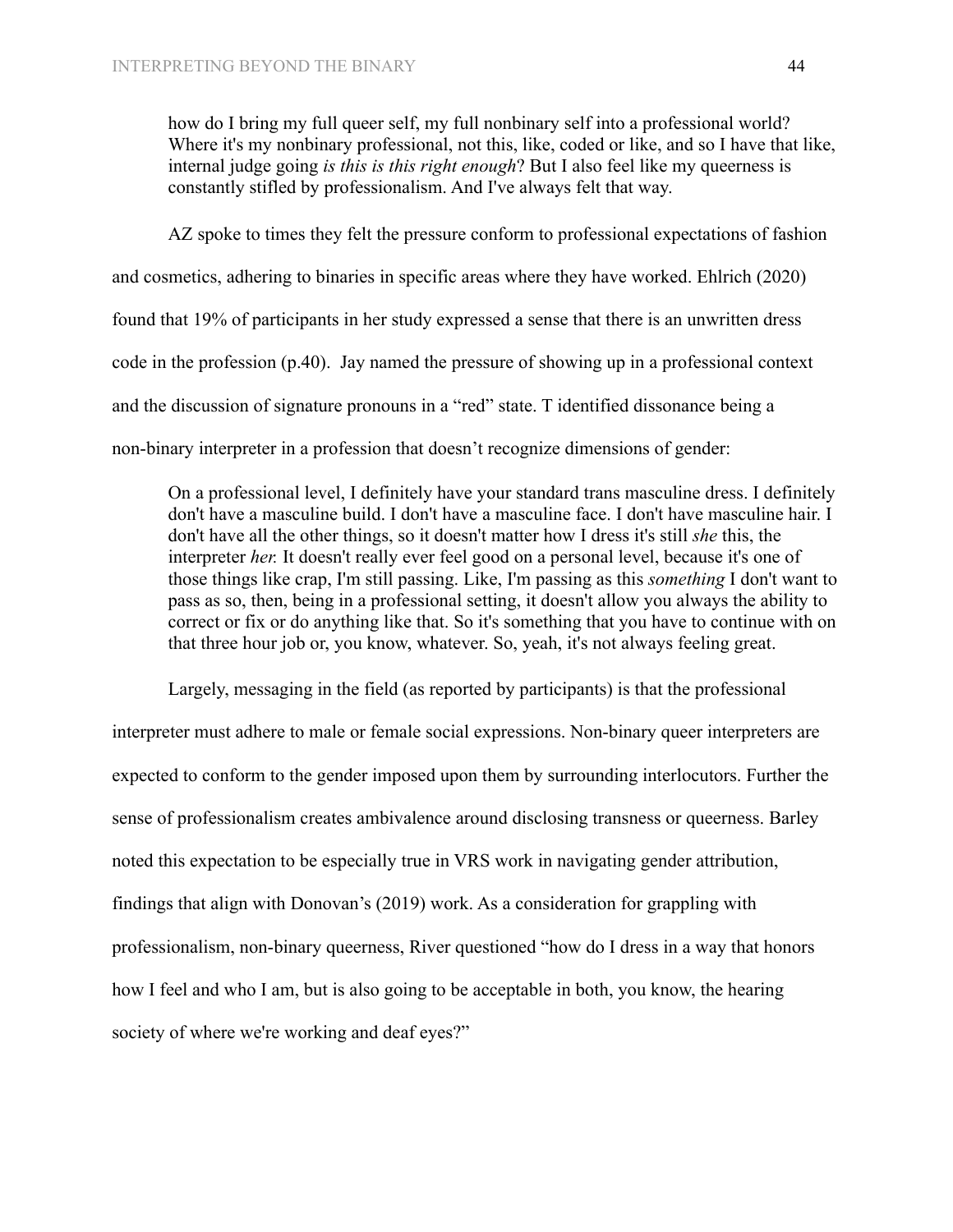how do I bring my full queer self, my full nonbinary self into a professional world? Where it's my nonbinary professional, not this, like, coded or like, and so I have that like, internal judge going *is this is this right enough*? But I also feel like my queerness is constantly stifled by professionalism. And I've always felt that way.

AZ spoke to times they felt the pressure conform to professional expectations of fashion and cosmetics, adhering to binaries in specific areas where they have worked. Ehlrich (2020) found that 19% of participants in her study expressed a sense that there is an unwritten dress code in the profession (p.40). Jay named the pressure of showing up in a professional context and the discussion of signature pronouns in a "red" state. T identified dissonance being a non-binary interpreter in a profession that doesn't recognize dimensions of gender:

On a professional level, I definitely have your standard trans masculine dress. I definitely don't have a masculine build. I don't have a masculine face. I don't have masculine hair. I don't have all the other things, so it doesn't matter how I dress it's still *she* this, the interpreter *her.* It doesn't really ever feel good on a personal level, because it's one of those things like crap, I'm still passing. Like, I'm passing as this *something* I don't want to pass as so, then, being in a professional setting, it doesn't allow you always the ability to correct or fix or do anything like that. So it's something that you have to continue with on that three hour job or, you know, whatever. So, yeah, it's not always feeling great.

Largely, messaging in the field (as reported by participants) is that the professional interpreter must adhere to male or female social expressions. Non-binary queer interpreters are expected to conform to the gender imposed upon them by surrounding interlocutors. Further the sense of professionalism creates ambivalence around disclosing transness or queerness. Barley noted this expectation to be especially true in VRS work in navigating gender attribution, findings that align with Donovan's (2019) work. As a consideration for grappling with professionalism, non-binary queerness, River questioned "how do I dress in a way that honors how I feel and who I am, but is also going to be acceptable in both, you know, the hearing society of where we're working and deaf eyes?"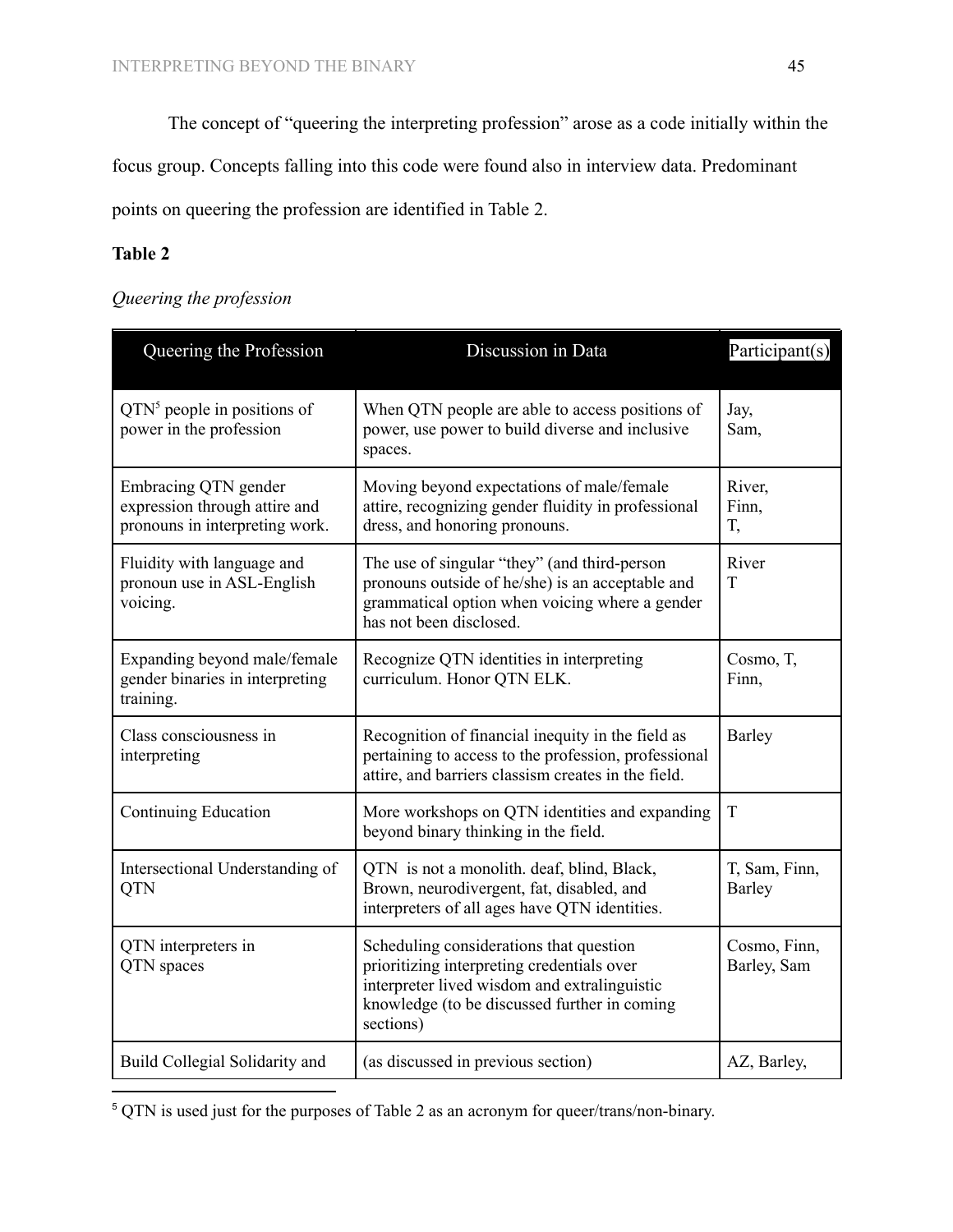The concept of "queering the interpreting profession" arose as a code initially within the

focus group. Concepts falling into this code were found also in interview data. Predominant

points on queering the profession are identified in Table 2.

# **Table 2**

# *Queering the profession*

| Queering the Profession                                                                 | Discussion in Data                                                                                                                                                                                 | Participant(s)              |
|-----------------------------------------------------------------------------------------|----------------------------------------------------------------------------------------------------------------------------------------------------------------------------------------------------|-----------------------------|
| $QTN5$ people in positions of<br>power in the profession                                | When QTN people are able to access positions of<br>power, use power to build diverse and inclusive<br>spaces.                                                                                      | Jay,<br>Sam,                |
| Embracing QTN gender<br>expression through attire and<br>pronouns in interpreting work. | Moving beyond expectations of male/female<br>attire, recognizing gender fluidity in professional<br>dress, and honoring pronouns.                                                                  | River,<br>Finn,<br>T,       |
| Fluidity with language and<br>pronoun use in ASL-English<br>voicing.                    | The use of singular "they" (and third-person<br>pronouns outside of he/she) is an acceptable and<br>grammatical option when voicing where a gender<br>has not been disclosed.                      | River<br>T                  |
| Expanding beyond male/female<br>gender binaries in interpreting<br>training.            | Recognize QTN identities in interpreting<br>curriculum. Honor QTN ELK.                                                                                                                             | Cosmo, T,<br>Finn,          |
| Class consciousness in<br>interpreting                                                  | Recognition of financial inequity in the field as<br>pertaining to access to the profession, professional<br>attire, and barriers classism creates in the field.                                   | Barley                      |
| <b>Continuing Education</b>                                                             | More workshops on QTN identities and expanding<br>beyond binary thinking in the field.                                                                                                             | T                           |
| Intersectional Understanding of<br><b>QTN</b>                                           | QTN is not a monolith. deaf, blind, Black,<br>Brown, neurodivergent, fat, disabled, and<br>interpreters of all ages have QTN identities.                                                           | T, Sam, Finn,<br>Barley     |
| QTN interpreters in<br>QTN spaces                                                       | Scheduling considerations that question<br>prioritizing interpreting credentials over<br>interpreter lived wisdom and extralinguistic<br>knowledge (to be discussed further in coming<br>sections) | Cosmo, Finn,<br>Barley, Sam |
| Build Collegial Solidarity and                                                          | (as discussed in previous section)                                                                                                                                                                 | AZ, Barley,                 |

<sup>5</sup> QTN is used just for the purposes of Table 2 as an acronym for queer/trans/non-binary.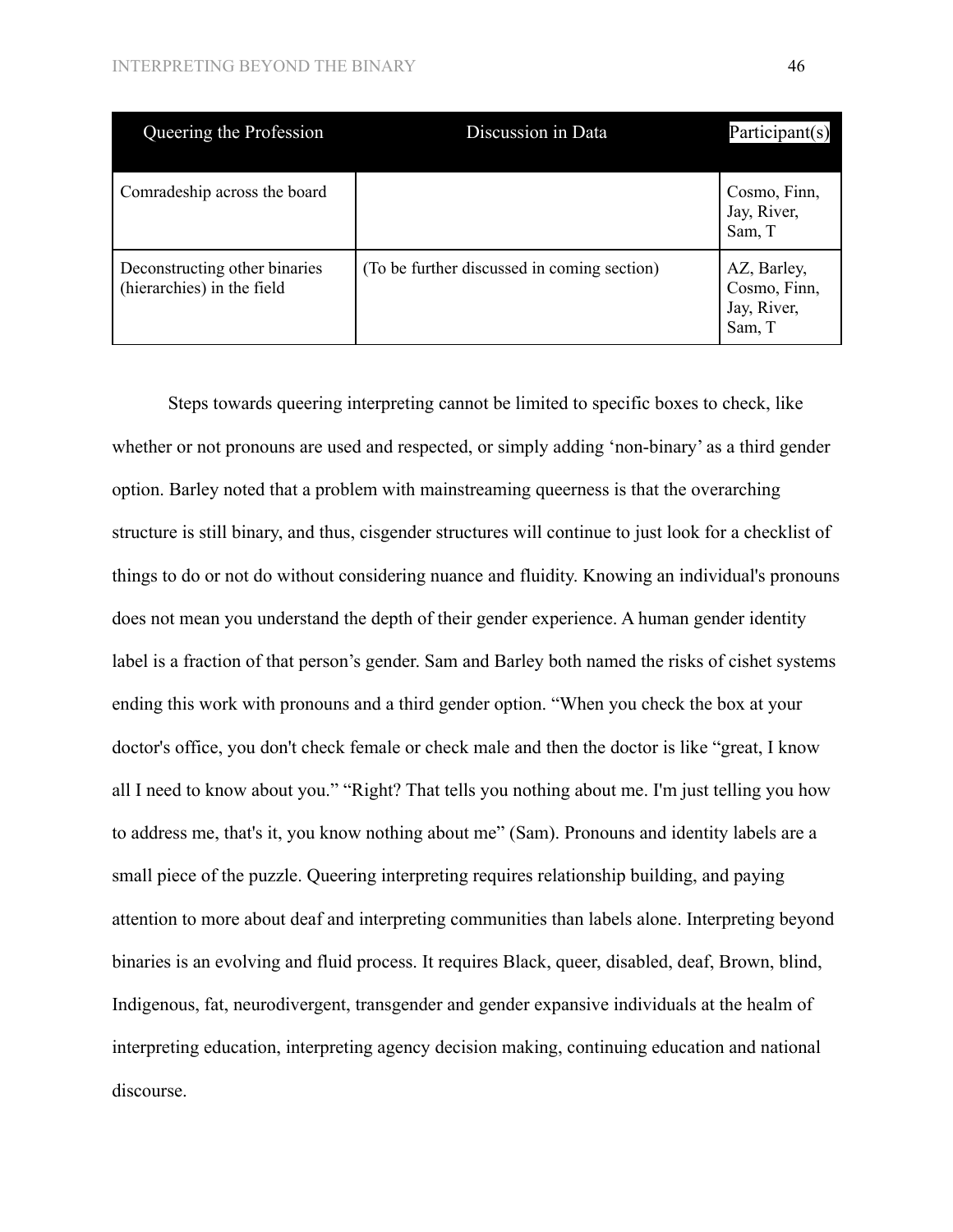| Queering the Profession                                     | Discussion in Data                          | Participant(s)                                       |
|-------------------------------------------------------------|---------------------------------------------|------------------------------------------------------|
| Comradeship across the board                                |                                             | Cosmo, Finn,<br>Jay, River,<br>Sam, T                |
| Deconstructing other binaries<br>(hierarchies) in the field | (To be further discussed in coming section) | AZ, Barley,<br>Cosmo, Finn,<br>Jay, River,<br>Sam, T |

Steps towards queering interpreting cannot be limited to specific boxes to check, like whether or not pronouns are used and respected, or simply adding 'non-binary' as a third gender option. Barley noted that a problem with mainstreaming queerness is that the overarching structure is still binary, and thus, cisgender structures will continue to just look for a checklist of things to do or not do without considering nuance and fluidity. Knowing an individual's pronouns does not mean you understand the depth of their gender experience. A human gender identity label is a fraction of that person's gender. Sam and Barley both named the risks of cishet systems ending this work with pronouns and a third gender option. "When you check the box at your doctor's office, you don't check female or check male and then the doctor is like "great, I know all I need to know about you." "Right? That tells you nothing about me. I'm just telling you how to address me, that's it, you know nothing about me" (Sam). Pronouns and identity labels are a small piece of the puzzle. Queering interpreting requires relationship building, and paying attention to more about deaf and interpreting communities than labels alone. Interpreting beyond binaries is an evolving and fluid process. It requires Black, queer, disabled, deaf, Brown, blind, Indigenous, fat, neurodivergent, transgender and gender expansive individuals at the healm of interpreting education, interpreting agency decision making, continuing education and national discourse.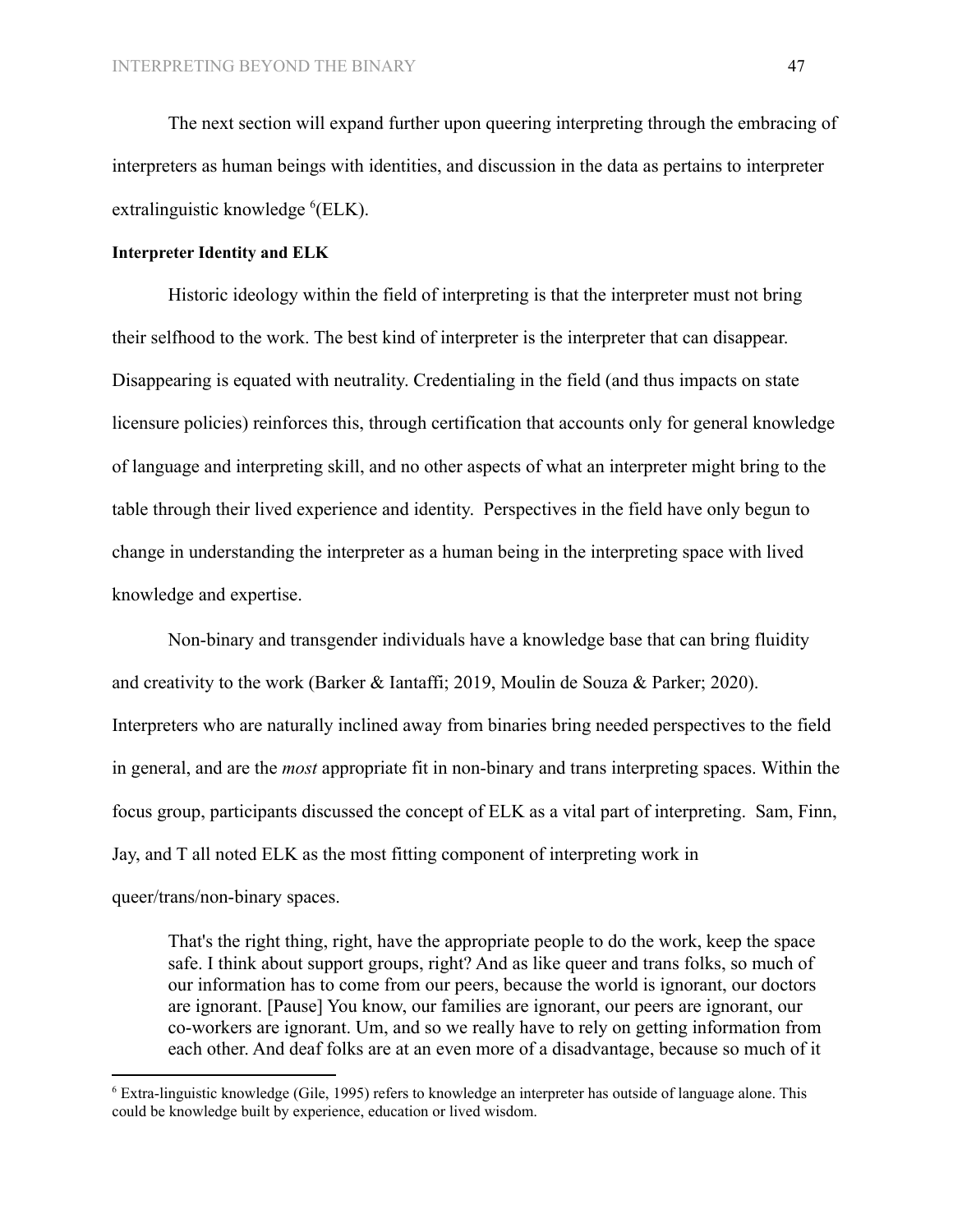The next section will expand further upon queering interpreting through the embracing of interpreters as human beings with identities, and discussion in the data as pertains to interpreter extralinguistic knowledge <sup>6</sup>(ELK).

#### **Interpreter Identity and ELK**

Historic ideology within the field of interpreting is that the interpreter must not bring their selfhood to the work. The best kind of interpreter is the interpreter that can disappear. Disappearing is equated with neutrality. Credentialing in the field (and thus impacts on state licensure policies) reinforces this, through certification that accounts only for general knowledge of language and interpreting skill, and no other aspects of what an interpreter might bring to the table through their lived experience and identity. Perspectives in the field have only begun to change in understanding the interpreter as a human being in the interpreting space with lived knowledge and expertise.

Non-binary and transgender individuals have a knowledge base that can bring fluidity and creativity to the work (Barker & Iantaffi; 2019, Moulin de Souza & Parker; 2020). Interpreters who are naturally inclined away from binaries bring needed perspectives to the field in general, and are the *most* appropriate fit in non-binary and trans interpreting spaces. Within the focus group, participants discussed the concept of ELK as a vital part of interpreting. Sam, Finn, Jay, and T all noted ELK as the most fitting component of interpreting work in queer/trans/non-binary spaces.

That's the right thing, right, have the appropriate people to do the work, keep the space safe. I think about support groups, right? And as like queer and trans folks, so much of our information has to come from our peers, because the world is ignorant, our doctors are ignorant. [Pause] You know, our families are ignorant, our peers are ignorant, our co-workers are ignorant. Um, and so we really have to rely on getting information from each other. And deaf folks are at an even more of a disadvantage, because so much of it

<sup>6</sup> Extra-linguistic knowledge (Gile, 1995) refers to knowledge an interpreter has outside of language alone. This could be knowledge built by experience, education or lived wisdom.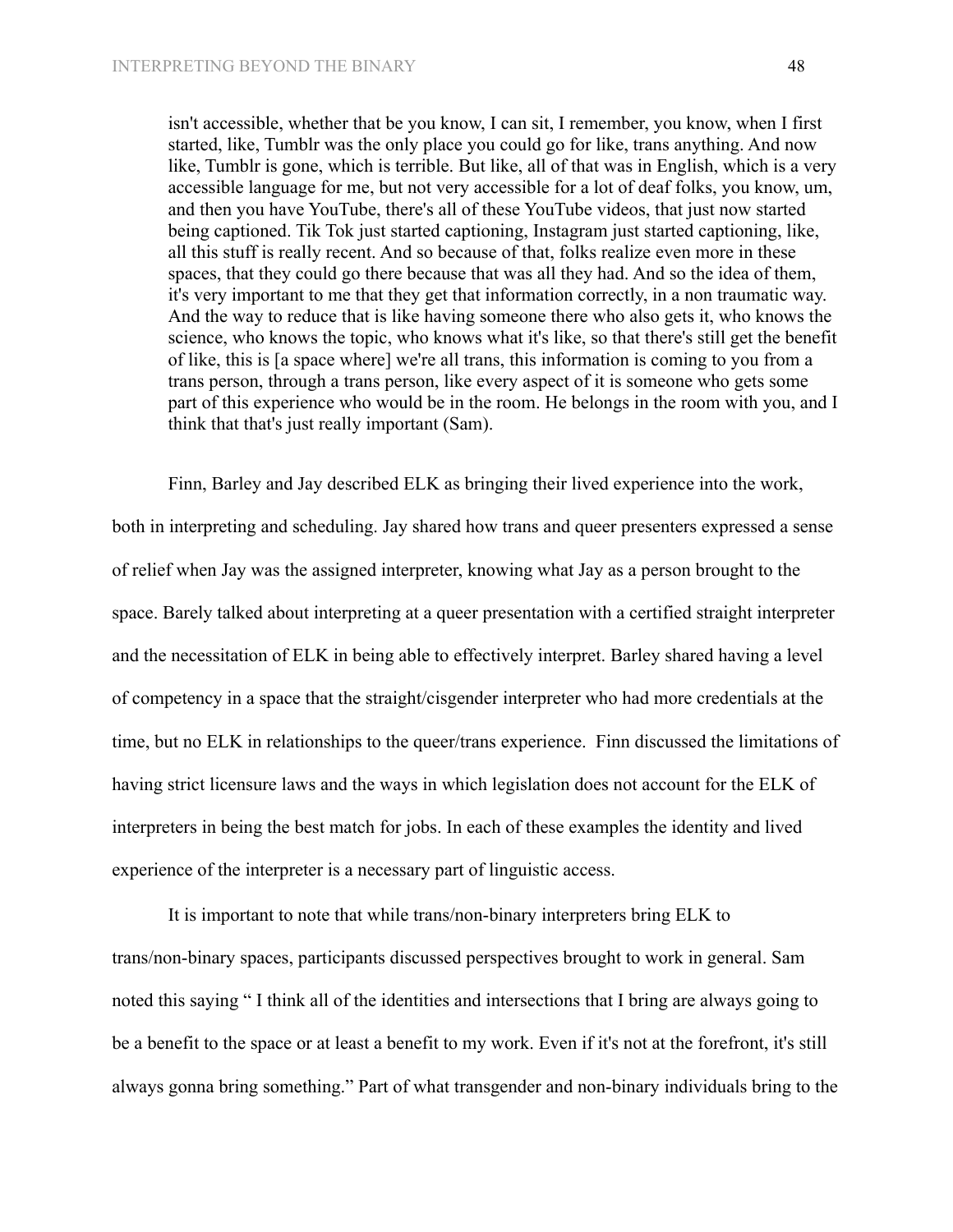isn't accessible, whether that be you know, I can sit, I remember, you know, when I first started, like, Tumblr was the only place you could go for like, trans anything. And now like, Tumblr is gone, which is terrible. But like, all of that was in English, which is a very accessible language for me, but not very accessible for a lot of deaf folks, you know, um, and then you have YouTube, there's all of these YouTube videos, that just now started being captioned. Tik Tok just started captioning, Instagram just started captioning, like, all this stuff is really recent. And so because of that, folks realize even more in these spaces, that they could go there because that was all they had. And so the idea of them, it's very important to me that they get that information correctly, in a non traumatic way. And the way to reduce that is like having someone there who also gets it, who knows the science, who knows the topic, who knows what it's like, so that there's still get the benefit of like, this is [a space where] we're all trans, this information is coming to you from a trans person, through a trans person, like every aspect of it is someone who gets some part of this experience who would be in the room. He belongs in the room with you, and I think that that's just really important (Sam).

Finn, Barley and Jay described ELK as bringing their lived experience into the work, both in interpreting and scheduling. Jay shared how trans and queer presenters expressed a sense of relief when Jay was the assigned interpreter, knowing what Jay as a person brought to the space. Barely talked about interpreting at a queer presentation with a certified straight interpreter and the necessitation of ELK in being able to effectively interpret. Barley shared having a level of competency in a space that the straight/cisgender interpreter who had more credentials at the time, but no ELK in relationships to the queer/trans experience. Finn discussed the limitations of having strict licensure laws and the ways in which legislation does not account for the ELK of interpreters in being the best match for jobs. In each of these examples the identity and lived experience of the interpreter is a necessary part of linguistic access.

It is important to note that while trans/non-binary interpreters bring ELK to trans/non-binary spaces, participants discussed perspectives brought to work in general. Sam noted this saying " I think all of the identities and intersections that I bring are always going to be a benefit to the space or at least a benefit to my work. Even if it's not at the forefront, it's still always gonna bring something." Part of what transgender and non-binary individuals bring to the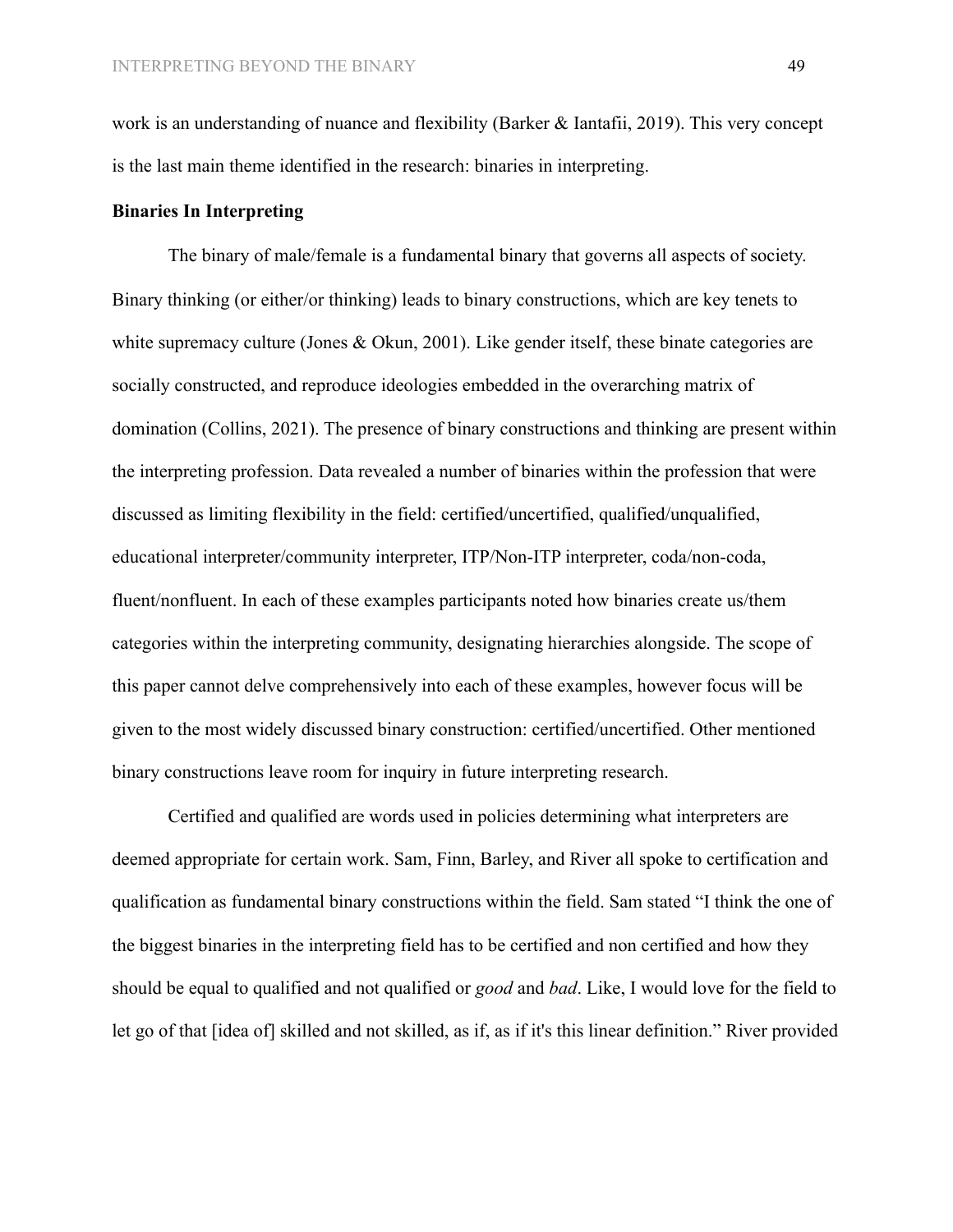work is an understanding of nuance and flexibility (Barker & Iantafii, 2019). This very concept is the last main theme identified in the research: binaries in interpreting.

## **Binaries In Interpreting**

The binary of male/female is a fundamental binary that governs all aspects of society. Binary thinking (or either/or thinking) leads to binary constructions, which are key tenets to white supremacy culture (Jones & Okun, 2001). Like gender itself, these binate categories are socially constructed, and reproduce ideologies embedded in the overarching matrix of domination (Collins, 2021). The presence of binary constructions and thinking are present within the interpreting profession. Data revealed a number of binaries within the profession that were discussed as limiting flexibility in the field: certified/uncertified, qualified/unqualified, educational interpreter/community interpreter, ITP/Non-ITP interpreter, coda/non-coda, fluent/nonfluent. In each of these examples participants noted how binaries create us/them categories within the interpreting community, designating hierarchies alongside. The scope of this paper cannot delve comprehensively into each of these examples, however focus will be given to the most widely discussed binary construction: certified/uncertified. Other mentioned binary constructions leave room for inquiry in future interpreting research.

Certified and qualified are words used in policies determining what interpreters are deemed appropriate for certain work. Sam, Finn, Barley, and River all spoke to certification and qualification as fundamental binary constructions within the field. Sam stated "I think the one of the biggest binaries in the interpreting field has to be certified and non certified and how they should be equal to qualified and not qualified or *good* and *bad*. Like, I would love for the field to let go of that [idea of] skilled and not skilled, as if, as if it's this linear definition." River provided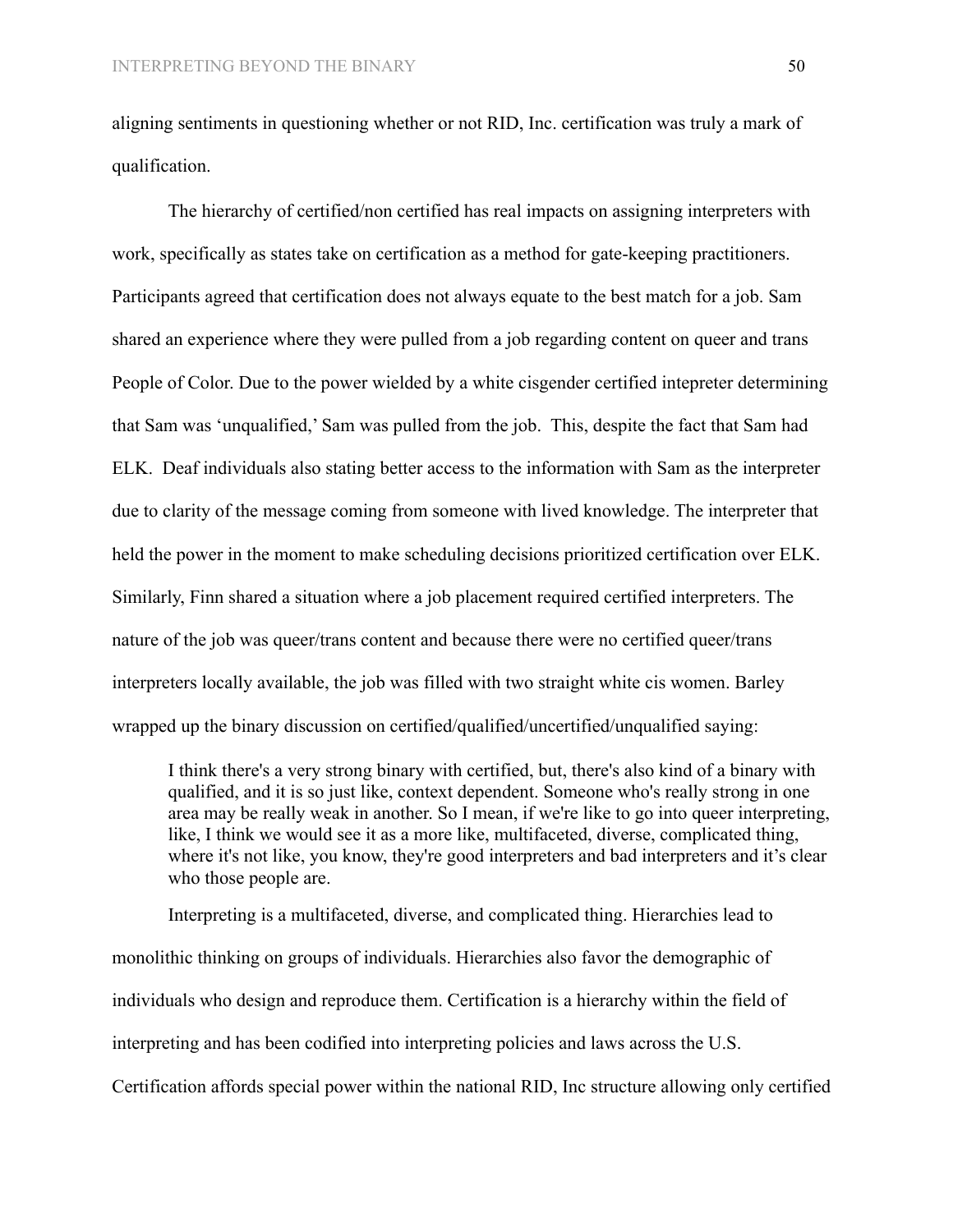aligning sentiments in questioning whether or not RID, Inc. certification was truly a mark of qualification.

The hierarchy of certified/non certified has real impacts on assigning interpreters with work, specifically as states take on certification as a method for gate-keeping practitioners. Participants agreed that certification does not always equate to the best match for a job. Sam shared an experience where they were pulled from a job regarding content on queer and trans People of Color. Due to the power wielded by a white cisgender certified intepreter determining that Sam was 'unqualified,' Sam was pulled from the job. This, despite the fact that Sam had ELK. Deaf individuals also stating better access to the information with Sam as the interpreter due to clarity of the message coming from someone with lived knowledge. The interpreter that held the power in the moment to make scheduling decisions prioritized certification over ELK. Similarly, Finn shared a situation where a job placement required certified interpreters. The nature of the job was queer/trans content and because there were no certified queer/trans interpreters locally available, the job was filled with two straight white cis women. Barley wrapped up the binary discussion on certified/qualified/uncertified/unqualified saying:

I think there's a very strong binary with certified, but, there's also kind of a binary with qualified, and it is so just like, context dependent. Someone who's really strong in one area may be really weak in another. So I mean, if we're like to go into queer interpreting, like, I think we would see it as a more like, multifaceted, diverse, complicated thing, where it's not like, you know, they're good interpreters and bad interpreters and it's clear who those people are.

Interpreting is a multifaceted, diverse, and complicated thing. Hierarchies lead to monolithic thinking on groups of individuals. Hierarchies also favor the demographic of individuals who design and reproduce them. Certification is a hierarchy within the field of interpreting and has been codified into interpreting policies and laws across the U.S. Certification affords special power within the national RID, Inc structure allowing only certified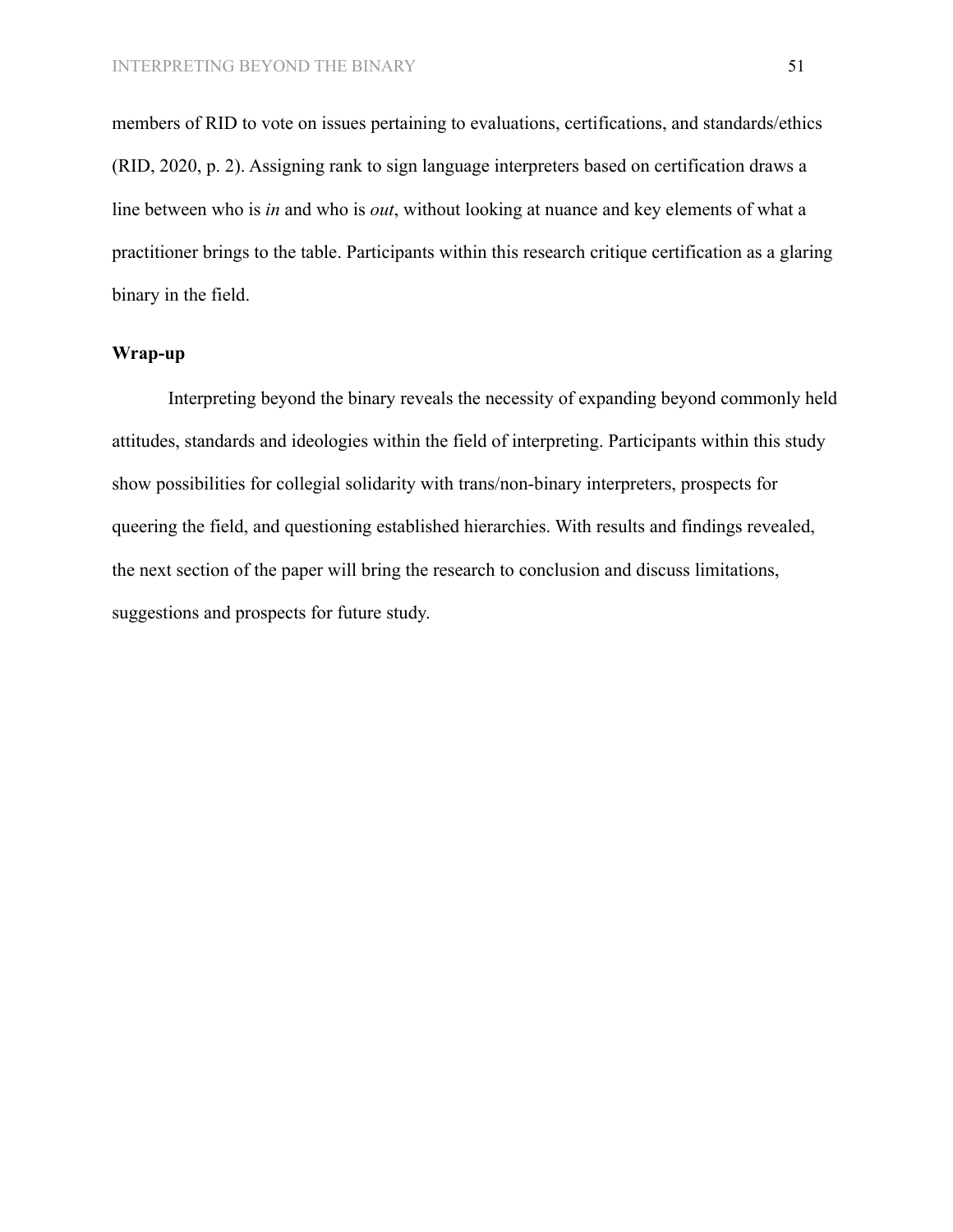members of RID to vote on issues pertaining to evaluations, certifications, and standards/ethics (RID, 2020, p. 2). Assigning rank to sign language interpreters based on certification draws a line between who is *in* and who is *out*, without looking at nuance and key elements of what a practitioner brings to the table. Participants within this research critique certification as a glaring binary in the field.

# **Wrap-up**

Interpreting beyond the binary reveals the necessity of expanding beyond commonly held attitudes, standards and ideologies within the field of interpreting. Participants within this study show possibilities for collegial solidarity with trans/non-binary interpreters, prospects for queering the field, and questioning established hierarchies. With results and findings revealed, the next section of the paper will bring the research to conclusion and discuss limitations, suggestions and prospects for future study.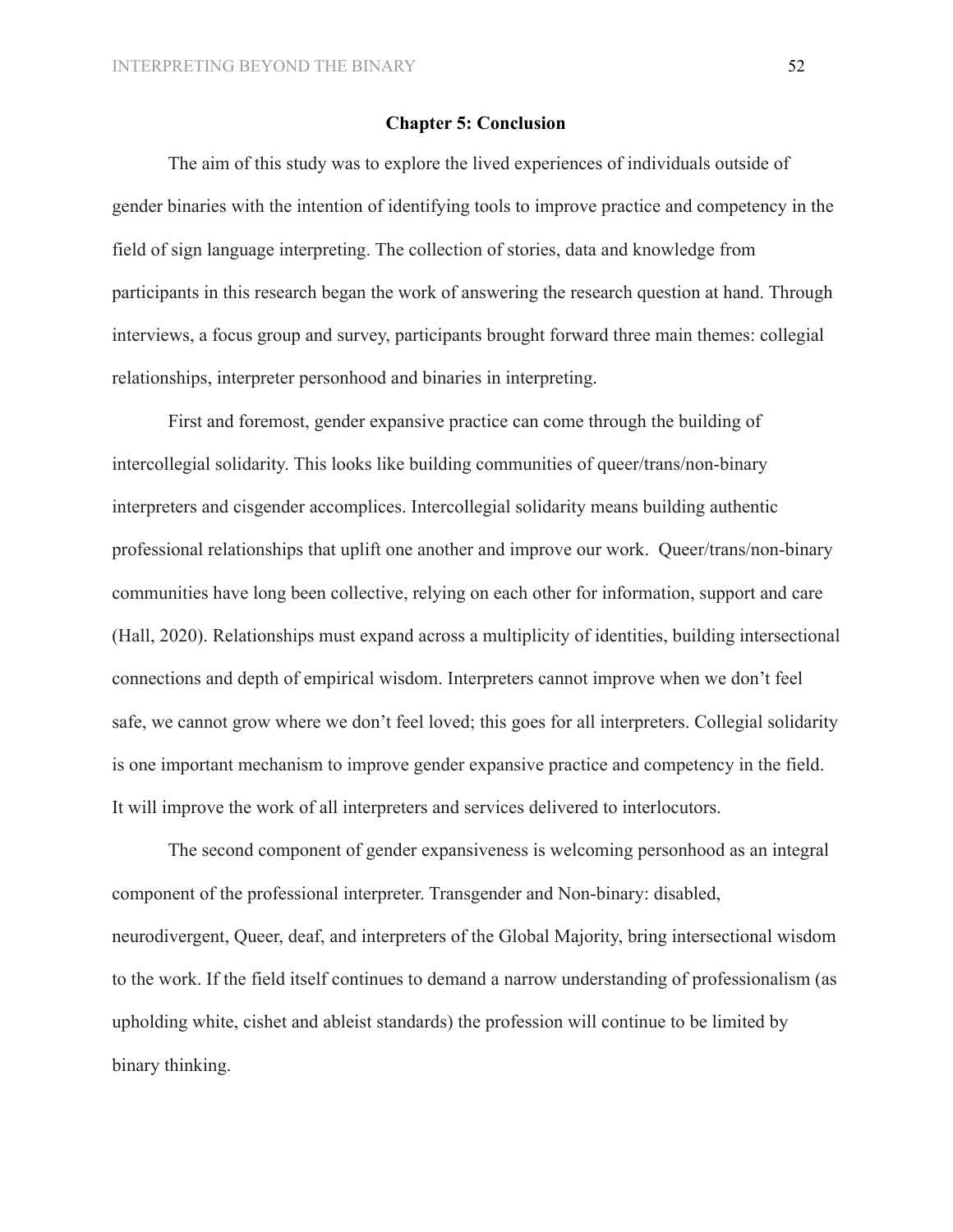## **Chapter 5: Conclusion**

The aim of this study was to explore the lived experiences of individuals outside of gender binaries with the intention of identifying tools to improve practice and competency in the field of sign language interpreting. The collection of stories, data and knowledge from participants in this research began the work of answering the research question at hand. Through interviews, a focus group and survey, participants brought forward three main themes: collegial relationships, interpreter personhood and binaries in interpreting.

First and foremost, gender expansive practice can come through the building of intercollegial solidarity. This looks like building communities of queer/trans/non-binary interpreters and cisgender accomplices. Intercollegial solidarity means building authentic professional relationships that uplift one another and improve our work. Queer/trans/non-binary communities have long been collective, relying on each other for information, support and care (Hall, 2020). Relationships must expand across a multiplicity of identities, building intersectional connections and depth of empirical wisdom. Interpreters cannot improve when we don't feel safe, we cannot grow where we don't feel loved; this goes for all interpreters. Collegial solidarity is one important mechanism to improve gender expansive practice and competency in the field. It will improve the work of all interpreters and services delivered to interlocutors.

The second component of gender expansiveness is welcoming personhood as an integral component of the professional interpreter. Transgender and Non-binary: disabled, neurodivergent, Queer, deaf, and interpreters of the Global Majority, bring intersectional wisdom to the work. If the field itself continues to demand a narrow understanding of professionalism (as upholding white, cishet and ableist standards) the profession will continue to be limited by binary thinking.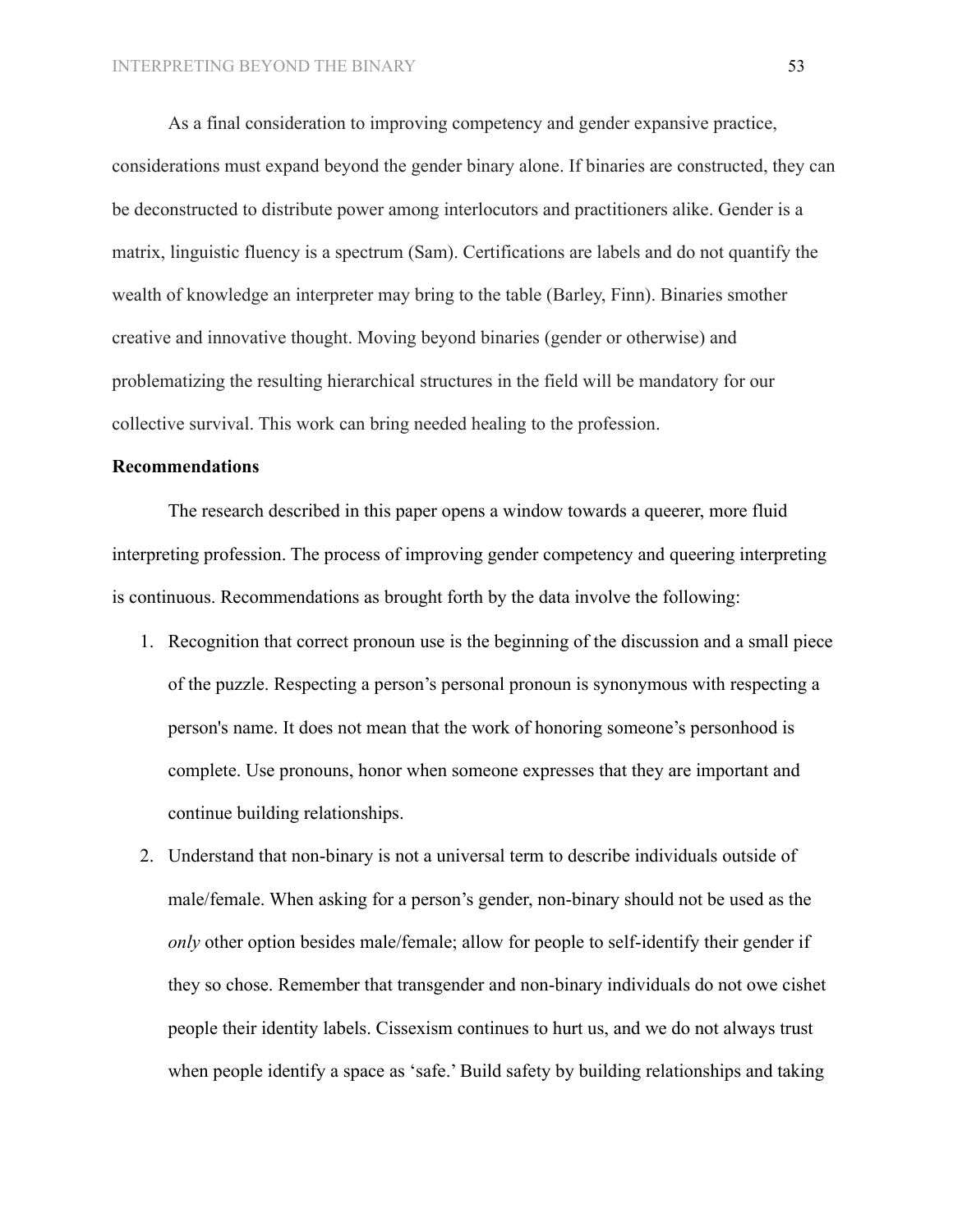As a final consideration to improving competency and gender expansive practice, considerations must expand beyond the gender binary alone. If binaries are constructed, they can be deconstructed to distribute power among interlocutors and practitioners alike. Gender is a matrix, linguistic fluency is a spectrum (Sam). Certifications are labels and do not quantify the wealth of knowledge an interpreter may bring to the table (Barley, Finn). Binaries smother creative and innovative thought. Moving beyond binaries (gender or otherwise) and problematizing the resulting hierarchical structures in the field will be mandatory for our collective survival. This work can bring needed healing to the profession.

## **Recommendations**

The research described in this paper opens a window towards a queerer, more fluid interpreting profession. The process of improving gender competency and queering interpreting is continuous. Recommendations as brought forth by the data involve the following:

- 1. Recognition that correct pronoun use is the beginning of the discussion and a small piece of the puzzle. Respecting a person's personal pronoun is synonymous with respecting a person's name. It does not mean that the work of honoring someone's personhood is complete. Use pronouns, honor when someone expresses that they are important and continue building relationships.
- 2. Understand that non-binary is not a universal term to describe individuals outside of male/female. When asking for a person's gender, non-binary should not be used as the *only* other option besides male/female; allow for people to self-identify their gender if they so chose. Remember that transgender and non-binary individuals do not owe cishet people their identity labels. Cissexism continues to hurt us, and we do not always trust when people identify a space as 'safe.' Build safety by building relationships and taking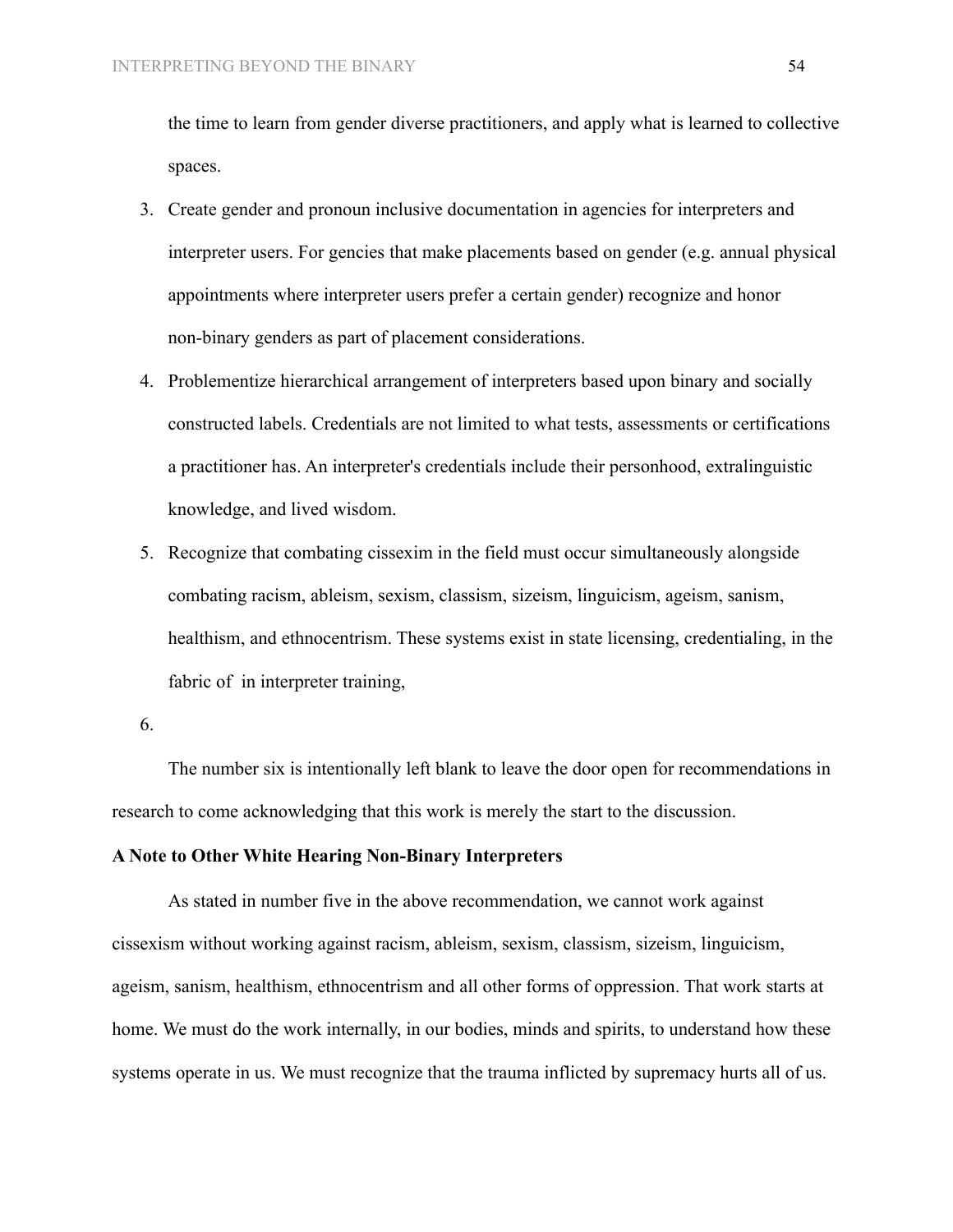the time to learn from gender diverse practitioners, and apply what is learned to collective spaces.

- 3. Create gender and pronoun inclusive documentation in agencies for interpreters and interpreter users. For gencies that make placements based on gender (e.g. annual physical appointments where interpreter users prefer a certain gender) recognize and honor non-binary genders as part of placement considerations.
- 4. Problementize hierarchical arrangement of interpreters based upon binary and socially constructed labels. Credentials are not limited to what tests, assessments or certifications a practitioner has. An interpreter's credentials include their personhood, extralinguistic knowledge, and lived wisdom.
- 5. Recognize that combating cissexim in the field must occur simultaneously alongside combating racism, ableism, sexism, classism, sizeism, linguicism, ageism, sanism, healthism, and ethnocentrism. These systems exist in state licensing, credentialing, in the fabric of in interpreter training,

The number six is intentionally left blank to leave the door open for recommendations in research to come acknowledging that this work is merely the start to the discussion.

# **A Note to Other White Hearing Non-Binary Interpreters**

As stated in number five in the above recommendation, we cannot work against cissexism without working against racism, ableism, sexism, classism, sizeism, linguicism, ageism, sanism, healthism, ethnocentrism and all other forms of oppression. That work starts at home. We must do the work internally, in our bodies, minds and spirits, to understand how these systems operate in us. We must recognize that the trauma inflicted by supremacy hurts all of us.

<sup>6.</sup>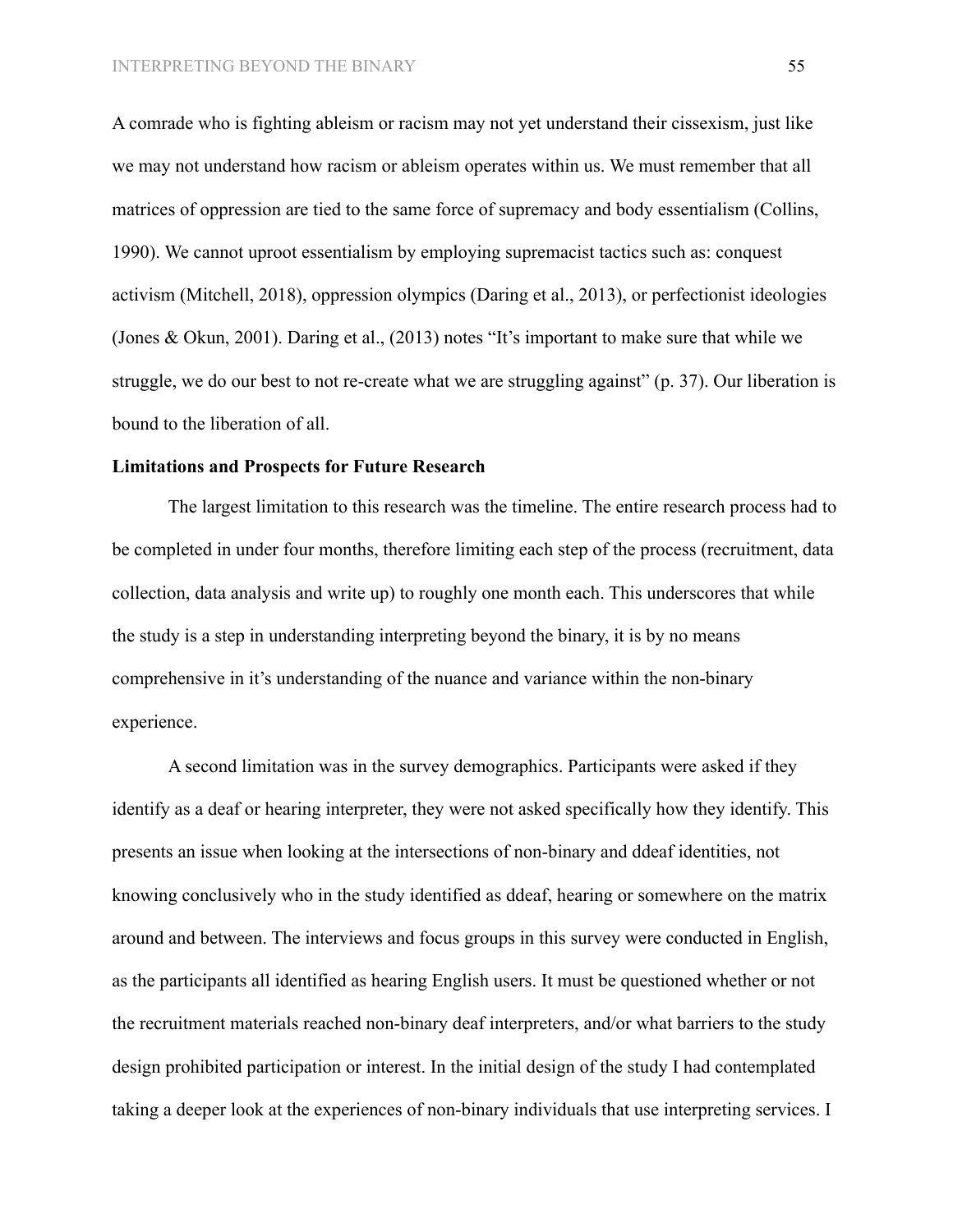A comrade who is fighting ableism or racism may not yet understand their cissexism, just like we may not understand how racism or ableism operates within us. We must remember that all matrices of oppression are tied to the same force of supremacy and body essentialism (Collins, 1990). We cannot uproot essentialism by employing supremacist tactics such as: conquest activism (Mitchell, 2018), oppression olympics (Daring et al., 2013), or perfectionist ideologies (Jones & Okun, 2001). Daring et al., (2013) notes "It's important to make sure that while we struggle, we do our best to not re-create what we are struggling against" (p. 37). Our liberation is bound to the liberation of all.

### **Limitations and Prospects for Future Research**

The largest limitation to this research was the timeline. The entire research process had to be completed in under four months, therefore limiting each step of the process (recruitment, data collection, data analysis and write up) to roughly one month each. This underscores that while the study is a step in understanding interpreting beyond the binary, it is by no means comprehensive in it's understanding of the nuance and variance within the non-binary experience.

A second limitation was in the survey demographics. Participants were asked if they identify as a deaf or hearing interpreter, they were not asked specifically how they identify. This presents an issue when looking at the intersections of non-binary and ddeaf identities, not knowing conclusively who in the study identified as ddeaf, hearing or somewhere on the matrix around and between. The interviews and focus groups in this survey were conducted in English, as the participants all identified as hearing English users. It must be questioned whether or not the recruitment materials reached non-binary deaf interpreters, and/or what barriers to the study design prohibited participation or interest. In the initial design of the study I had contemplated taking a deeper look at the experiences of non-binary individuals that use interpreting services. I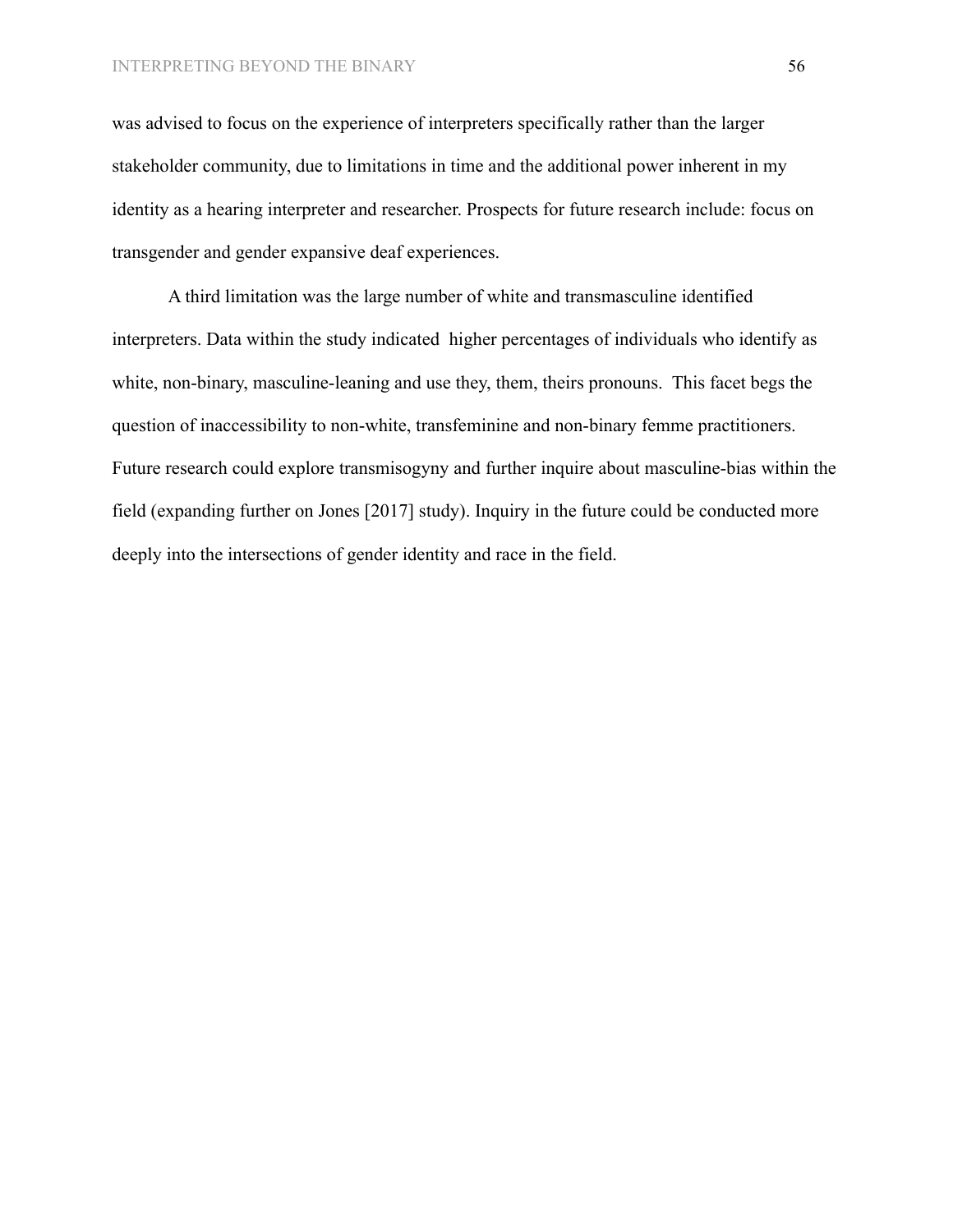was advised to focus on the experience of interpreters specifically rather than the larger stakeholder community, due to limitations in time and the additional power inherent in my identity as a hearing interpreter and researcher. Prospects for future research include: focus on transgender and gender expansive deaf experiences.

A third limitation was the large number of white and transmasculine identified interpreters. Data within the study indicated higher percentages of individuals who identify as white, non-binary, masculine-leaning and use they, them, theirs pronouns. This facet begs the question of inaccessibility to non-white, transfeminine and non-binary femme practitioners. Future research could explore transmisogyny and further inquire about masculine-bias within the field (expanding further on Jones [2017] study). Inquiry in the future could be conducted more deeply into the intersections of gender identity and race in the field.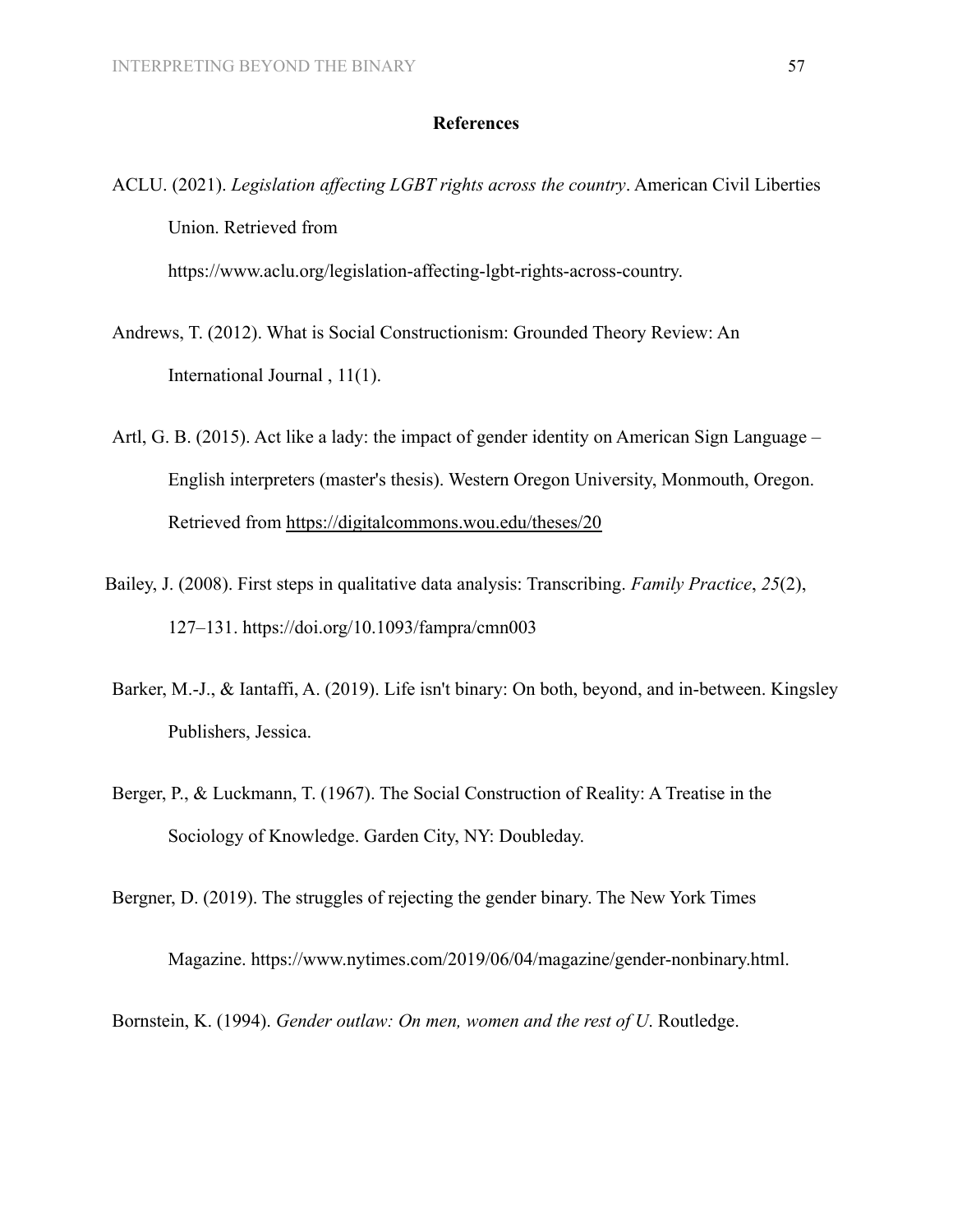# **References**

ACLU. (2021). *Legislation affecting LGBT rights across the country*. American Civil Liberties Union. Retrieved from https://www.aclu.org/legislation-affecting-lgbt-rights-across-country.

- Andrews, T. (2012). What is Social Constructionism: Grounded Theory Review: An International Journal , 11(1).
- Artl, G. B. (2015). Act like a lady: the impact of gender identity on American Sign Language English interpreters (master's thesis). Western Oregon University, Monmouth, Oregon. Retrieved from <https://digitalcommons.wou.edu/theses/20>
- Bailey, J. (2008). First steps in qualitative data analysis: Transcribing. *Family Practice*, *25*(2), 127–131. https://doi.org/10.1093/fampra/cmn003
- Barker, M.-J., & Iantaffi, A. (2019). Life isn't binary: On both, beyond, and in-between. Kingsley Publishers, Jessica.
- Berger, P., & Luckmann, T. (1967). The Social Construction of Reality: A Treatise in the Sociology of Knowledge. Garden City, NY: Doubleday.

Bergner, D. (2019). The struggles of rejecting the gender binary. The New York Times

Magazine. <https://www.nytimes.com/2019/06/04/magazine/gender-nonbinary.html>.

Bornstein, K. (1994). *Gender outlaw: On men, women and the rest of U*. Routledge.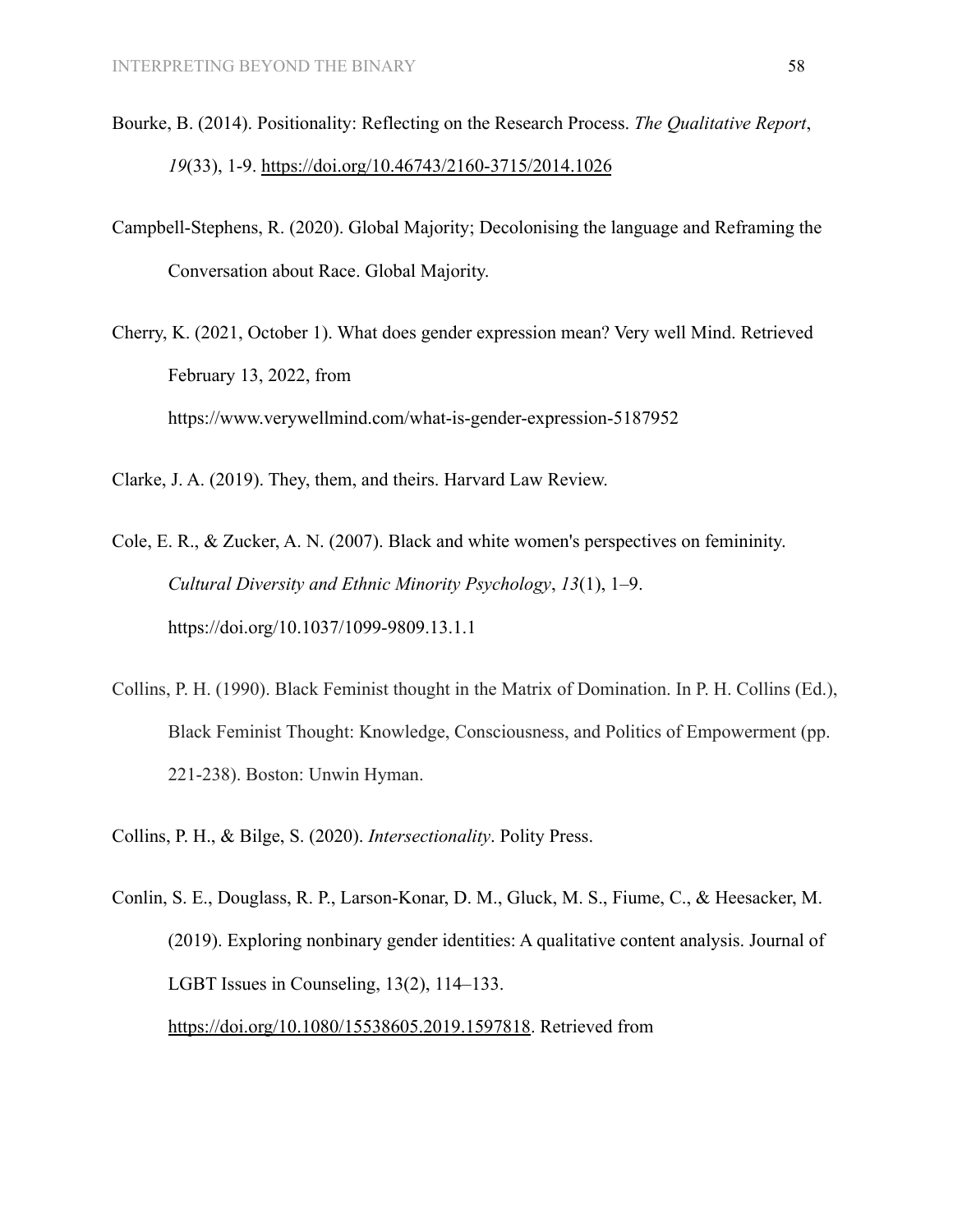- Bourke, B. (2014). Positionality: Reflecting on the Research Process. *The Qualitative Report*, *19*(33), 1-9. <https://doi.org/10.46743/2160-3715/2014.1026>
- Campbell-Stephens, R. (2020). Global Majority; Decolonising the language and Reframing the Conversation about Race. Global Majority.
- Cherry, K. (2021, October 1). What does gender expression mean? Very well Mind. Retrieved February 13, 2022, from <https://www.verywellmind.com/what-is-gender-expression-5187952>

Clarke, J. A. (2019). They, them, and theirs. Harvard Law Review.

- Cole, E. R., & Zucker, A. N. (2007). Black and white women's perspectives on femininity. *Cultural Diversity and Ethnic Minority Psychology*, *13*(1), 1–9. https://doi.org/10.1037/1099-9809.13.1.1
- Collins, P. H. (1990). Black Feminist thought in the Matrix of Domination. In P. H. Collins (Ed.), Black Feminist Thought: Knowledge, Consciousness, and Politics of Empowerment (pp. 221-238). Boston: Unwin Hyman.
- Collins, P. H., & Bilge, S. (2020). *Intersectionality*. Polity Press.
- Conlin, S. E., Douglass, R. P., Larson-Konar, D. M., Gluck, M. S., Fiume, C., & Heesacker, M. (2019). Exploring nonbinary gender identities: A qualitative content analysis. Journal of LGBT Issues in Counseling, 13(2), 114–133. <https://doi.org/10.1080/15538605.2019.1597818>. Retrieved from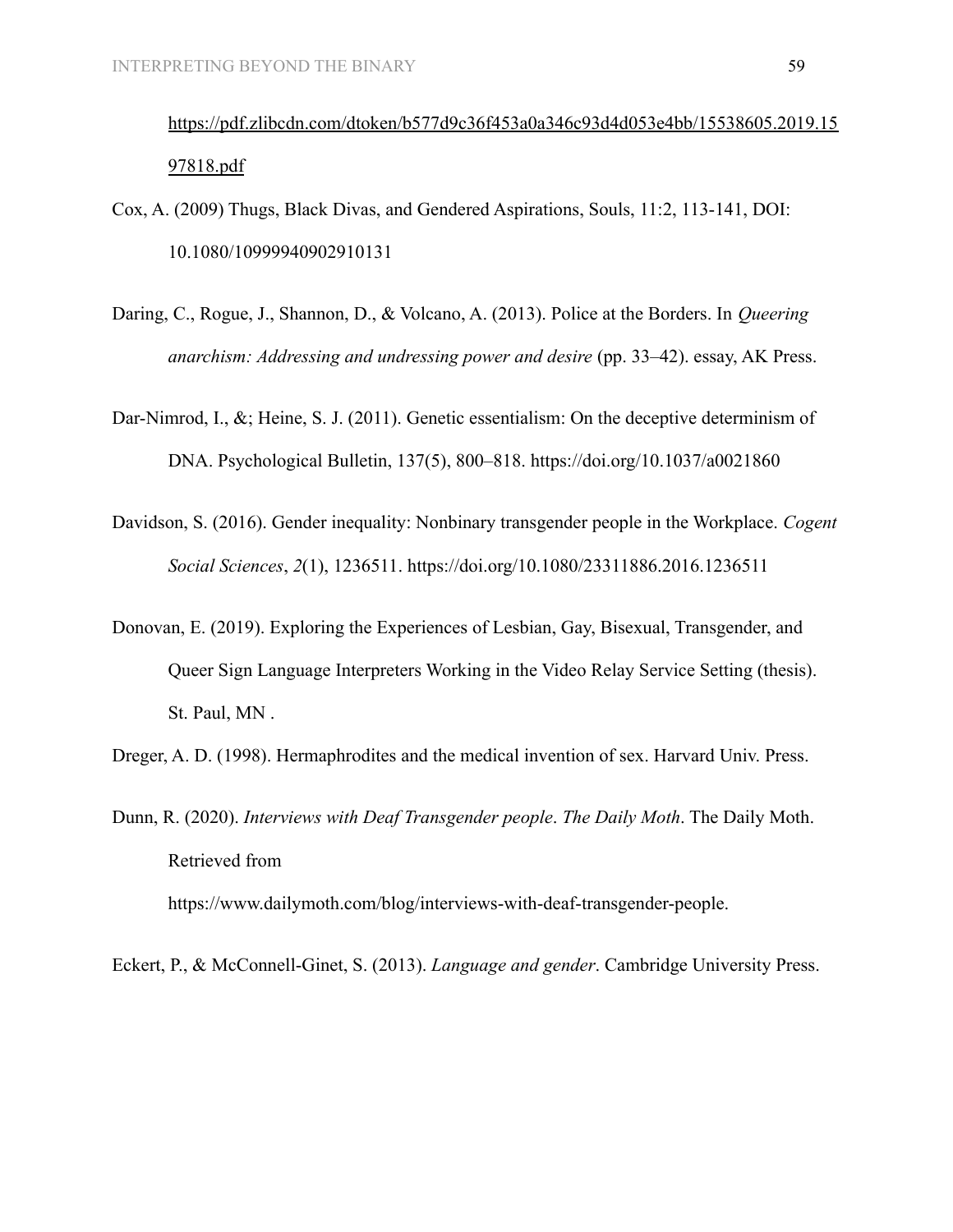[https://pdf.zlibcdn.com/dtoken/b577d9c36f453a0a346c93d4d053e4bb/15538605.2019.15](https://pdf.zlibcdn.com/dtoken/b577d9c36f453a0a346c93d4d053e4bb/15538605.2019.1597818.pdf) [97818.pdf](https://pdf.zlibcdn.com/dtoken/b577d9c36f453a0a346c93d4d053e4bb/15538605.2019.1597818.pdf)

- Cox, A. (2009) Thugs, Black Divas, and Gendered Aspirations, Souls, 11:2, 113-141, DOI: [10.1080/10999940902910131](https://doi.org/10.1080/10999940902910131)
- Daring, C., Rogue, J., Shannon, D., & Volcano, A. (2013). Police at the Borders. In *Queering anarchism: Addressing and undressing power and desire* (pp. 33–42). essay, AK Press.
- Dar-Nimrod, I., &; Heine, S. J. (2011). Genetic essentialism: On the deceptive determinism of DNA. Psychological Bulletin, 137(5), 800–818. <https://doi.org/10.1037/a0021860>
- Davidson, S. (2016). Gender inequality: Nonbinary transgender people in the Workplace. *Cogent Social Sciences*, *2*(1), 1236511. https://doi.org/10.1080/23311886.2016.1236511
- Donovan, E. (2019). Exploring the Experiences of Lesbian, Gay, Bisexual, Transgender, and Queer Sign Language Interpreters Working in the Video Relay Service Setting (thesis). St. Paul, MN .

Dreger, A. D. (1998). Hermaphrodites and the medical invention of sex. Harvard Univ. Press.

Dunn, R. (2020). *Interviews with Deaf Transgender people*. *The Daily Moth*. The Daily Moth. Retrieved from

https://www.dailymoth.com/blog/interviews-with-deaf-transgender-people.

Eckert, P., & McConnell-Ginet, S. (2013). *Language and gender*. Cambridge University Press.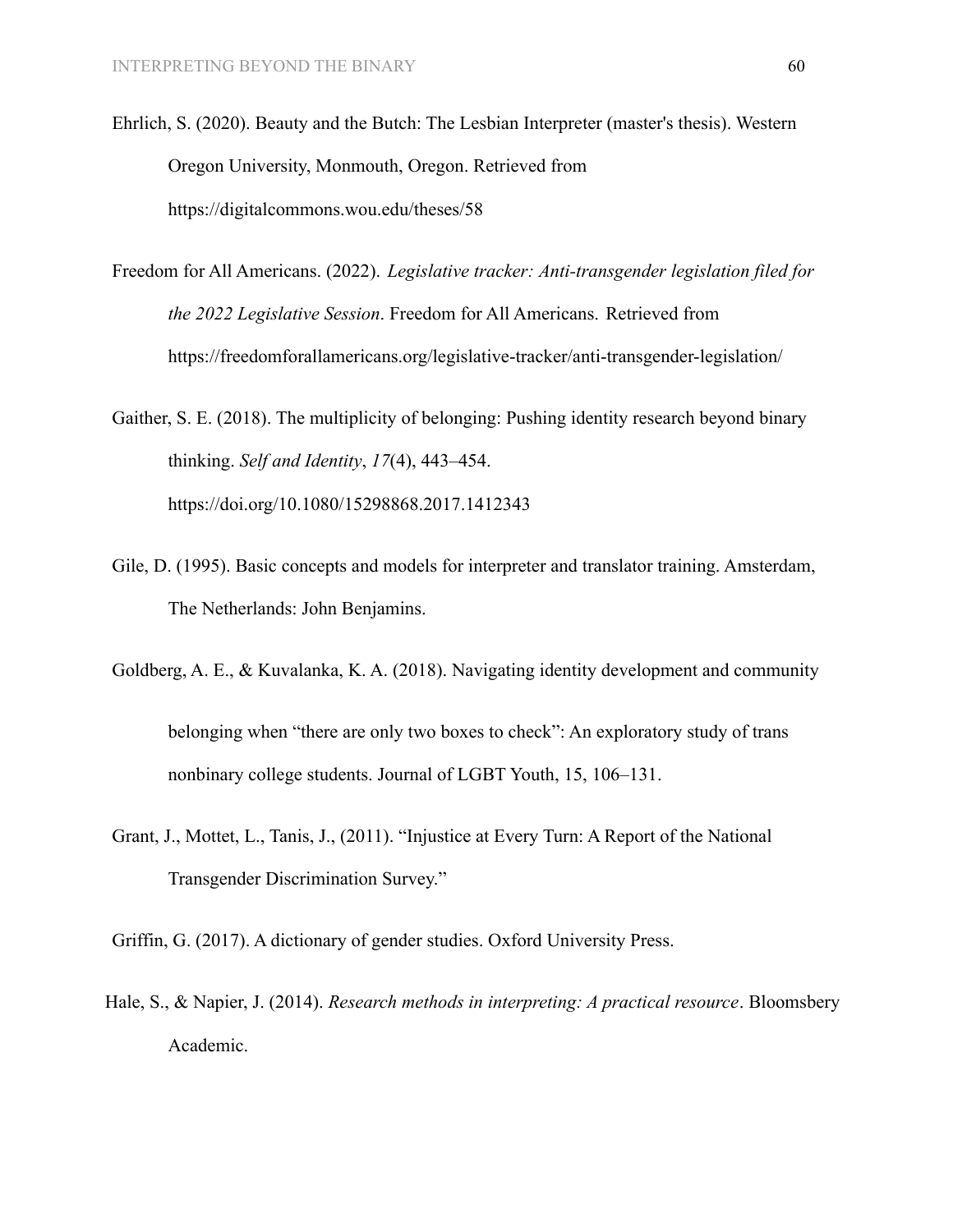- Ehrlich, S. (2020). Beauty and the Butch: The Lesbian Interpreter (master's thesis). Western Oregon University, Monmouth, Oregon. Retrieved from https://digitalcommons.wou.edu/theses/58
- Freedom for All Americans. (2022). *Legislative tracker: Anti-transgender legislation filed for the 2022 Legislative Session*. Freedom for All Americans. Retrieved from https://freedomforallamericans.org/legislative-tracker/anti-transgender-legislation/

Gaither, S. E. (2018). The multiplicity of belonging: Pushing identity research beyond binary thinking. *Self and Identity*, *17*(4), 443–454. https://doi.org/10.1080/15298868.2017.1412343

- Gile, D. (1995). Basic concepts and models for interpreter and translator training. Amsterdam, The Netherlands: John Benjamins.
- Goldberg, A. E., & Kuvalanka, K. A. (2018). Navigating identity development and community belonging when "there are only two boxes to check": An exploratory study of trans

nonbinary college students. Journal of LGBT Youth, 15, 106–131.

- Grant, J., Mottet, L., Tanis, J., (2011). "Injustice at Every Turn: A Report of the National Transgender Discrimination Survey."
- Griffin, G. (2017). A dictionary of gender studies. Oxford University Press.
- Hale, S., & Napier, J. (2014). *Research methods in interpreting: A practical resource*. Bloomsbery Academic.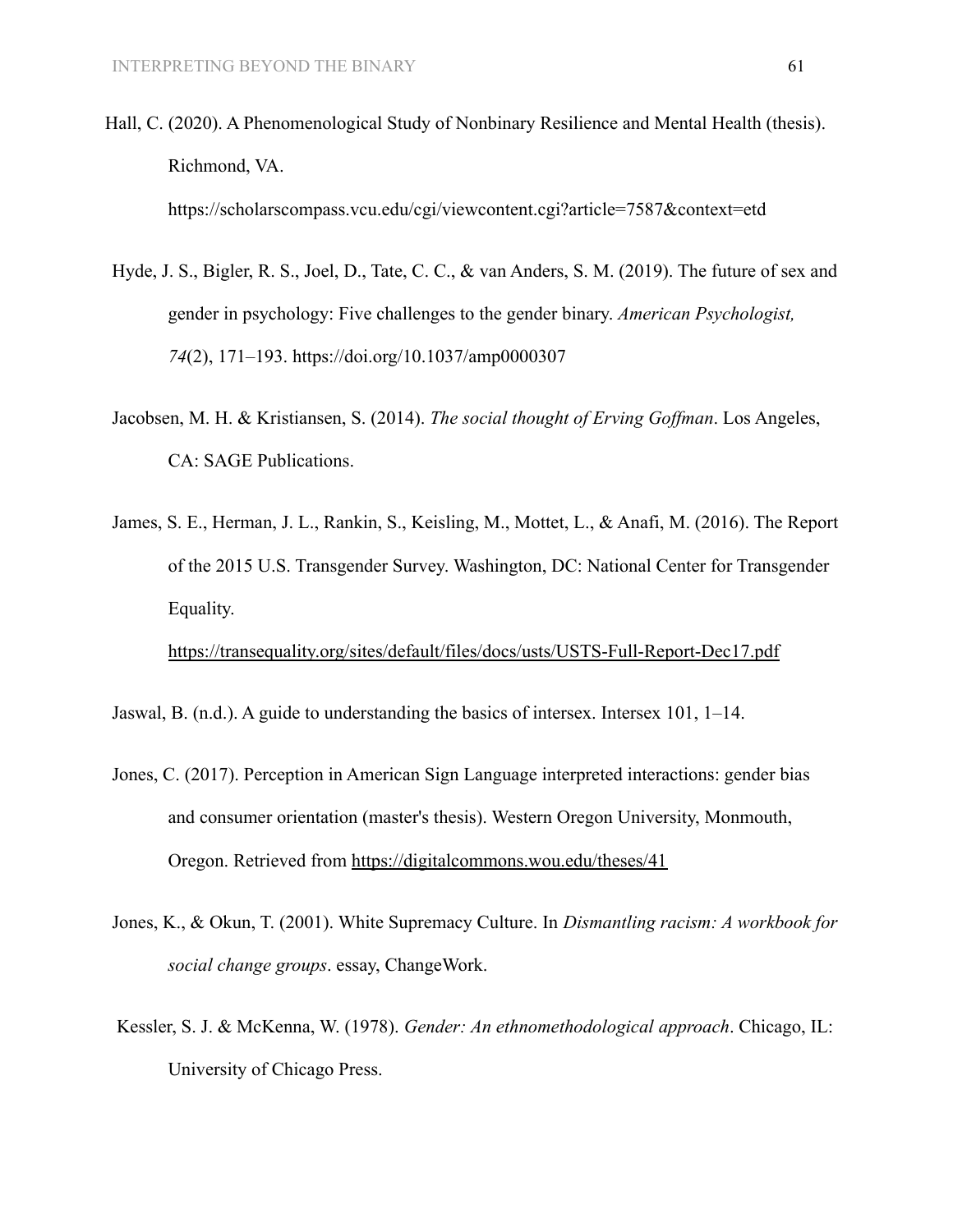Hall, C. (2020). A Phenomenological Study of Nonbinary Resilience and Mental Health (thesis). Richmond, VA.

<https://scholarscompass.vcu.edu/cgi/viewcontent.cgi?article=7587&context=etd>

- Hyde, J. S., Bigler, R. S., Joel, D., Tate, C. C., & van Anders, S. M. (2019). The future of sex and gender in psychology: Five challenges to the gender binary. *American Psychologist, 74*(2), 171–193. [https://doi.org/10.1037/amp0000307](https://doi.apa.org/doi/10.1037/amp0000307)
- Jacobsen, M. H. & Kristiansen, S. (2014). *The social thought of Erving Goffman*. Los Angeles, CA: SAGE Publications.
- James, S. E., Herman, J. L., Rankin, S., Keisling, M., Mottet, L., & Anafi, M. (2016). The Report of the 2015 U.S. Transgender Survey. Washington, DC: National Center for Transgender Equality.

<https://transequality.org/sites/default/files/docs/usts/USTS-Full-Report-Dec17.pdf>

Jaswal, B. (n.d.). A guide to understanding the basics of intersex. Intersex 101, 1–14.

- Jones, C. (2017). Perception in American Sign Language interpreted interactions: gender bias and consumer orientation (master's thesis). Western Oregon University, Monmouth, Oregon. Retrieved from <https://digitalcommons.wou.edu/theses/41>
- Jones, K., & Okun, T. (2001). White Supremacy Culture. In *Dismantling racism: A workbook for social change groups*. essay, ChangeWork.
- Kessler, S. J. & McKenna, W. (1978). *Gender: An ethnomethodological approach*. Chicago, IL: University of Chicago Press.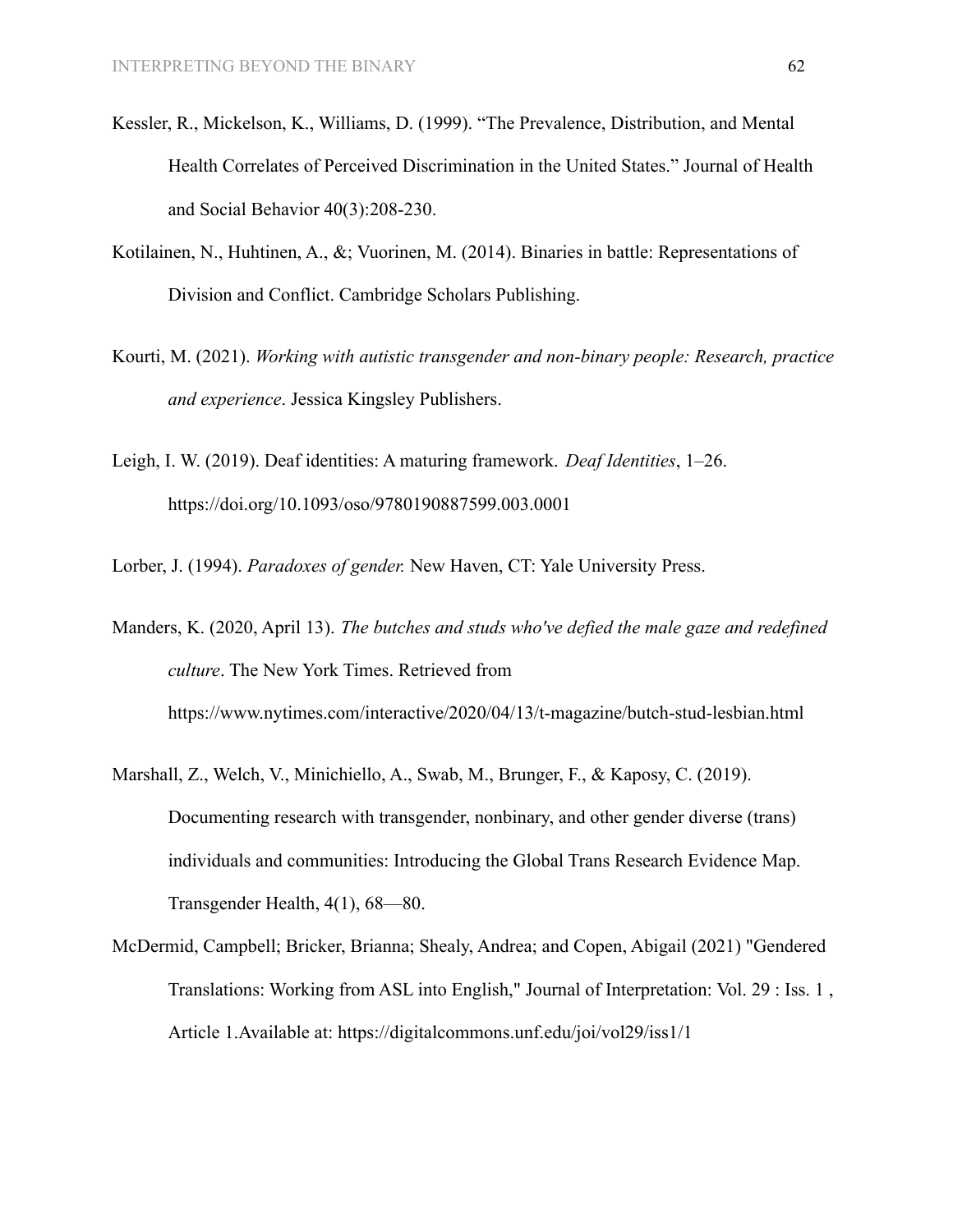- Kessler, R., Mickelson, K., Williams, D. (1999). "The Prevalence, Distribution, and Mental Health Correlates of Perceived Discrimination in the United States." Journal of Health and Social Behavior 40(3):208-230.
- Kotilainen, N., Huhtinen, A., &; Vuorinen, M. (2014). Binaries in battle: Representations of Division and Conflict. Cambridge Scholars Publishing.
- Kourti, M. (2021). *Working with autistic transgender and non-binary people: Research, practice and experience*. Jessica Kingsley Publishers.
- Leigh, I. W. (2019). Deaf identities: A maturing framework. *Deaf Identities*, 1–26. https://doi.org/10.1093/oso/9780190887599.003.0001
- Lorber, J. (1994). *Paradoxes of gender.* New Haven, CT: Yale University Press.

Manders, K. (2020, April 13). *The butches and studs who've defied the male gaze and redefined culture*. The New York Times. Retrieved from https://www.nytimes.com/interactive/2020/04/13/t-magazine/butch-stud-lesbian.html

- Marshall, Z., Welch, V., Minichiello, A., Swab, M., Brunger, F., & Kaposy, C. (2019). Documenting research with transgender, nonbinary, and other gender diverse (trans) individuals and communities: Introducing the Global Trans Research Evidence Map. Transgender Health, 4(1), 68—80.
- McDermid, Campbell; Bricker, Brianna; Shealy, Andrea; and Copen, Abigail (2021) "Gendered Translations: Working from ASL into English," Journal of Interpretation: Vol. 29 : Iss. 1 , Article 1.Available at: <https://digitalcommons.unf.edu/joi/vol29/iss1/1>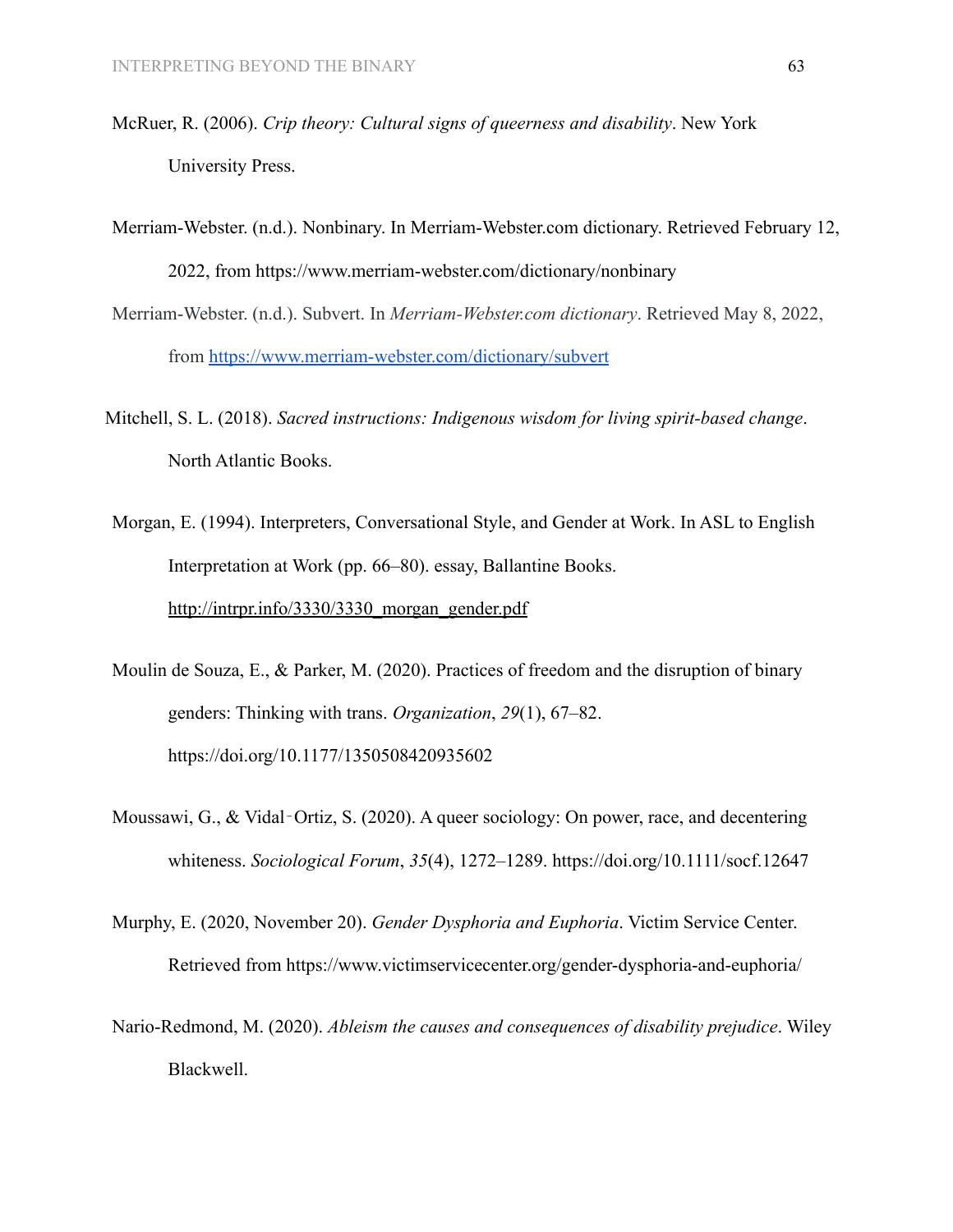- McRuer, R. (2006). *Crip theory: Cultural signs of queerness and disability*. New York University Press.
- Merriam-Webster. (n.d.). Nonbinary. In Merriam-Webster.com dictionary. Retrieved February 12, 2022, from <https://www.merriam-webster.com/dictionary/nonbinary>
- Merriam-Webster. (n.d.). Subvert. In *Merriam-Webster.com dictionary*. Retrieved May 8, 2022, from <https://www.merriam-webster.com/dictionary/subvert>
- Mitchell, S. L. (2018). *Sacred instructions: Indigenous wisdom for living spirit-based change*. North Atlantic Books.
- Morgan, E. (1994). Interpreters, Conversational Style, and Gender at Work. In ASL to English Interpretation at Work (pp. 66–80). essay, Ballantine Books. [http://intrpr.info/3330/3330\\_morgan\\_gender.pdf](http://intrpr.info/3330/3330_morgan_gender.pdf)
- Moulin de Souza, E., & Parker, M. (2020). Practices of freedom and the disruption of binary genders: Thinking with trans. *Organization*, *29*(1), 67–82. https://doi.org/10.1177/1350508420935602
- Moussawi, G., & Vidal‐Ortiz, S. (2020). A queer sociology: On power, race, and decentering whiteness. *Sociological Forum*, *35*(4), 1272–1289. https://doi.org/10.1111/socf.12647
- Murphy, E. (2020, November 20). *Gender Dysphoria and Euphoria*. Victim Service Center. Retrieved from https://www.victimservicecenter.org/gender-dysphoria-and-euphoria/
- Nario-Redmond, M. (2020). *Ableism the causes and consequences of disability prejudice*. Wiley Blackwell.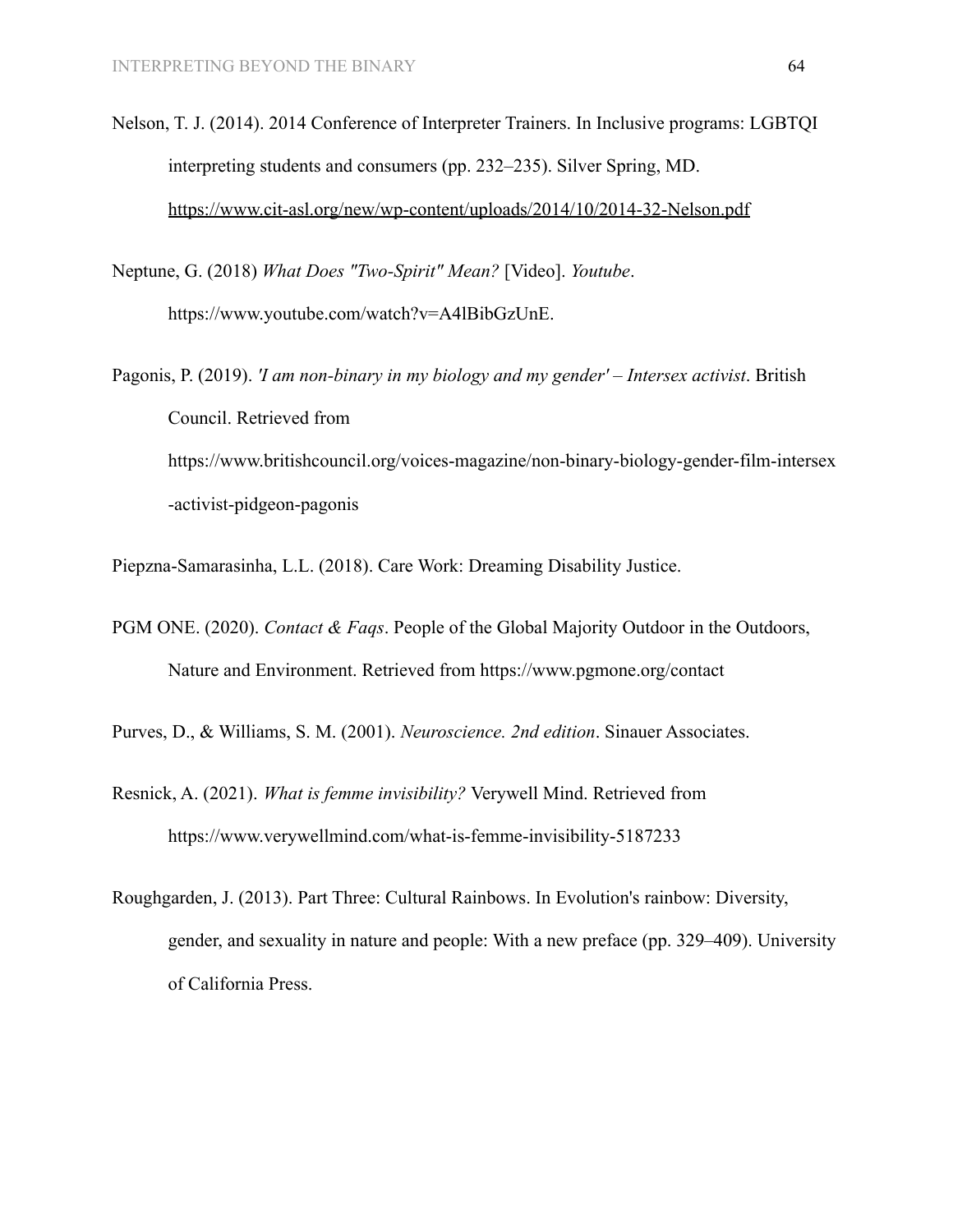Nelson, T. J. (2014). 2014 Conference of Interpreter Trainers. In Inclusive programs: LGBTQI interpreting students and consumers (pp. 232–235). Silver Spring, MD. <https://www.cit-asl.org/new/wp-content/uploads/2014/10/2014-32-Nelson.pdf>

Neptune, G. (2018) *What Does "Two-Spirit" Mean?* [Video]. *Youtube*. https://www.youtube.com/watch?v=A4lBibGzUnE.

Pagonis, P. (2019). *'I am non-binary in my biology and my gender' – Intersex activist*. British Council. Retrieved from https://www.britishcouncil.org/voices-magazine/non-binary-biology-gender-film-intersex -activist-pidgeon-pagonis

Piepzna-Samarasinha, L.L. (2018). Care Work: Dreaming Disability Justice.

PGM ONE. (2020). *Contact & Faqs*. People of the Global Majority Outdoor in the Outdoors, Nature and Environment. Retrieved from https://www.pgmone.org/contact

Purves, D., & Williams, S. M. (2001). *Neuroscience. 2nd edition*. Sinauer Associates.

- Resnick, A. (2021). *What is femme invisibility?* Verywell Mind. Retrieved from https://www.verywellmind.com/what-is-femme-invisibility-5187233
- Roughgarden, J. (2013). Part Three: Cultural Rainbows. In Evolution's rainbow: Diversity, gender, and sexuality in nature and people: With a new preface (pp. 329–409). University of California Press.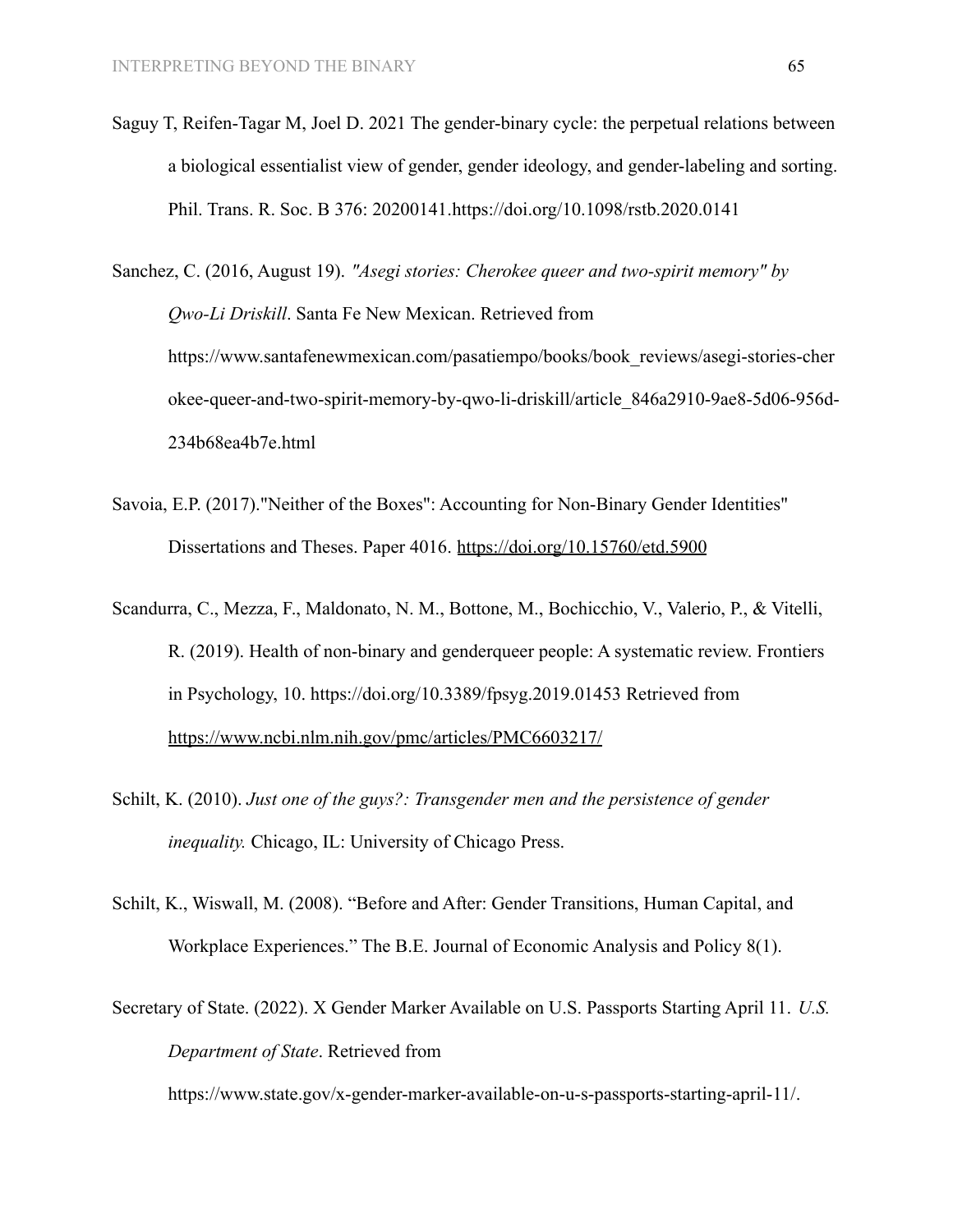- Saguy T, Reifen-Tagar M, Joel D. 2021 The gender-binary cycle: the perpetual relations between a biological essentialist view of gender, gender ideology, and gender-labeling and sorting. Phil. Trans. R. Soc. B 376: 20200141.<https://doi.org/10.1098/rstb.2020.0141>
- Sanchez, C. (2016, August 19). *"Asegi stories: Cherokee queer and two-spirit memory" by Qwo-Li Driskill*. Santa Fe New Mexican. Retrieved from https://www.santafenewmexican.com/pasatiempo/books/book\_reviews/asegi-stories-cher okee-queer-and-two-spirit-memory-by-qwo-li-driskill/article\_846a2910-9ae8-5d06-956d-234b68ea4b7e.html
- Savoia, E.P. (2017)."Neither of the Boxes": Accounting for Non-Binary Gender Identities" Dissertations and Theses. Paper 4016. <https://doi.org/10.15760/etd.5900>
- Scandurra, C., Mezza, F., Maldonato, N. M., Bottone, M., Bochicchio, V., Valerio, P., & Vitelli, R. (2019). Health of non-binary and genderqueer people: A systematic review. Frontiers in Psychology, 10. https://doi.org/10.3389/fpsyg.2019.01453 Retrieved from <https://www.ncbi.nlm.nih.gov/pmc/articles/PMC6603217/>
- Schilt, K. (2010). *Just one of the guys?: Transgender men and the persistence of gender inequality.* Chicago, IL: University of Chicago Press.
- Schilt, K., Wiswall, M. (2008). "Before and After: Gender Transitions, Human Capital, and Workplace Experiences." The B.E. Journal of Economic Analysis and Policy 8(1).
- Secretary of State. (2022). X Gender Marker Available on U.S. Passports Starting April 11. *U.S. Department of State*. Retrieved from

https://www.state.gov/x-gender-marker-available-on-u-s-passports-starting-april-11/.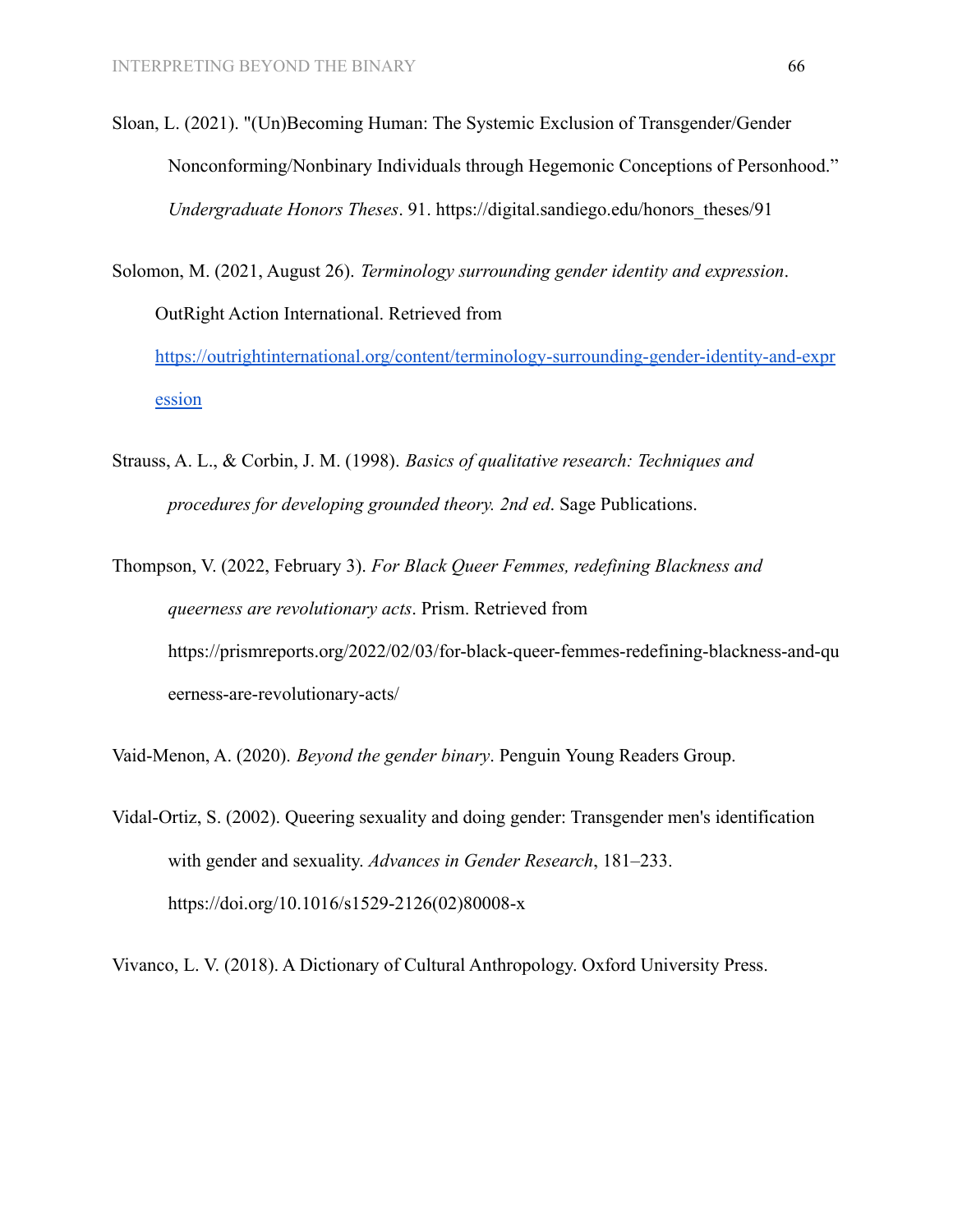- Sloan, L. (2021). "(Un)Becoming Human: The Systemic Exclusion of Transgender/Gender Nonconforming/Nonbinary Individuals through Hegemonic Conceptions of Personhood." *Undergraduate Honors Theses*. 91. https://digital.sandiego.edu/honors\_theses/91
- Solomon, M. (2021, August 26). *Terminology surrounding gender identity and expression*. OutRight Action International. Retrieved from [https://outrightinternational.org/content/terminology-surrounding-gender-identity-and-expr](https://outrightinternational.org/content/terminology-surrounding-gender-identity-and-expression) [ession](https://outrightinternational.org/content/terminology-surrounding-gender-identity-and-expression)
- Strauss, A. L., & Corbin, J. M. (1998). *Basics of qualitative research: Techniques and procedures for developing grounded theory. 2nd ed*. Sage Publications.
- Thompson, V. (2022, February 3). *For Black Queer Femmes, redefining Blackness and queerness are revolutionary acts*. Prism. Retrieved from https://prismreports.org/2022/02/03/for-black-queer-femmes-redefining-blackness-and-qu eerness-are-revolutionary-acts/

Vaid-Menon, A. (2020). *Beyond the gender binary*. Penguin Young Readers Group.

Vidal-Ortiz, S. (2002). Queering sexuality and doing gender: Transgender men's identification with gender and sexuality. *Advances in Gender Research*, 181–233. https://doi.org/10.1016/s1529-2126(02)80008-x

Vivanco, L. V. (2018). A Dictionary of Cultural Anthropology. Oxford University Press.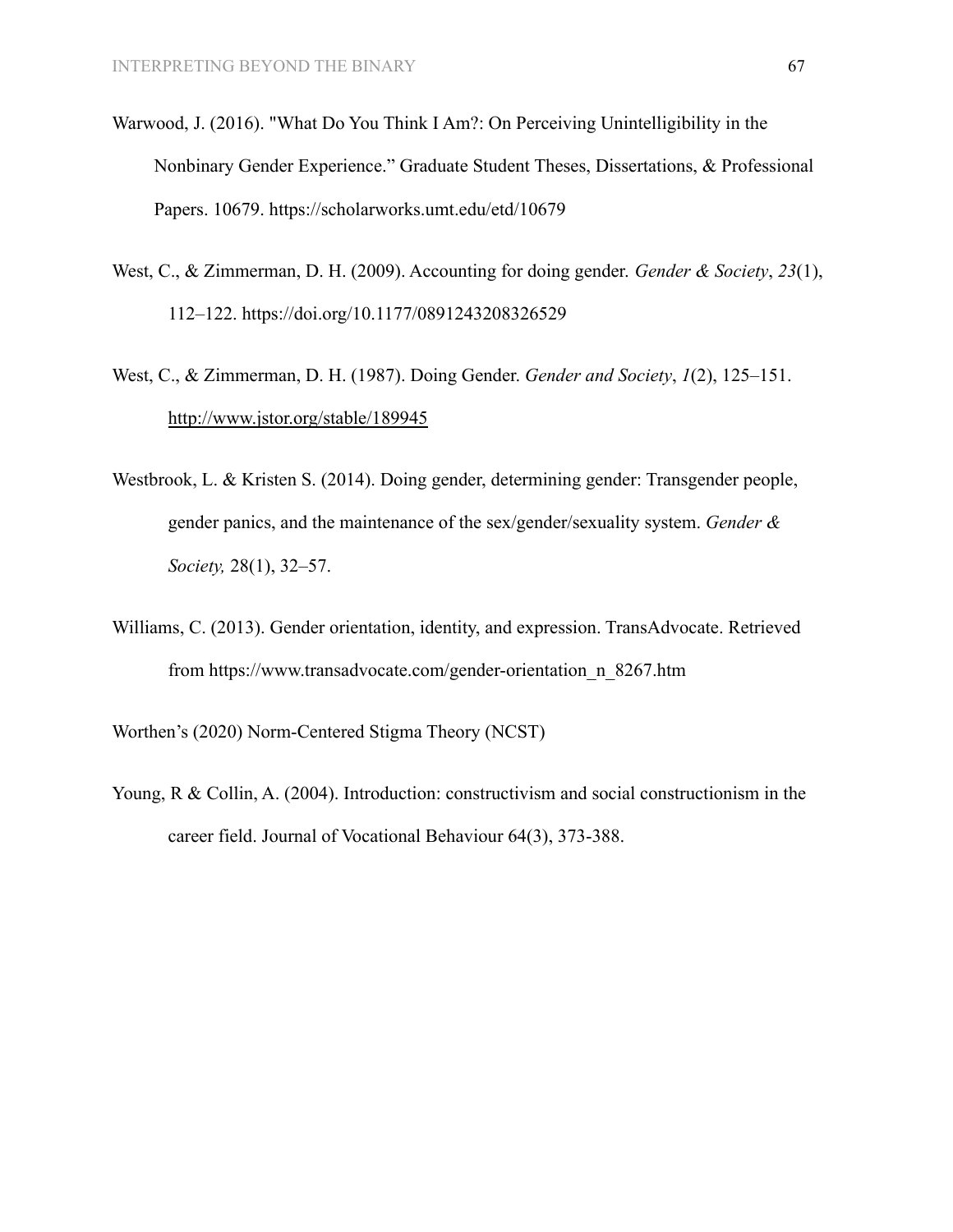- Warwood, J. (2016). "What Do You Think I Am?: On Perceiving Unintelligibility in the Nonbinary Gender Experience." Graduate Student Theses, Dissertations, & Professional Papers. 10679. https://scholarworks.umt.edu/etd/10679
- West, C., & Zimmerman, D. H. (2009). Accounting for doing gender. *Gender & Society*, *23*(1), 112–122. https://doi.org/10.1177/0891243208326529
- West, C., & Zimmerman, D. H. (1987). Doing Gender. *Gender and Society*, *1*(2), 125–151. <http://www.jstor.org/stable/189945>
- Westbrook, L. & Kristen S. (2014). Doing gender, determining gender: Transgender people, gender panics, and the maintenance of the sex/gender/sexuality system. *Gender & Society,* 28(1), 32–57.
- Williams, C. (2013). Gender orientation, identity, and expression. TransAdvocate. Retrieved from [https://www.transadvocate.com/gender-orientation\\_n\\_8267.htm](https://www.transadvocate.com/gender-orientation_n_8267.htm)

Worthen's (2020) Norm-Centered Stigma Theory (NCST)

Young, R & Collin, A. (2004). Introduction: constructivism and social constructionism in the career field. Journal of Vocational Behaviour 64(3), 373-388.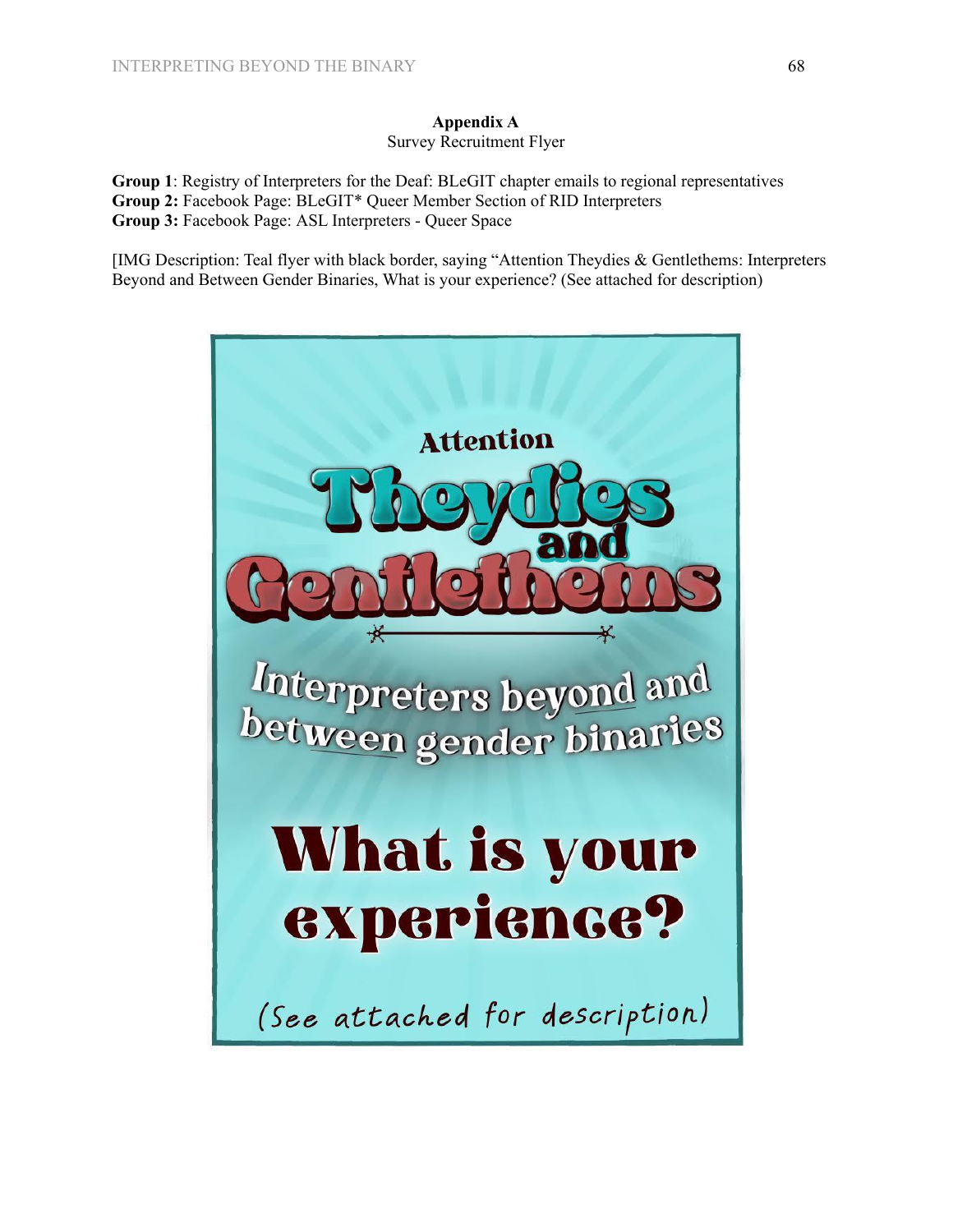# **Appendix A**

#### Survey Recruitment Flyer

**Group 1**: Registry of Interpreters for the Deaf: BLeGIT chapter emails to regional representatives **Group 2:** Facebook Page: BLeGIT\* Queer Member Section of RID Interpreters **Group 3:** Facebook Page: ASL Interpreters - Queer Space

[IMG Description: Teal flyer with black border, saying "Attention Theydies & Gentlethems: Interpreters Beyond and Between Gender Binaries, What is your experience? (See attached for description)

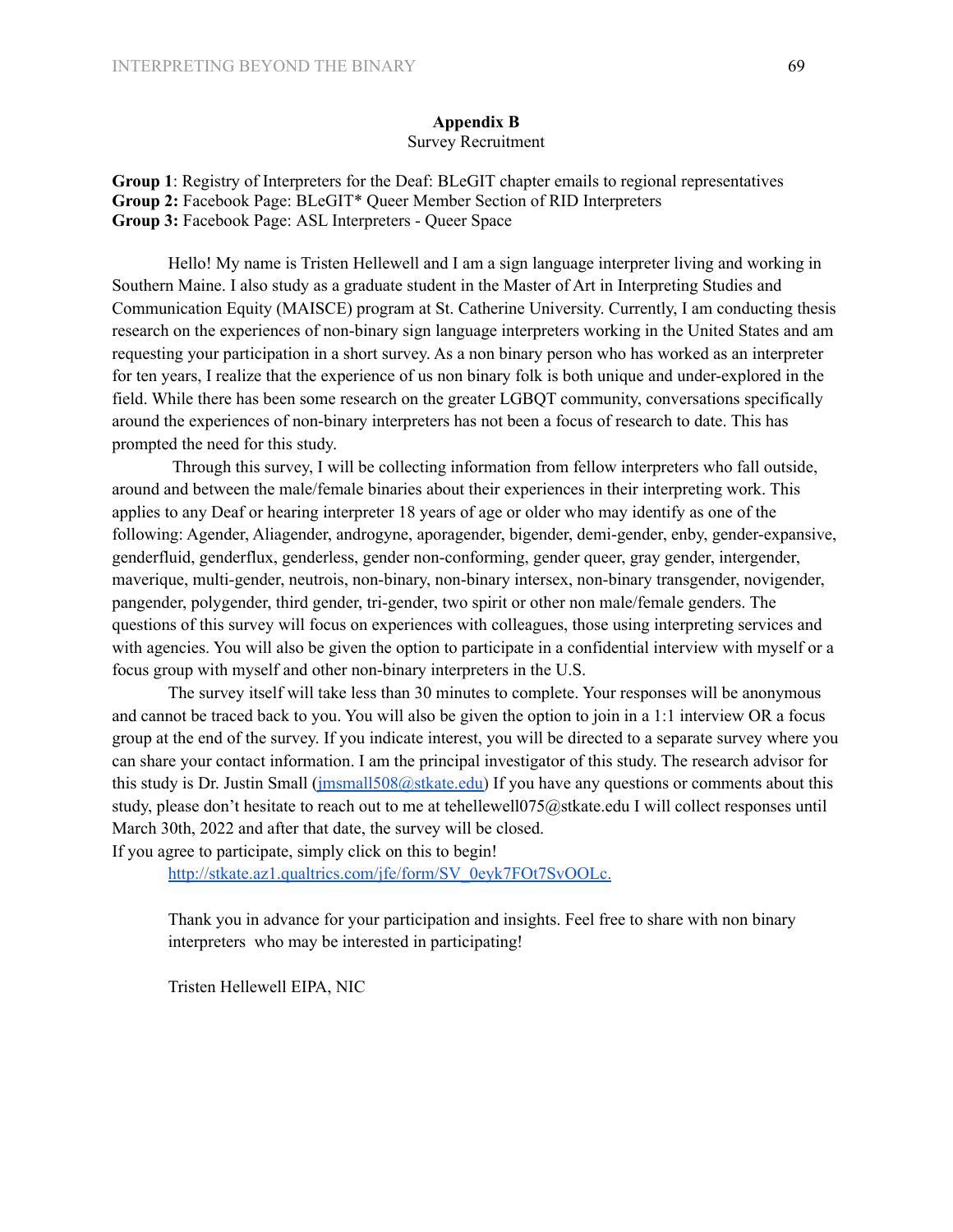#### **Appendix B** Survey Recruitment

**Group 1**: Registry of Interpreters for the Deaf: BLeGIT chapter emails to regional representatives **Group 2:** Facebook Page: BLeGIT\* Queer Member Section of RID Interpreters **Group 3:** Facebook Page: ASL Interpreters - Queer Space

Hello! My name is Tristen Hellewell and I am a sign language interpreter living and working in Southern Maine. I also study as a graduate student in the Master of Art in Interpreting Studies and Communication Equity (MAISCE) program at St. Catherine University. Currently, I am conducting thesis research on the experiences of non-binary sign language interpreters working in the United States and am requesting your participation in a short survey. As a non binary person who has worked as an interpreter for ten years, I realize that the experience of us non binary folk is both unique and under-explored in the field. While there has been some research on the greater LGBQT community, conversations specifically around the experiences of non-binary interpreters has not been a focus of research to date. This has prompted the need for this study.

Through this survey, I will be collecting information from fellow interpreters who fall outside, around and between the male/female binaries about their experiences in their interpreting work. This applies to any Deaf or hearing interpreter 18 years of age or older who may identify as one of the following: Agender, Aliagender, androgyne, aporagender, bigender, demi-gender, enby, gender-expansive, genderfluid, genderflux, genderless, gender non-conforming, gender queer, gray gender, intergender, maverique, multi-gender, neutrois, non-binary, non-binary intersex, non-binary transgender, novigender, pangender, polygender, third gender, tri-gender, two spirit or other non male/female genders. The questions of this survey will focus on experiences with colleagues, those using interpreting services and with agencies. You will also be given the option to participate in a confidential interview with myself or a focus group with myself and other non-binary interpreters in the U.S.

The survey itself will take less than 30 minutes to complete. Your responses will be anonymous and cannot be traced back to you. You will also be given the option to join in a 1:1 interview OR a focus group at the end of the survey. If you indicate interest, you will be directed to a separate survey where you can share your contact information. I am the principal investigator of this study. The research advisor for this study is Dr. Justin Small (*jmsmall508@stkate.edu*) If you have any questions or comments about this study, please don't hesitate to reach out to me at tehellewell075@stkate.edu I will collect responses until March 30th, 2022 and after that date, the survey will be closed.

If you agree to participate, simply click on this to begin!

[http://stkate.az1.qualtrics.com/jfe/form/SV\\_0eyk7FOt7SvOOLc.](http://stkate.az1.qualtrics.com/jfe/form/SV_0eyk7FOt7SvOOLc.)

Thank you in advance for your participation and insights. Feel free to share with non binary interpreters who may be interested in participating!

Tristen Hellewell EIPA, NIC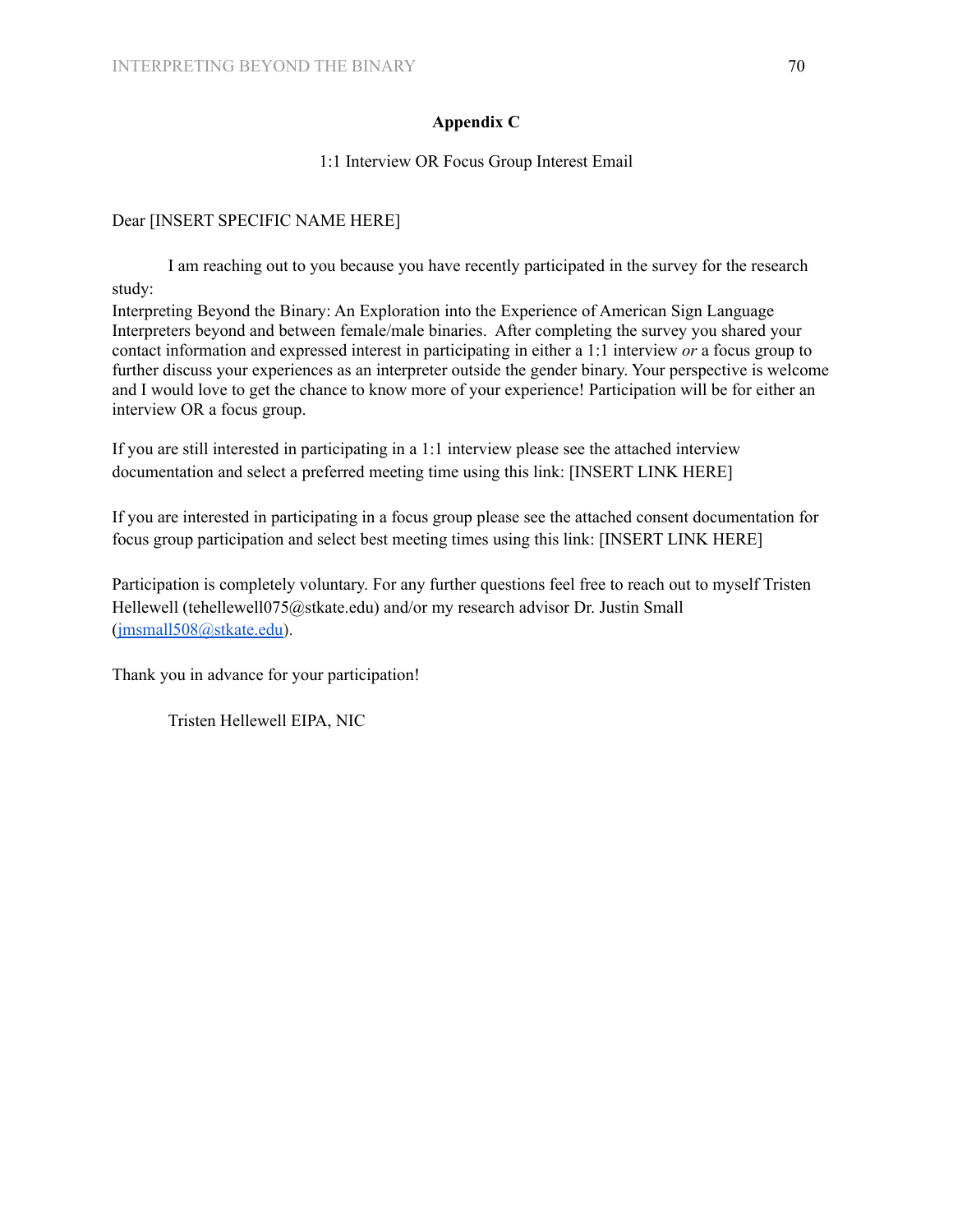# **Appendix C**

# 1:1 Interview OR Focus Group Interest Email

# Dear [INSERT SPECIFIC NAME HERE]

I am reaching out to you because you have recently participated in the survey for the research study:

Interpreting Beyond the Binary: An Exploration into the Experience of American Sign Language Interpreters beyond and between female/male binaries. After completing the survey you shared your contact information and expressed interest in participating in either a 1:1 interview *or* a focus group to further discuss your experiences as an interpreter outside the gender binary. Your perspective is welcome and I would love to get the chance to know more of your experience! Participation will be for either an interview OR a focus group.

If you are still interested in participating in a 1:1 interview please see the attached interview documentation and select a preferred meeting time using this link: [INSERT LINK HERE]

If you are interested in participating in a focus group please see the attached consent documentation for focus group participation and select best meeting times using this link: [INSERT LINK HERE]

Participation is completely voluntary. For any further questions feel free to reach out to myself Tristen Hellewell (tehellewell075@stkate.edu) and/or my research advisor Dr. Justin Small ([jmsmall508@stkate.edu\)](mailto:jmsmall508@stkate.edu).

Thank you in advance for your participation!

Tristen Hellewell EIPA, NIC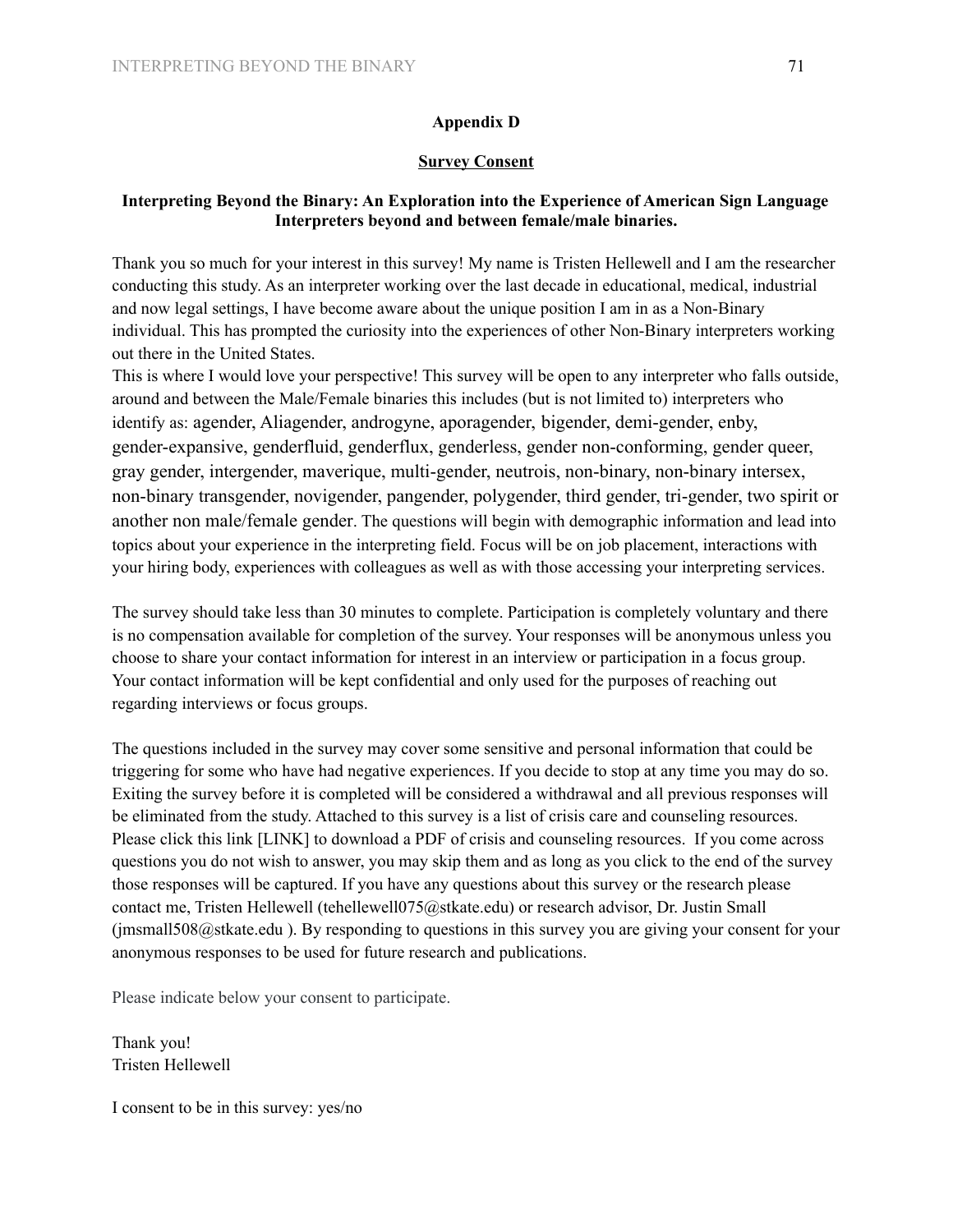# **Appendix D**

### **Survey Consent**

# **Interpreting Beyond the Binary: An Exploration into the Experience of American Sign Language Interpreters beyond and between female/male binaries.**

Thank you so much for your interest in this survey! My name is Tristen Hellewell and I am the researcher conducting this study. As an interpreter working over the last decade in educational, medical, industrial and now legal settings, I have become aware about the unique position I am in as a Non-Binary individual. This has prompted the curiosity into the experiences of other Non-Binary interpreters working out there in the United States.

This is where I would love your perspective! This survey will be open to any interpreter who falls outside, around and between the Male/Female binaries this includes (but is not limited to) interpreters who identify as: agender, Aliagender, androgyne, aporagender, bigender, demi-gender, enby, gender-expansive, genderfluid, genderflux, genderless, gender non-conforming, gender queer, gray gender, intergender, maverique, multi-gender, neutrois, non-binary, non-binary intersex, non-binary transgender, novigender, pangender, polygender, third gender, tri-gender, two spirit or another non male/female gender. The questions will begin with demographic information and lead into topics about your experience in the interpreting field. Focus will be on job placement, interactions with your hiring body, experiences with colleagues as well as with those accessing your interpreting services.

The survey should take less than 30 minutes to complete. Participation is completely voluntary and there is no compensation available for completion of the survey. Your responses will be anonymous unless you choose to share your contact information for interest in an interview or participation in a focus group. Your contact information will be kept confidential and only used for the purposes of reaching out regarding interviews or focus groups.

The questions included in the survey may cover some sensitive and personal information that could be triggering for some who have had negative experiences. If you decide to stop at any time you may do so. Exiting the survey before it is completed will be considered a withdrawal and all previous responses will be eliminated from the study. Attached to this survey is a list of crisis care and counseling resources. Please click this link [LINK] to download a PDF of crisis and counseling resources. If you come across questions you do not wish to answer, you may skip them and as long as you click to the end of the survey those responses will be captured. If you have any questions about this survey or the research please contact me, Tristen Hellewell (tehellewell075@stkate.edu) or research advisor, Dr. Justin Small (jmsmall508@stkate.edu ). By responding to questions in this survey you are giving your consent for your anonymous responses to be used for future research and publications.

Please indicate below your consent to participate.

Thank you! Tristen Hellewell

I consent to be in this survey: yes/no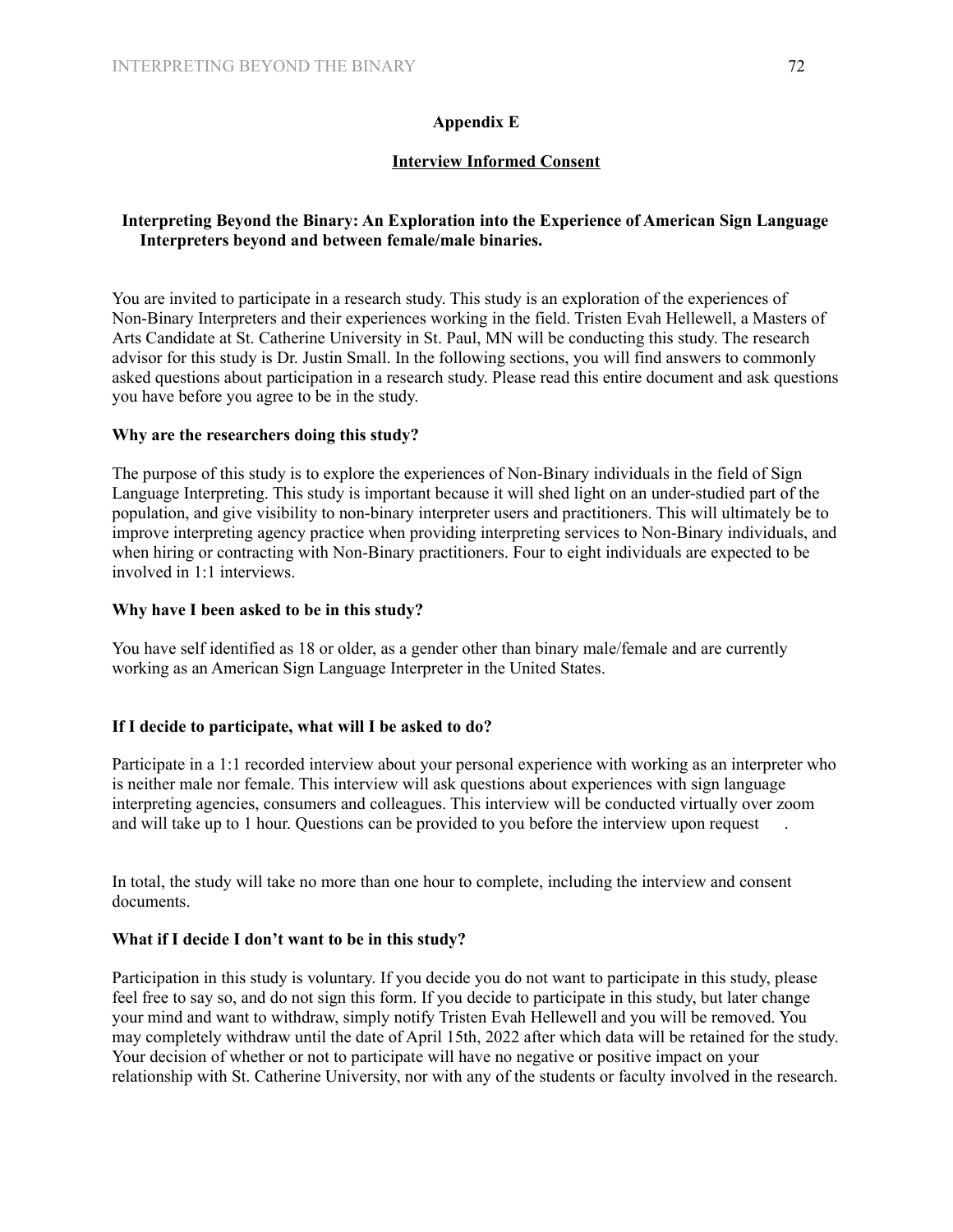# **Appendix E**

# **Interview Informed Consent**

# **Interpreting Beyond the Binary: An Exploration into the Experience of American Sign Language Interpreters beyond and between female/male binaries.**

You are invited to participate in a research study. This study is an exploration of the experiences of Non-Binary Interpreters and their experiences working in the field. Tristen Evah Hellewell, a Masters of Arts Candidate at St. Catherine University in St. Paul, MN will be conducting this study. The research advisor for this study is Dr. Justin Small. In the following sections, you will find answers to commonly asked questions about participation in a research study. Please read this entire document and ask questions you have before you agree to be in the study.

# **Why are the researchers doing this study?**

The purpose of this study is to explore the experiences of Non-Binary individuals in the field of Sign Language Interpreting. This study is important because it will shed light on an under-studied part of the population, and give visibility to non-binary interpreter users and practitioners. This will ultimately be to improve interpreting agency practice when providing interpreting services to Non-Binary individuals, and when hiring or contracting with Non-Binary practitioners. Four to eight individuals are expected to be involved in 1:1 interviews.

# **Why have I been asked to be in this study?**

You have self identified as 18 or older, as a gender other than binary male/female and are currently working as an American Sign Language Interpreter in the United States.

# **If I decide to participate, what will I be asked to do?**

Participate in a 1:1 recorded interview about your personal experience with working as an interpreter who is neither male nor female. This interview will ask questions about experiences with sign language interpreting agencies, consumers and colleagues. This interview will be conducted virtually over zoom and will take up to 1 hour. Questions can be provided to you before the interview upon request

In total, the study will take no more than one hour to complete, including the interview and consent documents.

# **What if I decide I don't want to be in this study?**

Participation in this study is voluntary. If you decide you do not want to participate in this study, please feel free to say so, and do not sign this form. If you decide to participate in this study, but later change your mind and want to withdraw, simply notify Tristen Evah Hellewell and you will be removed. You may completely withdraw until the date of April 15th, 2022 after which data will be retained for the study. Your decision of whether or not to participate will have no negative or positive impact on your relationship with St. Catherine University, nor with any of the students or faculty involved in the research.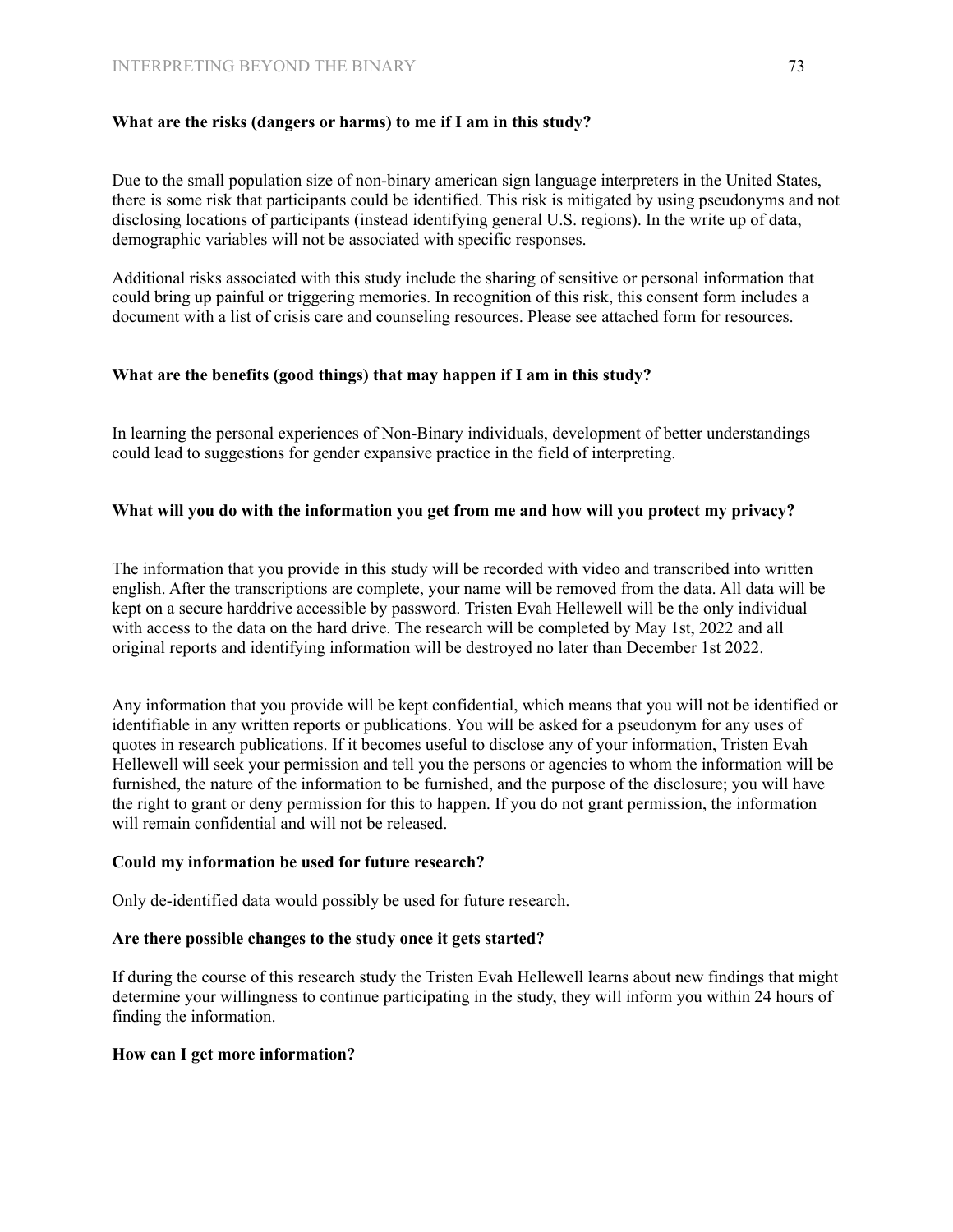# **What are the risks (dangers or harms) to me if I am in this study?**

Due to the small population size of non-binary american sign language interpreters in the United States, there is some risk that participants could be identified. This risk is mitigated by using pseudonyms and not disclosing locations of participants (instead identifying general U.S. regions). In the write up of data, demographic variables will not be associated with specific responses.

Additional risks associated with this study include the sharing of sensitive or personal information that could bring up painful or triggering memories. In recognition of this risk, this consent form includes a document with a list of crisis care and counseling resources. Please see attached form for resources.

#### **What are the benefits (good things) that may happen if I am in this study?**

In learning the personal experiences of Non-Binary individuals, development of better understandings could lead to suggestions for gender expansive practice in the field of interpreting.

# **What will you do with the information you get from me and how will you protect my privacy?**

The information that you provide in this study will be recorded with video and transcribed into written english. After the transcriptions are complete, your name will be removed from the data. All data will be kept on a secure harddrive accessible by password. Tristen Evah Hellewell will be the only individual with access to the data on the hard drive. The research will be completed by May 1st, 2022 and all original reports and identifying information will be destroyed no later than December 1st 2022.

Any information that you provide will be kept confidential, which means that you will not be identified or identifiable in any written reports or publications. You will be asked for a pseudonym for any uses of quotes in research publications. If it becomes useful to disclose any of your information, Tristen Evah Hellewell will seek your permission and tell you the persons or agencies to whom the information will be furnished, the nature of the information to be furnished, and the purpose of the disclosure; you will have the right to grant or deny permission for this to happen. If you do not grant permission, the information will remain confidential and will not be released.

#### **Could my information be used for future research?**

Only de-identified data would possibly be used for future research.

#### **Are there possible changes to the study once it gets started?**

If during the course of this research study the Tristen Evah Hellewell learns about new findings that might determine your willingness to continue participating in the study, they will inform you within 24 hours of finding the information.

#### **How can I get more information?**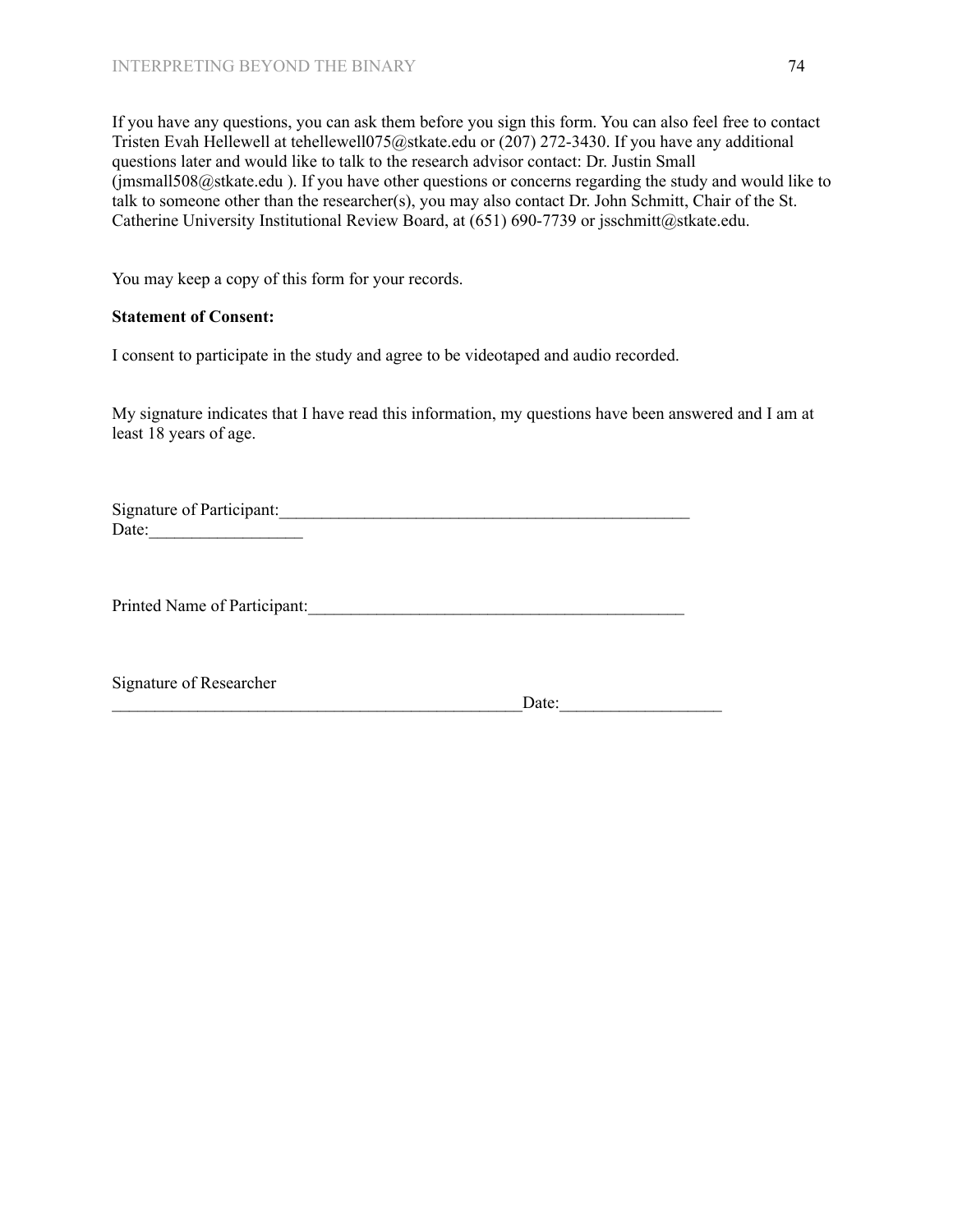If you have any questions, you can ask them before you sign this form. You can also feel free to contact Tristen Evah Hellewell at tehellewell075@stkate.edu or (207) 272-3430. If you have any additional questions later and would like to talk to the research advisor contact: Dr. Justin Small  $\hat{\text{q}}$  imsmall508@stkate.edu ). If you have other questions or concerns regarding the study and would like to talk to someone other than the researcher(s), you may also contact Dr. John Schmitt, Chair of the St. Catherine University Institutional Review Board, at (651) 690-7739 or jsschmitt@stkate.edu.

You may keep a copy of this form for your records.

# **Statement of Consent:**

I consent to participate in the study and agree to be videotaped and audio recorded.

My signature indicates that I have read this information, my questions have been answered and I am at least 18 years of age.

Signature of Participant: Date:\_\_\_\_\_\_\_\_\_\_\_\_\_\_\_\_\_\_

Printed Name of Participant:\_\_\_\_\_\_\_\_\_\_\_\_\_\_\_\_\_\_\_\_\_\_\_\_\_\_\_\_\_\_\_\_\_\_\_\_\_\_\_\_\_\_\_\_

Signature of Researcher

\_\_\_\_\_\_\_\_\_\_\_\_\_\_\_\_\_\_\_\_\_\_\_\_\_\_\_\_\_\_\_\_\_\_\_\_\_\_\_\_\_\_\_\_\_\_\_\_Date:\_\_\_\_\_\_\_\_\_\_\_\_\_\_\_\_\_\_\_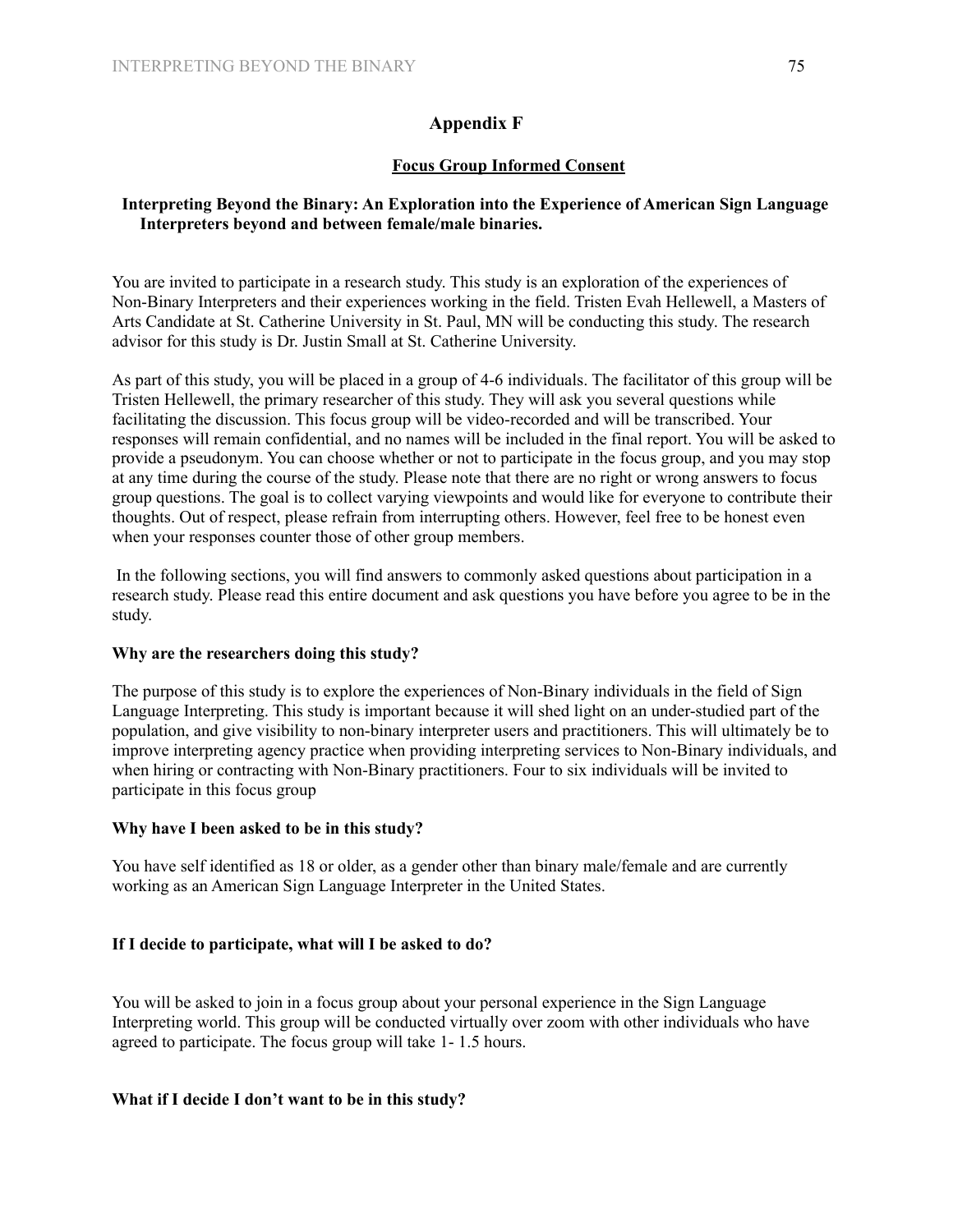# **Appendix F**

# **Focus Group Informed Consent**

# **Interpreting Beyond the Binary: An Exploration into the Experience of American Sign Language Interpreters beyond and between female/male binaries.**

You are invited to participate in a research study. This study is an exploration of the experiences of Non-Binary Interpreters and their experiences working in the field. Tristen Evah Hellewell, a Masters of Arts Candidate at St. Catherine University in St. Paul, MN will be conducting this study. The research advisor for this study is Dr. Justin Small at St. Catherine University.

As part of this study, you will be placed in a group of 4-6 individuals. The facilitator of this group will be Tristen Hellewell, the primary researcher of this study. They will ask you several questions while facilitating the discussion. This focus group will be video-recorded and will be transcribed. Your responses will remain confidential, and no names will be included in the final report. You will be asked to provide a pseudonym. You can choose whether or not to participate in the focus group, and you may stop at any time during the course of the study. Please note that there are no right or wrong answers to focus group questions. The goal is to collect varying viewpoints and would like for everyone to contribute their thoughts. Out of respect, please refrain from interrupting others. However, feel free to be honest even when your responses counter those of other group members.

In the following sections, you will find answers to commonly asked questions about participation in a research study. Please read this entire document and ask questions you have before you agree to be in the study.

# **Why are the researchers doing this study?**

The purpose of this study is to explore the experiences of Non-Binary individuals in the field of Sign Language Interpreting. This study is important because it will shed light on an under-studied part of the population, and give visibility to non-binary interpreter users and practitioners. This will ultimately be to improve interpreting agency practice when providing interpreting services to Non-Binary individuals, and when hiring or contracting with Non-Binary practitioners. Four to six individuals will be invited to participate in this focus group

# **Why have I been asked to be in this study?**

You have self identified as 18 or older, as a gender other than binary male/female and are currently working as an American Sign Language Interpreter in the United States.

# **If I decide to participate, what will I be asked to do?**

You will be asked to join in a focus group about your personal experience in the Sign Language Interpreting world. This group will be conducted virtually over zoom with other individuals who have agreed to participate. The focus group will take 1- 1.5 hours.

# **What if I decide I don't want to be in this study?**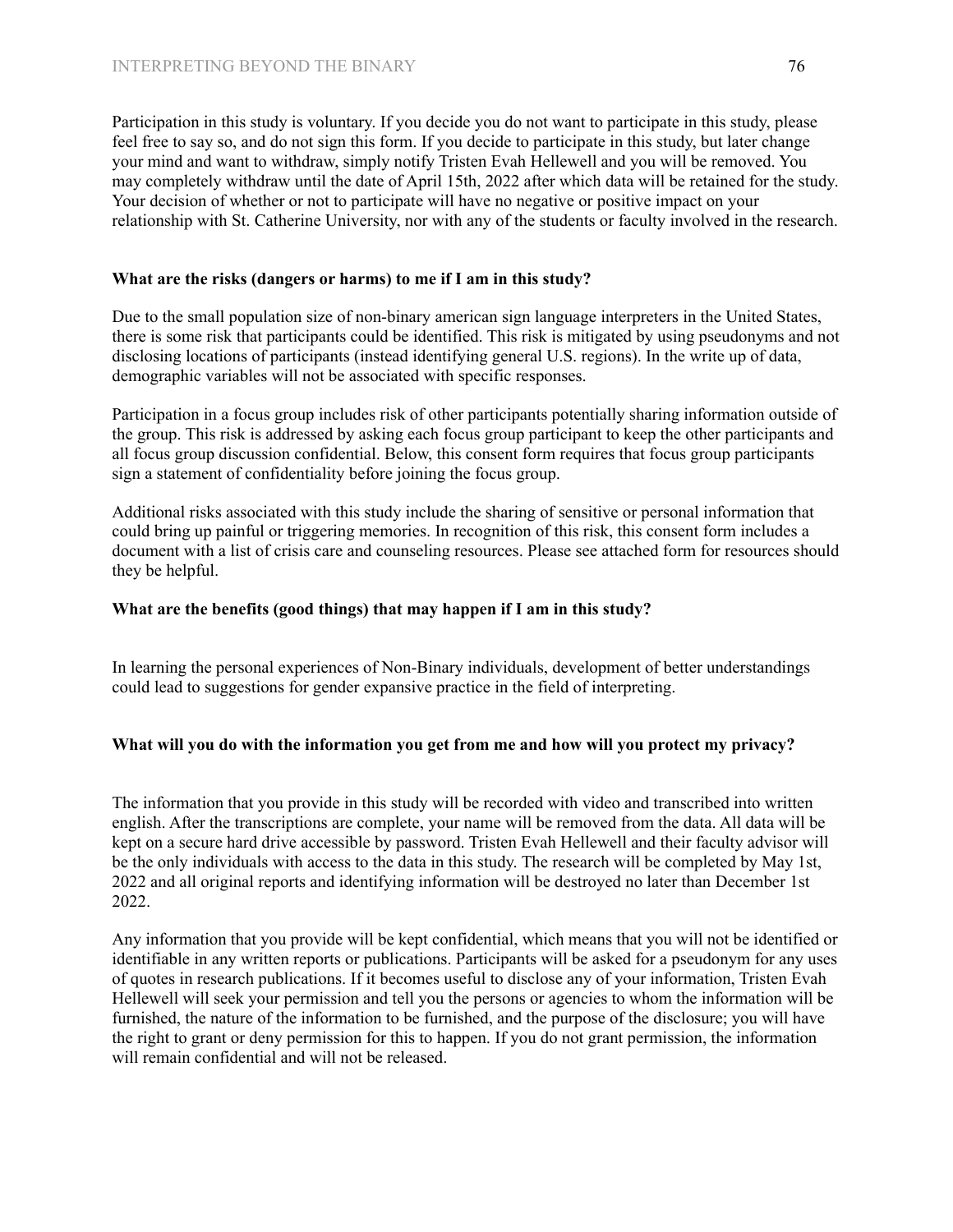Participation in this study is voluntary. If you decide you do not want to participate in this study, please feel free to say so, and do not sign this form. If you decide to participate in this study, but later change your mind and want to withdraw, simply notify Tristen Evah Hellewell and you will be removed. You may completely withdraw until the date of April 15th, 2022 after which data will be retained for the study. Your decision of whether or not to participate will have no negative or positive impact on your relationship with St. Catherine University, nor with any of the students or faculty involved in the research.

#### **What are the risks (dangers or harms) to me if I am in this study?**

Due to the small population size of non-binary american sign language interpreters in the United States, there is some risk that participants could be identified. This risk is mitigated by using pseudonyms and not disclosing locations of participants (instead identifying general U.S. regions). In the write up of data, demographic variables will not be associated with specific responses.

Participation in a focus group includes risk of other participants potentially sharing information outside of the group. This risk is addressed by asking each focus group participant to keep the other participants and all focus group discussion confidential. Below, this consent form requires that focus group participants sign a statement of confidentiality before joining the focus group.

Additional risks associated with this study include the sharing of sensitive or personal information that could bring up painful or triggering memories. In recognition of this risk, this consent form includes a document with a list of crisis care and counseling resources. Please see attached form for resources should they be helpful.

#### **What are the benefits (good things) that may happen if I am in this study?**

In learning the personal experiences of Non-Binary individuals, development of better understandings could lead to suggestions for gender expansive practice in the field of interpreting.

# **What will you do with the information you get from me and how will you protect my privacy?**

The information that you provide in this study will be recorded with video and transcribed into written english. After the transcriptions are complete, your name will be removed from the data. All data will be kept on a secure hard drive accessible by password. Tristen Evah Hellewell and their faculty advisor will be the only individuals with access to the data in this study. The research will be completed by May 1st, 2022 and all original reports and identifying information will be destroyed no later than December 1st 2022.

Any information that you provide will be kept confidential, which means that you will not be identified or identifiable in any written reports or publications. Participants will be asked for a pseudonym for any uses of quotes in research publications. If it becomes useful to disclose any of your information, Tristen Evah Hellewell will seek your permission and tell you the persons or agencies to whom the information will be furnished, the nature of the information to be furnished, and the purpose of the disclosure; you will have the right to grant or deny permission for this to happen. If you do not grant permission, the information will remain confidential and will not be released.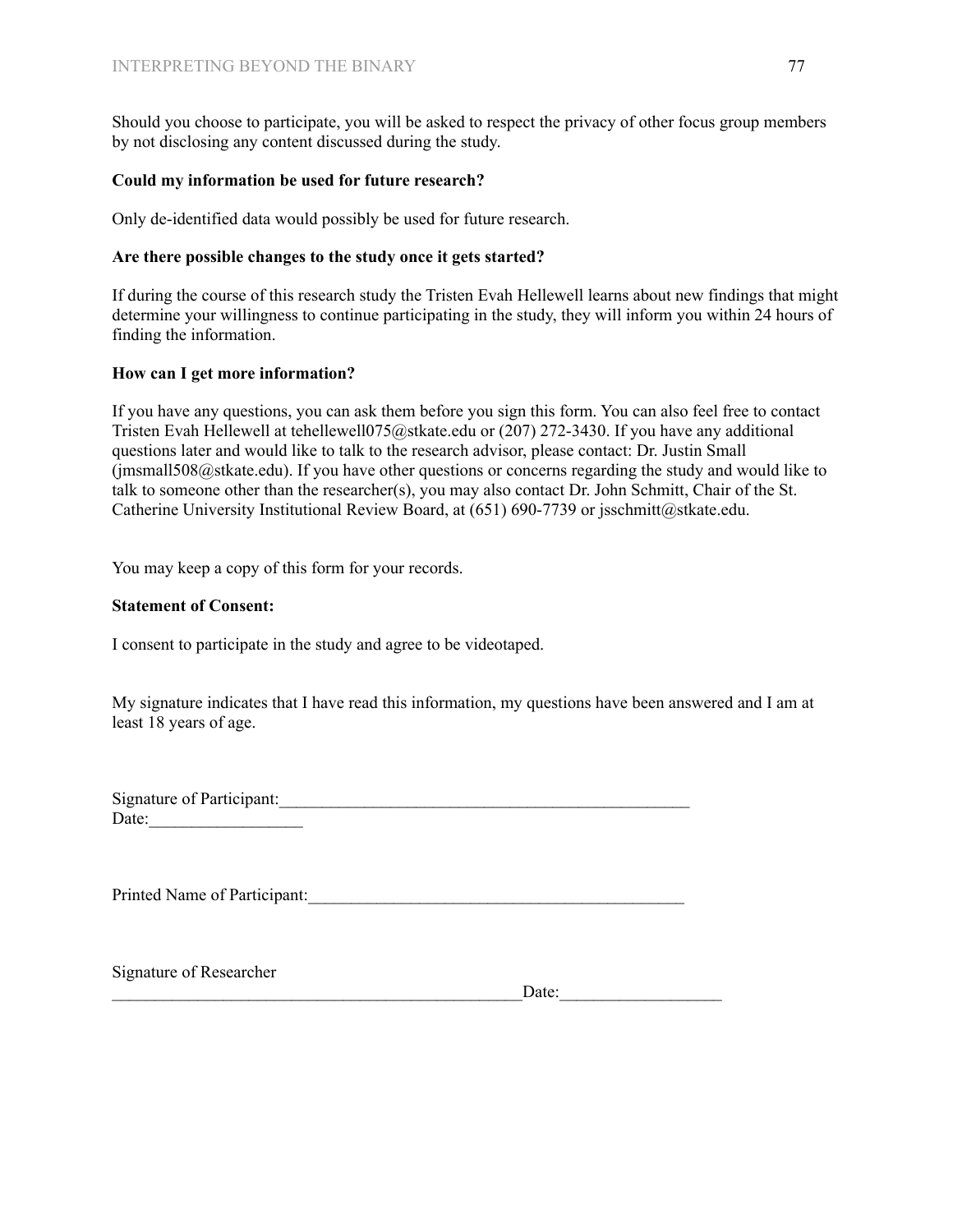Should you choose to participate, you will be asked to respect the privacy of other focus group members by not disclosing any content discussed during the study.

# **Could my information be used for future research?**

Only de-identified data would possibly be used for future research.

# **Are there possible changes to the study once it gets started?**

If during the course of this research study the Tristen Evah Hellewell learns about new findings that might determine your willingness to continue participating in the study, they will inform you within 24 hours of finding the information.

# **How can I get more information?**

If you have any questions, you can ask them before you sign this form. You can also feel free to contact Tristen Evah Hellewell at tehellewell075@stkate.edu or (207) 272-3430. If you have any additional questions later and would like to talk to the research advisor, please contact: Dr. Justin Small (jmsmall508@stkate.edu). If you have other questions or concerns regarding the study and would like to talk to someone other than the researcher(s), you may also contact Dr. John Schmitt, Chair of the St. Catherine University Institutional Review Board, at (651) 690-7739 or jsschmitt@stkate.edu.

You may keep a copy of this form for your records.

# **Statement of Consent:**

I consent to participate in the study and agree to be videotaped.

My signature indicates that I have read this information, my questions have been answered and I am at least 18 years of age.

| <b>Signature of Participant:</b> |  |
|----------------------------------|--|
| Date:                            |  |

Printed Name of Participant:

Signature of Researcher

Date: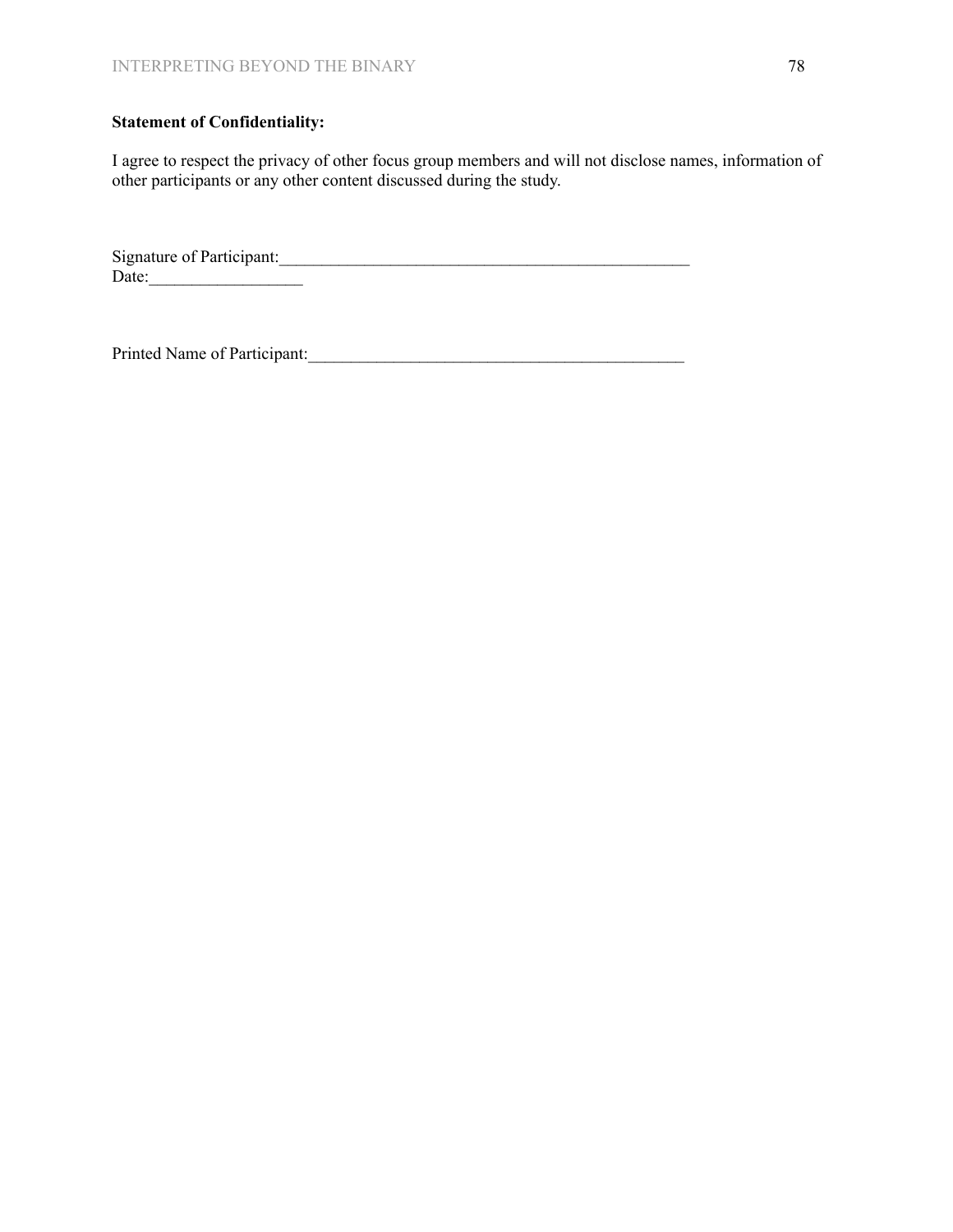# **Statement of Confidentiality:**

I agree to respect the privacy of other focus group members and will not disclose names, information of other participants or any other content discussed during the study.

Signature of Participant:  $Date:$ 

Printed Name of Participant:\_\_\_\_\_\_\_\_\_\_\_\_\_\_\_\_\_\_\_\_\_\_\_\_\_\_\_\_\_\_\_\_\_\_\_\_\_\_\_\_\_\_\_\_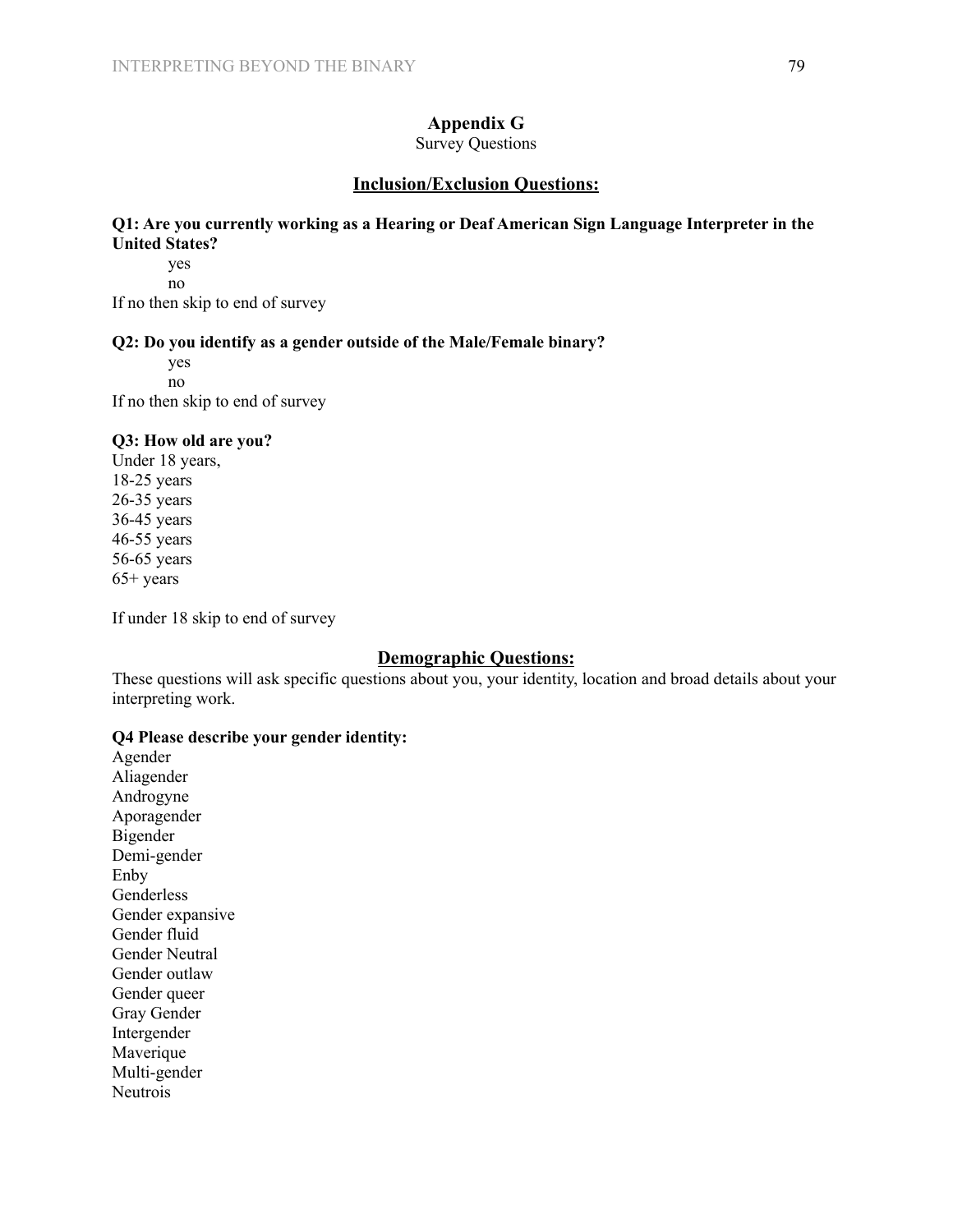# **Appendix G**

Survey Questions

# **Inclusion/Exclusion Questions:**

# **Q1: Are you currently working as a Hearing or Deaf American Sign Language Interpreter in the United States?**

yes no

If no then skip to end of survey

# **Q2: Do you identify as a gender outside of the Male/Female binary?**

yes no

If no then skip to end of survey

#### **Q3: How old are you?**

Under 18 years, 18-25 years 26-35 years 36-45 years 46-55 years 56-65 years 65+ years

If under 18 skip to end of survey

# **Demographic Questions:**

These questions will ask specific questions about you, your identity, location and broad details about your interpreting work.

#### **Q4 Please describe your gender identity:**

Agender Aliagender Androgyne Aporagender Bigender Demi-gender Enby Genderless Gender expansive Gender fluid Gender Neutral Gender outlaw Gender queer Gray Gender Intergender Maverique Multi-gender Neutrois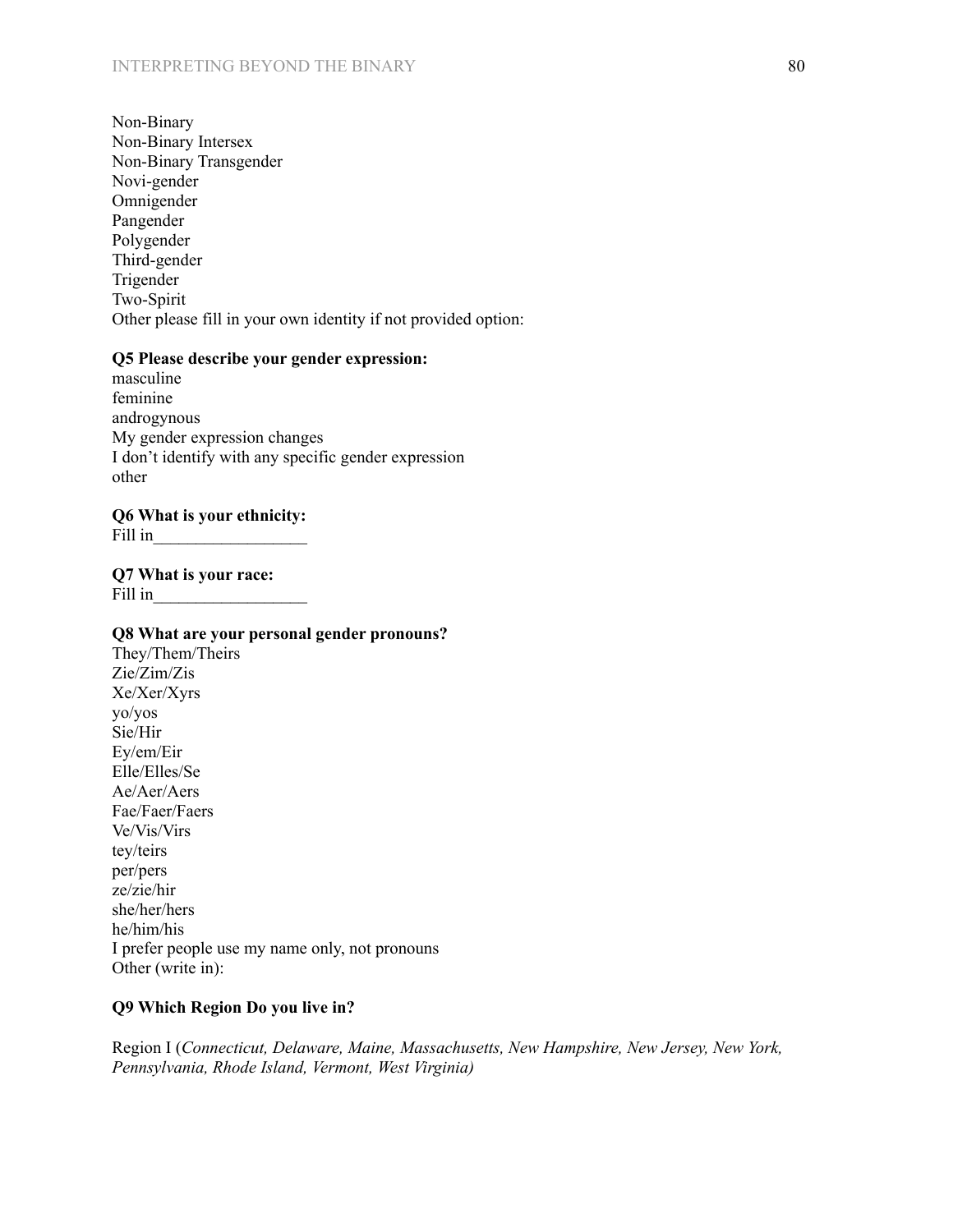Non-Binary Non-Binary Intersex Non-Binary Transgender Novi-gender Omnigender Pangender Polygender Third-gender Trigender Two-Spirit Other please fill in your own identity if not provided option:

# **Q5 Please describe your gender expression:**

masculine feminine androgynous My gender expression changes I don't identify with any specific gender expression other

#### **Q6 What is your ethnicity:**

Fill in\_\_\_\_\_\_\_\_\_\_\_\_\_\_\_\_\_\_

**Q7 What is your race:** Fill in

#### **Q8 What are your personal gender pronouns?**

They/Them/Theirs Zie/Zim/Zis Xe/Xer/Xyrs yo/yos Sie/Hir Ey/em/Eir Elle/Elles/Se Ae/Aer/Aers Fae/Faer/Faers Ve/Vis/Virs tey/teirs per/pers ze/zie/hir she/her/hers he/him/his I prefer people use my name only, not pronouns Other (write in):

#### **Q9 Which Region Do you live in?**

[Region](https://rid.org/region-i-northeast/) I (*Connecticut, Delaware, Maine, Massachusetts, New Hampshire, New Jersey, New York, Pennsylvania, Rhode Island, Vermont, West Virginia)*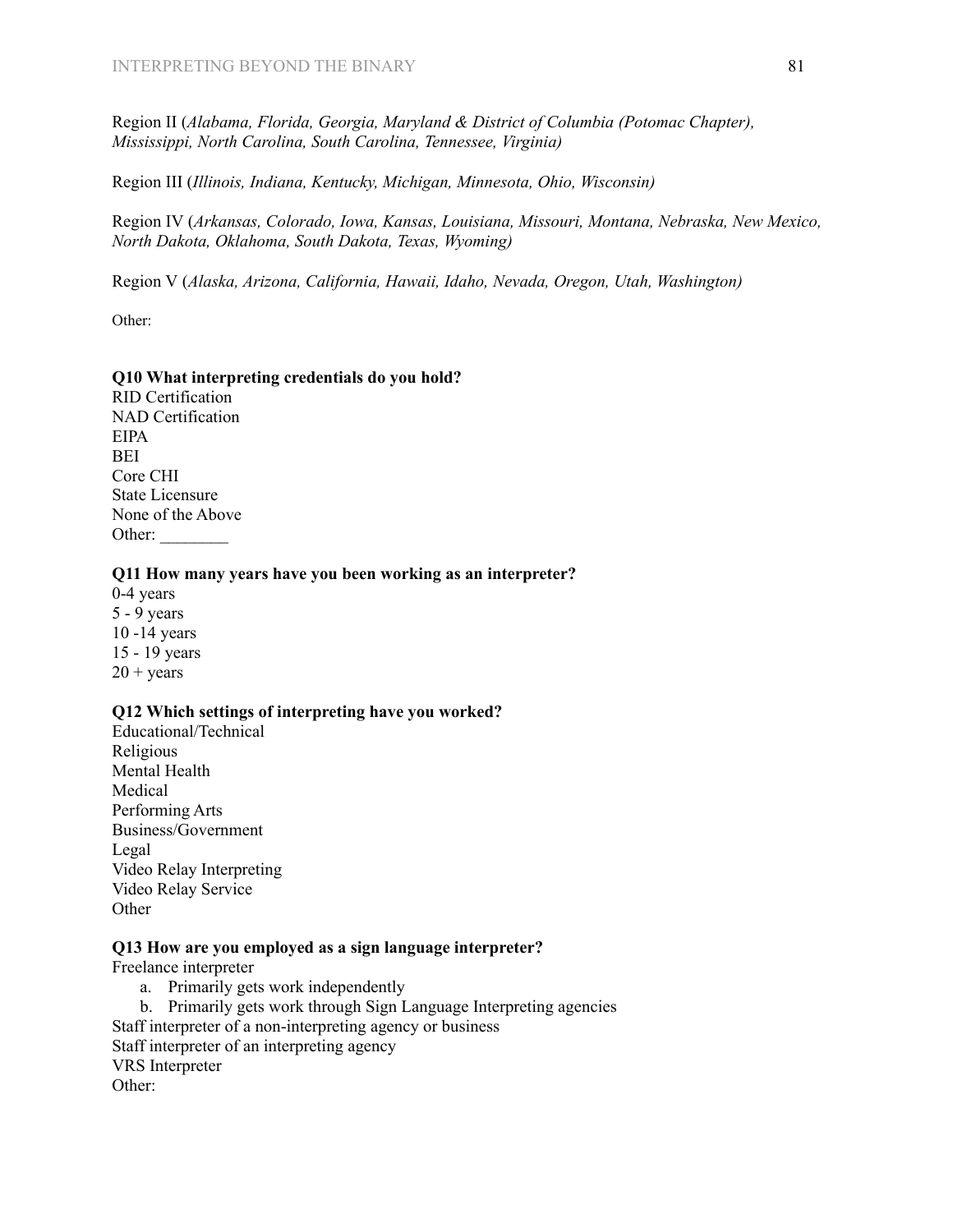[Region](https://rid.org/region-ii-southeast/) II (*Alabama, Florida, Georgia, Maryland & District of Columbia (Potomac Chapter), Mississippi, North Carolina, South Carolina, Tennessee, Virginia)*

[Region](https://rid.org/region-iii-midwest/) III (*Illinois, Indiana, Kentucky, Michigan, Minnesota, Ohio, Wisconsin)*

[Region](https://rid.org/region-iv-central/) IV (*Arkansas, Colorado, Iowa, Kansas, Louisiana, Missouri, Montana, Nebraska, New Mexico, North Dakota, Oklahoma, South Dakota, Texas, Wyoming)*

[Region](https://rid.org/region-v-pacific/) V (*Alaska, Arizona, California, Hawaii, Idaho, Nevada, Oregon, Utah, Washington)*

Other:

# **Q10 What interpreting credentials do you hold?**

RID Certification NAD Certification EIPA BEI Core CHI State Licensure None of the Above Other:

#### **Q11 How many years have you been working as an interpreter?**

0-4 years 5 - 9 years 10 -14 years 15 - 19 years  $20 + \text{years}$ 

#### **Q12 Which settings of interpreting have you worked?**

Educational/Technical Religious Mental Health Medical Performing Arts Business/Government Legal Video Relay Interpreting Video Relay Service **Other** 

# **Q13 How are you employed as a sign language interpreter?**

Freelance interpreter

- a. Primarily gets work independently
- b. Primarily gets work through Sign Language Interpreting agencies Staff interpreter of a non-interpreting agency or business Staff interpreter of an interpreting agency VRS Interpreter Other: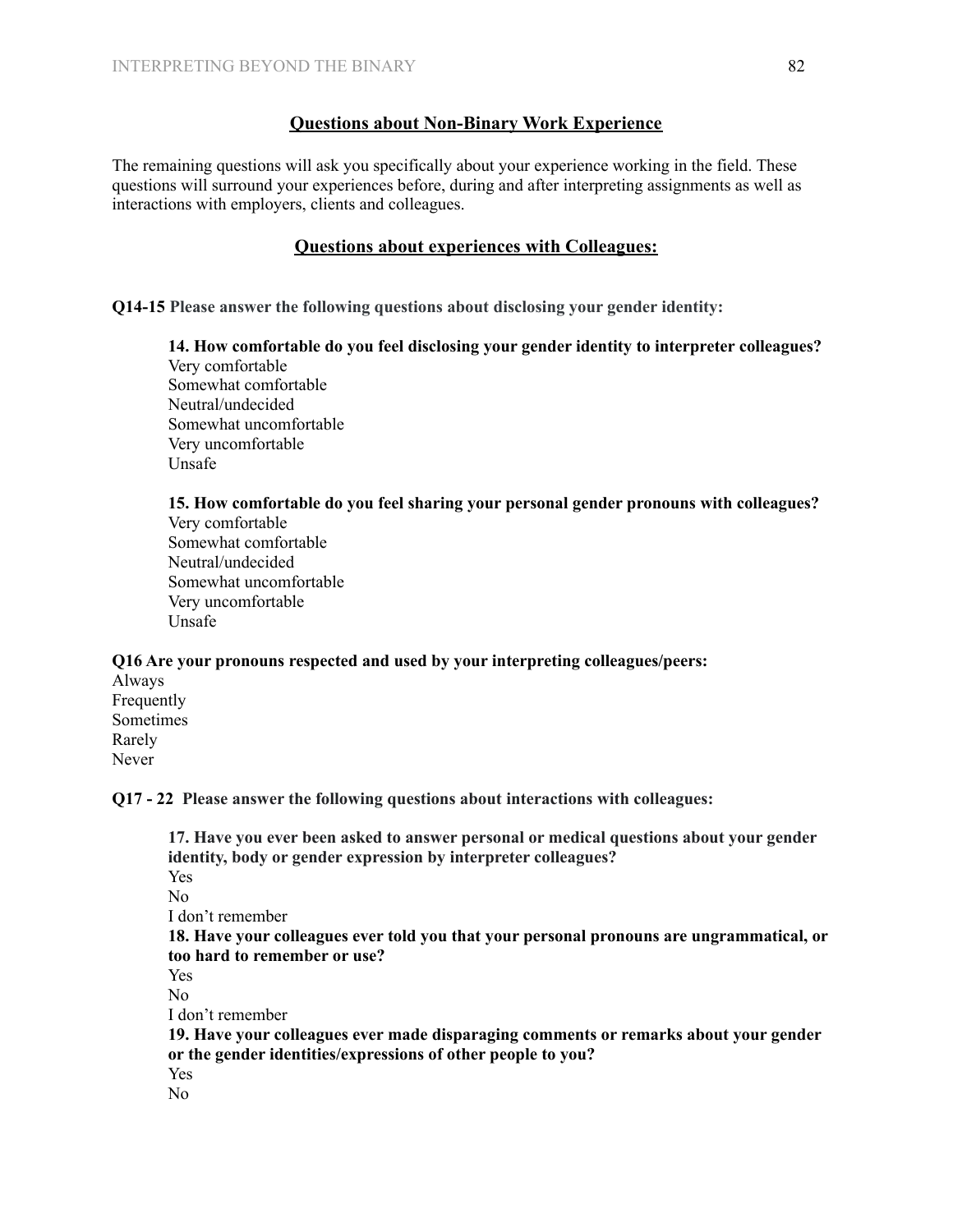# **Questions about Non-Binary Work Experience**

The remaining questions will ask you specifically about your experience working in the field. These questions will surround your experiences before, during and after interpreting assignments as well as interactions with employers, clients and colleagues.

# **Questions about experiences with Colleagues:**

**Q14-15 Please answer the following questions about disclosing your gender identity:**

**14. How comfortable do you feel disclosing your gender identity to interpreter colleagues?** Very comfortable Somewhat comfortable Neutral/undecided Somewhat uncomfortable Very uncomfortable Unsafe

**15. How comfortable do you feel sharing your personal gender pronouns with colleagues?**

Very comfortable Somewhat comfortable Neutral/undecided Somewhat uncomfortable Very uncomfortable Unsafe

# **Q16 Are your pronouns respected and used by your interpreting colleagues/peers:**

Always Frequently Sometimes Rarely Never

**Q17 - 22 Please answer the following questions about interactions with colleagues:**

**17. Have you ever been asked to answer personal or medical questions about your gender identity, body or gender expression by interpreter colleagues?** Yes No I don't remember **18. Have your colleagues ever told you that your personal pronouns are ungrammatical, or too hard to remember or use?** Yes No I don't remember **19. Have your colleagues ever made disparaging comments or remarks about your gender or the gender identities/expressions of other people to you?** Yes No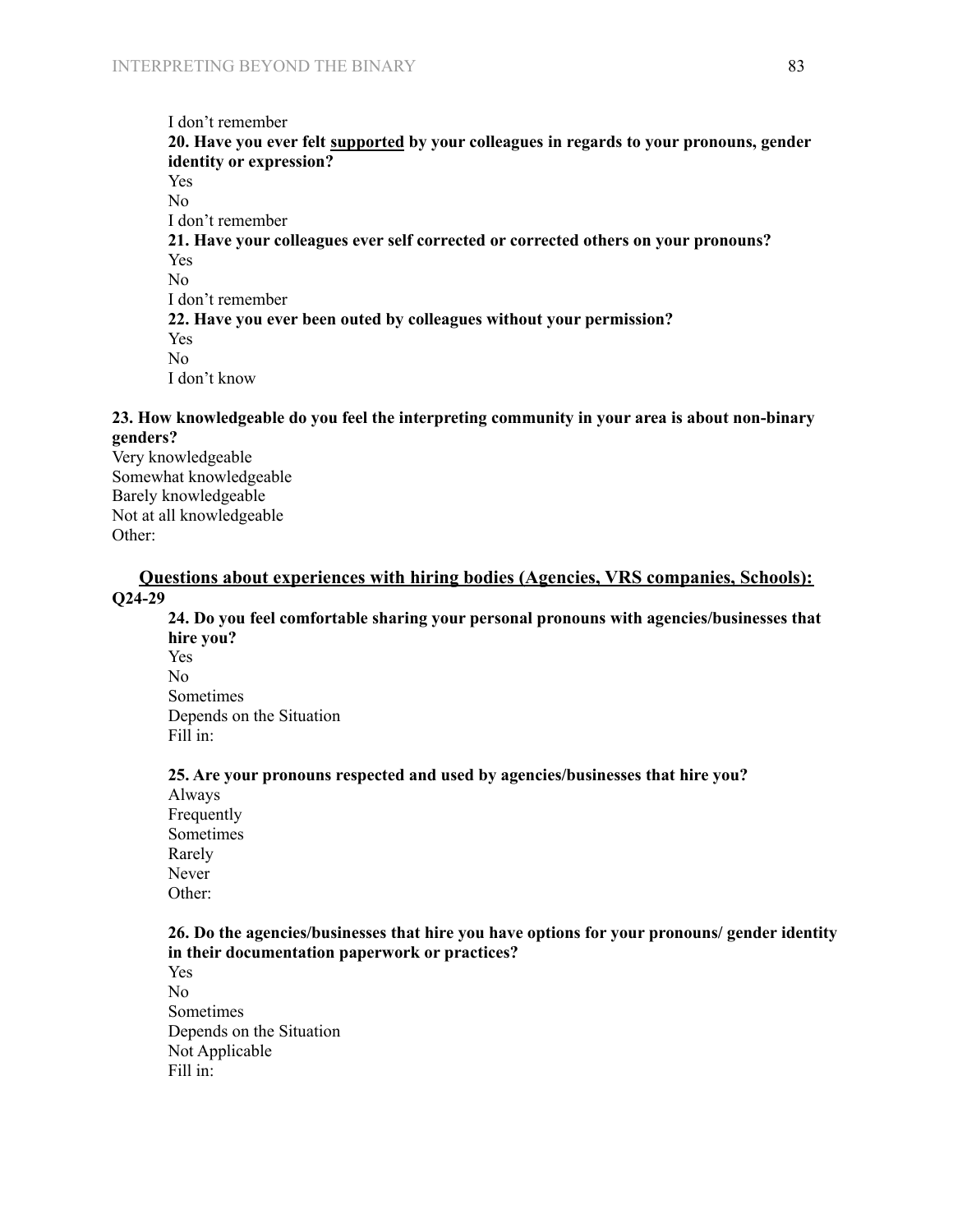# I don't remember **20. Have you ever felt supported by your colleagues in regards to your pronouns, gender identity or expression?** Yes No I don't remember **21. Have your colleagues ever self corrected or corrected others on your pronouns?** Yes No I don't remember **22. Have you ever been outed by colleagues without your permission?** Yes No I don't know

# **23. How knowledgeable do you feel the interpreting community in your area is about non-binary genders?**

Very knowledgeable Somewhat knowledgeable Barely knowledgeable Not at all knowledgeable Other:

# **Questions about experiences with hiring bodies (Agencies, VRS companies, Schools): Q24-29**

**24. Do you feel comfortable sharing your personal pronouns with agencies/businesses that hire you?** Yes No Sometimes Depends on the Situation Fill in:

# **25. Are your pronouns respected and used by agencies/businesses that hire you?**

Always Frequently Sometimes Rarely Never Other:

#### **26. Do the agencies/businesses that hire you have options for your pronouns/ gender identity in their documentation paperwork or practices?**

Yes No Sometimes Depends on the Situation Not Applicable Fill in: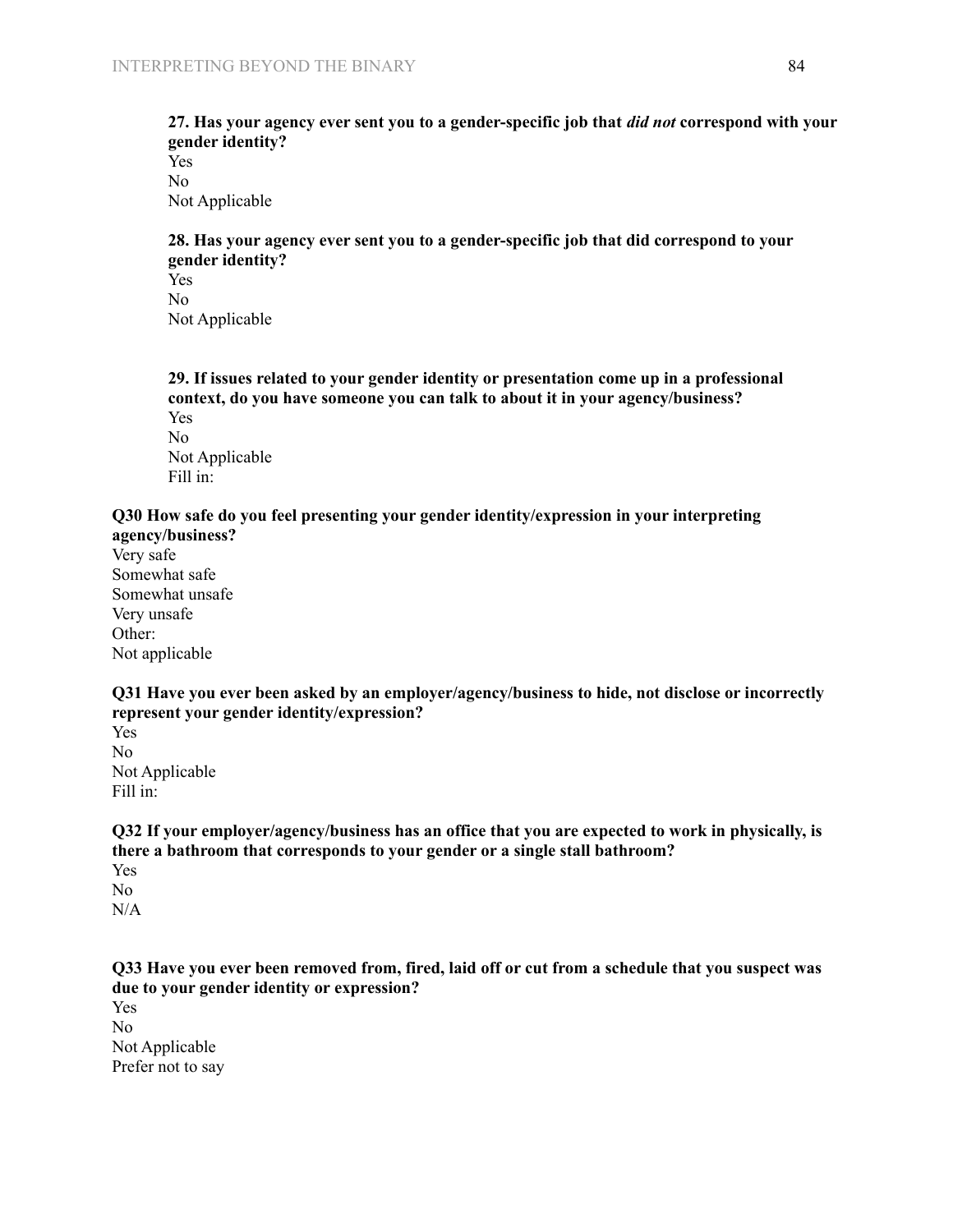#### **27. Has your agency ever sent you to a gender-specific job that** *did not* **correspond with your gender identity?** Yes

No Not Applicable

# **28. Has your agency ever sent you to a gender-specific job that did correspond to your gender identity?**

Yes No Not Applicable

**29. If issues related to your gender identity or presentation come up in a professional context, do you have someone you can talk to about it in your agency/business?** Yes

No Not Applicable Fill in:

# **Q30 How safe do you feel presenting your gender identity/expression in your interpreting**

**agency/business?** Very safe Somewhat safe Somewhat unsafe Very unsafe Other: Not applicable

**Q31 Have you ever been asked by an employer/agency/business to hide, not disclose or incorrectly represent your gender identity/expression?**

Yes No Not Applicable Fill in:

**Q32 If your employer/agency/business has an office that you are expected to work in physically, is there a bathroom that corresponds to your gender or a single stall bathroom?**

Yes No N/A

Q33 Have you ever been removed from, fired, laid off or cut from a schedule that you suspect was **due to your gender identity or expression?** Yes No

Not Applicable Prefer not to say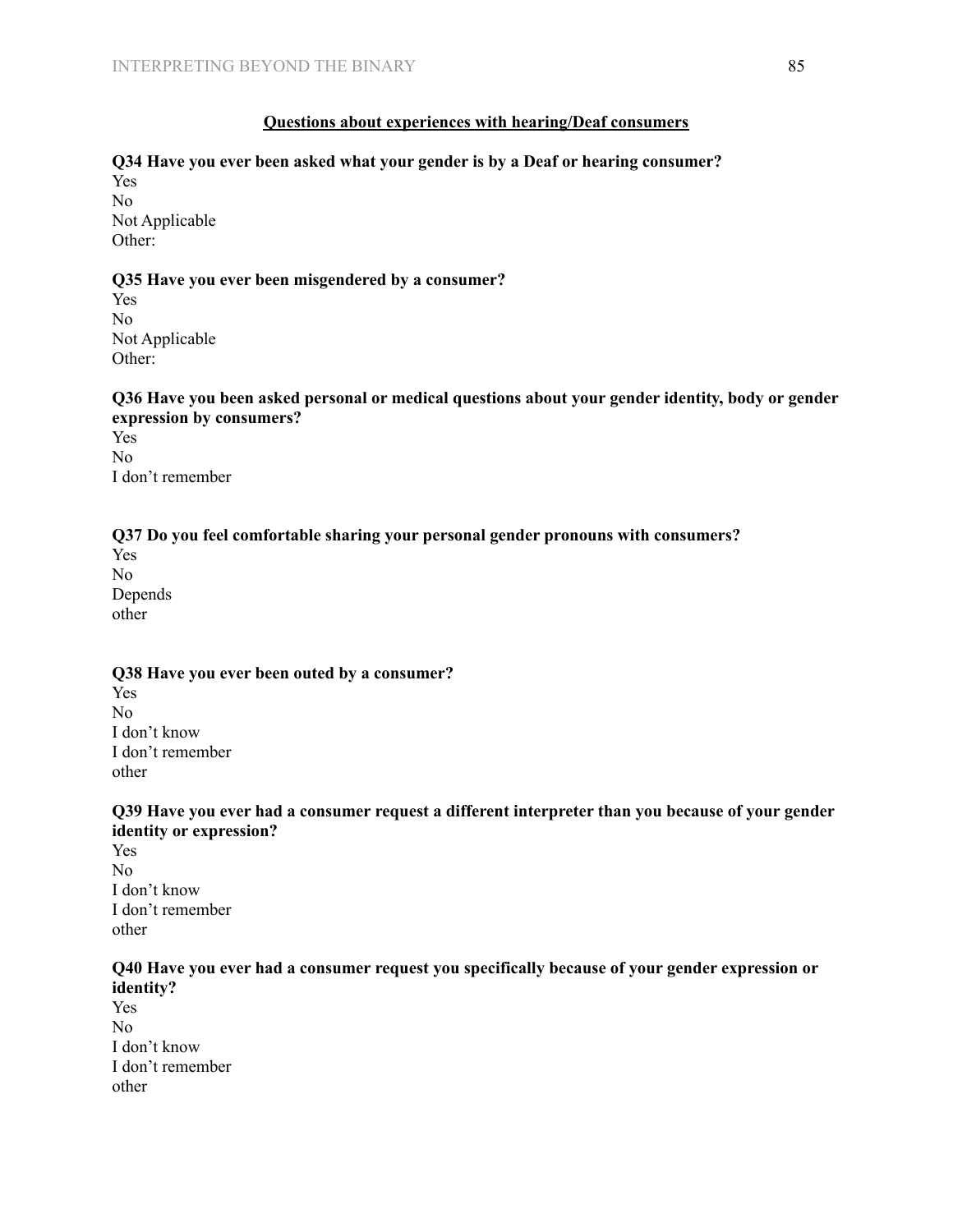# **Questions about experiences with hearing/Deaf consumers**

# **Q34 Have you ever been asked what your gender is by a Deaf or hearing consumer?** Yes

No Not Applicable Other:

#### **Q35 Have you ever been misgendered by a consumer?**

Yes No Not Applicable Other:

# **Q36 Have you been asked personal or medical questions about your gender identity, body or gender expression by consumers?**

Yes No I don't remember

# **Q37 Do you feel comfortable sharing your personal gender pronouns with consumers?**

Yes No Depends other

# **Q38 Have you ever been outed by a consumer?** Yes No

I don't know I don't remember other

# **Q39 Have you ever had a consumer request a different interpreter than you because of your gender identity or expression?**

Yes No I don't know I don't remember other

# **Q40 Have you ever had a consumer request you specifically because of your gender expression or identity?**

Yes No I don't know I don't remember other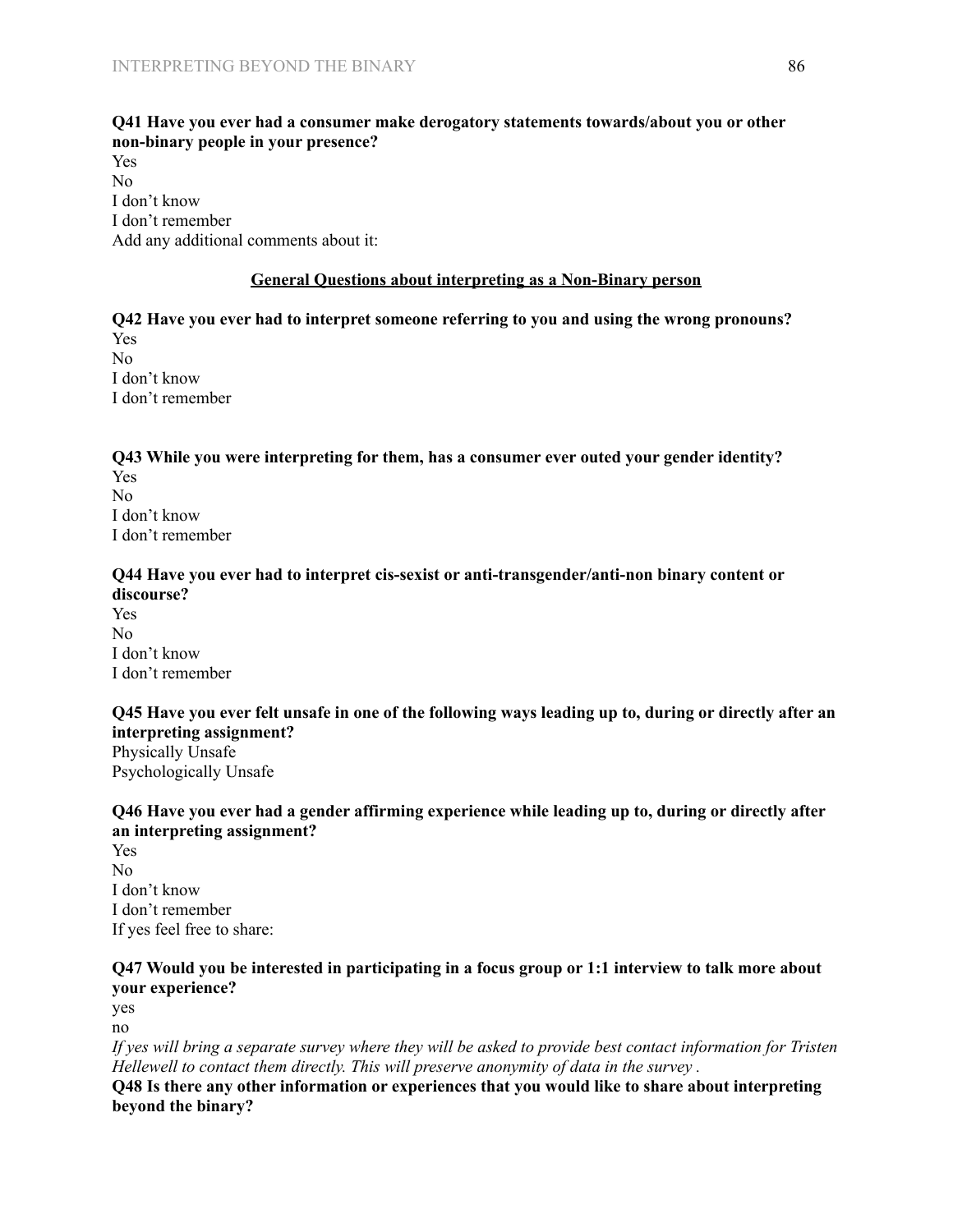# **Q41 Have you ever had a consumer make derogatory statements towards/about you or other non-binary people in your presence?**

Yes No I don't know I don't remember Add any additional comments about it:

#### **General Questions about interpreting as a Non-Binary person**

**Q42 Have you ever had to interpret someone referring to you and using the wrong pronouns?** Yes No I don't know I don't remember

# **Q43 While you were interpreting for them, has a consumer ever outed your gender identity?**

Yes No I don't know I don't remember

#### **Q44 Have you ever had to interpret cis-sexist or anti-transgender/anti-non binary content or discourse?**

Yes No I don't know I don't remember

Q45 Have you ever felt unsafe in one of the following ways leading up to, during or directly after an **interpreting assignment?** Physically Unsafe Psychologically Unsafe

# **Q46 Have you ever had a gender affirming experience while leading up to, during or directly after an interpreting assignment?**

Yes No I don't know I don't remember If yes feel free to share:

# **Q47 Would you be interested in participating in a focus group or 1:1 interview to talk more about your experience?**

yes no

If yes will bring a separate survey where they will be asked to provide best contact information for Tristen *Hellewell to contact them directly. This will preserve anonymity of data in the survey .*

**Q48 Is there any other information or experiences that you would like to share about interpreting beyond the binary?**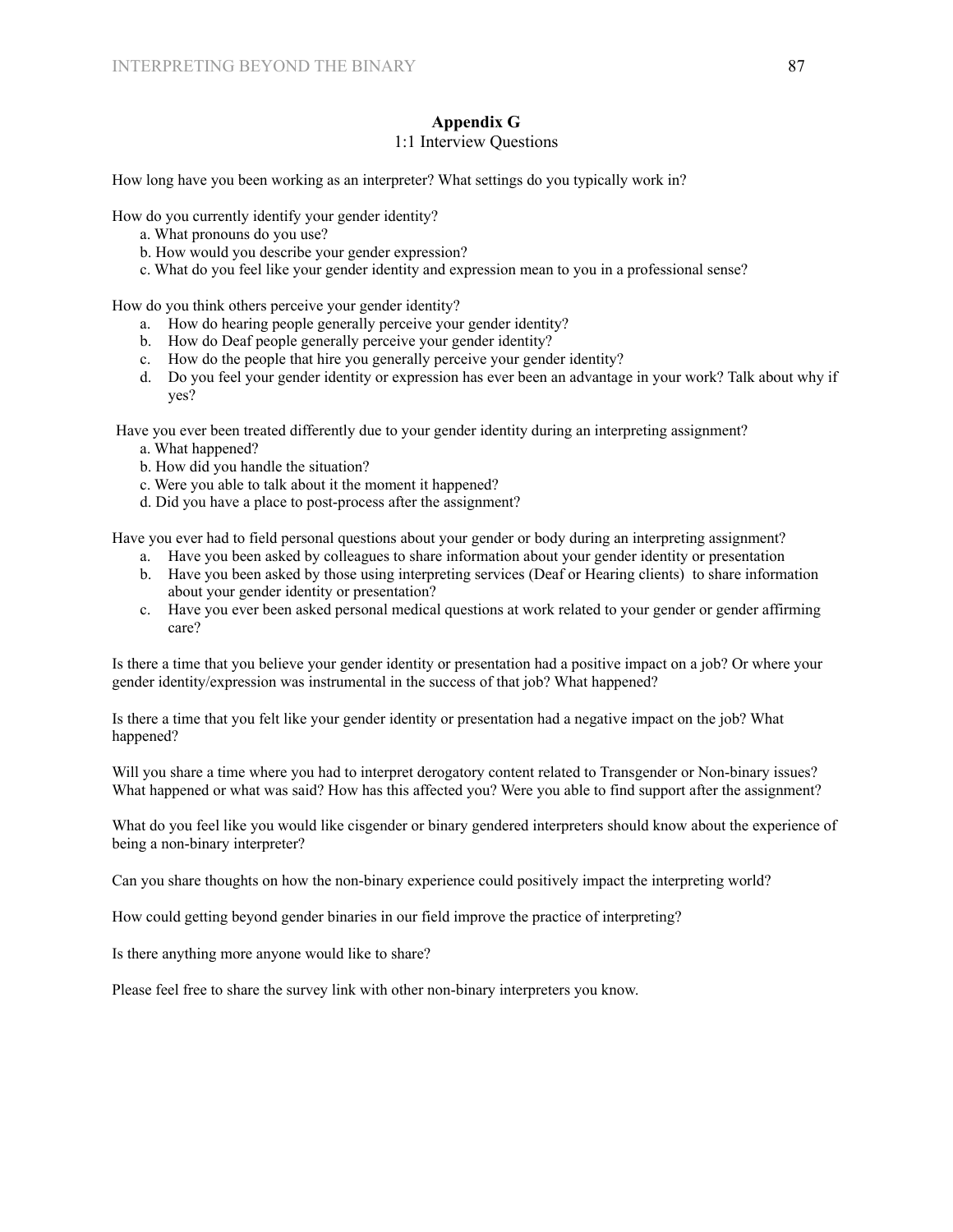# **Appendix G**

#### 1:1 Interview Questions

How long have you been working as an interpreter? What settings do you typically work in?

How do you currently identify your gender identity?

- a. What pronouns do you use?
- b. How would you describe your gender expression?
- c. What do you feel like your gender identity and expression mean to you in a professional sense?

How do you think others perceive your gender identity?

- a. How do hearing people generally perceive your gender identity?
- b. How do Deaf people generally perceive your gender identity?
- c. How do the people that hire you generally perceive your gender identity?
- d. Do you feel your gender identity or expression has ever been an advantage in your work? Talk about why if yes?

Have you ever been treated differently due to your gender identity during an interpreting assignment?

- a. What happened?
- b. How did you handle the situation?
- c. Were you able to talk about it the moment it happened?
- d. Did you have a place to post-process after the assignment?

Have you ever had to field personal questions about your gender or body during an interpreting assignment?

- a. Have you been asked by colleagues to share information about your gender identity or presentation
- b. Have you been asked by those using interpreting services (Deaf or Hearing clients) to share information about your gender identity or presentation?
- c. Have you ever been asked personal medical questions at work related to your gender or gender affirming care?

Is there a time that you believe your gender identity or presentation had a positive impact on a job? Or where your gender identity/expression was instrumental in the success of that job? What happened?

Is there a time that you felt like your gender identity or presentation had a negative impact on the job? What happened?

Will you share a time where you had to interpret derogatory content related to Transgender or Non-binary issues? What happened or what was said? How has this affected you? Were you able to find support after the assignment?

What do you feel like you would like cisgender or binary gendered interpreters should know about the experience of being a non-binary interpreter?

Can you share thoughts on how the non-binary experience could positively impact the interpreting world?

How could getting beyond gender binaries in our field improve the practice of interpreting?

Is there anything more anyone would like to share?

Please feel free to share the survey link with other non-binary interpreters you know.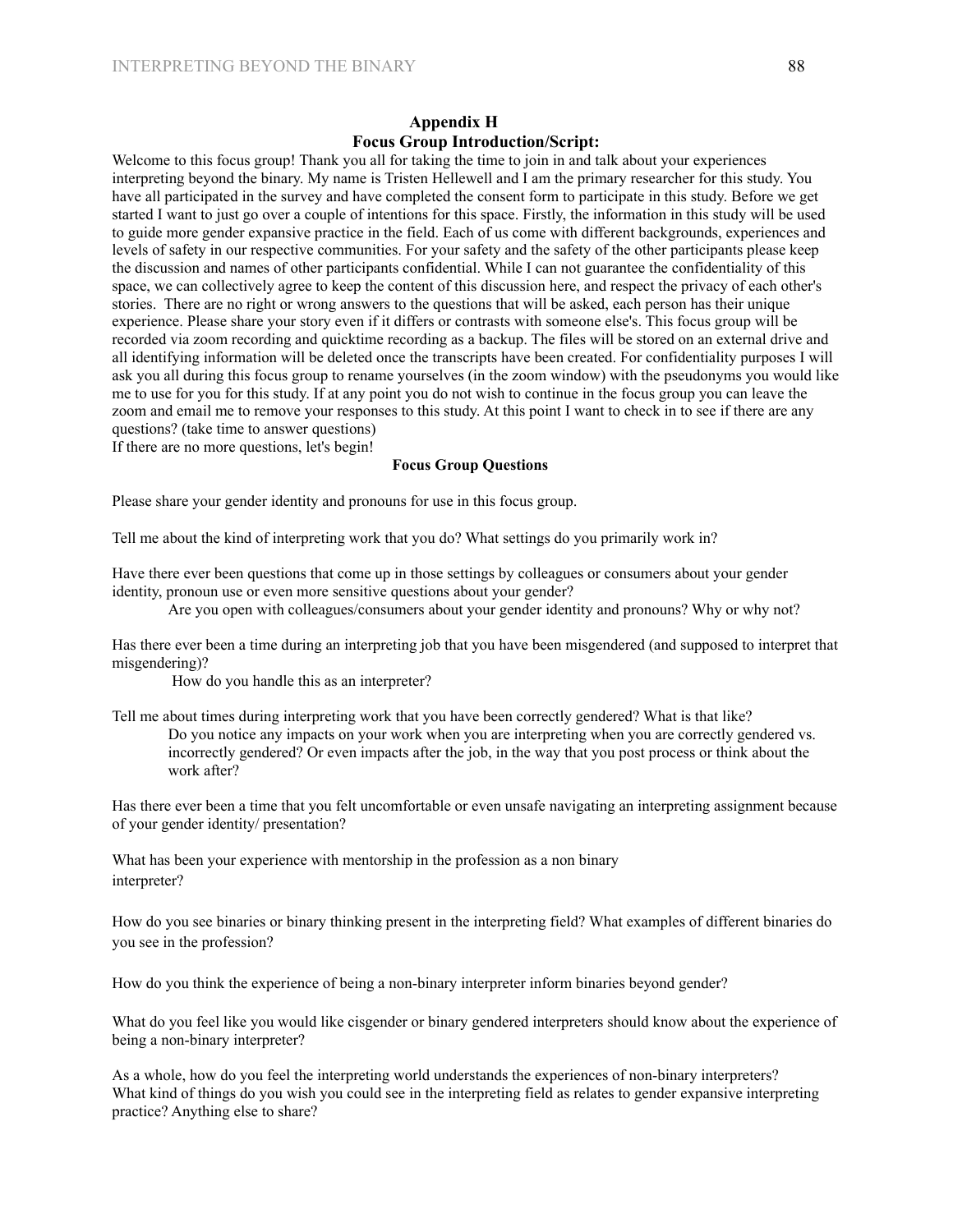#### **Appendix H Focus Group Introduction/Script:**

Welcome to this focus group! Thank you all for taking the time to join in and talk about your experiences interpreting beyond the binary. My name is Tristen Hellewell and I am the primary researcher for this study. You have all participated in the survey and have completed the consent form to participate in this study. Before we get started I want to just go over a couple of intentions for this space. Firstly, the information in this study will be used to guide more gender expansive practice in the field. Each of us come with different backgrounds, experiences and levels of safety in our respective communities. For your safety and the safety of the other participants please keep the discussion and names of other participants confidential. While I can not guarantee the confidentiality of this space, we can collectively agree to keep the content of this discussion here, and respect the privacy of each other's stories. There are no right or wrong answers to the questions that will be asked, each person has their unique experience. Please share your story even if it differs or contrasts with someone else's. This focus group will be recorded via zoom recording and quicktime recording as a backup. The files will be stored on an external drive and all identifying information will be deleted once the transcripts have been created. For confidentiality purposes I will ask you all during this focus group to rename yourselves (in the zoom window) with the pseudonyms you would like me to use for you for this study. If at any point you do not wish to continue in the focus group you can leave the zoom and email me to remove your responses to this study. At this point I want to check in to see if there are any questions? (take time to answer questions)

If there are no more questions, let's begin!

#### **Focus Group Questions**

Please share your gender identity and pronouns for use in this focus group.

Tell me about the kind of interpreting work that you do? What settings do you primarily work in?

Have there ever been questions that come up in those settings by colleagues or consumers about your gender identity, pronoun use or even more sensitive questions about your gender?

Are you open with colleagues/consumers about your gender identity and pronouns? Why or why not?

Has there ever been a time during an interpreting job that you have been misgendered (and supposed to interpret that misgendering)?

How do you handle this as an interpreter?

Tell me about times during interpreting work that you have been correctly gendered? What is that like? Do you notice any impacts on your work when you are interpreting when you are correctly gendered vs. incorrectly gendered? Or even impacts after the job, in the way that you post process or think about the work after?

Has there ever been a time that you felt uncomfortable or even unsafe navigating an interpreting assignment because of your gender identity/ presentation?

What has been your experience with mentorship in the profession as a non binary interpreter?

How do you see binaries or binary thinking present in the interpreting field? What examples of different binaries do you see in the profession?

How do you think the experience of being a non-binary interpreter inform binaries beyond gender?

What do you feel like you would like cisgender or binary gendered interpreters should know about the experience of being a non-binary interpreter?

As a whole, how do you feel the interpreting world understands the experiences of non-binary interpreters? What kind of things do you wish you could see in the interpreting field as relates to gender expansive interpreting practice? Anything else to share?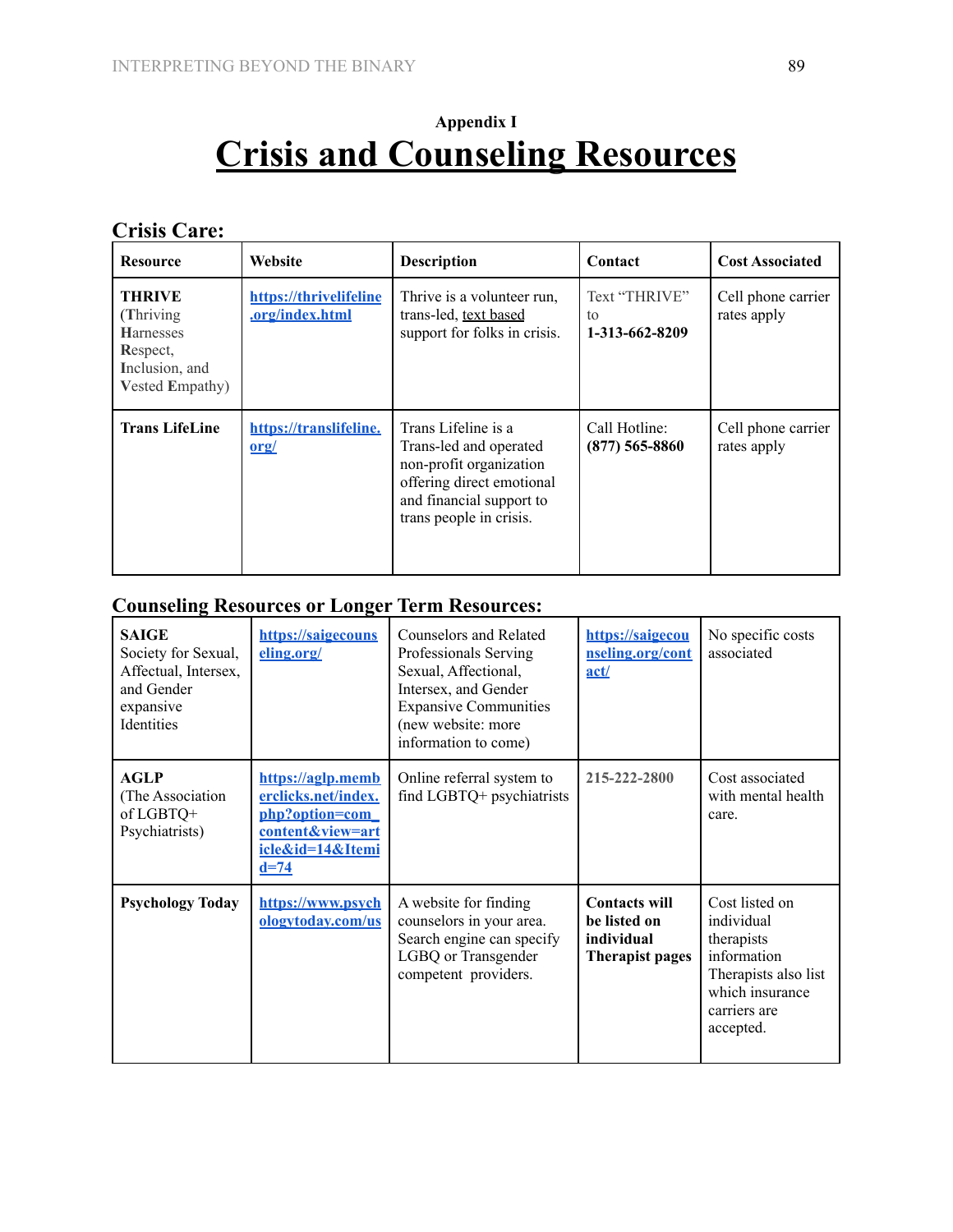# **Appendix I Crisis and Counseling Resources**

**Crisis Care:**

| <b>Resource</b>                                                                                         | Website                                          | <b>Description</b>                                                                                                                                           | Contact                               | <b>Cost Associated</b>            |
|---------------------------------------------------------------------------------------------------------|--------------------------------------------------|--------------------------------------------------------------------------------------------------------------------------------------------------------------|---------------------------------------|-----------------------------------|
| <b>THRIVE</b><br>(Thriving)<br><b>Harnesses</b><br>Respect,<br>Inclusion, and<br><b>Vested Empathy)</b> | https://thrivelifeline<br><u>.org/index.html</u> | Thrive is a volunteer run,<br>trans-led, text based<br>support for folks in crisis.                                                                          | Text "THRIVE"<br>to<br>1-313-662-8209 | Cell phone carrier<br>rates apply |
| <b>Trans LifeLine</b>                                                                                   | https://translifeline.<br>$org/$                 | Trans Lifeline is a<br>Trans-led and operated<br>non-profit organization<br>offering direct emotional<br>and financial support to<br>trans people in crisis. | Call Hotline:<br>$(877)$ 565-8860     | Cell phone carrier<br>rates apply |

# **Counseling Resources or Longer Term Resources:**

| <b>SAIGE</b><br>Society for Sexual,<br>Affectual, Intersex,<br>and Gender<br>expansive<br>Identities | https://saigecouns<br>eling.org/                                                                             | <b>Counselors and Related</b><br>Professionals Serving<br>Sexual, Affectional,<br>Intersex, and Gender<br><b>Expansive Communities</b><br>(new website: more<br>information to come) | https://saigecou<br>nseling.org/cont<br>act/                          | No specific costs<br>associated                                                                                                   |
|------------------------------------------------------------------------------------------------------|--------------------------------------------------------------------------------------------------------------|--------------------------------------------------------------------------------------------------------------------------------------------------------------------------------------|-----------------------------------------------------------------------|-----------------------------------------------------------------------------------------------------------------------------------|
| <b>AGLP</b><br>(The Association<br>of LGBTQ+<br>Psychiatrists)                                       | https://aglp.memb<br>erclicks.net/index.<br>php?option=com<br>content&view=art<br>icle&id=14&Itemi<br>$d=74$ | Online referral system to<br>find LGBTQ+ psychiatrists                                                                                                                               | 215-222-2800                                                          | Cost associated<br>with mental health<br>care.                                                                                    |
| <b>Psychology Today</b>                                                                              | https://www.psych<br>ologytoday.com/us                                                                       | A website for finding<br>counselors in your area.<br>Search engine can specify<br>LGBQ or Transgender<br>competent providers.                                                        | <b>Contacts will</b><br>be listed on<br>individual<br>Therapist pages | Cost listed on<br>individual<br>therapists<br>information<br>Therapists also list<br>which insurance<br>carriers are<br>accepted. |